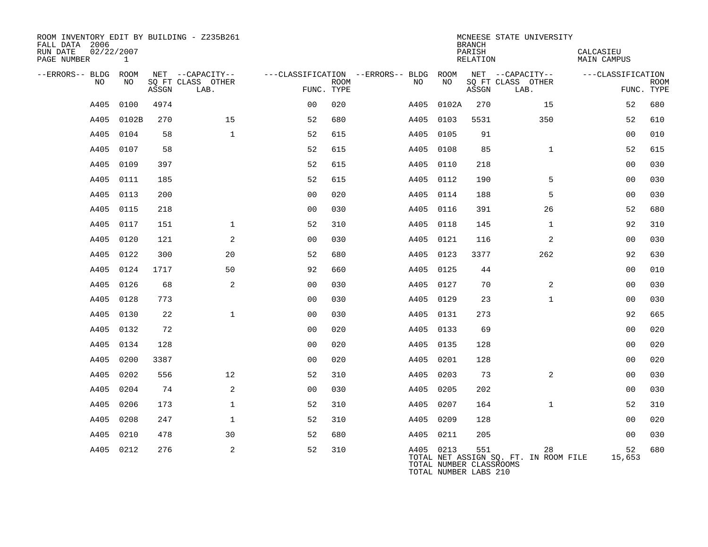| ROOM INVENTORY EDIT BY BUILDING - Z235B261<br>FALL DATA 2006<br>02/22/2007<br>RUN DATE<br>PAGE NUMBER | 1     |       |                                       |                |             |                                              |       | <b>BRANCH</b><br>PARISH<br>RELATION                     | MCNEESE STATE UNIVERSITY                    | CALCASIEU<br><b>MAIN CAMPUS</b> |             |
|-------------------------------------------------------------------------------------------------------|-------|-------|---------------------------------------|----------------|-------------|----------------------------------------------|-------|---------------------------------------------------------|---------------------------------------------|---------------------------------|-------------|
| --ERRORS-- BLDG ROOM<br>NO                                                                            | NO    |       | NET --CAPACITY--<br>SQ FT CLASS OTHER |                | <b>ROOM</b> | ---CLASSIFICATION --ERRORS-- BLDG ROOM<br>NO | NO    |                                                         | NET --CAPACITY--<br>SQ FT CLASS OTHER       | ---CLASSIFICATION               | <b>ROOM</b> |
|                                                                                                       |       | ASSGN | LAB.                                  | FUNC. TYPE     |             |                                              |       | ASSGN                                                   | LAB.                                        |                                 | FUNC. TYPE  |
| A405                                                                                                  | 0100  | 4974  |                                       | 0 <sub>0</sub> | 020         | A405                                         | 0102A | 270                                                     | 15                                          | 52                              | 680         |
| A405                                                                                                  | 0102B | 270   | 15                                    | 52             | 680         | A405                                         | 0103  | 5531                                                    | 350                                         | 52                              | 610         |
| A405                                                                                                  | 0104  | 58    | $\mathbf{1}$                          | 52             | 615         | A405 0105                                    |       | 91                                                      |                                             | 0 <sub>0</sub>                  | 010         |
| A405                                                                                                  | 0107  | 58    |                                       | 52             | 615         | A405                                         | 0108  | 85                                                      | $\mathbf{1}$                                | 52                              | 615         |
| A405                                                                                                  | 0109  | 397   |                                       | 52             | 615         | A405 0110                                    |       | 218                                                     |                                             | 0 <sub>0</sub>                  | 030         |
| A405                                                                                                  | 0111  | 185   |                                       | 52             | 615         | A405 0112                                    |       | 190                                                     | 5                                           | 0 <sub>0</sub>                  | 030         |
| A405                                                                                                  | 0113  | 200   |                                       | 0 <sub>0</sub> | 020         | A405 0114                                    |       | 188                                                     | 5                                           | 00                              | 030         |
| A405                                                                                                  | 0115  | 218   |                                       | 0 <sub>0</sub> | 030         | A405 0116                                    |       | 391                                                     | 26                                          | 52                              | 680         |
| A405                                                                                                  | 0117  | 151   | $\mathbf{1}$                          | 52             | 310         | A405 0118                                    |       | 145                                                     | $\mathbf{1}$                                | 92                              | 310         |
| A405                                                                                                  | 0120  | 121   | 2                                     | 0 <sub>0</sub> | 030         | A405 0121                                    |       | 116                                                     | 2                                           | 0 <sub>0</sub>                  | 030         |
| A405                                                                                                  | 0122  | 300   | 20                                    | 52             | 680         | A405 0123                                    |       | 3377                                                    | 262                                         | 92                              | 630         |
| A405                                                                                                  | 0124  | 1717  | 50                                    | 92             | 660         | A405 0125                                    |       | 44                                                      |                                             | 0 <sub>0</sub>                  | 010         |
| A405                                                                                                  | 0126  | 68    | 2                                     | 00             | 030         | A405                                         | 0127  | 70                                                      | 2                                           | 0 <sub>0</sub>                  | 030         |
| A405                                                                                                  | 0128  | 773   |                                       | 0 <sub>0</sub> | 030         | A405 0129                                    |       | 23                                                      | $\mathbf{1}$                                | 00                              | 030         |
| A405                                                                                                  | 0130  | 22    | $\mathbf{1}$                          | 0 <sub>0</sub> | 030         | A405                                         | 0131  | 273                                                     |                                             | 92                              | 665         |
| A405                                                                                                  | 0132  | 72    |                                       | 0 <sub>0</sub> | 020         | A405 0133                                    |       | 69                                                      |                                             | 0 <sub>0</sub>                  | 020         |
| A405                                                                                                  | 0134  | 128   |                                       | 0 <sub>0</sub> | 020         | A405 0135                                    |       | 128                                                     |                                             | 0 <sub>0</sub>                  | 020         |
| A405                                                                                                  | 0200  | 3387  |                                       | 0 <sub>0</sub> | 020         | A405 0201                                    |       | 128                                                     |                                             | 0 <sub>0</sub>                  | 020         |
| A405                                                                                                  | 0202  | 556   | 12                                    | 52             | 310         | A405 0203                                    |       | 73                                                      | 2                                           | 0 <sub>0</sub>                  | 030         |
| A405                                                                                                  | 0204  | 74    | 2                                     | 0 <sub>0</sub> | 030         | A405 0205                                    |       | 202                                                     |                                             | 0 <sub>0</sub>                  | 030         |
| A405                                                                                                  | 0206  | 173   | $\mathbf 1$                           | 52             | 310         | A405 0207                                    |       | 164                                                     | $\mathbf{1}$                                | 52                              | 310         |
| A405                                                                                                  | 0208  | 247   | $\mathbf{1}$                          | 52             | 310         | A405 0209                                    |       | 128                                                     |                                             | 0 <sub>0</sub>                  | 020         |
| A405                                                                                                  | 0210  | 478   | 30                                    | 52             | 680         | A405 0211                                    |       | 205                                                     |                                             | 00                              | 030         |
| A405 0212                                                                                             |       | 276   | 2                                     | 52             | 310         | A405 0213                                    |       | 551<br>TOTAL NUMBER CLASSROOMS<br>TOTAL NUMBER LABS 210 | 28<br>TOTAL NET ASSIGN SO. FT. IN ROOM FILE | 52<br>15,653                    | 680         |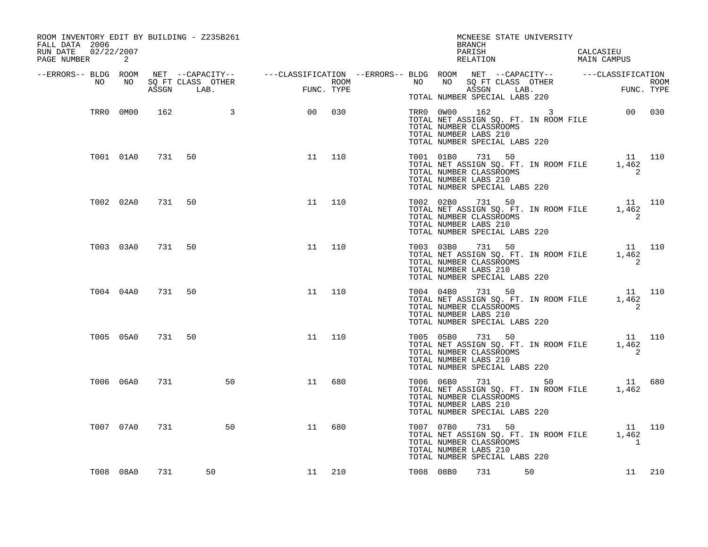| ROOM INVENTORY EDIT BY BUILDING - Z235B261<br>FALL DATA 2006<br>RUN DATE 02/22/2007<br>PAGE NUMBER 2 |     |                 |            | MCNEESE STATE UNIVERSITY<br>BRANCH                                                                                                                                                                                                   |
|------------------------------------------------------------------------------------------------------|-----|-----------------|------------|--------------------------------------------------------------------------------------------------------------------------------------------------------------------------------------------------------------------------------------|
|                                                                                                      |     |                 |            | ERRORS-- BLDG ROOM NET --CAPACITY--- ---CLASSIFICATION--ERRORS-- BLDG ROOM NET --CAPACITY-- ---CLASSIFICATION-<br>NO NO SQ FT CLASS OTHER ROOM NO SQ FT CLASS OTHER ROOM NO SQ FT CLASS OTHER ROOM<br>ASSGN LAB. FUNC. TYPE TOTAL NU |
|                                                                                                      |     | TRR0 0M00 162 3 | 00 030     | $\begin{tabular}{lllll} \bf TRR0 & 0W00 & 162 & 3 & 00 & 030 \\ \bf TOTAL NET ASSIGN SQ. FT. IN ROM FILE & \end{tabular}$<br>TOTAL NUMBER CLASSROOMS<br>TOTAL NUMBER LABS 210<br>TOTAL NUMBER SPECIAL LABS 220                       |
| T001 01A0 731 50                                                                                     |     |                 | $11$ $110$ | TO11 01B0 731 50<br>TOTAL NET ASSIGN SQ. FT. IN ROOM FILE 1,462<br>TOTAL NET ASSIGN SQ. FT. IN ROOM FILE 1,462<br>TOTAL NUMBER CLASSROOMS<br>TOTAL NUMBER LABS 210<br>TOTAL NUMBER SPECIAL LABS 220                                  |
| T002 02A0 731 50                                                                                     |     |                 | 11<br>110  | T002 02B0 731 50 11 10<br>TOTAL NET ASSIGN SQ. FT. IN ROOM FILE 1,462<br>TOTAL NUMBER CLASSROOMS 2<br>TOTAL NUMBER CLASSROOMS<br>TOTAL NUMBER LABS 210<br>TOTAL NUMBER SPECIAL LABS 220                                              |
| T003 03A0                                                                                            |     | 731 50          | 11<br>110  | T003 03B0 731 50 11 110<br>TOTAL NET ASSIGN SQ. FT. IN ROOM FILE 1,462<br>TOTAL NUMBER CLASSROOMS<br>$\overline{\phantom{0}}$ 2<br>TOTAL NUMBER LABS 210<br>TOTAL NUMBER SPECIAL LABS 220                                            |
| T004 04A0 731 50                                                                                     |     |                 | 11<br>110  | T004 04B0 731 50 11 110<br>TOTAL NET ASSIGN SQ. FT. IN ROOM FILE 1,462<br>TOTAL NUMBER CLASSROOMS<br>2<br>TOTAL NUMBER LABS 210<br>TOTAL NUMBER SPECIAL LABS 220                                                                     |
| T005 05A0 731 50                                                                                     |     |                 | 11<br>110  | T005 05B0 731 50 11 110<br>TOTAL NET ASSIGN SQ. FT. IN ROOM FILE 1,462<br>TOTAL NUMBER CLASSROOMS<br>$\sim$ 2<br>TOTAL NUMBER LABS 210<br>TOTAL NUMBER SPECIAL LABS 220                                                              |
| T006 06A0                                                                                            | 731 | 50              | 11<br>680  | T006 06B0 731 50 11 680<br>TOTAL NET ASSIGN SQ. FT. IN ROOM FILE 1,462<br>TOTAL NUMBER CLASSROOMS<br>TOTAL NUMBER LABS 210<br>TOTAL NUMBER SPECIAL LABS 220                                                                          |
| T007 07A0                                                                                            | 731 | 50              | 11<br>680  | T007 07B0 731 50 11 10<br>TOTAL NET ASSIGN SQ. FT. IN ROOM FILE 1,462<br>TOTAL NUMBER CLASSROOMS<br>$\overline{1}$<br>TOTAL NUMBER LABS 210<br>TOTAL NUMBER SPECIAL LABS 220                                                         |
| T008 08A0                                                                                            | 731 | 50              | 11 210     | T008 08B0 731 50<br>11 210                                                                                                                                                                                                           |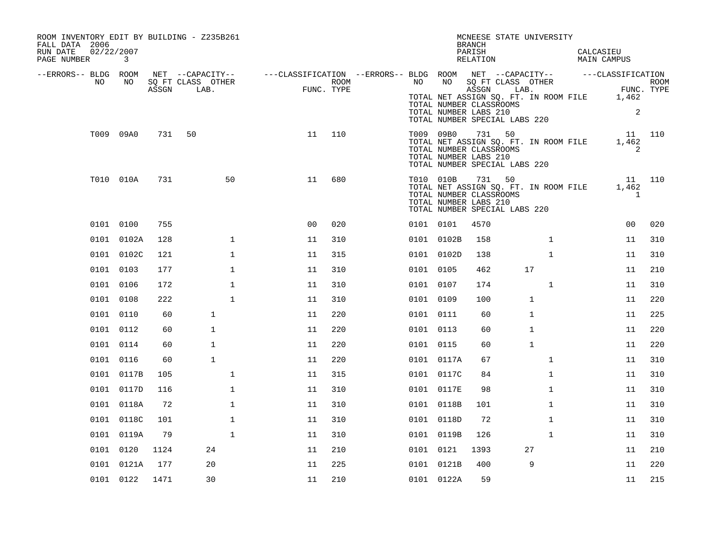| ROOM INVENTORY EDIT BY BUILDING - Z235B261<br>FALL DATA 2006 |              |      |                   |                                                                                                |            |           |            | MCNEESE STATE UNIVERSITY<br><b>BRANCH</b>                                                                                                                                                                                                                                                                          |              |           |                                 |     |
|--------------------------------------------------------------|--------------|------|-------------------|------------------------------------------------------------------------------------------------|------------|-----------|------------|--------------------------------------------------------------------------------------------------------------------------------------------------------------------------------------------------------------------------------------------------------------------------------------------------------------------|--------------|-----------|---------------------------------|-----|
| RUN DATE<br>02/22/2007<br>PAGE NUMBER                        | $\mathbf{3}$ |      |                   |                                                                                                |            |           |            | PARISH<br>RELATION                                                                                                                                                                                                                                                                                                 |              | CALCASIEU | MAIN CAMPUS                     |     |
| --ERRORS-- BLDG ROOM<br>NO                                   | NO           |      | SQ FT CLASS OTHER | NET --CAPACITY-- - ---CLASSIFICATION --ERRORS-- BLDG ROOM NET --CAPACITY-- - ---CLASSIFICATION | ROOM       |           |            |                                                                                                                                                                                                                                                                                                                    |              |           |                                 |     |
|                                                              |              |      | ASSGN LAB.        | FUNC                                                                                           | FUNC. TYPE |           |            | NO NO SQ FT CLASS OTHER<br>NO NO SQ FT CLASS OTHER<br>TOTAL NET ASSIGN SQ. FT. IN ROOM FILE 1,462<br>TOTAL NUMBER CLASSROOMS<br>TOTAL NUMBER LABS 210<br>TOTAL NUMBER SPECIAL LABS 220                                                                                                                             |              |           | 2                               |     |
|                                                              | T009 09A0    |      | 731 50            |                                                                                                | 11 110     |           |            | $\begin{tabular}{lllllll} \textsc{low} & \textsc{low} & \textsc{sim} & \textsc{sim} & \textsc{sim} \\ \textsc{Total NET ASSIGN SQ. FT. IN ROOT E} & & & 1,462 \\ \textsc{TOTAL NIMMER R CT.ACCPOMC} & & & & \\ \end{tabular}$<br>TOTAL NUMBER CLASSROOMS<br>TOTAL NUMBER LABS 210<br>TOTAL NUMBER SPECIAL LABS 220 |              |           | 2                               |     |
|                                                              | T010 010A    | 731  | 50                | 11                                                                                             | 680        |           |            | T010 010B 731 50<br>TOTAL NET ASSIGN SQ. FT. IN ROOM FILE<br>TOTAL NUMBER CLASSROOMS<br>TOTAL NUMBER LABS 210<br>TOTAL NUMBER SPECIAL LABS 220                                                                                                                                                                     |              |           | 11 110<br>1,462<br>$\mathbf{1}$ |     |
|                                                              | 0101 0100    | 755  |                   | 0 <sub>0</sub>                                                                                 | 020        | 0101 0101 |            | 4570                                                                                                                                                                                                                                                                                                               |              |           | 00                              | 020 |
|                                                              | 0101 0102A   | 128  | $\mathbf{1}$      | 11                                                                                             | 310        |           | 0101 0102B | 158                                                                                                                                                                                                                                                                                                                | $\mathbf{1}$ |           | 11                              | 310 |
|                                                              | 0101 0102C   | 121  | $\mathbf{1}$      | 11                                                                                             | 315        |           | 0101 0102D | 138                                                                                                                                                                                                                                                                                                                | $\mathbf{1}$ |           | 11                              | 310 |
|                                                              | 0101 0103    | 177  | $\mathbf 1$       | 11                                                                                             | 310        | 0101 0105 |            | 462                                                                                                                                                                                                                                                                                                                | 17           |           | 11                              | 210 |
|                                                              | 0101 0106    | 172  | $\mathbf{1}$      | 11                                                                                             | 310        | 0101 0107 |            | 174                                                                                                                                                                                                                                                                                                                | $\mathbf{1}$ |           | 11                              | 310 |
|                                                              | 0101 0108    | 222  | $\mathbf{1}$      | 11                                                                                             | 310        | 0101 0109 |            | 100                                                                                                                                                                                                                                                                                                                | $\mathbf{1}$ |           | 11                              | 220 |
|                                                              | 0101 0110    | 60   | $\mathbf{1}$      | 11                                                                                             | 220        | 0101 0111 |            | 60                                                                                                                                                                                                                                                                                                                 | 1            |           | 11                              | 225 |
|                                                              | 0101 0112    | 60   | 1                 | 11                                                                                             | 220        | 0101 0113 |            | 60                                                                                                                                                                                                                                                                                                                 | $\mathbf 1$  |           | 11                              | 220 |
|                                                              | 0101 0114    | 60   | $\mathbf{1}$      | 11                                                                                             | 220        | 0101 0115 |            | 60                                                                                                                                                                                                                                                                                                                 | 1            |           | 11                              | 220 |
|                                                              | 0101 0116    | 60   | $\mathbf{1}$      | 11                                                                                             | 220        |           | 0101 0117A | 67                                                                                                                                                                                                                                                                                                                 | $\mathbf{1}$ |           | 11                              | 310 |
|                                                              | 0101 0117B   | 105  | 1                 | 11                                                                                             | 315        |           | 0101 0117C | 84                                                                                                                                                                                                                                                                                                                 | $\mathbf{1}$ |           | 11                              | 310 |
|                                                              | 0101 0117D   | 116  | $\mathbf 1$       | 11                                                                                             | 310        |           | 0101 0117E | 98                                                                                                                                                                                                                                                                                                                 | $\mathbf{1}$ |           | 11                              | 310 |
|                                                              | 0101 0118A   | 72   | $\mathbf{1}$      | 11                                                                                             | 310        |           | 0101 0118B | 101                                                                                                                                                                                                                                                                                                                | $\mathbf{1}$ |           | 11                              | 310 |
|                                                              | 0101 0118C   | 101  | $\mathbf{1}$      | 11                                                                                             | 310        |           | 0101 0118D | 72                                                                                                                                                                                                                                                                                                                 | $\mathbf{1}$ |           | 11                              | 310 |
|                                                              | 0101 0119A   | 79   | $\mathbf{1}$      | 11                                                                                             | 310        |           | 0101 0119B | 126                                                                                                                                                                                                                                                                                                                | $\mathbf{1}$ |           | 11                              | 310 |
|                                                              | 0101 0120    | 1124 | 24                | 11                                                                                             | 210        | 0101 0121 |            | 1393                                                                                                                                                                                                                                                                                                               | 27           |           | 11                              | 210 |
|                                                              | 0101 0121A   | 177  | 20                | 11                                                                                             | 225        |           | 0101 0121B | 400                                                                                                                                                                                                                                                                                                                | 9            |           | 11                              | 220 |
|                                                              | 0101 0122    | 1471 | 30                | 11                                                                                             | 210        |           | 0101 0122A | 59                                                                                                                                                                                                                                                                                                                 |              |           | 11                              | 215 |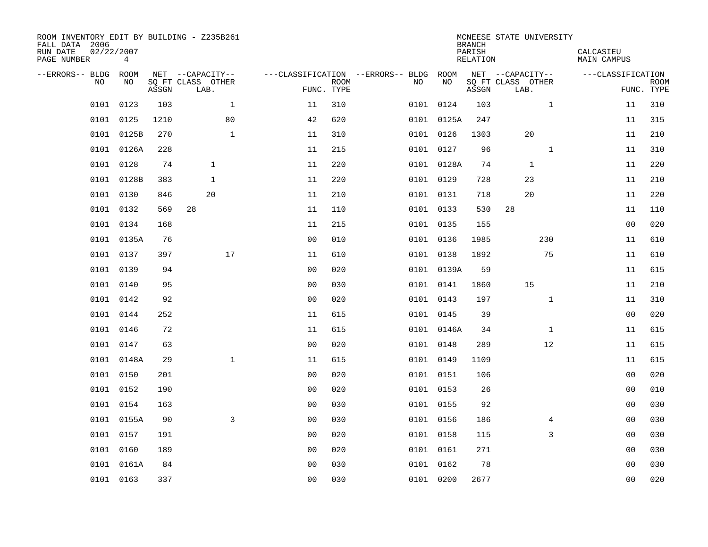| ROOM INVENTORY EDIT BY BUILDING - Z235B261<br>FALL DATA 2006<br>RUN DATE<br>PAGE NUMBER | 02/22/2007<br>4 |       |                           |              |                |                           |                                        |            | <b>BRANCH</b><br>PARISH<br><b>RELATION</b> | MCNEESE STATE UNIVERSITY  | CALCASIEU<br><b>MAIN CAMPUS</b> |                           |
|-----------------------------------------------------------------------------------------|-----------------|-------|---------------------------|--------------|----------------|---------------------------|----------------------------------------|------------|--------------------------------------------|---------------------------|---------------------------------|---------------------------|
| --ERRORS-- BLDG ROOM                                                                    |                 |       | NET --CAPACITY--          |              |                |                           | ---CLASSIFICATION --ERRORS-- BLDG ROOM |            |                                            | NET --CAPACITY--          | ---CLASSIFICATION               |                           |
| NO                                                                                      | NO              | ASSGN | SQ FT CLASS OTHER<br>LAB. |              |                | <b>ROOM</b><br>FUNC. TYPE | NO                                     | NO         | ASSGN                                      | SQ FT CLASS OTHER<br>LAB. |                                 | <b>ROOM</b><br>FUNC. TYPE |
| 0101                                                                                    | 0123            | 103   |                           | $\mathbf{1}$ | 11             | 310                       |                                        | 0101 0124  | 103                                        | $\mathbf{1}$              | 11                              | 310                       |
|                                                                                         | 0101 0125       | 1210  |                           | 80           | 42             | 620                       |                                        | 0101 0125A | 247                                        |                           | 11                              | 315                       |
|                                                                                         | 0101 0125B      | 270   |                           | $\mathbf 1$  | 11             | 310                       |                                        | 0101 0126  | 1303                                       | 20                        | 11                              | 210                       |
| 0101                                                                                    | 0126A           | 228   |                           |              | 11             | 215                       |                                        | 0101 0127  | 96                                         | $\mathbf{1}$              | 11                              | 310                       |
| 0101                                                                                    | 0128            | 74    | $\mathbf{1}$              |              | 11             | 220                       |                                        | 0101 0128A | 74                                         | $\mathbf{1}$              | 11                              | 220                       |
|                                                                                         | 0101 0128B      | 383   | $\mathbf{1}$              |              | 11             | 220                       |                                        | 0101 0129  | 728                                        | 23                        | 11                              | 210                       |
| 0101                                                                                    | 0130            | 846   | 20                        |              | 11             | 210                       |                                        | 0101 0131  | 718                                        | 20                        | 11                              | 220                       |
|                                                                                         | 0101 0132       | 569   | 28                        |              | 11             | 110                       |                                        | 0101 0133  | 530                                        | 28                        | 11                              | 110                       |
|                                                                                         | 0101 0134       | 168   |                           |              | 11             | 215                       |                                        | 0101 0135  | 155                                        |                           | 0 <sub>0</sub>                  | 020                       |
|                                                                                         | 0101 0135A      | 76    |                           |              | 0 <sub>0</sub> | 010                       |                                        | 0101 0136  | 1985                                       | 230                       | 11                              | 610                       |
|                                                                                         | 0101 0137       | 397   |                           | 17           | 11             | 610                       |                                        | 0101 0138  | 1892                                       | 75                        | 11                              | 610                       |
|                                                                                         | 0101 0139       | 94    |                           |              | 0 <sub>0</sub> | 020                       |                                        | 0101 0139A | 59                                         |                           | 11                              | 615                       |
| 0101                                                                                    | 0140            | 95    |                           |              | 0 <sub>0</sub> | 030                       |                                        | 0101 0141  | 1860                                       | 15                        | 11                              | 210                       |
|                                                                                         | 0101 0142       | 92    |                           |              | 0 <sub>0</sub> | 020                       |                                        | 0101 0143  | 197                                        | $\mathbf{1}$              | 11                              | 310                       |
|                                                                                         | 0101 0144       | 252   |                           |              | 11             | 615                       |                                        | 0101 0145  | 39                                         |                           | 0 <sub>0</sub>                  | 020                       |
|                                                                                         | 0101 0146       | 72    |                           |              | 11             | 615                       |                                        | 0101 0146A | 34                                         | 1                         | 11                              | 615                       |
| 0101                                                                                    | 0147            | 63    |                           |              | 0 <sub>0</sub> | 020                       |                                        | 0101 0148  | 289                                        | 12                        | 11                              | 615                       |
|                                                                                         | 0101 0148A      | 29    |                           | $\mathbf 1$  | 11             | 615                       |                                        | 0101 0149  | 1109                                       |                           | 11                              | 615                       |
|                                                                                         | 0101 0150       | 201   |                           |              | 0 <sub>0</sub> | 020                       |                                        | 0101 0151  | 106                                        |                           | 00                              | 020                       |
|                                                                                         | 0101 0152       | 190   |                           |              | 0 <sub>0</sub> | 020                       |                                        | 0101 0153  | 26                                         |                           | 00                              | 010                       |
|                                                                                         | 0101 0154       | 163   |                           |              | 0 <sub>0</sub> | 030                       |                                        | 0101 0155  | 92                                         |                           | 0 <sub>0</sub>                  | 030                       |
|                                                                                         | 0101 0155A      | 90    |                           | 3            | 0 <sub>0</sub> | 030                       |                                        | 0101 0156  | 186                                        | 4                         | 00                              | 030                       |
|                                                                                         | 0101 0157       | 191   |                           |              | 0 <sub>0</sub> | 020                       |                                        | 0101 0158  | 115                                        | 3                         | 0 <sub>0</sub>                  | 030                       |
|                                                                                         | 0101 0160       | 189   |                           |              | 0 <sub>0</sub> | 020                       |                                        | 0101 0161  | 271                                        |                           | 0 <sub>0</sub>                  | 030                       |
|                                                                                         | 0101 0161A      | 84    |                           |              | 0 <sub>0</sub> | 030                       |                                        | 0101 0162  | 78                                         |                           | 0 <sub>0</sub>                  | 030                       |
|                                                                                         | 0101 0163       | 337   |                           |              | 00             | 030                       |                                        | 0101 0200  | 2677                                       |                           | 0 <sub>0</sub>                  | 020                       |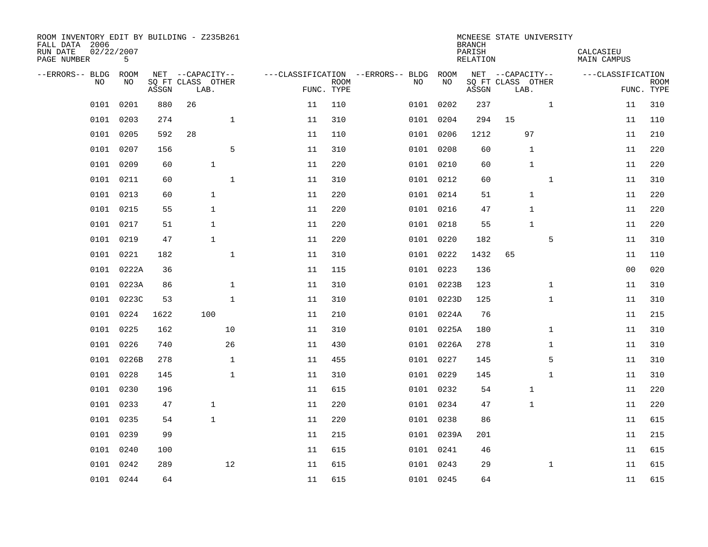| ROOM INVENTORY EDIT BY BUILDING - Z235B261<br>FALL DATA 2006<br>RUN DATE<br>PAGE NUMBER | 02/22/2007<br>5 |       |                           |    |                           |                                   |            | <b>BRANCH</b><br>PARISH<br><b>RELATION</b> | MCNEESE STATE UNIVERSITY  | CALCASIEU<br><b>MAIN CAMPUS</b> |                           |
|-----------------------------------------------------------------------------------------|-----------------|-------|---------------------------|----|---------------------------|-----------------------------------|------------|--------------------------------------------|---------------------------|---------------------------------|---------------------------|
| --ERRORS-- BLDG ROOM                                                                    |                 |       | NET --CAPACITY--          |    |                           | ---CLASSIFICATION --ERRORS-- BLDG | ROOM       |                                            | NET --CAPACITY--          | ---CLASSIFICATION               |                           |
| NO                                                                                      | NO              | ASSGN | SQ FT CLASS OTHER<br>LAB. |    | <b>ROOM</b><br>FUNC. TYPE | NO                                | NO         | ASSGN                                      | SQ FT CLASS OTHER<br>LAB. |                                 | <b>ROOM</b><br>FUNC. TYPE |
| 0101                                                                                    | 0201            | 880   | 26                        | 11 | 110                       |                                   | 0101 0202  | 237                                        | $\mathbf{1}$              | 11                              | 310                       |
| 0101                                                                                    | 0203            | 274   | $\mathbf{1}$              | 11 | 310                       |                                   | 0101 0204  | 294                                        | 15                        | 11                              | 110                       |
| 0101                                                                                    | 0205            | 592   | 28                        | 11 | 110                       |                                   | 0101 0206  | 1212                                       | 97                        | 11                              | 210                       |
| 0101                                                                                    | 0207            | 156   | 5                         | 11 | 310                       |                                   | 0101 0208  | 60                                         | 1                         | 11                              | 220                       |
| 0101                                                                                    | 0209            | 60    | $\mathbf{1}$              | 11 | 220                       |                                   | 0101 0210  | 60                                         | $\mathbf{1}$              | 11                              | 220                       |
| 0101                                                                                    | 0211            | 60    | $1\,$                     | 11 | 310                       |                                   | 0101 0212  | 60                                         | $\mathbf{1}$              | 11                              | 310                       |
| 0101                                                                                    | 0213            | 60    | $\mathbf{1}$              | 11 | 220                       |                                   | 0101 0214  | 51                                         | $\mathbf 1$               | 11                              | 220                       |
| 0101                                                                                    | 0215            | 55    | $\mathbf{1}$              | 11 | 220                       |                                   | 0101 0216  | 47                                         | 1                         | 11                              | 220                       |
| 0101                                                                                    | 0217            | 51    | $\mathbf{1}$              | 11 | 220                       |                                   | 0101 0218  | 55                                         | $\mathbf{1}$              | 11                              | 220                       |
|                                                                                         | 0101 0219       | 47    | $\mathbf{1}$              | 11 | 220                       |                                   | 0101 0220  | 182                                        | 5                         | 11                              | 310                       |
|                                                                                         | 0101 0221       | 182   | $\mathbf{1}$              | 11 | 310                       |                                   | 0101 0222  | 1432                                       | 65                        | 11                              | 110                       |
|                                                                                         | 0101 0222A      | 36    |                           | 11 | 115                       |                                   | 0101 0223  | 136                                        |                           | 0 <sub>0</sub>                  | 020                       |
| 0101                                                                                    | 0223A           | 86    | $\mathbf{1}$              | 11 | 310                       |                                   | 0101 0223B | 123                                        | $\mathbf{1}$              | 11                              | 310                       |
|                                                                                         | 0101 0223C      | 53    | $\mathbf{1}$              | 11 | 310                       |                                   | 0101 0223D | 125                                        | $\mathbf{1}$              | 11                              | 310                       |
|                                                                                         | 0101 0224       | 1622  | 100                       | 11 | 210                       |                                   | 0101 0224A | 76                                         |                           | 11                              | 215                       |
|                                                                                         | 0101 0225       | 162   | 10                        | 11 | 310                       |                                   | 0101 0225A | 180                                        | $\mathbf{1}$              | 11                              | 310                       |
| 0101                                                                                    | 0226            | 740   | 26                        | 11 | 430                       |                                   | 0101 0226A | 278                                        | $\mathbf{1}$              | 11                              | 310                       |
|                                                                                         | 0101 0226B      | 278   | $\mathbf{1}$              | 11 | 455                       |                                   | 0101 0227  | 145                                        | 5                         | 11                              | 310                       |
| 0101                                                                                    | 0228            | 145   | $\mathbf{1}$              | 11 | 310                       |                                   | 0101 0229  | 145                                        | $\mathbf{1}$              | 11                              | 310                       |
|                                                                                         | 0101 0230       | 196   |                           | 11 | 615                       |                                   | 0101 0232  | 54                                         | 1                         | 11                              | 220                       |
| 0101                                                                                    | 0233            | 47    | $\mathbf{1}$              | 11 | 220                       |                                   | 0101 0234  | 47                                         | 1                         | 11                              | 220                       |
| 0101                                                                                    | 0235            | 54    | $\mathbf 1$               | 11 | 220                       |                                   | 0101 0238  | 86                                         |                           | 11                              | 615                       |
| 0101                                                                                    | 0239            | 99    |                           | 11 | 215                       |                                   | 0101 0239A | 201                                        |                           | 11                              | 215                       |
|                                                                                         | 0101 0240       | 100   |                           | 11 | 615                       |                                   | 0101 0241  | 46                                         |                           | 11                              | 615                       |
|                                                                                         | 0101 0242       | 289   | 12                        | 11 | 615                       |                                   | 0101 0243  | 29                                         | $\mathbf{1}$              | 11                              | 615                       |
|                                                                                         | 0101 0244       | 64    |                           | 11 | 615                       |                                   | 0101 0245  | 64                                         |                           | 11                              | 615                       |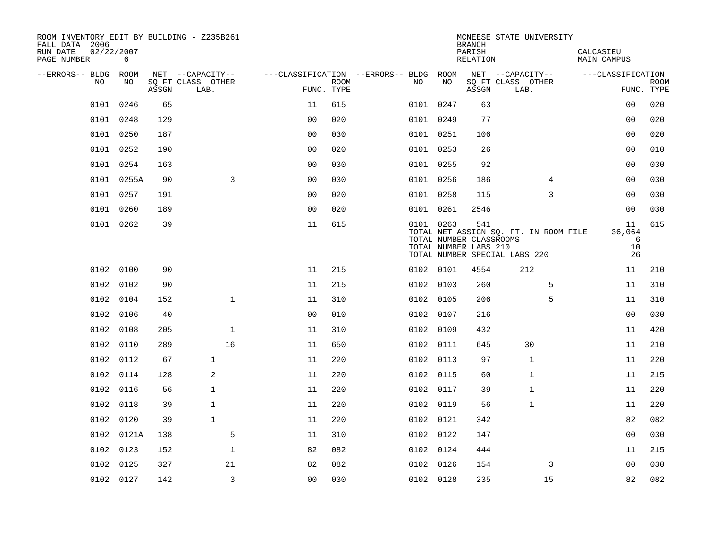| ROOM INVENTORY EDIT BY BUILDING - Z235B261<br>FALL DATA 2006 |            |       |                           |                |      |                                        |           | <b>BRANCH</b>                                           | MCNEESE STATE UNIVERSITY                                               |                               |                           |
|--------------------------------------------------------------|------------|-------|---------------------------|----------------|------|----------------------------------------|-----------|---------------------------------------------------------|------------------------------------------------------------------------|-------------------------------|---------------------------|
| 02/22/2007<br>RUN DATE<br>PAGE NUMBER                        | 6          |       |                           |                |      |                                        |           | PARISH<br>RELATION                                      |                                                                        | CALCASIEU<br>MAIN CAMPUS      |                           |
| --ERRORS-- BLDG ROOM                                         |            |       | NET --CAPACITY--          |                |      | ---CLASSIFICATION --ERRORS-- BLDG ROOM |           |                                                         | NET --CAPACITY--                                                       | ---CLASSIFICATION             |                           |
| NO                                                           | NO         | ASSGN | SQ FT CLASS OTHER<br>LAB. | FUNC. TYPE     | ROOM | NO.                                    | NO        | ASSGN                                                   | SQ FT CLASS OTHER<br>LAB.                                              |                               | <b>ROOM</b><br>FUNC. TYPE |
| 0101                                                         | 0246       | 65    |                           | 11             | 615  |                                        | 0101 0247 | 63                                                      |                                                                        | 0 <sub>0</sub>                | 020                       |
|                                                              | 0101 0248  | 129   |                           | 0 <sub>0</sub> | 020  |                                        | 0101 0249 | 77                                                      |                                                                        | 00                            | 020                       |
|                                                              | 0101 0250  | 187   |                           | 0 <sub>0</sub> | 030  |                                        | 0101 0251 | 106                                                     |                                                                        | 0 <sub>0</sub>                | 020                       |
|                                                              | 0101 0252  | 190   |                           | 0 <sub>0</sub> | 020  |                                        | 0101 0253 | 26                                                      |                                                                        | 0 <sub>0</sub>                | 010                       |
| 0101                                                         | 0254       | 163   |                           | 00             | 030  |                                        | 0101 0255 | 92                                                      |                                                                        | 00                            | 030                       |
|                                                              | 0101 0255A | 90    | 3                         | 0 <sub>0</sub> | 030  |                                        | 0101 0256 | 186                                                     | 4                                                                      | 00                            | 030                       |
|                                                              | 0101 0257  | 191   |                           | 0 <sub>0</sub> | 020  |                                        | 0101 0258 | 115                                                     | 3                                                                      | 0 <sub>0</sub>                | 030                       |
|                                                              | 0101 0260  | 189   |                           | 0 <sub>0</sub> | 020  |                                        | 0101 0261 | 2546                                                    |                                                                        | 0 <sub>0</sub>                | 030                       |
|                                                              | 0101 0262  | 39    |                           | 11             | 615  |                                        | 0101 0263 | 541<br>TOTAL NUMBER CLASSROOMS<br>TOTAL NUMBER LABS 210 | TOTAL NET ASSIGN SQ. FT. IN ROOM FILE<br>TOTAL NUMBER SPECIAL LABS 220 | 11<br>36,064<br>6<br>10<br>26 | 615                       |
|                                                              | 0102 0100  | 90    |                           | 11             | 215  |                                        | 0102 0101 | 4554                                                    | 212                                                                    | 11                            | 210                       |
|                                                              | 0102 0102  | 90    |                           | 11             | 215  |                                        | 0102 0103 | 260                                                     | 5                                                                      | 11                            | 310                       |
|                                                              | 0102 0104  | 152   | $\mathbf 1$               | 11             | 310  |                                        | 0102 0105 | 206                                                     | 5                                                                      | 11                            | 310                       |
|                                                              | 0102 0106  | 40    |                           | 0 <sub>0</sub> | 010  |                                        | 0102 0107 | 216                                                     |                                                                        | 0 <sub>0</sub>                | 030                       |
|                                                              | 0102 0108  | 205   | $\mathbf 1$               | 11             | 310  |                                        | 0102 0109 | 432                                                     |                                                                        | 11                            | 420                       |
|                                                              | 0102 0110  | 289   | 16                        | 11             | 650  |                                        | 0102 0111 | 645                                                     | 30                                                                     | 11                            | 210                       |
|                                                              | 0102 0112  | 67    | $\mathbf{1}$              | 11             | 220  |                                        | 0102 0113 | 97                                                      | $\mathbf{1}$                                                           | 11                            | 220                       |
|                                                              | 0102 0114  | 128   | 2                         | 11             | 220  |                                        | 0102 0115 | 60                                                      | $\mathbf{1}$                                                           | 11                            | 215                       |
|                                                              | 0102 0116  | 56    | $\mathbf{1}$              | 11             | 220  |                                        | 0102 0117 | 39                                                      | 1                                                                      | 11                            | 220                       |
|                                                              | 0102 0118  | 39    | $\mathbf{1}$              | 11             | 220  |                                        | 0102 0119 | 56                                                      | 1                                                                      | 11                            | 220                       |
| 0102                                                         | 0120       | 39    | $\mathbf{1}$              | 11             | 220  |                                        | 0102 0121 | 342                                                     |                                                                        | 82                            | 082                       |
|                                                              | 0102 0121A | 138   | 5                         | 11             | 310  |                                        | 0102 0122 | 147                                                     |                                                                        | 0 <sub>0</sub>                | 030                       |
| 0102                                                         | 0123       | 152   | $\mathbf{1}$              | 82             | 082  |                                        | 0102 0124 | 444                                                     |                                                                        | 11                            | 215                       |
|                                                              | 0102 0125  | 327   | 21                        | 82             | 082  |                                        | 0102 0126 | 154                                                     | 3                                                                      | 0 <sub>0</sub>                | 030                       |
|                                                              | 0102 0127  | 142   | 3                         | 0 <sub>0</sub> | 030  |                                        | 0102 0128 | 235                                                     | 15                                                                     | 82                            | 082                       |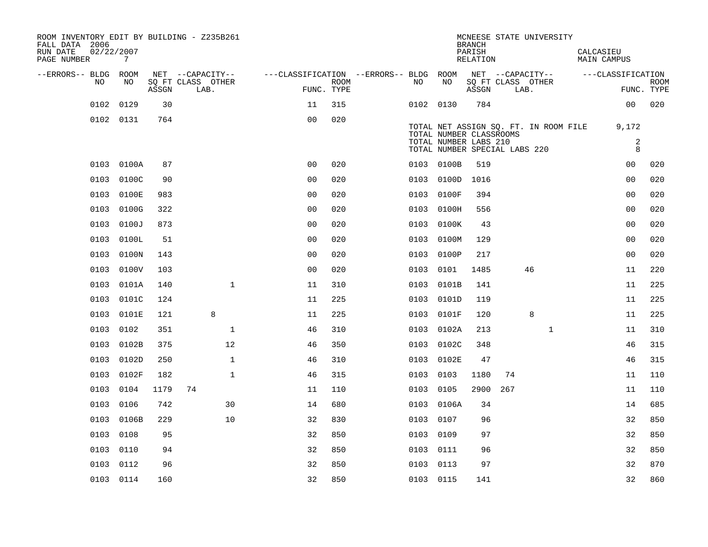| ROOM INVENTORY EDIT BY BUILDING - Z235B261<br>FALL DATA 2006<br>RUN DATE<br>PAGE NUMBER | 02/22/2007<br>$7\overline{ }$ |       |                           |                                        |                    |           |                                                        | <b>BRANCH</b><br>PARISH<br>RELATION |     | MCNEESE STATE UNIVERSITY              | CALCASIEU | <b>MAIN CAMPUS</b>  |                           |
|-----------------------------------------------------------------------------------------|-------------------------------|-------|---------------------------|----------------------------------------|--------------------|-----------|--------------------------------------------------------|-------------------------------------|-----|---------------------------------------|-----------|---------------------|---------------------------|
| --ERRORS-- BLDG ROOM                                                                    |                               |       | NET --CAPACITY--          | ---CLASSIFICATION --ERRORS-- BLDG ROOM |                    |           |                                                        |                                     |     | NET --CAPACITY--                      |           | ---CLASSIFICATION   |                           |
| NO.                                                                                     | NO.                           | ASSGN | SO FT CLASS OTHER<br>LAB. |                                        | ROOM<br>FUNC. TYPE | NO.       | NO                                                     | ASSGN                               |     | SQ FT CLASS OTHER<br>LAB.             |           |                     | <b>ROOM</b><br>FUNC. TYPE |
| 0102                                                                                    | 0129                          | 30    |                           | 11                                     | 315                | 0102 0130 |                                                        | 784                                 |     |                                       |           | 00                  | 020                       |
|                                                                                         | 0102 0131                     | 764   |                           | 0 <sub>0</sub>                         | 020                |           |                                                        |                                     |     |                                       |           |                     |                           |
|                                                                                         |                               |       |                           |                                        |                    |           | TOTAL NUMBER CLASSROOMS                                |                                     |     | TOTAL NET ASSIGN SQ. FT. IN ROOM FILE |           | 9,172               |                           |
|                                                                                         |                               |       |                           |                                        |                    |           | TOTAL NUMBER LABS 210<br>TOTAL NUMBER SPECIAL LABS 220 |                                     |     |                                       |           | $\overline{a}$<br>8 |                           |
|                                                                                         | 0103 0100A                    | 87    |                           | 0 <sub>0</sub>                         | 020                |           | 0103 0100B                                             | 519                                 |     |                                       |           | 00                  | 020                       |
| 0103                                                                                    | 0100C                         | 90    |                           | 0 <sub>0</sub>                         | 020                |           | 0103 0100D                                             | 1016                                |     |                                       |           | 0 <sub>0</sub>      | 020                       |
| 0103                                                                                    | 0100E                         | 983   |                           | 0 <sub>0</sub>                         | 020                | 0103      | 0100F                                                  | 394                                 |     |                                       |           | 0 <sub>0</sub>      | 020                       |
| 0103                                                                                    | 0100G                         | 322   |                           | 0 <sub>0</sub>                         | 020                |           | 0103 0100H                                             | 556                                 |     |                                       |           | 0 <sub>0</sub>      | 020                       |
| 0103                                                                                    | 0100J                         | 873   |                           | 0 <sub>0</sub>                         | 020                | 0103      | 0100K                                                  | 43                                  |     |                                       |           | 0 <sub>0</sub>      | 020                       |
| 0103                                                                                    | 0100L                         | 51    |                           | 0 <sub>0</sub>                         | 020                |           | 0103 0100M                                             | 129                                 |     |                                       |           | 0 <sub>0</sub>      | 020                       |
| 0103                                                                                    | 0100N                         | 143   |                           | 0 <sub>0</sub>                         | 020                | 0103      | 0100P                                                  | 217                                 |     |                                       |           | 0 <sub>0</sub>      | 020                       |
| 0103                                                                                    | 0100V                         | 103   |                           | 0 <sub>0</sub>                         | 020                | 0103      | 0101                                                   | 1485                                |     | 46                                    |           | 11                  | 220                       |
| 0103                                                                                    | 0101A                         | 140   | $\mathbf{1}$              | 11                                     | 310                | 0103      | 0101B                                                  | 141                                 |     |                                       |           | 11                  | 225                       |
| 0103                                                                                    | 0101C                         | 124   |                           | 11                                     | 225                |           | 0103 0101D                                             | 119                                 |     |                                       |           | 11                  | 225                       |
|                                                                                         | 0103 0101E                    | 121   | 8                         | 11                                     | 225                | 0103      | 0101F                                                  | 120                                 |     | $\,8\,$                               |           | 11                  | 225                       |
|                                                                                         | 0103 0102                     | 351   | $\mathbf 1$               | 46                                     | 310                |           | 0103 0102A                                             | 213                                 |     | $\mathbf{1}$                          |           | 11                  | 310                       |
| 0103                                                                                    | 0102B                         | 375   | 12                        | 46                                     | 350                | 0103      | 0102C                                                  | 348                                 |     |                                       |           | 46                  | 315                       |
| 0103                                                                                    | 0102D                         | 250   | $\mathbf{1}$              | 46                                     | 310                | 0103      | 0102E                                                  | 47                                  |     |                                       |           | 46                  | 315                       |
|                                                                                         | 0103 0102F                    | 182   | $\mathbf{1}$              | 46                                     | 315                | 0103 0103 |                                                        | 1180                                | 74  |                                       |           | 11                  | 110                       |
|                                                                                         | 0103 0104                     | 1179  | 74                        | 11                                     | 110                | 0103 0105 |                                                        | 2900                                | 267 |                                       |           | 11                  | 110                       |
|                                                                                         | 0103 0106                     | 742   | 30                        | 14                                     | 680                | 0103      | 0106A                                                  | 34                                  |     |                                       |           | 14                  | 685                       |
| 0103                                                                                    | 0106B                         | 229   | 10                        | 32                                     | 830                | 0103      | 0107                                                   | 96                                  |     |                                       |           | 32                  | 850                       |
| 0103                                                                                    | 0108                          | 95    |                           | 32                                     | 850                | 0103      | 0109                                                   | 97                                  |     |                                       |           | 32                  | 850                       |
| 0103                                                                                    | 0110                          | 94    |                           | 32                                     | 850                | 0103 0111 |                                                        | 96                                  |     |                                       |           | 32                  | 850                       |
|                                                                                         | 0103 0112                     | 96    |                           | 32                                     | 850                | 0103 0113 |                                                        | 97                                  |     |                                       |           | 32                  | 870                       |
|                                                                                         | 0103 0114                     | 160   |                           | 32                                     | 850                | 0103 0115 |                                                        | 141                                 |     |                                       |           | 32                  | 860                       |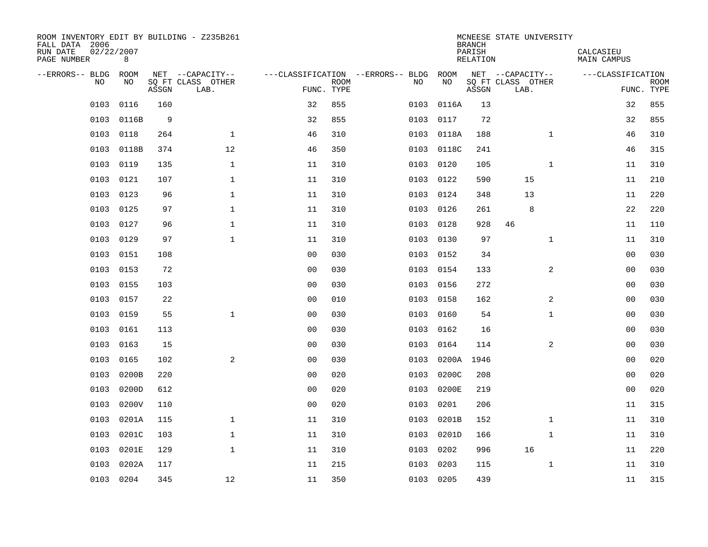| ROOM INVENTORY EDIT BY BUILDING - Z235B261<br>FALL DATA 2006<br>RUN DATE<br>PAGE NUMBER | 02/22/2007<br>8 |       |                           |                |             |                                        |            | <b>BRANCH</b><br>PARISH<br>RELATION | MCNEESE STATE UNIVERSITY  | CALCASIEU<br>MAIN CAMPUS |                           |
|-----------------------------------------------------------------------------------------|-----------------|-------|---------------------------|----------------|-------------|----------------------------------------|------------|-------------------------------------|---------------------------|--------------------------|---------------------------|
| --ERRORS-- BLDG ROOM                                                                    |                 |       | NET --CAPACITY--          |                |             | ---CLASSIFICATION --ERRORS-- BLDG ROOM |            |                                     | NET --CAPACITY--          | ---CLASSIFICATION        |                           |
| NO.                                                                                     | NO.             | ASSGN | SQ FT CLASS OTHER<br>LAB. | FUNC. TYPE     | <b>ROOM</b> | NO.                                    | NO         | ASSGN                               | SQ FT CLASS OTHER<br>LAB. |                          | <b>ROOM</b><br>FUNC. TYPE |
| 0103                                                                                    | 0116            | 160   |                           | 32             | 855         | 0103                                   | 0116A      | 13                                  |                           | 32                       | 855                       |
| 0103                                                                                    | 0116B           | 9     |                           | 32             | 855         | 0103                                   | 0117       | 72                                  |                           | 32                       | 855                       |
| 0103                                                                                    | 0118            | 264   | $\mathbf{1}$              | 46             | 310         |                                        | 0103 0118A | 188                                 | $\mathbf{1}$              | 46                       | 310                       |
| 0103                                                                                    | 0118B           | 374   | 12                        | 46             | 350         |                                        | 0103 0118C | 241                                 |                           | 46                       | 315                       |
| 0103                                                                                    | 0119            | 135   | $\mathbf{1}$              | 11             | 310         | 0103                                   | 0120       | 105                                 | $\mathbf{1}$              | 11                       | 310                       |
| 0103                                                                                    | 0121            | 107   | $\mathbf{1}$              | 11             | 310         |                                        | 0103 0122  | 590                                 | 15                        | 11                       | 210                       |
| 0103                                                                                    | 0123            | 96    | $\mathbf{1}$              | 11             | 310         | 0103                                   | 0124       | 348                                 | 13                        | 11                       | 220                       |
| 0103                                                                                    | 0125            | 97    | $\mathbf 1$               | 11             | 310         |                                        | 0103 0126  | 261                                 | 8                         | 22                       | 220                       |
| 0103                                                                                    | 0127            | 96    | $\mathbf{1}$              | 11             | 310         | 0103                                   | 0128       | 928                                 | 46                        | 11                       | 110                       |
| 0103                                                                                    | 0129            | 97    | $\mathbf{1}$              | 11             | 310         |                                        | 0103 0130  | 97                                  | $\mathbf{1}$              | 11                       | 310                       |
| 0103                                                                                    | 0151            | 108   |                           | 0 <sub>0</sub> | 030         | 0103                                   | 0152       | 34                                  |                           | 0 <sub>0</sub>           | 030                       |
| 0103                                                                                    | 0153            | 72    |                           | 0 <sub>0</sub> | 030         |                                        | 0103 0154  | 133                                 | $\overline{a}$            | 00                       | 030                       |
| 0103                                                                                    | 0155            | 103   |                           | 0 <sub>0</sub> | 030         | 0103                                   | 0156       | 272                                 |                           | 00                       | 030                       |
| 0103                                                                                    | 0157            | 22    |                           | 0 <sub>0</sub> | 010         |                                        | 0103 0158  | 162                                 | 2                         | 00                       | 030                       |
| 0103                                                                                    | 0159            | 55    | $\mathbf{1}$              | 0 <sub>0</sub> | 030         | 0103                                   | 0160       | 54                                  | $\mathbf{1}$              | 0 <sub>0</sub>           | 030                       |
| 0103                                                                                    | 0161            | 113   |                           | 0 <sub>0</sub> | 030         | 0103                                   | 0162       | 16                                  |                           | 0 <sub>0</sub>           | 030                       |
| 0103                                                                                    | 0163            | 15    |                           | 0 <sub>0</sub> | 030         | 0103                                   | 0164       | 114                                 | $\overline{a}$            | 00                       | 030                       |
| 0103                                                                                    | 0165            | 102   | 2                         | 0 <sub>0</sub> | 030         | 0103                                   | 0200A      | 1946                                |                           | 00                       | 020                       |
| 0103                                                                                    | 0200B           | 220   |                           | 0 <sub>0</sub> | 020         | 0103                                   | 0200C      | 208                                 |                           | 00                       | 020                       |
| 0103                                                                                    | 0200D           | 612   |                           | 0 <sub>0</sub> | 020         | 0103                                   | 0200E      | 219                                 |                           | 0 <sub>0</sub>           | 020                       |
| 0103                                                                                    | 0200V           | 110   |                           | 0 <sub>0</sub> | 020         | 0103                                   | 0201       | 206                                 |                           | 11                       | 315                       |
| 0103                                                                                    | 0201A           | 115   | $\mathbf 1$               | 11             | 310         | 0103                                   | 0201B      | 152                                 | $\mathbf{1}$              | 11                       | 310                       |
| 0103                                                                                    | 0201C           | 103   | $\mathbf 1$               | 11             | 310         | 0103                                   | 0201D      | 166                                 | $\mathbf{1}$              | 11                       | 310                       |
| 0103                                                                                    | 0201E           | 129   | $\mathbf{1}$              | 11             | 310         | 0103                                   | 0202       | 996                                 | 16                        | 11                       | 220                       |
| 0103                                                                                    | 0202A           | 117   |                           | 11             | 215         | 0103                                   | 0203       | 115                                 | $\mathbf{1}$              | 11                       | 310                       |
|                                                                                         | 0103 0204       | 345   | 12                        | 11             | 350         |                                        | 0103 0205  | 439                                 |                           | 11                       | 315                       |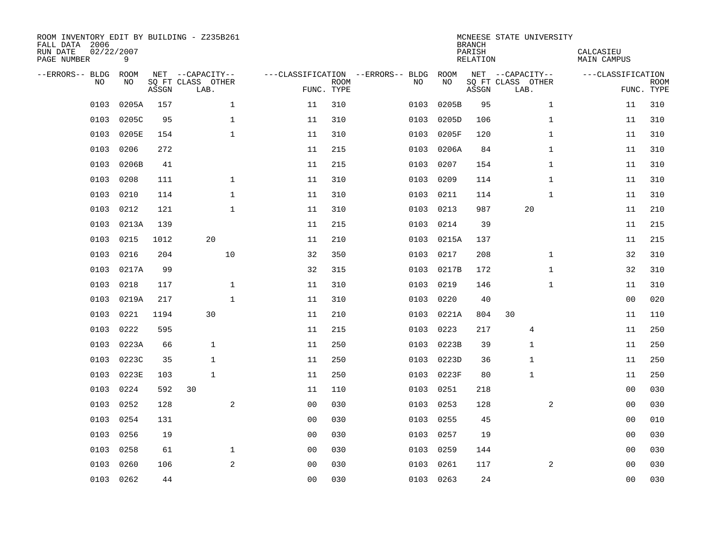| ROOM INVENTORY EDIT BY BUILDING - Z235B261<br>FALL DATA 2006<br>RUN DATE<br>PAGE NUMBER | 02/22/2007<br>9 |       |                           |              |                |                           |                                   |            | <b>BRANCH</b><br>PARISH<br><b>RELATION</b> | MCNEESE STATE UNIVERSITY  | CALCASIEU<br><b>MAIN CAMPUS</b> |                           |
|-----------------------------------------------------------------------------------------|-----------------|-------|---------------------------|--------------|----------------|---------------------------|-----------------------------------|------------|--------------------------------------------|---------------------------|---------------------------------|---------------------------|
| --ERRORS-- BLDG ROOM                                                                    |                 |       | NET --CAPACITY--          |              |                |                           | ---CLASSIFICATION --ERRORS-- BLDG | ROOM       |                                            | NET --CAPACITY--          | ---CLASSIFICATION               |                           |
| NO                                                                                      | NO              | ASSGN | SQ FT CLASS OTHER<br>LAB. |              |                | <b>ROOM</b><br>FUNC. TYPE | NO                                | NO         | ASSGN                                      | SQ FT CLASS OTHER<br>LAB. |                                 | <b>ROOM</b><br>FUNC. TYPE |
| 0103                                                                                    | 0205A           | 157   |                           | $\mathbf 1$  | 11             | 310                       | 0103                              | 0205B      | 95                                         | $\mathbf{1}$              | 11                              | 310                       |
| 0103                                                                                    | 0205C           | 95    |                           | $\mathbf 1$  | 11             | 310                       | 0103                              | 0205D      | 106                                        | $\mathbf{1}$              | 11                              | 310                       |
| 0103                                                                                    | 0205E           | 154   |                           | $\mathbf{1}$ | 11             | 310                       | 0103                              | 0205F      | 120                                        | $\mathbf{1}$              | 11                              | 310                       |
| 0103                                                                                    | 0206            | 272   |                           |              | 11             | 215                       | 0103                              | 0206A      | 84                                         | $\mathbf{1}$              | 11                              | 310                       |
| 0103                                                                                    | 0206B           | 41    |                           |              | 11             | 215                       | 0103                              | 0207       | 154                                        | $\mathbf{1}$              | 11                              | 310                       |
| 0103                                                                                    | 0208            | 111   |                           | $\mathbf 1$  | 11             | 310                       | 0103                              | 0209       | 114                                        | $\mathbf{1}$              | 11                              | 310                       |
| 0103                                                                                    | 0210            | 114   |                           | $\mathbf{1}$ | 11             | 310                       | 0103                              | 0211       | 114                                        | $\mathbf{1}$              | 11                              | 310                       |
| 0103                                                                                    | 0212            | 121   |                           | $\mathbf{1}$ | 11             | 310                       | 0103                              | 0213       | 987                                        | 20                        | 11                              | 210                       |
| 0103                                                                                    | 0213A           | 139   |                           |              | 11             | 215                       | 0103                              | 0214       | 39                                         |                           | 11                              | 215                       |
| 0103                                                                                    | 0215            | 1012  | 20                        |              | 11             | 210                       |                                   | 0103 0215A | 137                                        |                           | 11                              | 215                       |
| 0103                                                                                    | 0216            | 204   |                           | 10           | 32             | 350                       | 0103                              | 0217       | 208                                        | $\mathbf{1}$              | 32                              | 310                       |
| 0103                                                                                    | 0217A           | 99    |                           |              | 32             | 315                       | 0103                              | 0217B      | 172                                        | $\mathbf{1}$              | 32                              | 310                       |
| 0103                                                                                    | 0218            | 117   |                           | $\mathbf 1$  | 11             | 310                       | 0103                              | 0219       | 146                                        | $\mathbf{1}$              | 11                              | 310                       |
| 0103                                                                                    | 0219A           | 217   |                           | $\mathbf 1$  | 11             | 310                       | 0103                              | 0220       | 40                                         |                           | 00                              | 020                       |
| 0103                                                                                    | 0221            | 1194  | 30                        |              | 11             | 210                       | 0103                              | 0221A      | 804                                        | 30                        | 11                              | 110                       |
| 0103                                                                                    | 0222            | 595   |                           |              | 11             | 215                       | 0103                              | 0223       | 217                                        | 4                         | 11                              | 250                       |
| 0103                                                                                    | 0223A           | 66    | $\mathbf{1}$              |              | 11             | 250                       | 0103                              | 0223B      | 39                                         | $\mathbf{1}$              | 11                              | 250                       |
| 0103                                                                                    | 0223C           | 35    | $\mathbf{1}$              |              | 11             | 250                       | 0103                              | 0223D      | 36                                         | 1                         | 11                              | 250                       |
| 0103                                                                                    | 0223E           | 103   | $\mathbf{1}$              |              | 11             | 250                       |                                   | 0103 0223F | 80                                         | $\mathbf{1}$              | 11                              | 250                       |
| 0103                                                                                    | 0224            | 592   | 30                        |              | 11             | 110                       | 0103                              | 0251       | 218                                        |                           | 00                              | 030                       |
| 0103                                                                                    | 0252            | 128   |                           | 2            | 0 <sub>0</sub> | 030                       | 0103                              | 0253       | 128                                        | 2                         | 00                              | 030                       |
| 0103                                                                                    | 0254            | 131   |                           |              | 0 <sub>0</sub> | 030                       | 0103                              | 0255       | 45                                         |                           | 00                              | 010                       |
| 0103                                                                                    | 0256            | 19    |                           |              | 0 <sub>0</sub> | 030                       | 0103                              | 0257       | 19                                         |                           | 00                              | 030                       |
| 0103                                                                                    | 0258            | 61    |                           | $\mathbf 1$  | 0 <sub>0</sub> | 030                       | 0103                              | 0259       | 144                                        |                           | 0 <sub>0</sub>                  | 030                       |
| 0103                                                                                    | 0260            | 106   |                           | 2            | 0 <sub>0</sub> | 030                       | 0103                              | 0261       | 117                                        | 2                         | 00                              | 030                       |
|                                                                                         | 0103 0262       | 44    |                           |              | 0 <sub>0</sub> | 030                       |                                   | 0103 0263  | 24                                         |                           | 0 <sub>0</sub>                  | 030                       |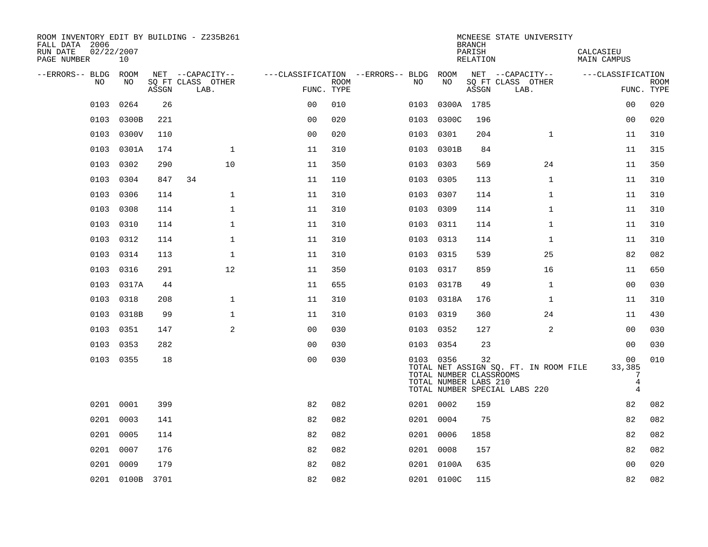| ROOM INVENTORY EDIT BY BUILDING - Z235B261<br>FALL DATA 2006<br>RUN DATE<br>PAGE NUMBER | 02/22/2007<br>10 |       |                           |                |      |                                        |                                                               | <b>BRANCH</b><br>PARISH<br>RELATION | MCNEESE STATE UNIVERSITY                                               | CALCASIEU<br>MAIN CAMPUS                 |                           |
|-----------------------------------------------------------------------------------------|------------------|-------|---------------------------|----------------|------|----------------------------------------|---------------------------------------------------------------|-------------------------------------|------------------------------------------------------------------------|------------------------------------------|---------------------------|
| --ERRORS-- BLDG ROOM                                                                    |                  |       | NET --CAPACITY--          |                |      | ---CLASSIFICATION --ERRORS-- BLDG ROOM |                                                               |                                     | NET --CAPACITY--                                                       | ---CLASSIFICATION                        |                           |
| NO.                                                                                     | NO.              | ASSGN | SO FT CLASS OTHER<br>LAB. | FUNC. TYPE     | ROOM | NO.                                    | NO                                                            | ASSGN                               | SQ FT CLASS OTHER<br>LAB.                                              |                                          | <b>ROOM</b><br>FUNC. TYPE |
| 0103                                                                                    | 0264             | 26    |                           | 0 <sub>0</sub> | 010  | 0103                                   |                                                               | 0300A 1785                          |                                                                        | 00                                       | 020                       |
| 0103                                                                                    | 0300B            | 221   |                           | 0 <sub>0</sub> | 020  | 0103                                   | 0300C                                                         | 196                                 |                                                                        | 0 <sub>0</sub>                           | 020                       |
| 0103                                                                                    | 0300V            | 110   |                           | 0 <sub>0</sub> | 020  | 0103                                   | 0301                                                          | 204                                 | $\mathbf{1}$                                                           | 11                                       | 310                       |
| 0103                                                                                    | 0301A            | 174   | $\mathbf 1$               | 11             | 310  | 0103                                   | 0301B                                                         | 84                                  |                                                                        | 11                                       | 315                       |
| 0103                                                                                    | 0302             | 290   | 10                        | 11             | 350  | 0103                                   | 0303                                                          | 569                                 | 24                                                                     | 11                                       | 350                       |
| 0103                                                                                    | 0304             | 847   | 34                        | 11             | 110  |                                        | 0103 0305                                                     | 113                                 | $\mathbf{1}$                                                           | 11                                       | 310                       |
| 0103                                                                                    | 0306             | 114   | $\mathbf{1}$              | 11             | 310  | 0103                                   | 0307                                                          | 114                                 | $\mathbf{1}$                                                           | 11                                       | 310                       |
| 0103                                                                                    | 0308             | 114   | $\mathbf{1}$              | 11             | 310  |                                        | 0103 0309                                                     | 114                                 | $\mathbf{1}$                                                           | 11                                       | 310                       |
| 0103                                                                                    | 0310             | 114   | $\mathbf 1$               | 11             | 310  | 0103                                   | 0311                                                          | 114                                 | $\mathbf{1}$                                                           | 11                                       | 310                       |
| 0103                                                                                    | 0312             | 114   | $\mathbf{1}$              | 11             | 310  |                                        | 0103 0313                                                     | 114                                 | $\mathbf{1}$                                                           | 11                                       | 310                       |
| 0103                                                                                    | 0314             | 113   | $\mathbf{1}$              | 11             | 310  | 0103                                   | 0315                                                          | 539                                 | 25                                                                     | 82                                       | 082                       |
| 0103                                                                                    | 0316             | 291   | 12                        | 11             | 350  |                                        | 0103 0317                                                     | 859                                 | 16                                                                     | 11                                       | 650                       |
| 0103                                                                                    | 0317A            | 44    |                           | 11             | 655  | 0103                                   | 0317B                                                         | 49                                  | $\mathbf{1}$                                                           | 00                                       | 030                       |
| 0103                                                                                    | 0318             | 208   | $\mathbf 1$               | 11             | 310  |                                        | 0103 0318A                                                    | 176                                 | 1                                                                      | 11                                       | 310                       |
| 0103                                                                                    | 0318B            | 99    | $\mathbf 1$               | 11             | 310  | 0103                                   | 0319                                                          | 360                                 | 24                                                                     | 11                                       | 430                       |
|                                                                                         | 0103 0351        | 147   | 2                         | 0 <sub>0</sub> | 030  |                                        | 0103 0352                                                     | 127                                 | 2                                                                      | 0 <sub>0</sub>                           | 030                       |
|                                                                                         | 0103 0353        | 282   |                           | 00             | 030  |                                        | 0103 0354                                                     | 23                                  |                                                                        | 0 <sub>0</sub>                           | 030                       |
|                                                                                         | 0103 0355        | 18    |                           | 0 <sub>0</sub> | 030  |                                        | 0103 0356<br>TOTAL NUMBER CLASSROOMS<br>TOTAL NUMBER LABS 210 | 32                                  | TOTAL NET ASSIGN SQ. FT. IN ROOM FILE<br>TOTAL NUMBER SPECIAL LABS 220 | 00<br>33,385<br>7<br>4<br>$\overline{4}$ | 010                       |
|                                                                                         | 0201 0001        | 399   |                           | 82             | 082  |                                        | 0201 0002                                                     | 159                                 |                                                                        | 82                                       | 082                       |
|                                                                                         | 0201 0003        | 141   |                           | 82             | 082  |                                        | 0201 0004                                                     | 75                                  |                                                                        | 82                                       | 082                       |
| 0201                                                                                    | 0005             | 114   |                           | 82             | 082  |                                        | 0201 0006                                                     | 1858                                |                                                                        | 82                                       | 082                       |
| 0201                                                                                    | 0007             | 176   |                           | 82             | 082  |                                        | 0201 0008                                                     | 157                                 |                                                                        | 82                                       | 082                       |
| 0201                                                                                    | 0009             | 179   |                           | 82             | 082  |                                        | 0201 0100A                                                    | 635                                 |                                                                        | 0 <sub>0</sub>                           | 020                       |
|                                                                                         | 0201 0100B 3701  |       |                           | 82             | 082  |                                        | 0201 0100C                                                    | 115                                 |                                                                        | 82                                       | 082                       |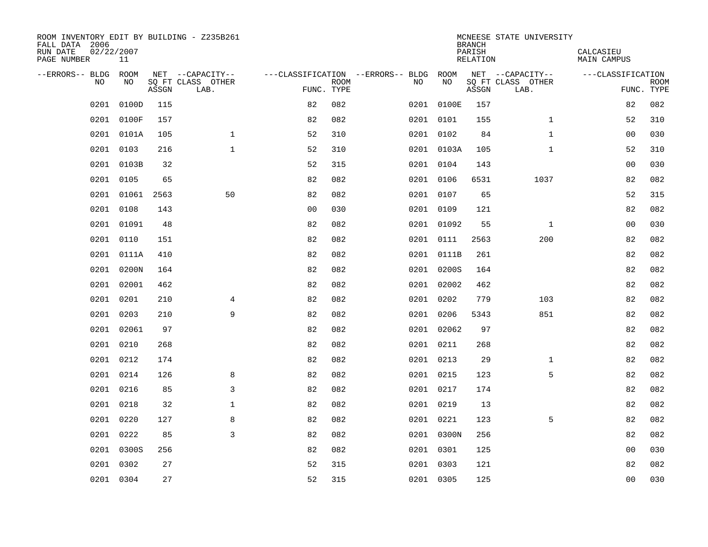| ROOM INVENTORY EDIT BY BUILDING - Z235B261<br>FALL DATA 2006<br>RUN DATE<br>PAGE NUMBER | 02/22/2007<br>11 |       |                           |                                   |             |           |            | <b>BRANCH</b><br>PARISH<br><b>RELATION</b> | MCNEESE STATE UNIVERSITY  | CALCASIEU<br><b>MAIN CAMPUS</b> |                           |
|-----------------------------------------------------------------------------------------|------------------|-------|---------------------------|-----------------------------------|-------------|-----------|------------|--------------------------------------------|---------------------------|---------------------------------|---------------------------|
| --ERRORS-- BLDG                                                                         | ROOM             |       | NET --CAPACITY--          | ---CLASSIFICATION --ERRORS-- BLDG |             |           | ROOM       |                                            | NET --CAPACITY--          | ---CLASSIFICATION               |                           |
| N <sub>O</sub>                                                                          | NO.              | ASSGN | SO FT CLASS OTHER<br>LAB. | FUNC. TYPE                        | <b>ROOM</b> | NO.       | NO         | ASSGN                                      | SQ FT CLASS OTHER<br>LAB. |                                 | <b>ROOM</b><br>FUNC. TYPE |
| 0201                                                                                    | 0100D            | 115   |                           | 82                                | 082         |           | 0201 0100E | 157                                        |                           | 82                              | 082                       |
| 0201                                                                                    | 0100F            | 157   |                           | 82                                | 082         | 0201 0101 |            | 155                                        | $\mathbf{1}$              | 52                              | 310                       |
|                                                                                         | 0201 0101A       | 105   | $\mathbf 1$               | 52                                | 310         | 0201 0102 |            | 84                                         | $\mathbf{1}$              | 00                              | 030                       |
| 0201                                                                                    | 0103             | 216   | $\mathbf{1}$              | 52                                | 310         |           | 0201 0103A | 105                                        | $\mathbf{1}$              | 52                              | 310                       |
| 0201                                                                                    | 0103B            | 32    |                           | 52                                | 315         | 0201 0104 |            | 143                                        |                           | 0 <sub>0</sub>                  | 030                       |
| 0201                                                                                    | 0105             | 65    |                           | 82                                | 082         | 0201 0106 |            | 6531                                       | 1037                      | 82                              | 082                       |
| 0201                                                                                    | 01061            | 2563  | 50                        | 82                                | 082         | 0201 0107 |            | 65                                         |                           | 52                              | 315                       |
| 0201                                                                                    | 0108             | 143   |                           | 0 <sub>0</sub>                    | 030         | 0201 0109 |            | 121                                        |                           | 82                              | 082                       |
| 0201                                                                                    | 01091            | 48    |                           | 82                                | 082         |           | 0201 01092 | 55                                         | $\mathbf{1}$              | 0 <sub>0</sub>                  | 030                       |
|                                                                                         | 0201 0110        | 151   |                           | 82                                | 082         |           | 0201 0111  | 2563                                       | 200                       | 82                              | 082                       |
| 0201                                                                                    | 0111A            | 410   |                           | 82                                | 082         |           | 0201 0111B | 261                                        |                           | 82                              | 082                       |
| 0201                                                                                    | 0200N            | 164   |                           | 82                                | 082         |           | 0201 0200S | 164                                        |                           | 82                              | 082                       |
| 0201                                                                                    | 02001            | 462   |                           | 82                                | 082         |           | 0201 02002 | 462                                        |                           | 82                              | 082                       |
| 0201                                                                                    | 0201             | 210   | 4                         | 82                                | 082         |           | 0201 0202  | 779                                        | 103                       | 82                              | 082                       |
| 0201                                                                                    | 0203             | 210   | 9                         | 82                                | 082         | 0201 0206 |            | 5343                                       | 851                       | 82                              | 082                       |
|                                                                                         | 0201 02061       | 97    |                           | 82                                | 082         |           | 0201 02062 | 97                                         |                           | 82                              | 082                       |
| 0201                                                                                    | 0210             | 268   |                           | 82                                | 082         | 0201 0211 |            | 268                                        |                           | 82                              | 082                       |
|                                                                                         | 0201 0212        | 174   |                           | 82                                | 082         |           | 0201 0213  | 29                                         | $\mathbf{1}$              | 82                              | 082                       |
|                                                                                         | 0201 0214        | 126   | 8                         | 82                                | 082         | 0201 0215 |            | 123                                        | 5                         | 82                              | 082                       |
| 0201                                                                                    | 0216             | 85    | 3                         | 82                                | 082         | 0201 0217 |            | 174                                        |                           | 82                              | 082                       |
|                                                                                         | 0201 0218        | 32    | $\mathbf{1}$              | 82                                | 082         | 0201 0219 |            | 13                                         |                           | 82                              | 082                       |
| 0201                                                                                    | 0220             | 127   | 8                         | 82                                | 082         | 0201 0221 |            | 123                                        | 5                         | 82                              | 082                       |
|                                                                                         | 0201 0222        | 85    | 3                         | 82                                | 082         |           | 0201 0300N | 256                                        |                           | 82                              | 082                       |
| 0201                                                                                    | 0300S            | 256   |                           | 82                                | 082         | 0201 0301 |            | 125                                        |                           | 0 <sub>0</sub>                  | 030                       |
| 0201                                                                                    | 0302             | 27    |                           | 52                                | 315         | 0201 0303 |            | 121                                        |                           | 82                              | 082                       |
|                                                                                         | 0201 0304        | 27    |                           | 52                                | 315         | 0201 0305 |            | 125                                        |                           | 0 <sub>0</sub>                  | 030                       |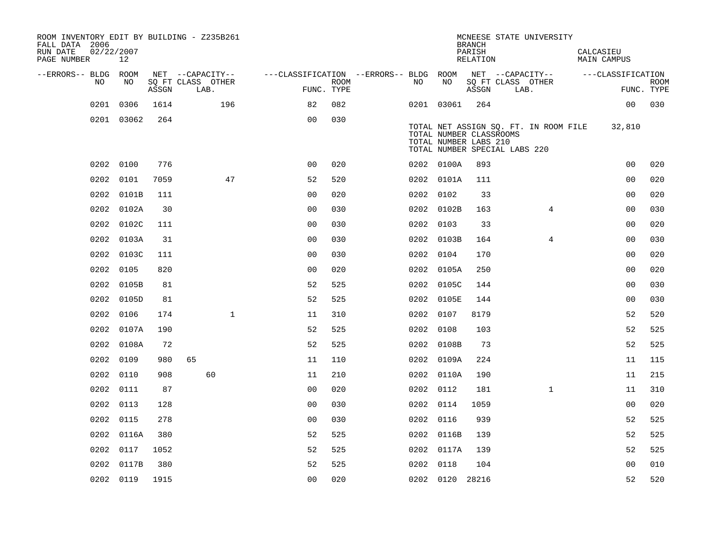| ROOM INVENTORY EDIT BY BUILDING - Z235B261<br>FALL DATA 2006<br>RUN DATE<br>PAGE NUMBER | 02/22/2007<br>12 |       |                           |                                        |      |           |                                                  | <b>BRANCH</b><br>PARISH<br>RELATION |                               | MCNEESE STATE UNIVERSITY              | CALCASIEU<br>MAIN CAMPUS           |                           |
|-----------------------------------------------------------------------------------------|------------------|-------|---------------------------|----------------------------------------|------|-----------|--------------------------------------------------|-------------------------------------|-------------------------------|---------------------------------------|------------------------------------|---------------------------|
| --ERRORS-- BLDG ROOM                                                                    |                  |       | NET --CAPACITY--          | ---CLASSIFICATION --ERRORS-- BLDG ROOM |      |           |                                                  |                                     |                               |                                       | NET --CAPACITY-- ---CLASSIFICATION |                           |
| NO.                                                                                     | NO.              | ASSGN | SO FT CLASS OTHER<br>LAB. | FUNC. TYPE                             | ROOM | NO.       | NO.                                              | ASSGN                               |                               | SQ FT CLASS OTHER<br>LAB.             |                                    | <b>ROOM</b><br>FUNC. TYPE |
| 0201                                                                                    | 0306             | 1614  | 196                       | 82                                     | 082  |           | 0201 03061                                       | 264                                 |                               |                                       | 00 <sub>o</sub>                    | 030                       |
|                                                                                         | 0201 03062       | 264   |                           | 0 <sub>0</sub>                         | 030  |           | TOTAL NUMBER CLASSROOMS<br>TOTAL NUMBER LABS 210 |                                     | TOTAL NUMBER SPECIAL LABS 220 | TOTAL NET ASSIGN SQ. FT. IN ROOM FILE | 32,810                             |                           |
| 0202                                                                                    | 0100             | 776   |                           | 0 <sub>0</sub>                         | 020  |           | 0202 0100A                                       | 893                                 |                               |                                       | 0 <sub>0</sub>                     | 020                       |
| 0202                                                                                    | 0101             | 7059  | 47                        | 52                                     | 520  |           | 0202 0101A                                       | 111                                 |                               |                                       | 0 <sub>0</sub>                     | 020                       |
| 0202                                                                                    | 0101B            | 111   |                           | 0 <sub>0</sub>                         | 020  | 0202 0102 |                                                  | 33                                  |                               |                                       | 0 <sub>0</sub>                     | 020                       |
| 0202                                                                                    | 0102A            | 30    |                           | 0 <sub>0</sub>                         | 030  |           | 0202 0102B                                       | 163                                 |                               | $\overline{4}$                        | 0 <sub>0</sub>                     | 030                       |
| 0202                                                                                    | 0102C            | 111   |                           | 0 <sub>0</sub>                         | 030  | 0202 0103 |                                                  | 33                                  |                               |                                       | 0 <sub>0</sub>                     | 020                       |
| 0202                                                                                    | 0103A            | 31    |                           | 0 <sub>0</sub>                         | 030  |           | 0202 0103B                                       | 164                                 |                               | 4                                     | 00                                 | 030                       |
|                                                                                         | 0202 0103C       | 111   |                           | 0 <sub>0</sub>                         | 030  | 0202 0104 |                                                  | 170                                 |                               |                                       | 0 <sub>0</sub>                     | 020                       |
|                                                                                         | 0202 0105        | 820   |                           | 0 <sub>0</sub>                         | 020  |           | 0202 0105A                                       | 250                                 |                               |                                       | 0 <sub>0</sub>                     | 020                       |
|                                                                                         | 0202 0105B       | 81    |                           | 52                                     | 525  |           | 0202 0105C                                       | 144                                 |                               |                                       | 0 <sub>0</sub>                     | 030                       |
|                                                                                         | 0202 0105D       | 81    |                           | 52                                     | 525  |           | 0202 0105E                                       | 144                                 |                               |                                       | 0 <sub>0</sub>                     | 030                       |
|                                                                                         | 0202 0106        | 174   | $\mathbf{1}$              | 11                                     | 310  | 0202 0107 |                                                  | 8179                                |                               |                                       | 52                                 | 520                       |
|                                                                                         | 0202 0107A       | 190   |                           | 52                                     | 525  | 0202 0108 |                                                  | 103                                 |                               |                                       | 52                                 | 525                       |
|                                                                                         | 0202 0108A       | 72    |                           | 52                                     | 525  |           | 0202 0108B                                       | 73                                  |                               |                                       | 52                                 | 525                       |
| 0202                                                                                    | 0109             | 980   | 65                        | 11                                     | 110  |           | 0202 0109A                                       | 224                                 |                               |                                       | 11                                 | 115                       |
|                                                                                         | 0202 0110        | 908   | 60                        | 11                                     | 210  |           | 0202 0110A                                       | 190                                 |                               |                                       | 11                                 | 215                       |
|                                                                                         | 0202 0111        | 87    |                           | 0 <sub>0</sub>                         | 020  | 0202 0112 |                                                  | 181                                 |                               | $\mathbf{1}$                          | 11                                 | 310                       |
|                                                                                         | 0202 0113        | 128   |                           | 0 <sub>0</sub>                         | 030  | 0202 0114 |                                                  | 1059                                |                               |                                       | 00                                 | 020                       |
| 0202                                                                                    | 0115             | 278   |                           | 0 <sub>0</sub>                         | 030  | 0202 0116 |                                                  | 939                                 |                               |                                       | 52                                 | 525                       |
|                                                                                         | 0202 0116A       | 380   |                           | 52                                     | 525  |           | 0202 0116B                                       | 139                                 |                               |                                       | 52                                 | 525                       |
| 0202                                                                                    | 0117             | 1052  |                           | 52                                     | 525  |           | 0202 0117A                                       | 139                                 |                               |                                       | 52                                 | 525                       |
| 0202                                                                                    | 0117B            | 380   |                           | 52                                     | 525  | 0202 0118 |                                                  | 104                                 |                               |                                       | 0 <sub>0</sub>                     | 010                       |
|                                                                                         | 0202 0119        | 1915  |                           | 0 <sub>0</sub>                         | 020  |           | 0202 0120 28216                                  |                                     |                               |                                       | 52                                 | 520                       |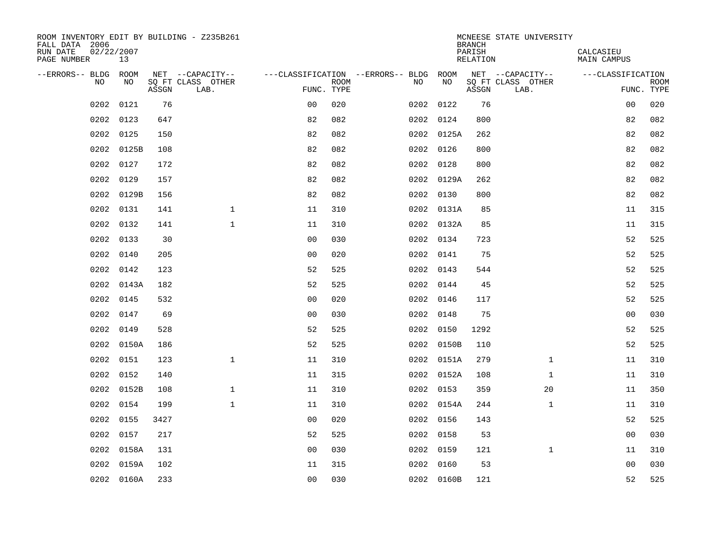| ROOM INVENTORY EDIT BY BUILDING - Z235B261<br>FALL DATA 2006<br>RUN DATE<br>PAGE NUMBER | 02/22/2007<br>13 |       |                           |                |      |                                        |            | <b>BRANCH</b><br>PARISH<br>RELATION | MCNEESE STATE UNIVERSITY  | CALCASIEU<br>MAIN CAMPUS |                           |
|-----------------------------------------------------------------------------------------|------------------|-------|---------------------------|----------------|------|----------------------------------------|------------|-------------------------------------|---------------------------|--------------------------|---------------------------|
| --ERRORS-- BLDG ROOM                                                                    |                  |       | NET --CAPACITY--          |                |      | ---CLASSIFICATION --ERRORS-- BLDG ROOM |            |                                     | NET --CAPACITY--          | ---CLASSIFICATION        |                           |
| N <sub>O</sub>                                                                          | NO.              | ASSGN | SO FT CLASS OTHER<br>LAB. | FUNC. TYPE     | ROOM | NO.                                    | NO         | ASSGN                               | SQ FT CLASS OTHER<br>LAB. |                          | <b>ROOM</b><br>FUNC. TYPE |
| 0202                                                                                    | 0121             | 76    |                           | 0 <sub>0</sub> | 020  |                                        | 0202 0122  | 76                                  |                           | 00                       | 020                       |
| 0202                                                                                    | 0123             | 647   |                           | 82             | 082  |                                        | 0202 0124  | 800                                 |                           | 82                       | 082                       |
| 0202                                                                                    | 0125             | 150   |                           | 82             | 082  |                                        | 0202 0125A | 262                                 |                           | 82                       | 082                       |
| 0202                                                                                    | 0125B            | 108   |                           | 82             | 082  |                                        | 0202 0126  | 800                                 |                           | 82                       | 082                       |
| 0202                                                                                    | 0127             | 172   |                           | 82             | 082  |                                        | 0202 0128  | 800                                 |                           | 82                       | 082                       |
| 0202                                                                                    | 0129             | 157   |                           | 82             | 082  |                                        | 0202 0129A | 262                                 |                           | 82                       | 082                       |
| 0202                                                                                    | 0129B            | 156   |                           | 82             | 082  |                                        | 0202 0130  | 800                                 |                           | 82                       | 082                       |
| 0202                                                                                    | 0131             | 141   | $\mathbf 1$               | 11             | 310  |                                        | 0202 0131A | 85                                  |                           | 11                       | 315                       |
| 0202                                                                                    | 0132             | 141   | $\mathbf{1}$              | 11             | 310  |                                        | 0202 0132A | 85                                  |                           | 11                       | 315                       |
| 0202                                                                                    | 0133             | 30    |                           | 0 <sub>0</sub> | 030  |                                        | 0202 0134  | 723                                 |                           | 52                       | 525                       |
| 0202                                                                                    | 0140             | 205   |                           | 0 <sub>0</sub> | 020  |                                        | 0202 0141  | 75                                  |                           | 52                       | 525                       |
| 0202                                                                                    | 0142             | 123   |                           | 52             | 525  |                                        | 0202 0143  | 544                                 |                           | 52                       | 525                       |
| 0202                                                                                    | 0143A            | 182   |                           | 52             | 525  |                                        | 0202 0144  | 45                                  |                           | 52                       | 525                       |
| 0202                                                                                    | 0145             | 532   |                           | 0 <sub>0</sub> | 020  |                                        | 0202 0146  | 117                                 |                           | 52                       | 525                       |
| 0202                                                                                    | 0147             | 69    |                           | 0 <sub>0</sub> | 030  |                                        | 0202 0148  | 75                                  |                           | 00                       | 030                       |
| 0202                                                                                    | 0149             | 528   |                           | 52             | 525  |                                        | 0202 0150  | 1292                                |                           | 52                       | 525                       |
| 0202                                                                                    | 0150A            | 186   |                           | 52             | 525  |                                        | 0202 0150B | 110                                 |                           | 52                       | 525                       |
| 0202                                                                                    | 0151             | 123   | $\mathbf 1$               | 11             | 310  |                                        | 0202 0151A | 279                                 | $\mathbf{1}$              | 11                       | 310                       |
| 0202                                                                                    | 0152             | 140   |                           | 11             | 315  |                                        | 0202 0152A | 108                                 | $\mathbf{1}$              | 11                       | 310                       |
| 0202                                                                                    | 0152B            | 108   | $\mathbf{1}$              | 11             | 310  |                                        | 0202 0153  | 359                                 | 20                        | 11                       | 350                       |
| 0202                                                                                    | 0154             | 199   | $\mathbf 1$               | 11             | 310  |                                        | 0202 0154A | 244                                 | $\mathbf{1}$              | 11                       | 310                       |
| 0202                                                                                    | 0155             | 3427  |                           | 0 <sub>0</sub> | 020  |                                        | 0202 0156  | 143                                 |                           | 52                       | 525                       |
| 0202                                                                                    | 0157             | 217   |                           | 52             | 525  |                                        | 0202 0158  | 53                                  |                           | 00                       | 030                       |
| 0202                                                                                    | 0158A            | 131   |                           | 0 <sub>0</sub> | 030  |                                        | 0202 0159  | 121                                 | $\mathbf{1}$              | 11                       | 310                       |
| 0202                                                                                    | 0159A            | 102   |                           | 11             | 315  |                                        | 0202 0160  | 53                                  |                           | 0 <sub>0</sub>           | 030                       |
|                                                                                         | 0202 0160A       | 233   |                           | 0 <sub>0</sub> | 030  |                                        | 0202 0160B | 121                                 |                           | 52                       | 525                       |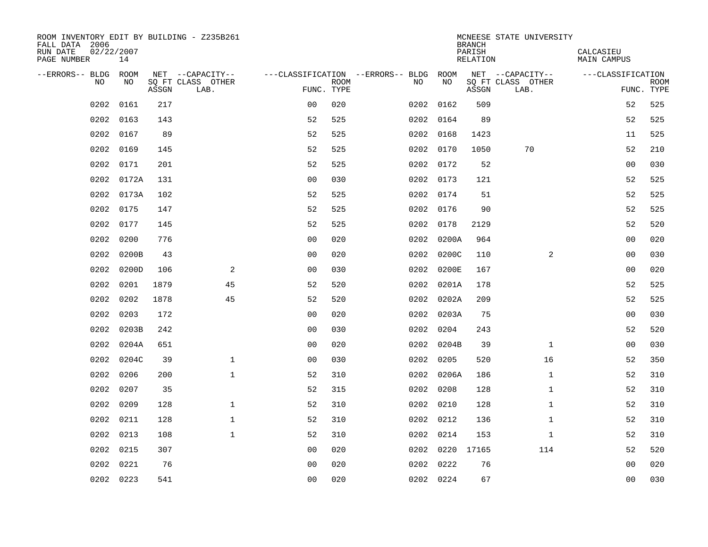| ROOM INVENTORY EDIT BY BUILDING - Z235B261<br>FALL DATA 2006<br>RUN DATE<br>PAGE NUMBER | 02/22/2007<br>14 |       |                           |                |             |                                   |            | <b>BRANCH</b><br>PARISH<br>RELATION | MCNEESE STATE UNIVERSITY  | CALCASIEU<br><b>MAIN CAMPUS</b> |                           |
|-----------------------------------------------------------------------------------------|------------------|-------|---------------------------|----------------|-------------|-----------------------------------|------------|-------------------------------------|---------------------------|---------------------------------|---------------------------|
| --ERRORS-- BLDG ROOM                                                                    |                  |       | NET --CAPACITY--          |                |             | ---CLASSIFICATION --ERRORS-- BLDG | ROOM       |                                     | NET --CAPACITY--          | ---CLASSIFICATION               |                           |
| N <sub>O</sub>                                                                          | NO.              | ASSGN | SO FT CLASS OTHER<br>LAB. | FUNC. TYPE     | <b>ROOM</b> | NO.                               | NO         | ASSGN                               | SQ FT CLASS OTHER<br>LAB. |                                 | <b>ROOM</b><br>FUNC. TYPE |
| 0202                                                                                    | 0161             | 217   |                           | 0 <sub>0</sub> | 020         | 0202                              | 0162       | 509                                 |                           | 52                              | 525                       |
| 0202                                                                                    | 0163             | 143   |                           | 52             | 525         |                                   | 0202 0164  | 89                                  |                           | 52                              | 525                       |
| 0202                                                                                    | 0167             | 89    |                           | 52             | 525         |                                   | 0202 0168  | 1423                                |                           | 11                              | 525                       |
| 0202                                                                                    | 0169             | 145   |                           | 52             | 525         |                                   | 0202 0170  | 1050                                | 70                        | 52                              | 210                       |
| 0202                                                                                    | 0171             | 201   |                           | 52             | 525         |                                   | 0202 0172  | 52                                  |                           | 00                              | 030                       |
| 0202                                                                                    | 0172A            | 131   |                           | 0 <sub>0</sub> | 030         |                                   | 0202 0173  | 121                                 |                           | 52                              | 525                       |
| 0202                                                                                    | 0173A            | 102   |                           | 52             | 525         |                                   | 0202 0174  | 51                                  |                           | 52                              | 525                       |
| 0202                                                                                    | 0175             | 147   |                           | 52             | 525         |                                   | 0202 0176  | 90                                  |                           | 52                              | 525                       |
| 0202                                                                                    | 0177             | 145   |                           | 52             | 525         | 0202                              | 0178       | 2129                                |                           | 52                              | 520                       |
| 0202                                                                                    | 0200             | 776   |                           | 0 <sub>0</sub> | 020         |                                   | 0202 0200A | 964                                 |                           | 00                              | 020                       |
| 0202                                                                                    | 0200B            | 43    |                           | 0 <sub>0</sub> | 020         | 0202                              | 0200C      | 110                                 | $\overline{2}$            | 0 <sub>0</sub>                  | 030                       |
| 0202                                                                                    | 0200D            | 106   | 2                         | 0 <sub>0</sub> | 030         | 0202                              | 0200E      | 167                                 |                           | 0 <sub>0</sub>                  | 020                       |
| 0202                                                                                    | 0201             | 1879  | 45                        | 52             | 520         | 0202                              | 0201A      | 178                                 |                           | 52                              | 525                       |
| 0202                                                                                    | 0202             | 1878  | 45                        | 52             | 520         |                                   | 0202 0202A | 209                                 |                           | 52                              | 525                       |
| 0202                                                                                    | 0203             | 172   |                           | 00             | 020         |                                   | 0202 0203A | 75                                  |                           | 00                              | 030                       |
| 0202                                                                                    | 0203B            | 242   |                           | 0 <sub>0</sub> | 030         |                                   | 0202 0204  | 243                                 |                           | 52                              | 520                       |
| 0202                                                                                    | 0204A            | 651   |                           | 0 <sub>0</sub> | 020         |                                   | 0202 0204B | 39                                  | $\mathbf{1}$              | 00                              | 030                       |
| 0202                                                                                    | 0204C            | 39    | $\mathbf{1}$              | 0 <sub>0</sub> | 030         |                                   | 0202 0205  | 520                                 | 16                        | 52                              | 350                       |
| 0202                                                                                    | 0206             | 200   | $\mathbf{1}$              | 52             | 310         |                                   | 0202 0206A | 186                                 | $\mathbf{1}$              | 52                              | 310                       |
| 0202                                                                                    | 0207             | 35    |                           | 52             | 315         |                                   | 0202 0208  | 128                                 | $\mathbf{1}$              | 52                              | 310                       |
| 0202                                                                                    | 0209             | 128   | $\mathbf 1$               | 52             | 310         |                                   | 0202 0210  | 128                                 | $\mathbf{1}$              | 52                              | 310                       |
| 0202                                                                                    | 0211             | 128   | $\mathbf{1}$              | 52             | 310         |                                   | 0202 0212  | 136                                 | $\mathbf{1}$              | 52                              | 310                       |
| 0202                                                                                    | 0213             | 108   | $\mathbf{1}$              | 52             | 310         |                                   | 0202 0214  | 153                                 | $\mathbf{1}$              | 52                              | 310                       |
| 0202                                                                                    | 0215             | 307   |                           | 00             | 020         |                                   | 0202 0220  | 17165                               | 114                       | 52                              | 520                       |
| 0202                                                                                    | 0221             | 76    |                           | 0 <sub>0</sub> | 020         |                                   | 0202 0222  | 76                                  |                           | 0 <sub>0</sub>                  | 020                       |
|                                                                                         | 0202 0223        | 541   |                           | 0 <sub>0</sub> | 020         |                                   | 0202 0224  | 67                                  |                           | 0 <sub>0</sub>                  | 030                       |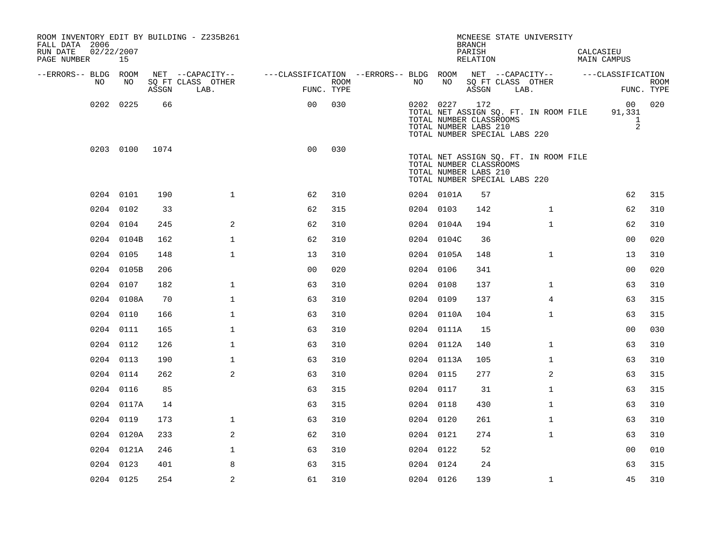| ROOM INVENTORY EDIT BY BUILDING - Z235B261<br>FALL DATA 2006<br>RUN DATE<br>PAGE NUMBER | 02/22/2007<br>15 |       |                           |                                                         |      |           |            | <b>BRANCH</b><br>PARISH<br>RELATION                                                      | MCNEESE STATE UNIVERSITY              | CALCASIEU | <b>MAIN CAMPUS</b>                             |                           |
|-----------------------------------------------------------------------------------------|------------------|-------|---------------------------|---------------------------------------------------------|------|-----------|------------|------------------------------------------------------------------------------------------|---------------------------------------|-----------|------------------------------------------------|---------------------------|
| --ERRORS-- BLDG ROOM                                                                    |                  |       | NET --CAPACITY--          | ---CLASSIFICATION --ERRORS-- BLDG ROOM NET --CAPACITY-- |      |           |            |                                                                                          |                                       |           | ---CLASSIFICATION                              |                           |
| NO                                                                                      | NO               | ASSGN | SQ FT CLASS OTHER<br>LAB. | FUNC. TYPE                                              | ROOM | NO        | NO         | SQ FT CLASS OTHER<br>ASSGN                                                               | LAB.                                  |           |                                                | <b>ROOM</b><br>FUNC. TYPE |
|                                                                                         | 0202 0225        | 66    |                           | 0 <sub>0</sub>                                          | 030  |           | 0202 0227  | 172<br>TOTAL NUMBER CLASSROOMS<br>TOTAL NUMBER LABS 210<br>TOTAL NUMBER SPECIAL LABS 220 | TOTAL NET ASSIGN SQ. FT. IN ROOM FILE |           | 00 <sup>1</sup><br>91,331<br>$\mathbf{1}$<br>2 | 020                       |
|                                                                                         | 0203 0100        | 1074  |                           | 0 <sub>0</sub>                                          | 030  |           |            | TOTAL NUMBER CLASSROOMS<br>TOTAL NUMBER LABS 210<br>TOTAL NUMBER SPECIAL LABS 220        | TOTAL NET ASSIGN SQ. FT. IN ROOM FILE |           |                                                |                           |
|                                                                                         | 0204 0101        | 190   | $\mathbf{1}$              | 62                                                      | 310  |           | 0204 0101A | 57                                                                                       |                                       |           | 62                                             | 315                       |
|                                                                                         | 0204 0102        | 33    |                           | 62                                                      | 315  | 0204 0103 |            | 142                                                                                      | $\mathbf{1}$                          |           | 62                                             | 310                       |
|                                                                                         | 0204 0104        | 245   | 2                         | 62                                                      | 310  |           | 0204 0104A | 194                                                                                      | $\mathbf{1}$                          |           | 62                                             | 310                       |
|                                                                                         | 0204 0104B       | 162   | $\mathbf{1}$              | 62                                                      | 310  |           | 0204 0104C | 36                                                                                       |                                       |           | 0 <sub>0</sub>                                 | 020                       |
|                                                                                         | 0204 0105        | 148   | $\mathbf{1}$              | 13                                                      | 310  |           | 0204 0105A | 148                                                                                      | $\mathbf{1}$                          |           | 13                                             | 310                       |
|                                                                                         | 0204 0105B       | 206   |                           | 0 <sub>0</sub>                                          | 020  | 0204 0106 |            | 341                                                                                      |                                       |           | 0 <sub>0</sub>                                 | 020                       |
|                                                                                         | 0204 0107        | 182   | $\mathbf{1}$              | 63                                                      | 310  | 0204 0108 |            | 137                                                                                      | $\mathbf{1}$                          |           | 63                                             | 310                       |
|                                                                                         | 0204 0108A       | 70    | $\mathbf 1$               | 63                                                      | 310  | 0204 0109 |            | 137                                                                                      | 4                                     |           | 63                                             | 315                       |
|                                                                                         | 0204 0110        | 166   | $\mathbf{1}$              | 63                                                      | 310  |           | 0204 0110A | 104                                                                                      | $\mathbf{1}$                          |           | 63                                             | 315                       |
|                                                                                         | 0204 0111        | 165   | $\mathbf 1$               | 63                                                      | 310  |           | 0204 0111A | 15                                                                                       |                                       |           | 0 <sub>0</sub>                                 | 030                       |
|                                                                                         | 0204 0112        | 126   | $\mathbf 1$               | 63                                                      | 310  |           | 0204 0112A | 140                                                                                      | $\mathbf{1}$                          |           | 63                                             | 310                       |
|                                                                                         | 0204 0113        | 190   | $\mathbf{1}$              | 63                                                      | 310  |           | 0204 0113A | 105                                                                                      | $\mathbf{1}$                          |           | 63                                             | 310                       |
|                                                                                         | 0204 0114        | 262   | 2                         | 63                                                      | 310  | 0204 0115 |            | 277                                                                                      | 2                                     |           | 63                                             | 315                       |
|                                                                                         | 0204 0116        | 85    |                           | 63                                                      | 315  | 0204 0117 |            | 31                                                                                       | $\mathbf{1}$                          |           | 63                                             | 315                       |
|                                                                                         | 0204 0117A       | 14    |                           | 63                                                      | 315  | 0204 0118 |            | 430                                                                                      | $\mathbf{1}$                          |           | 63                                             | 310                       |
|                                                                                         | 0204 0119        | 173   | $\mathbf{1}$              | 63                                                      | 310  | 0204 0120 |            | 261                                                                                      | $\mathbf{1}$                          |           | 63                                             | 310                       |
|                                                                                         | 0204 0120A       | 233   | 2                         | 62                                                      | 310  | 0204 0121 |            | 274                                                                                      | $\mathbf{1}$                          |           | 63                                             | 310                       |
|                                                                                         | 0204 0121A       | 246   | $\mathbf 1$               | 63                                                      | 310  | 0204 0122 |            | 52                                                                                       |                                       |           | 0 <sub>0</sub>                                 | 010                       |
|                                                                                         | 0204 0123        | 401   | 8                         | 63                                                      | 315  | 0204 0124 |            | 24                                                                                       |                                       |           | 63                                             | 315                       |
|                                                                                         | 0204 0125        | 254   | 2                         | 61                                                      | 310  | 0204 0126 |            | 139                                                                                      | $\mathbf{1}$                          |           | 45                                             | 310                       |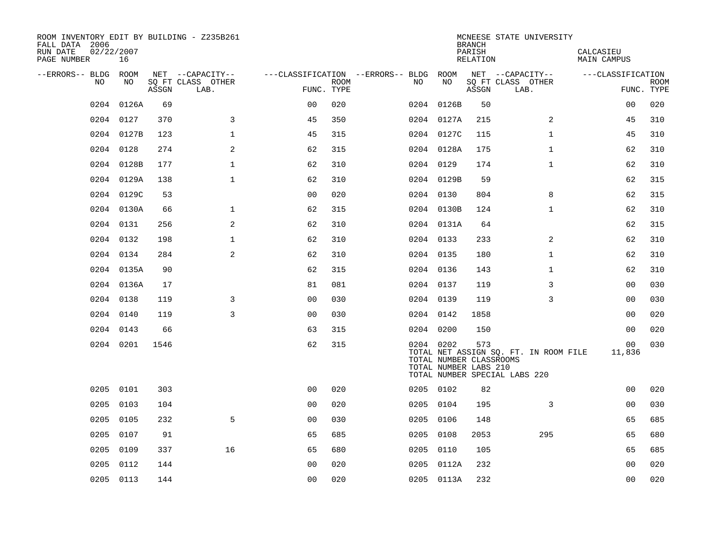| ROOM INVENTORY EDIT BY BUILDING - Z235B261<br>FALL DATA 2006<br>RUN DATE<br>PAGE NUMBER | 02/22/2007<br>16 |       |                           |                |      |                                   |                                                               | <b>BRANCH</b><br>PARISH<br>RELATION | MCNEESE STATE UNIVERSITY                                               | CALCASIEU<br>MAIN CAMPUS |                           |
|-----------------------------------------------------------------------------------------|------------------|-------|---------------------------|----------------|------|-----------------------------------|---------------------------------------------------------------|-------------------------------------|------------------------------------------------------------------------|--------------------------|---------------------------|
| --ERRORS-- BLDG ROOM                                                                    |                  |       | NET --CAPACITY--          |                |      | ---CLASSIFICATION --ERRORS-- BLDG | ROOM                                                          |                                     | NET --CAPACITY--                                                       | ---CLASSIFICATION        |                           |
| NO.                                                                                     | NO.              | ASSGN | SO FT CLASS OTHER<br>LAB. | FUNC. TYPE     | ROOM | NO.                               | NO                                                            | ASSGN                               | SQ FT CLASS OTHER<br>LAB.                                              |                          | <b>ROOM</b><br>FUNC. TYPE |
| 0204                                                                                    | 0126A            | 69    |                           | 0 <sub>0</sub> | 020  |                                   | 0204 0126B                                                    | 50                                  |                                                                        | 0 <sub>0</sub>           | 020                       |
| 0204                                                                                    | 0127             | 370   | 3                         | 45             | 350  |                                   | 0204 0127A                                                    | 215                                 | 2                                                                      | 45                       | 310                       |
|                                                                                         | 0204 0127B       | 123   | $\mathbf 1$               | 45             | 315  |                                   | 0204 0127C                                                    | 115                                 | $\mathbf{1}$                                                           | 45                       | 310                       |
| 0204                                                                                    | 0128             | 274   | 2                         | 62             | 315  |                                   | 0204 0128A                                                    | 175                                 | $\mathbf{1}$                                                           | 62                       | 310                       |
| 0204                                                                                    | 0128B            | 177   | $\mathbf{1}$              | 62             | 310  |                                   | 0204 0129                                                     | 174                                 | $\mathbf{1}$                                                           | 62                       | 310                       |
|                                                                                         | 0204 0129A       | 138   | $\mathbf{1}$              | 62             | 310  |                                   | 0204 0129B                                                    | 59                                  |                                                                        | 62                       | 315                       |
|                                                                                         | 0204 0129C       | 53    |                           | 0 <sub>0</sub> | 020  |                                   | 0204 0130                                                     | 804                                 | 8                                                                      | 62                       | 315                       |
|                                                                                         | 0204 0130A       | 66    | $\mathbf 1$               | 62             | 315  |                                   | 0204 0130B                                                    | 124                                 | $\mathbf{1}$                                                           | 62                       | 310                       |
|                                                                                         | 0204 0131        | 256   | 2                         | 62             | 310  |                                   | 0204 0131A                                                    | 64                                  |                                                                        | 62                       | 315                       |
|                                                                                         | 0204 0132        | 198   | $\mathbf{1}$              | 62             | 310  |                                   | 0204 0133                                                     | 233                                 | 2                                                                      | 62                       | 310                       |
|                                                                                         | 0204 0134        | 284   | 2                         | 62             | 310  |                                   | 0204 0135                                                     | 180                                 | $\mathbf{1}$                                                           | 62                       | 310                       |
|                                                                                         | 0204 0135A       | 90    |                           | 62             | 315  |                                   | 0204 0136                                                     | 143                                 | $\mathbf{1}$                                                           | 62                       | 310                       |
|                                                                                         | 0204 0136A       | 17    |                           | 81             | 081  |                                   | 0204 0137                                                     | 119                                 | 3                                                                      | 00                       | 030                       |
|                                                                                         | 0204 0138        | 119   | 3                         | 0 <sub>0</sub> | 030  |                                   | 0204 0139                                                     | 119                                 | 3                                                                      | 0 <sub>0</sub>           | 030                       |
| 0204                                                                                    | 0140             | 119   | 3                         | 0 <sub>0</sub> | 030  |                                   | 0204 0142                                                     | 1858                                |                                                                        | 00                       | 020                       |
|                                                                                         | 0204 0143        | 66    |                           | 63             | 315  |                                   | 0204 0200                                                     | 150                                 |                                                                        | 00                       | 020                       |
|                                                                                         | 0204 0201        | 1546  |                           | 62             | 315  |                                   | 0204 0202<br>TOTAL NUMBER CLASSROOMS<br>TOTAL NUMBER LABS 210 | 573                                 | TOTAL NET ASSIGN SQ. FT. IN ROOM FILE<br>TOTAL NUMBER SPECIAL LABS 220 | 00<br>11,836             | 030                       |
| 0205                                                                                    | 0101             | 303   |                           | 0 <sub>0</sub> | 020  |                                   | 0205 0102                                                     | 82                                  |                                                                        | 00                       | 020                       |
| 0205                                                                                    | 0103             | 104   |                           | 0 <sub>0</sub> | 020  |                                   | 0205 0104                                                     | 195                                 | 3                                                                      | 00                       | 030                       |
| 0205                                                                                    | 0105             | 232   | 5                         | 0 <sub>0</sub> | 030  | 0205                              | 0106                                                          | 148                                 |                                                                        | 65                       | 685                       |
| 0205                                                                                    | 0107             | 91    |                           | 65             | 685  |                                   | 0205 0108                                                     | 2053                                | 295                                                                    | 65                       | 680                       |
| 0205                                                                                    | 0109             | 337   | 16                        | 65             | 680  |                                   | 0205 0110                                                     | 105                                 |                                                                        | 65                       | 685                       |
| 0205                                                                                    | 0112             | 144   |                           | 0 <sub>0</sub> | 020  |                                   | 0205 0112A                                                    | 232                                 |                                                                        | 0 <sub>0</sub>           | 020                       |
|                                                                                         | 0205 0113        | 144   |                           | 0 <sub>0</sub> | 020  |                                   | 0205 0113A                                                    | 232                                 |                                                                        | 0 <sub>0</sub>           | 020                       |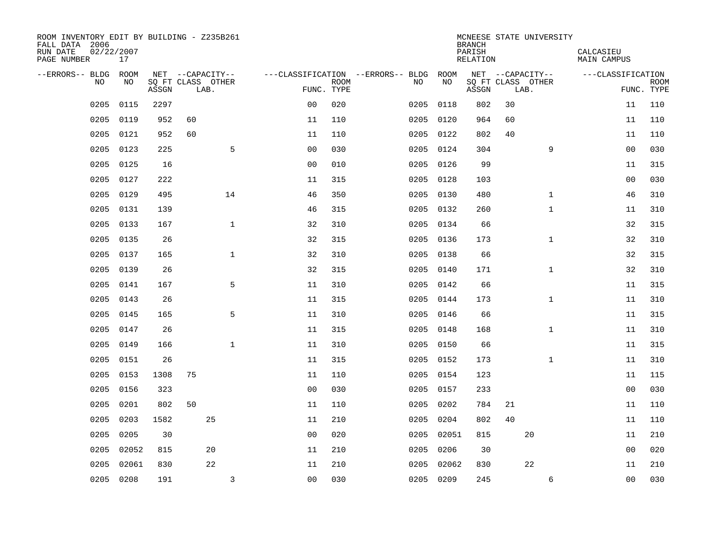| ROOM INVENTORY EDIT BY BUILDING - Z235B261<br>FALL DATA 2006<br>RUN DATE<br>PAGE NUMBER | 02/22/2007<br>17 |       |                           |                |                |             |                                   |           | <b>BRANCH</b><br>PARISH<br>RELATION |    | MCNEESE STATE UNIVERSITY  | CALCASIEU<br><b>MAIN CAMPUS</b> |                           |
|-----------------------------------------------------------------------------------------|------------------|-------|---------------------------|----------------|----------------|-------------|-----------------------------------|-----------|-------------------------------------|----|---------------------------|---------------------------------|---------------------------|
| --ERRORS-- BLDG                                                                         | ROOM             |       | NET --CAPACITY--          |                |                |             | ---CLASSIFICATION --ERRORS-- BLDG | ROOM      |                                     |    | NET --CAPACITY--          | ---CLASSIFICATION               |                           |
| N <sub>O</sub>                                                                          | NO.              | ASSGN | SO FT CLASS OTHER<br>LAB. |                | FUNC. TYPE     | <b>ROOM</b> | NO.                               | NO        | ASSGN                               |    | SQ FT CLASS OTHER<br>LAB. |                                 | <b>ROOM</b><br>FUNC. TYPE |
| 0205                                                                                    | 0115             | 2297  |                           |                | 0 <sub>0</sub> | 020         | 0205                              | 0118      | 802                                 | 30 |                           | 11                              | 110                       |
| 0205                                                                                    | 0119             | 952   | 60                        |                | 11             | 110         | 0205                              | 0120      | 964                                 | 60 |                           | 11                              | 110                       |
| 0205                                                                                    | 0121             | 952   | 60                        |                | 11             | 110         | 0205                              | 0122      | 802                                 | 40 |                           | 11                              | 110                       |
| 0205                                                                                    | 0123             | 225   |                           | 5              | 0 <sub>0</sub> | 030         | 0205                              | 0124      | 304                                 |    | 9                         | 0 <sub>0</sub>                  | 030                       |
| 0205                                                                                    | 0125             | 16    |                           |                | 00             | 010         | 0205                              | 0126      | 99                                  |    |                           | 11                              | 315                       |
| 0205                                                                                    | 0127             | 222   |                           |                | 11             | 315         |                                   | 0205 0128 | 103                                 |    |                           | 0 <sub>0</sub>                  | 030                       |
| 0205                                                                                    | 0129             | 495   |                           | 14             | 46             | 350         | 0205                              | 0130      | 480                                 |    | $\mathbf{1}$              | 46                              | 310                       |
| 0205                                                                                    | 0131             | 139   |                           |                | 46             | 315         |                                   | 0205 0132 | 260                                 |    | $\mathbf{1}$              | 11                              | 310                       |
| 0205                                                                                    | 0133             | 167   |                           | $\mathbf{1}$   | 32             | 310         | 0205                              | 0134      | 66                                  |    |                           | 32                              | 315                       |
| 0205                                                                                    | 0135             | 26    |                           |                | 32             | 315         |                                   | 0205 0136 | 173                                 |    | $\mathbf{1}$              | 32                              | 310                       |
| 0205                                                                                    | 0137             | 165   |                           | $\mathbf{1}$   | 32             | 310         | 0205                              | 0138      | 66                                  |    |                           | 32                              | 315                       |
| 0205                                                                                    | 0139             | 26    |                           |                | 32             | 315         |                                   | 0205 0140 | 171                                 |    | $\mathbf{1}$              | 32                              | 310                       |
| 0205                                                                                    | 0141             | 167   |                           | 5              | 11             | 310         | 0205                              | 0142      | 66                                  |    |                           | 11                              | 315                       |
| 0205                                                                                    | 0143             | 26    |                           |                | 11             | 315         |                                   | 0205 0144 | 173                                 |    | $\mathbf{1}$              | 11                              | 310                       |
| 0205                                                                                    | 0145             | 165   |                           | 5              | 11             | 310         | 0205                              | 0146      | 66                                  |    |                           | 11                              | 315                       |
| 0205                                                                                    | 0147             | 26    |                           |                | 11             | 315         |                                   | 0205 0148 | 168                                 |    | $\mathbf{1}$              | 11                              | 310                       |
| 0205                                                                                    | 0149             | 166   |                           | $\mathbf{1}$   | 11             | 310         | 0205                              | 0150      | 66                                  |    |                           | 11                              | 315                       |
| 0205                                                                                    | 0151             | 26    |                           |                | 11             | 315         |                                   | 0205 0152 | 173                                 |    | $\mathbf{1}$              | 11                              | 310                       |
| 0205                                                                                    | 0153             | 1308  | 75                        |                | 11             | 110         |                                   | 0205 0154 | 123                                 |    |                           | 11                              | 115                       |
| 0205                                                                                    | 0156             | 323   |                           |                | 0 <sub>0</sub> | 030         |                                   | 0205 0157 | 233                                 |    |                           | 0 <sub>0</sub>                  | 030                       |
| 0205                                                                                    | 0201             | 802   | 50                        |                | 11             | 110         | 0205                              | 0202      | 784                                 | 21 |                           | 11                              | 110                       |
| 0205                                                                                    | 0203             | 1582  | 25                        |                | 11             | 210         | 0205                              | 0204      | 802                                 | 40 |                           | 11                              | 110                       |
| 0205                                                                                    | 0205             | 30    |                           |                | 0 <sub>0</sub> | 020         | 0205                              |           | 02051<br>815                        |    | 20                        | 11                              | 210                       |
| 0205                                                                                    | 02052            | 815   | 20                        |                | 11             | 210         | 0205                              | 0206      | 30                                  |    |                           | 0 <sub>0</sub>                  | 020                       |
| 0205                                                                                    | 02061            | 830   | 22                        |                | 11             | 210         | 0205                              |           | 02062<br>830                        |    | 22                        | 11                              | 210                       |
|                                                                                         | 0205 0208        | 191   |                           | $\overline{3}$ | 0 <sub>0</sub> | 030         |                                   | 0205 0209 | 245                                 |    | 6                         | 0 <sub>0</sub>                  | 030                       |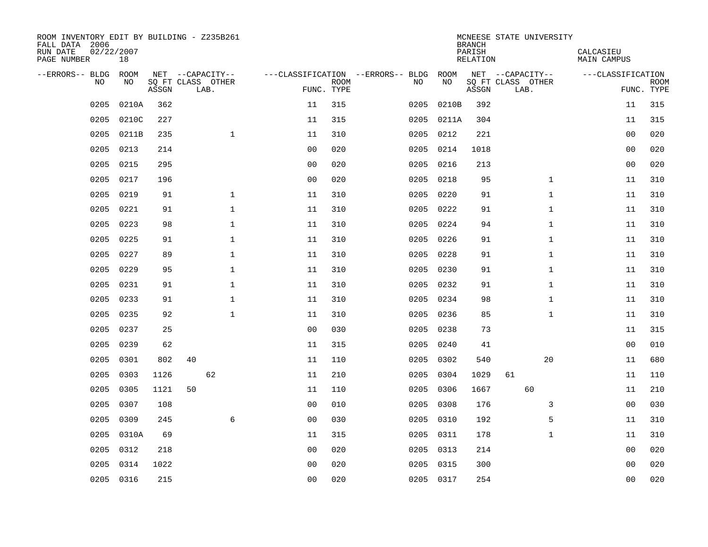| ROOM INVENTORY EDIT BY BUILDING - Z235B261<br>FALL DATA 2006<br>RUN DATE<br>PAGE NUMBER | 02/22/2007<br>18 |       |    |                           |              |                                   |                           |      |            | <b>BRANCH</b><br>PARISH<br><b>RELATION</b> | MCNEESE STATE UNIVERSITY  | CALCASIEU<br><b>MAIN CAMPUS</b> |                           |
|-----------------------------------------------------------------------------------------|------------------|-------|----|---------------------------|--------------|-----------------------------------|---------------------------|------|------------|--------------------------------------------|---------------------------|---------------------------------|---------------------------|
| --ERRORS-- BLDG ROOM                                                                    |                  |       |    | NET --CAPACITY--          |              | ---CLASSIFICATION --ERRORS-- BLDG |                           |      | ROOM       |                                            | NET --CAPACITY--          | ---CLASSIFICATION               |                           |
| NO.                                                                                     | NO               | ASSGN |    | SQ FT CLASS OTHER<br>LAB. |              |                                   | <b>ROOM</b><br>FUNC. TYPE | NO   | NO         | ASSGN                                      | SQ FT CLASS OTHER<br>LAB. |                                 | <b>ROOM</b><br>FUNC. TYPE |
| 0205                                                                                    | 0210A            | 362   |    |                           |              | 11                                | 315                       | 0205 | 0210B      | 392                                        |                           | 11                              | 315                       |
| 0205                                                                                    | 0210C            | 227   |    |                           |              | 11                                | 315                       |      | 0205 0211A | 304                                        |                           | 11                              | 315                       |
| 0205                                                                                    | 0211B            | 235   |    |                           | $\mathbf 1$  | 11                                | 310                       | 0205 | 0212       | 221                                        |                           | 00                              | 020                       |
| 0205                                                                                    | 0213             | 214   |    |                           |              | 0 <sub>0</sub>                    | 020                       |      | 0205 0214  | 1018                                       |                           | 00                              | 020                       |
| 0205                                                                                    | 0215             | 295   |    |                           |              | 0 <sub>0</sub>                    | 020                       | 0205 | 0216       | 213                                        |                           | 0 <sub>0</sub>                  | 020                       |
| 0205                                                                                    | 0217             | 196   |    |                           |              | 0 <sub>0</sub>                    | 020                       |      | 0205 0218  | 95                                         | $\mathbf{1}$              | 11                              | 310                       |
| 0205                                                                                    | 0219             | 91    |    |                           | $\mathbf{1}$ | 11                                | 310                       | 0205 | 0220       | 91                                         | $\mathbf{1}$              | 11                              | 310                       |
| 0205                                                                                    | 0221             | 91    |    |                           | $\mathbf{1}$ | 11                                | 310                       |      | 0205 0222  | 91                                         | $\mathbf{1}$              | 11                              | 310                       |
| 0205                                                                                    | 0223             | 98    |    |                           | $\mathbf{1}$ | 11                                | 310                       | 0205 | 0224       | 94                                         | $\mathbf{1}$              | 11                              | 310                       |
| 0205                                                                                    | 0225             | 91    |    |                           | 1            | 11                                | 310                       |      | 0205 0226  | 91                                         | $\mathbf{1}$              | 11                              | 310                       |
| 0205                                                                                    | 0227             | 89    |    |                           | $\mathbf 1$  | 11                                | 310                       | 0205 | 0228       | 91                                         | $\mathbf{1}$              | 11                              | 310                       |
| 0205                                                                                    | 0229             | 95    |    |                           | $\mathbf 1$  | 11                                | 310                       |      | 0205 0230  | 91                                         | $\mathbf{1}$              | 11                              | 310                       |
| 0205                                                                                    | 0231             | 91    |    |                           | $\mathbf{1}$ | 11                                | 310                       | 0205 | 0232       | 91                                         | $\mathbf{1}$              | 11                              | 310                       |
| 0205                                                                                    | 0233             | 91    |    |                           | $\mathbf 1$  | 11                                | 310                       | 0205 | 0234       | 98                                         | $\mathbf{1}$              | 11                              | 310                       |
| 0205                                                                                    | 0235             | 92    |    |                           | $\mathbf{1}$ | 11                                | 310                       | 0205 | 0236       | 85                                         | $\mathbf{1}$              | 11                              | 310                       |
| 0205                                                                                    | 0237             | 25    |    |                           |              | 00                                | 030                       | 0205 | 0238       | 73                                         |                           | 11                              | 315                       |
| 0205                                                                                    | 0239             | 62    |    |                           |              | 11                                | 315                       | 0205 | 0240       | 41                                         |                           | 0 <sub>0</sub>                  | 010                       |
| 0205                                                                                    | 0301             | 802   | 40 |                           |              | 11                                | 110                       | 0205 | 0302       | 540                                        | 20                        | 11                              | 680                       |
| 0205                                                                                    | 0303             | 1126  |    | 62                        |              | 11                                | 210                       | 0205 | 0304       | 1029                                       | 61                        | 11                              | 110                       |
| 0205                                                                                    | 0305             | 1121  | 50 |                           |              | 11                                | 110                       | 0205 | 0306       | 1667                                       | 60                        | 11                              | 210                       |
| 0205                                                                                    | 0307             | 108   |    |                           |              | 0 <sub>0</sub>                    | 010                       |      | 0205 0308  | 176                                        | 3                         | 0 <sub>0</sub>                  | 030                       |
| 0205                                                                                    | 0309             | 245   |    |                           | 6            | 00                                | 030                       |      | 0205 0310  | 192                                        | 5                         | 11                              | 310                       |
| 0205                                                                                    | 0310A            | 69    |    |                           |              | 11                                | 315                       |      | 0205 0311  | 178                                        | $\mathbf{1}$              | 11                              | 310                       |
| 0205                                                                                    | 0312             | 218   |    |                           |              | 0 <sub>0</sub>                    | 020                       |      | 0205 0313  | 214                                        |                           | 0 <sub>0</sub>                  | 020                       |
| 0205                                                                                    | 0314             | 1022  |    |                           |              | 0 <sub>0</sub>                    | 020                       |      | 0205 0315  | 300                                        |                           | 0 <sub>0</sub>                  | 020                       |
|                                                                                         | 0205 0316        | 215   |    |                           |              | 00                                | 020                       |      | 0205 0317  | 254                                        |                           | 0 <sub>0</sub>                  | 020                       |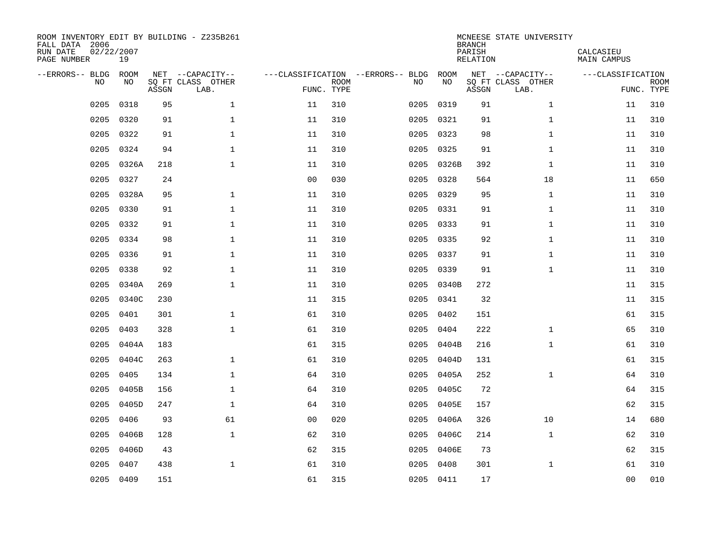| ROOM INVENTORY EDIT BY BUILDING - Z235B261<br>FALL DATA 2006<br>RUN DATE<br>PAGE NUMBER | 02/22/2007<br>19 |       |                           |                |                           |                                   |            | <b>BRANCH</b><br>PARISH<br>RELATION | MCNEESE STATE UNIVERSITY  | CALCASIEU<br><b>MAIN CAMPUS</b> |                           |
|-----------------------------------------------------------------------------------------|------------------|-------|---------------------------|----------------|---------------------------|-----------------------------------|------------|-------------------------------------|---------------------------|---------------------------------|---------------------------|
| --ERRORS-- BLDG                                                                         | ROOM             |       | NET --CAPACITY--          |                |                           | ---CLASSIFICATION --ERRORS-- BLDG | ROOM       |                                     | NET --CAPACITY--          | ---CLASSIFICATION               |                           |
| NO                                                                                      | NO               | ASSGN | SQ FT CLASS OTHER<br>LAB. |                | <b>ROOM</b><br>FUNC. TYPE | NO                                | NO         | ASSGN                               | SQ FT CLASS OTHER<br>LAB. |                                 | <b>ROOM</b><br>FUNC. TYPE |
| 0205                                                                                    | 0318             | 95    | $\mathbf{1}$              | 11             | 310                       | 0205                              | 0319       | 91                                  | $\mathbf{1}$              | 11                              | 310                       |
| 0205                                                                                    | 0320             | 91    | $\mathbf 1$               | 11             | 310                       | 0205                              | 0321       | 91                                  | $\mathbf{1}$              | 11                              | 310                       |
| 0205                                                                                    | 0322             | 91    | $\mathbf{1}$              | 11             | 310                       | 0205                              | 0323       | 98                                  | $\mathbf{1}$              | 11                              | 310                       |
| 0205                                                                                    | 0324             | 94    | $\mathbf{1}$              | 11             | 310                       | 0205                              | 0325       | 91                                  | $\mathbf{1}$              | 11                              | 310                       |
| 0205                                                                                    | 0326A            | 218   | $\mathbf{1}$              | 11             | 310                       | 0205                              | 0326B      | 392                                 | $\mathbf{1}$              | 11                              | 310                       |
| 0205                                                                                    | 0327             | 24    |                           | 0 <sub>0</sub> | 030                       |                                   | 0205 0328  | 564                                 | 18                        | 11                              | 650                       |
| 0205                                                                                    | 0328A            | 95    | $\mathbf{1}$              | 11             | 310                       | 0205                              | 0329       | 95                                  | $\mathbf{1}$              | 11                              | 310                       |
| 0205                                                                                    | 0330             | 91    | $\mathbf 1$               | 11             | 310                       |                                   | 0205 0331  | 91                                  | $\mathbf{1}$              | 11                              | 310                       |
| 0205                                                                                    | 0332             | 91    | $\mathbf{1}$              | 11             | 310                       | 0205                              | 0333       | 91                                  | $\mathbf{1}$              | 11                              | 310                       |
| 0205                                                                                    | 0334             | 98    | $\mathbf 1$               | 11             | 310                       |                                   | 0205 0335  | 92                                  | $\mathbf{1}$              | 11                              | 310                       |
| 0205                                                                                    | 0336             | 91    | $\mathbf{1}$              | 11             | 310                       | 0205                              | 0337       | 91                                  | $\mathbf{1}$              | 11                              | 310                       |
| 0205                                                                                    | 0338             | 92    | $\mathbf 1$               | 11             | 310                       |                                   | 0205 0339  | 91                                  | $\mathbf{1}$              | 11                              | 310                       |
| 0205                                                                                    | 0340A            | 269   | $\mathbf{1}$              | 11             | 310                       | 0205                              | 0340B      | 272                                 |                           | 11                              | 315                       |
| 0205                                                                                    | 0340C            | 230   |                           | 11             | 315                       | 0205                              | 0341       | 32                                  |                           | 11                              | 315                       |
| 0205                                                                                    | 0401             | 301   | $\mathbf 1$               | 61             | 310                       | 0205                              | 0402       | 151                                 |                           | 61                              | 315                       |
| 0205                                                                                    | 0403             | 328   | $\mathbf 1$               | 61             | 310                       | 0205                              | 0404       | 222                                 | $\mathbf{1}$              | 65                              | 310                       |
| 0205                                                                                    | 0404A            | 183   |                           | 61             | 315                       | 0205                              | 0404B      | 216                                 | $\mathbf{1}$              | 61                              | 310                       |
| 0205                                                                                    | 0404C            | 263   | $\mathbf 1$               | 61             | 310                       | 0205                              | 0404D      | 131                                 |                           | 61                              | 315                       |
| 0205                                                                                    | 0405             | 134   | $\mathbf 1$               | 64             | 310                       |                                   | 0205 0405A | 252                                 | $\mathbf{1}$              | 64                              | 310                       |
| 0205                                                                                    | 0405B            | 156   | $\mathbf 1$               | 64             | 310                       | 0205                              | 0405C      | 72                                  |                           | 64                              | 315                       |
| 0205                                                                                    | 0405D            | 247   | $\mathbf{1}$              | 64             | 310                       | 0205                              | 0405E      | 157                                 |                           | 62                              | 315                       |
| 0205                                                                                    | 0406             | 93    | 61                        | 0 <sub>0</sub> | 020                       | 0205                              | 0406A      | 326                                 | 10                        | 14                              | 680                       |
| 0205                                                                                    | 0406B            | 128   | $\mathbf{1}$              | 62             | 310                       | 0205                              | 0406C      | 214                                 | $\mathbf{1}$              | 62                              | 310                       |
| 0205                                                                                    | 0406D            | 43    |                           | 62             | 315                       | 0205                              | 0406E      | 73                                  |                           | 62                              | 315                       |
| 0205                                                                                    | 0407             | 438   | $\mathbf 1$               | 61             | 310                       | 0205                              | 0408       | 301                                 | $\mathbf{1}$              | 61                              | 310                       |
|                                                                                         | 0205 0409        | 151   |                           | 61             | 315                       |                                   | 0205 0411  | 17                                  |                           | 00                              | 010                       |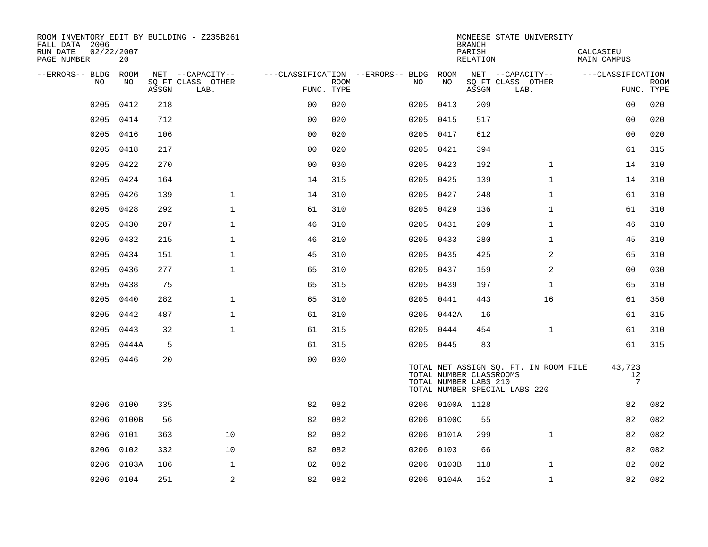| ROOM INVENTORY EDIT BY BUILDING - Z235B261<br>FALL DATA 2006<br>02/22/2007<br>RUN DATE<br>PAGE NUMBER | 20        |       |                           |                |             |                                        |                 | <b>BRANCH</b><br>PARISH<br>RELATION              | MCNEESE STATE UNIVERSITY                                               | CALCASIEU<br>MAIN CAMPUS        |                           |
|-------------------------------------------------------------------------------------------------------|-----------|-------|---------------------------|----------------|-------------|----------------------------------------|-----------------|--------------------------------------------------|------------------------------------------------------------------------|---------------------------------|---------------------------|
| --ERRORS-- BLDG ROOM                                                                                  |           |       | NET --CAPACITY--          |                |             | ---CLASSIFICATION --ERRORS-- BLDG ROOM |                 |                                                  | NET --CAPACITY--                                                       | ---CLASSIFICATION               |                           |
| NO                                                                                                    | NO        | ASSGN | SQ FT CLASS OTHER<br>LAB. | FUNC. TYPE     | <b>ROOM</b> | NO                                     | NO              | ASSGN                                            | SQ FT CLASS OTHER<br>LAB.                                              |                                 | <b>ROOM</b><br>FUNC. TYPE |
| 0205                                                                                                  | 0412      | 218   |                           | 0 <sub>0</sub> | 020         |                                        | 0205 0413       | 209                                              |                                                                        | 0 <sub>0</sub>                  | 020                       |
| 0205                                                                                                  | 0414      | 712   |                           | 0 <sub>0</sub> | 020         |                                        | 0205 0415       | 517                                              |                                                                        | 00                              | 020                       |
| 0205                                                                                                  | 0416      | 106   |                           | 0 <sub>0</sub> | 020         |                                        | 0205 0417       | 612                                              |                                                                        | 0 <sub>0</sub>                  | 020                       |
| 0205                                                                                                  | 0418      | 217   |                           | 0 <sub>0</sub> | 020         |                                        | 0205 0421       | 394                                              |                                                                        | 61                              | 315                       |
| 0205                                                                                                  | 0422      | 270   |                           | 00             | 030         |                                        | 0205 0423       | 192                                              | $\mathbf{1}$                                                           | 14                              | 310                       |
| 0205                                                                                                  | 0424      | 164   |                           | 14             | 315         |                                        | 0205 0425       | 139                                              | $\mathbf{1}$                                                           | 14                              | 310                       |
| 0205                                                                                                  | 0426      | 139   | $\mathbf{1}$              | 14             | 310         |                                        | 0205 0427       | 248                                              | $\mathbf{1}$                                                           | 61                              | 310                       |
| 0205                                                                                                  | 0428      | 292   | $\mathbf{1}$              | 61             | 310         |                                        | 0205 0429       | 136                                              | $\mathbf{1}$                                                           | 61                              | 310                       |
| 0205                                                                                                  | 0430      | 207   | $\mathbf 1$               | 46             | 310         |                                        | 0205 0431       | 209                                              | $\mathbf{1}$                                                           | 46                              | 310                       |
| 0205                                                                                                  | 0432      | 215   | $\mathbf 1$               | 46             | 310         |                                        | 0205 0433       | 280                                              | $\mathbf{1}$                                                           | 45                              | 310                       |
| 0205                                                                                                  | 0434      | 151   | $\mathbf{1}$              | 45             | 310         |                                        | 0205 0435       | 425                                              | 2                                                                      | 65                              | 310                       |
| 0205                                                                                                  | 0436      | 277   | $\mathbf{1}$              | 65             | 310         |                                        | 0205 0437       | 159                                              | 2                                                                      | 0 <sub>0</sub>                  | 030                       |
| 0205                                                                                                  | 0438      | 75    |                           | 65             | 315         |                                        | 0205 0439       | 197                                              | $\mathbf{1}$                                                           | 65                              | 310                       |
| 0205                                                                                                  | 0440      | 282   | $\mathbf 1$               | 65             | 310         |                                        | 0205 0441       | 443                                              | 16                                                                     | 61                              | 350                       |
| 0205                                                                                                  | 0442      | 487   | $\mathbf{1}$              | 61             | 310         |                                        | 0205 0442A      | 16                                               |                                                                        | 61                              | 315                       |
| 0205                                                                                                  | 0443      | 32    | $\mathbf 1$               | 61             | 315         |                                        | 0205 0444       | 454                                              | $\mathbf{1}$                                                           | 61                              | 310                       |
| 0205                                                                                                  | 0444A     | 5     |                           | 61             | 315         |                                        | 0205 0445       | 83                                               |                                                                        | 61                              | 315                       |
|                                                                                                       | 0205 0446 | 20    |                           | 0 <sub>0</sub> | 030         |                                        |                 | TOTAL NUMBER CLASSROOMS<br>TOTAL NUMBER LABS 210 | TOTAL NET ASSIGN SQ. FT. IN ROOM FILE<br>TOTAL NUMBER SPECIAL LABS 220 | 43,723<br>12<br>$7\phantom{.0}$ |                           |
|                                                                                                       | 0206 0100 | 335   |                           | 82             | 082         |                                        | 0206 0100A 1128 |                                                  |                                                                        | 82                              | 082                       |
| 0206                                                                                                  | 0100B     | 56    |                           | 82             | 082         | 0206                                   | 0100C           | 55                                               |                                                                        | 82                              | 082                       |
| 0206                                                                                                  | 0101      | 363   | 10                        | 82             | 082         |                                        | 0206 0101A      | 299                                              | $\mathbf{1}$                                                           | 82                              | 082                       |
| 0206                                                                                                  | 0102      | 332   | 10                        | 82             | 082         | 0206                                   | 0103            | 66                                               |                                                                        | 82                              | 082                       |
| 0206                                                                                                  | 0103A     | 186   | $\mathbf 1$               | 82             | 082         |                                        | 0206 0103B      | 118                                              | $\mathbf{1}$                                                           | 82                              | 082                       |
|                                                                                                       | 0206 0104 | 251   | 2                         | 82             | 082         |                                        | 0206 0104A      | 152                                              | $\mathbf{1}$                                                           | 82                              | 082                       |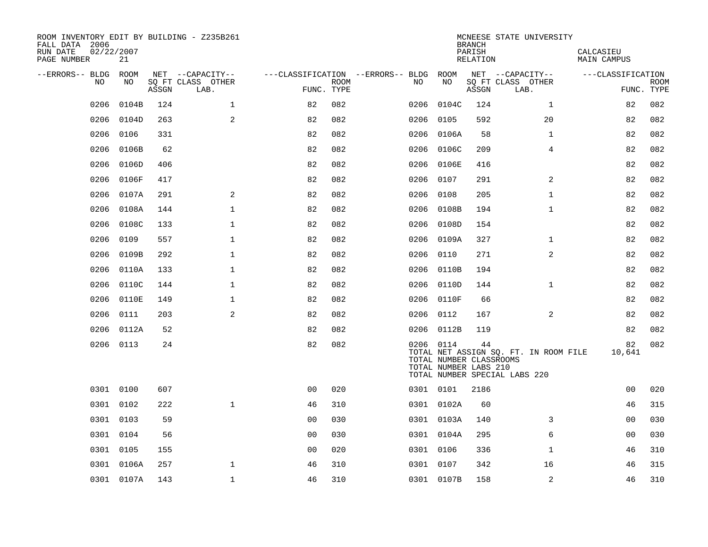| ROOM INVENTORY EDIT BY BUILDING - Z235B261<br>FALL DATA 2006<br>RUN DATE<br>02/22/2007<br>PAGE NUMBER | 21         |       |                           |                                        |             |      |                                                               | <b>BRANCH</b><br>PARISH<br>RELATION | MCNEESE STATE UNIVERSITY                                               | CALCASIEU<br>MAIN CAMPUS |             |
|-------------------------------------------------------------------------------------------------------|------------|-------|---------------------------|----------------------------------------|-------------|------|---------------------------------------------------------------|-------------------------------------|------------------------------------------------------------------------|--------------------------|-------------|
| --ERRORS-- BLDG ROOM                                                                                  |            |       | NET --CAPACITY--          | ---CLASSIFICATION --ERRORS-- BLDG ROOM |             |      |                                                               |                                     | NET --CAPACITY--                                                       | ---CLASSIFICATION        |             |
| NO.                                                                                                   | NO.        | ASSGN | SQ FT CLASS OTHER<br>LAB. | FUNC. TYPE                             | <b>ROOM</b> | NO.  | NO                                                            | ASSGN                               | SQ FT CLASS OTHER<br>LAB.                                              | FUNC. TYPE               | <b>ROOM</b> |
| 0206                                                                                                  | 0104B      | 124   | $\mathbf{1}$              | 82                                     | 082         | 0206 | 0104C                                                         | 124                                 | $\mathbf{1}$                                                           | 82                       | 082         |
| 0206                                                                                                  | 0104D      | 263   | 2                         | 82                                     | 082         | 0206 | 0105                                                          | 592                                 | 20                                                                     | 82                       | 082         |
| 0206                                                                                                  | 0106       | 331   |                           | 82                                     | 082         | 0206 | 0106A                                                         | 58                                  | $\mathbf{1}$                                                           | 82                       | 082         |
| 0206                                                                                                  | 0106B      | 62    |                           | 82                                     | 082         | 0206 | 0106C                                                         | 209                                 | 4                                                                      | 82                       | 082         |
| 0206                                                                                                  | 0106D      | 406   |                           | 82                                     | 082         | 0206 | 0106E                                                         | 416                                 |                                                                        | 82                       | 082         |
| 0206                                                                                                  | 0106F      | 417   |                           | 82                                     | 082         | 0206 | 0107                                                          | 291                                 | 2                                                                      | 82                       | 082         |
| 0206                                                                                                  | 0107A      | 291   | 2                         | 82                                     | 082         | 0206 | 0108                                                          | 205                                 | $\mathbf{1}$                                                           | 82                       | 082         |
| 0206                                                                                                  | 0108A      | 144   | $\mathbf{1}$              | 82                                     | 082         |      | 0206 0108B                                                    | 194                                 | $\mathbf{1}$                                                           | 82                       | 082         |
| 0206                                                                                                  | 0108C      | 133   | $\mathbf{1}$              | 82                                     | 082         | 0206 | 0108D                                                         | 154                                 |                                                                        | 82                       | 082         |
| 0206                                                                                                  | 0109       | 557   | $\mathbf{1}$              | 82                                     | 082         |      | 0206 0109A                                                    | 327                                 | $\mathbf{1}$                                                           | 82                       | 082         |
| 0206                                                                                                  | 0109B      | 292   | $\mathbf 1$               | 82                                     | 082         | 0206 | 0110                                                          | 271                                 | 2                                                                      | 82                       | 082         |
| 0206                                                                                                  | 0110A      | 133   | $\mathbf 1$               | 82                                     | 082         |      | 0206 0110B                                                    | 194                                 |                                                                        | 82                       | 082         |
| 0206                                                                                                  | 0110C      | 144   | $\mathbf{1}$              | 82                                     | 082         | 0206 | 0110D                                                         | 144                                 | $\mathbf{1}$                                                           | 82                       | 082         |
| 0206                                                                                                  | 0110E      | 149   | 1                         | 82                                     | 082         |      | 0206 0110F                                                    | 66                                  |                                                                        | 82                       | 082         |
| 0206                                                                                                  | 0111       | 203   | 2                         | 82                                     | 082         | 0206 | 0112                                                          | 167                                 | $\overline{2}$                                                         | 82                       | 082         |
| 0206                                                                                                  | 0112A      | 52    |                           | 82                                     | 082         |      | 0206 0112B                                                    | 119                                 |                                                                        | 82                       | 082         |
|                                                                                                       | 0206 0113  | 24    |                           | 82                                     | 082         |      | 0206 0114<br>TOTAL NUMBER CLASSROOMS<br>TOTAL NUMBER LABS 210 | 44                                  | TOTAL NET ASSIGN SQ. FT. IN ROOM FILE<br>TOTAL NUMBER SPECIAL LABS 220 | 82<br>10,641             | 082         |
|                                                                                                       | 0301 0100  | 607   |                           | 0 <sub>0</sub>                         | 020         |      | 0301 0101                                                     | 2186                                |                                                                        | 0 <sub>0</sub>           | 020         |
|                                                                                                       | 0301 0102  | 222   | $\mathbf{1}$              | 46                                     | 310         |      | 0301 0102A                                                    | 60                                  |                                                                        | 46                       | 315         |
|                                                                                                       | 0301 0103  | 59    |                           | 00                                     | 030         |      | 0301 0103A                                                    | 140                                 | 3                                                                      | 0 <sub>0</sub>           | 030         |
|                                                                                                       | 0301 0104  | 56    |                           | 0 <sub>0</sub>                         | 030         |      | 0301 0104A                                                    | 295                                 | 6                                                                      | 00                       | 030         |
| 0301                                                                                                  | 0105       | 155   |                           | 00                                     | 020         |      | 0301 0106                                                     | 336                                 | $\mathbf{1}$                                                           | 46                       | 310         |
| 0301                                                                                                  | 0106A      | 257   | $\mathbf 1$               | 46                                     | 310         |      | 0301 0107                                                     | 342                                 | 16                                                                     | 46                       | 315         |
|                                                                                                       | 0301 0107A | 143   | $\mathbf{1}$              | 46                                     | 310         |      | 0301 0107B                                                    | 158                                 | 2                                                                      | 46                       | 310         |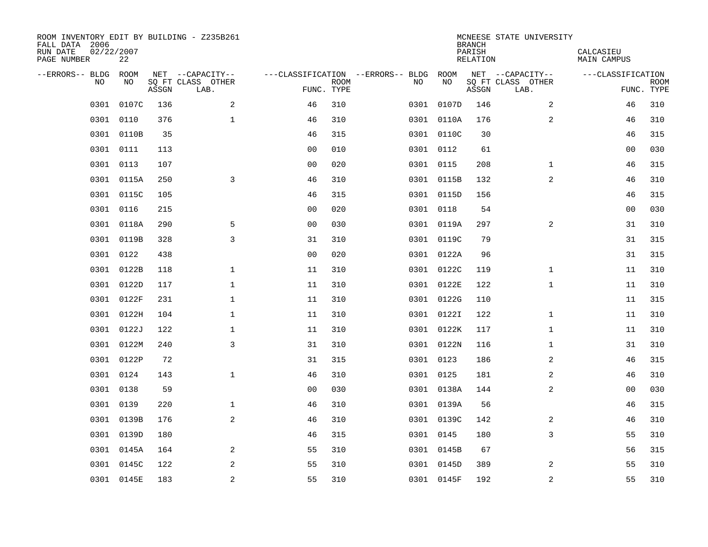| ROOM INVENTORY EDIT BY BUILDING - Z235B261<br>FALL DATA 2006<br>RUN DATE<br>PAGE NUMBER | 02/22/2007<br>22 |       |                           |                |             |                                        |            | <b>BRANCH</b><br>PARISH<br><b>RELATION</b> | MCNEESE STATE UNIVERSITY  | CALCASIEU<br><b>MAIN CAMPUS</b> |                           |
|-----------------------------------------------------------------------------------------|------------------|-------|---------------------------|----------------|-------------|----------------------------------------|------------|--------------------------------------------|---------------------------|---------------------------------|---------------------------|
| --ERRORS-- BLDG ROOM                                                                    |                  |       | NET --CAPACITY--          |                |             | ---CLASSIFICATION --ERRORS-- BLDG ROOM |            |                                            | NET --CAPACITY--          | ---CLASSIFICATION               |                           |
| NO.                                                                                     | NO               | ASSGN | SQ FT CLASS OTHER<br>LAB. | FUNC. TYPE     | <b>ROOM</b> | NO                                     | NO         | ASSGN                                      | SQ FT CLASS OTHER<br>LAB. |                                 | <b>ROOM</b><br>FUNC. TYPE |
| 0301                                                                                    | 0107C            | 136   | 2                         | 46             | 310         |                                        | 0301 0107D | 146                                        | 2                         | 46                              | 310                       |
| 0301                                                                                    | 0110             | 376   | $\mathbf 1$               | 46             | 310         |                                        | 0301 0110A | 176                                        | 2                         | 46                              | 310                       |
|                                                                                         | 0301 0110B       | 35    |                           | 46             | 315         |                                        | 0301 0110C |                                            | 30                        | 46                              | 315                       |
| 0301                                                                                    | 0111             | 113   |                           | 00             | 010         |                                        | 0301 0112  |                                            | 61                        | 00                              | 030                       |
| 0301                                                                                    | 0113             | 107   |                           | 00             | 020         |                                        | 0301 0115  | 208                                        | $\mathbf{1}$              | 46                              | 315                       |
| 0301                                                                                    | 0115A            | 250   | 3                         | 46             | 310         |                                        | 0301 0115B |                                            | $\overline{a}$<br>132     | 46                              | 310                       |
| 0301                                                                                    | 0115C            | 105   |                           | 46             | 315         |                                        | 0301 0115D | 156                                        |                           | 46                              | 315                       |
|                                                                                         | 0301 0116        | 215   |                           | 0 <sub>0</sub> | 020         |                                        | 0301 0118  |                                            | 54                        | 0 <sub>0</sub>                  | 030                       |
| 0301                                                                                    | 0118A            | 290   | 5                         | 0 <sub>0</sub> | 030         |                                        | 0301 0119A |                                            | 2<br>297                  | 31                              | 310                       |
|                                                                                         | 0301 0119B       | 328   | 3                         | 31             | 310         |                                        | 0301 0119C |                                            | 79                        | 31                              | 315                       |
| 0301                                                                                    | 0122             | 438   |                           | 0 <sub>0</sub> | 020         |                                        | 0301 0122A |                                            | 96                        | 31                              | 315                       |
|                                                                                         | 0301 0122B       | 118   | $\mathbf 1$               | 11             | 310         |                                        | 0301 0122C | 119                                        | $\mathbf{1}$              | 11                              | 310                       |
| 0301                                                                                    | 0122D            | 117   | $\mathbf 1$               | 11             | 310         |                                        | 0301 0122E | 122                                        | $\mathbf{1}$              | 11                              | 310                       |
| 0301                                                                                    | 0122F            | 231   | $\mathbf 1$               | 11             | 310         |                                        | 0301 0122G | 110                                        |                           | 11                              | 315                       |
| 0301                                                                                    | 0122H            | 104   | $\mathbf{1}$              | 11             | 310         |                                        | 0301 01221 | 122                                        | $\mathbf{1}$              | 11                              | 310                       |
|                                                                                         | 0301 0122J       | 122   | 1                         | 11             | 310         |                                        | 0301 0122K | 117                                        | $\mathbf{1}$              | 11                              | 310                       |
| 0301                                                                                    | 0122M            | 240   | $\overline{3}$            | 31             | 310         |                                        | 0301 0122N | 116                                        | $\mathbf{1}$              | 31                              | 310                       |
| 0301                                                                                    | 0122P            | 72    |                           | 31             | 315         |                                        | 0301 0123  | 186                                        | 2                         | 46                              | 315                       |
|                                                                                         | 0301 0124        | 143   | $\mathbf{1}$              | 46             | 310         |                                        | 0301 0125  | 181                                        | 2                         | 46                              | 310                       |
|                                                                                         | 0301 0138        | 59    |                           | 0 <sub>0</sub> | 030         |                                        | 0301 0138A | 144                                        | 2                         | 00                              | 030                       |
|                                                                                         | 0301 0139        | 220   | $\mathbf{1}$              | 46             | 310         |                                        | 0301 0139A |                                            | 56                        | 46                              | 315                       |
| 0301                                                                                    | 0139B            | 176   | 2                         | 46             | 310         |                                        | 0301 0139C | 142                                        | 2                         | 46                              | 310                       |
|                                                                                         | 0301 0139D       | 180   |                           | 46             | 315         |                                        | 0301 0145  | 180                                        | 3                         | 55                              | 310                       |
| 0301                                                                                    | 0145A            | 164   | 2                         | 55             | 310         |                                        | 0301 0145B |                                            | 67                        | 56                              | 315                       |
|                                                                                         | 0301 0145C       | 122   | 2                         | 55             | 310         |                                        | 0301 0145D |                                            | 389<br>2                  | 55                              | 310                       |
|                                                                                         | 0301 0145E       | 183   | 2                         | 55             | 310         |                                        | 0301 0145F |                                            | 2<br>192                  | 55                              | 310                       |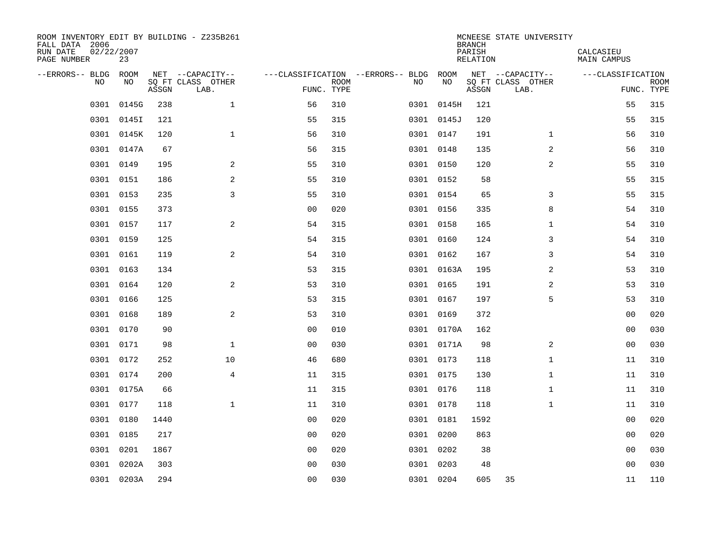| ROOM INVENTORY EDIT BY BUILDING - Z235B261<br>FALL DATA 2006<br>RUN DATE<br>PAGE NUMBER | 02/22/2007<br>23 |       |                           |                |             |                                        |            | <b>BRANCH</b><br>PARISH<br><b>RELATION</b> | MCNEESE STATE UNIVERSITY  | CALCASIEU<br><b>MAIN CAMPUS</b> |                           |
|-----------------------------------------------------------------------------------------|------------------|-------|---------------------------|----------------|-------------|----------------------------------------|------------|--------------------------------------------|---------------------------|---------------------------------|---------------------------|
| --ERRORS-- BLDG ROOM                                                                    |                  |       | NET --CAPACITY--          |                |             | ---CLASSIFICATION --ERRORS-- BLDG ROOM |            |                                            | NET --CAPACITY--          | ---CLASSIFICATION               |                           |
| NO.                                                                                     | NO               | ASSGN | SQ FT CLASS OTHER<br>LAB. | FUNC. TYPE     | <b>ROOM</b> | NO                                     | NO         | ASSGN                                      | SQ FT CLASS OTHER<br>LAB. |                                 | <b>ROOM</b><br>FUNC. TYPE |
| 0301                                                                                    | 0145G            | 238   | $\mathbf 1$               | 56             | 310         |                                        | 0301 0145H | 121                                        |                           | 55                              | 315                       |
|                                                                                         | 0301 0145I       | 121   |                           | 55             | 315         |                                        | 0301 0145J | 120                                        |                           | 55                              | 315                       |
|                                                                                         | 0301 0145K       | 120   | $\mathbf 1$               | 56             | 310         |                                        | 0301 0147  | 191                                        | $\mathbf{1}$              | 56                              | 310                       |
| 0301                                                                                    | 0147A            | 67    |                           | 56             | 315         |                                        | 0301 0148  | 135                                        | 2                         | 56                              | 310                       |
| 0301                                                                                    | 0149             | 195   | 2                         | 55             | 310         |                                        | 0301 0150  | 120                                        | $\overline{a}$            | 55                              | 310                       |
| 0301                                                                                    | 0151             | 186   | $\mathbf{2}$              | 55             | 310         |                                        | 0301 0152  | 58                                         |                           | 55                              | 315                       |
| 0301                                                                                    | 0153             | 235   | $\overline{3}$            | 55             | 310         |                                        | 0301 0154  | 65                                         | 3                         | 55                              | 315                       |
|                                                                                         | 0301 0155        | 373   |                           | 0 <sub>0</sub> | 020         |                                        | 0301 0156  | 335                                        | 8                         | 54                              | 310                       |
| 0301                                                                                    | 0157             | 117   | 2                         | 54             | 315         |                                        | 0301 0158  | 165                                        | $\mathbf{1}$              | 54                              | 310                       |
|                                                                                         | 0301 0159        | 125   |                           | 54             | 315         |                                        | 0301 0160  | 124                                        | 3                         | 54                              | 310                       |
|                                                                                         | 0301 0161        | 119   | 2                         | 54             | 310         |                                        | 0301 0162  | 167                                        | 3                         | 54                              | 310                       |
|                                                                                         | 0301 0163        | 134   |                           | 53             | 315         |                                        | 0301 0163A | 195                                        | 2                         | 53                              | 310                       |
| 0301                                                                                    | 0164             | 120   | 2                         | 53             | 310         |                                        | 0301 0165  | 191                                        | 2                         | 53                              | 310                       |
|                                                                                         | 0301 0166        | 125   |                           | 53             | 315         |                                        | 0301 0167  | 197                                        | 5                         | 53                              | 310                       |
| 0301                                                                                    | 0168             | 189   | 2                         | 53             | 310         |                                        | 0301 0169  | 372                                        |                           | 0 <sub>0</sub>                  | 020                       |
|                                                                                         | 0301 0170        | 90    |                           | 00             | 010         |                                        | 0301 0170A | 162                                        |                           | 00                              | 030                       |
| 0301                                                                                    | 0171             | 98    | $\mathbf{1}$              | 0 <sub>0</sub> | 030         |                                        | 0301 0171A | 98                                         | 2                         | 0 <sub>0</sub>                  | 030                       |
| 0301                                                                                    | 0172             | 252   | 10                        | 46             | 680         |                                        | 0301 0173  | 118                                        | $\mathbf{1}$              | 11                              | 310                       |
|                                                                                         | 0301 0174        | 200   | 4                         | 11             | 315         |                                        | 0301 0175  | 130                                        | $\mathbf{1}$              | 11                              | 310                       |
|                                                                                         | 0301 0175A       | 66    |                           | 11             | 315         |                                        | 0301 0176  | 118                                        | $\mathbf{1}$              | 11                              | 310                       |
|                                                                                         | 0301 0177        | 118   | $\mathbf{1}$              | 11             | 310         |                                        | 0301 0178  | 118                                        | $\mathbf{1}$              | 11                              | 310                       |
| 0301                                                                                    | 0180             | 1440  |                           | 0 <sub>0</sub> | 020         |                                        | 0301 0181  | 1592                                       |                           | 0 <sub>0</sub>                  | 020                       |
|                                                                                         | 0301 0185        | 217   |                           | 0 <sub>0</sub> | 020         |                                        | 0301 0200  | 863                                        |                           | 0 <sub>0</sub>                  | 020                       |
| 0301                                                                                    | 0201             | 1867  |                           | 00             | 020         |                                        | 0301 0202  | 38                                         |                           | 00                              | 030                       |
| 0301                                                                                    | 0202A            | 303   |                           | 0 <sub>0</sub> | 030         |                                        | 0301 0203  | 48                                         |                           | 0 <sub>0</sub>                  | 030                       |
|                                                                                         | 0301 0203A       | 294   |                           | 00             | 030         |                                        | 0301 0204  | 605                                        | 35                        | 11                              | 110                       |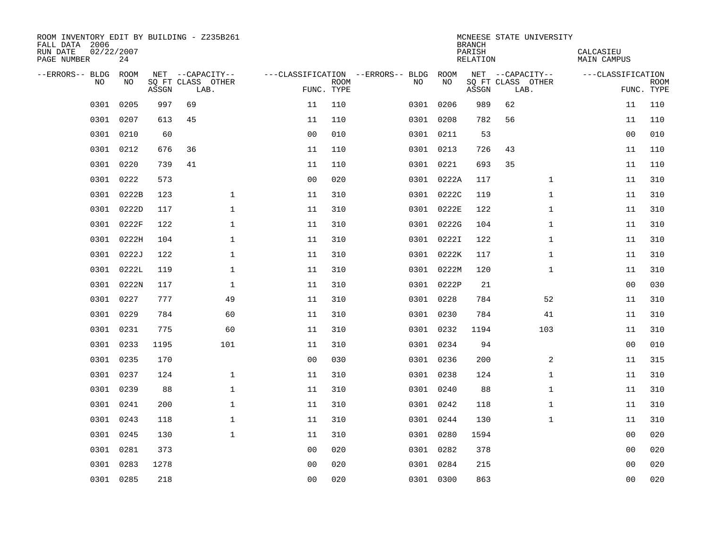| ROOM INVENTORY EDIT BY BUILDING - Z235B261<br>FALL DATA 2006<br>RUN DATE<br>PAGE NUMBER | 02/22/2007<br>24 |       |                           |                |             |                                   |            | <b>BRANCH</b><br>PARISH<br><b>RELATION</b> | MCNEESE STATE UNIVERSITY  | CALCASIEU<br><b>MAIN CAMPUS</b> |                           |
|-----------------------------------------------------------------------------------------|------------------|-------|---------------------------|----------------|-------------|-----------------------------------|------------|--------------------------------------------|---------------------------|---------------------------------|---------------------------|
| --ERRORS-- BLDG                                                                         | ROOM             |       | NET --CAPACITY--          |                |             | ---CLASSIFICATION --ERRORS-- BLDG | ROOM       |                                            | NET --CAPACITY--          | ---CLASSIFICATION               |                           |
| <b>NO</b>                                                                               | NO.              | ASSGN | SO FT CLASS OTHER<br>LAB. | FUNC. TYPE     | <b>ROOM</b> | NO.                               | NO         | ASSGN                                      | SQ FT CLASS OTHER<br>LAB. |                                 | <b>ROOM</b><br>FUNC. TYPE |
| 0301                                                                                    | 0205             | 997   | 69                        | 11             | 110         |                                   | 0301 0206  | 989                                        | 62                        | 11                              | 110                       |
| 0301                                                                                    | 0207             | 613   | 45                        | 11             | 110         |                                   | 0301 0208  | 782                                        | 56                        | 11                              | 110                       |
| 0301                                                                                    | 0210             | 60    |                           | 0 <sub>0</sub> | 010         |                                   | 0301 0211  | 53                                         |                           | 0 <sub>0</sub>                  | 010                       |
| 0301                                                                                    | 0212             | 676   | 36                        | 11             | 110         |                                   | 0301 0213  | 726                                        | 43                        | 11                              | 110                       |
| 0301                                                                                    | 0220             | 739   | 41                        | 11             | 110         |                                   | 0301 0221  | 693                                        | 35                        | 11                              | 110                       |
| 0301                                                                                    | 0222             | 573   |                           | 0 <sub>0</sub> | 020         |                                   | 0301 0222A | 117                                        | $\mathbf{1}$              | 11                              | 310                       |
| 0301                                                                                    | 0222B            | 123   | 1                         | 11             | 310         |                                   | 0301 0222C | 119                                        | $\mathbf{1}$              | 11                              | 310                       |
| 0301                                                                                    | 0222D            | 117   | $\mathbf 1$               | 11             | 310         |                                   | 0301 0222E | 122                                        | $\mathbf{1}$              | 11                              | 310                       |
| 0301                                                                                    | 0222F            | 122   | $\mathbf{1}$              | 11             | 310         |                                   | 0301 0222G | 104                                        | $\mathbf{1}$              | 11                              | 310                       |
| 0301                                                                                    | 0222H            | 104   | $\mathbf 1$               | 11             | 310         |                                   | 0301 0222I | 122                                        | $\mathbf{1}$              | 11                              | 310                       |
| 0301                                                                                    | 0222J            | 122   | $\mathbf 1$               | 11             | 310         |                                   | 0301 0222K | 117                                        | $\mathbf{1}$              | 11                              | 310                       |
|                                                                                         | 0301 0222L       | 119   | $\mathbf{1}$              | 11             | 310         |                                   | 0301 0222M | 120                                        | $\mathbf{1}$              | 11                              | 310                       |
| 0301                                                                                    | 0222N            | 117   | $\mathbf{1}$              | 11             | 310         |                                   | 0301 0222P | 21                                         |                           | 0 <sub>0</sub>                  | 030                       |
| 0301                                                                                    | 0227             | 777   | 49                        | 11             | 310         |                                   | 0301 0228  | 784                                        | 52                        | 11                              | 310                       |
| 0301                                                                                    | 0229             | 784   | 60                        | 11             | 310         |                                   | 0301 0230  | 784                                        | 41                        | 11                              | 310                       |
|                                                                                         | 0301 0231        | 775   | 60                        | 11             | 310         |                                   | 0301 0232  | 1194                                       | 103                       | 11                              | 310                       |
| 0301                                                                                    | 0233             | 1195  | 101                       | 11             | 310         |                                   | 0301 0234  | 94                                         |                           | 00                              | 010                       |
| 0301                                                                                    | 0235             | 170   |                           | 0 <sub>0</sub> | 030         |                                   | 0301 0236  | 200                                        | 2                         | 11                              | 315                       |
| 0301                                                                                    | 0237             | 124   | $\mathbf 1$               | 11             | 310         |                                   | 0301 0238  | 124                                        | $\mathbf{1}$              | 11                              | 310                       |
| 0301                                                                                    | 0239             | 88    | $\mathbf{1}$              | 11             | 310         |                                   | 0301 0240  | 88                                         | $\mathbf{1}$              | 11                              | 310                       |
| 0301                                                                                    | 0241             | 200   | $\mathbf 1$               | 11             | 310         | 0301                              | 0242       | 118                                        | $\mathbf{1}$              | 11                              | 310                       |
| 0301                                                                                    | 0243             | 118   | $\mathbf{1}$              | 11             | 310         |                                   | 0301 0244  | 130                                        | $\mathbf{1}$              | 11                              | 310                       |
| 0301                                                                                    | 0245             | 130   | $\mathbf{1}$              | 11             | 310         |                                   | 0301 0280  | 1594                                       |                           | 00                              | 020                       |
| 0301                                                                                    | 0281             | 373   |                           | 0 <sub>0</sub> | 020         |                                   | 0301 0282  | 378                                        |                           | 0 <sub>0</sub>                  | 020                       |
| 0301                                                                                    | 0283             | 1278  |                           | 00             | 020         |                                   | 0301 0284  | 215                                        |                           | 00                              | 020                       |
|                                                                                         | 0301 0285        | 218   |                           | 0 <sub>0</sub> | 020         |                                   | 0301 0300  | 863                                        |                           | 0 <sub>0</sub>                  | 020                       |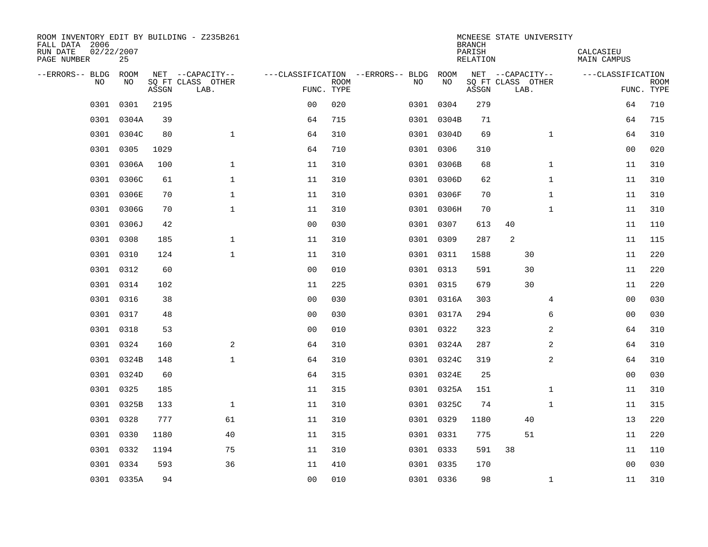| ROOM INVENTORY EDIT BY BUILDING - Z235B261<br>FALL DATA 2006<br>RUN DATE<br>PAGE NUMBER | 02/22/2007<br>25 |       |                           |                |             |                                        |            | <b>BRANCH</b><br>PARISH<br>RELATION | MCNEESE STATE UNIVERSITY  |              | CALCASIEU<br>MAIN CAMPUS |                           |
|-----------------------------------------------------------------------------------------|------------------|-------|---------------------------|----------------|-------------|----------------------------------------|------------|-------------------------------------|---------------------------|--------------|--------------------------|---------------------------|
| --ERRORS-- BLDG ROOM                                                                    |                  |       | NET --CAPACITY--          |                |             | ---CLASSIFICATION --ERRORS-- BLDG ROOM |            |                                     | NET --CAPACITY--          |              | ---CLASSIFICATION        |                           |
| NO.                                                                                     | NO.              | ASSGN | SQ FT CLASS OTHER<br>LAB. | FUNC. TYPE     | <b>ROOM</b> | NO.                                    | NO         | ASSGN                               | SQ FT CLASS OTHER<br>LAB. |              |                          | <b>ROOM</b><br>FUNC. TYPE |
| 0301                                                                                    | 0301             | 2195  |                           | 0 <sub>0</sub> | 020         |                                        | 0301 0304  | 279                                 |                           |              |                          | 64<br>710                 |
| 0301                                                                                    | 0304A            | 39    |                           | 64             | 715         |                                        | 0301 0304B | 71                                  |                           |              |                          | 64<br>715                 |
|                                                                                         | 0301 0304C       | 80    | $\mathbf{1}$              | 64             | 310         |                                        | 0301 0304D | 69                                  |                           | $\mathbf{1}$ |                          | 64<br>310                 |
| 0301                                                                                    | 0305             | 1029  |                           | 64             | 710         |                                        | 0301 0306  | 310                                 |                           |              |                          | 0 <sub>0</sub><br>020     |
| 0301                                                                                    | 0306A            | 100   | $\mathbf 1$               | 11             | 310         |                                        | 0301 0306B | 68                                  |                           | $\mathbf{1}$ |                          | 11<br>310                 |
| 0301                                                                                    | 0306C            | 61    | 1                         | 11             | 310         |                                        | 0301 0306D | 62                                  |                           | $\mathbf{1}$ |                          | 11<br>310                 |
|                                                                                         | 0301 0306E       | 70    | $\mathbf{1}$              | 11             | 310         |                                        | 0301 0306F | 70                                  |                           | $\mathbf{1}$ |                          | 310<br>11                 |
| 0301                                                                                    | 0306G            | 70    | $\mathbf 1$               | 11             | 310         |                                        | 0301 0306H | 70                                  |                           | $\mathbf{1}$ |                          | 310<br>11                 |
| 0301                                                                                    | 0306J            | 42    |                           | 0 <sub>0</sub> | 030         |                                        | 0301 0307  | 613                                 | 40                        |              |                          | 11<br>110                 |
|                                                                                         | 0301 0308        | 185   | $\mathbf 1$               | 11             | 310         |                                        | 0301 0309  | 287                                 | 2                         |              |                          | 11<br>115                 |
|                                                                                         | 0301 0310        | 124   | $\mathbf{1}$              | 11             | 310         |                                        | 0301 0311  | 1588                                |                           | 30           |                          | 220<br>11                 |
|                                                                                         | 0301 0312        | 60    |                           | 0 <sub>0</sub> | 010         |                                        | 0301 0313  | 591                                 |                           | 30           |                          | 220<br>11                 |
| 0301                                                                                    | 0314             | 102   |                           | 11             | 225         |                                        | 0301 0315  | 679                                 |                           | 30           |                          | 220<br>11                 |
|                                                                                         | 0301 0316        | 38    |                           | 0 <sub>0</sub> | 030         |                                        | 0301 0316A | 303                                 |                           | 4            |                          | 0 <sub>0</sub><br>030     |
| 0301                                                                                    | 0317             | 48    |                           | 0 <sub>0</sub> | 030         |                                        | 0301 0317A | 294                                 |                           | 6            |                          | 00<br>030                 |
|                                                                                         | 0301 0318        | 53    |                           | 0 <sub>0</sub> | 010         |                                        | 0301 0322  | 323                                 |                           | 2            |                          | 64<br>310                 |
| 0301                                                                                    | 0324             | 160   | 2                         | 64             | 310         |                                        | 0301 0324A | 287                                 |                           | 2            |                          | 310<br>64                 |
|                                                                                         | 0301 0324B       | 148   | $\mathbf 1$               | 64             | 310         |                                        | 0301 0324C | 319                                 |                           | 2            |                          | 64<br>310                 |
|                                                                                         | 0301 0324D       | 60    |                           | 64             | 315         |                                        | 0301 0324E | 25                                  |                           |              |                          | 0 <sub>0</sub><br>030     |
| 0301                                                                                    | 0325             | 185   |                           | 11             | 315         |                                        | 0301 0325A | 151                                 |                           | $\mathbf{1}$ |                          | 310<br>11                 |
|                                                                                         | 0301 0325B       | 133   | $\mathbf 1$               | 11             | 310         |                                        | 0301 0325C | 74                                  |                           | $\mathbf{1}$ |                          | 315<br>11                 |
|                                                                                         | 0301 0328        | 777   | 61                        | 11             | 310         |                                        | 0301 0329  | 1180                                |                           | 40           |                          | 220<br>13                 |
|                                                                                         | 0301 0330        | 1180  | 40                        | 11             | 315         |                                        | 0301 0331  | 775                                 |                           | 51           |                          | 220<br>11                 |
| 0301                                                                                    | 0332             | 1194  | 75                        | 11             | 310         |                                        | 0301 0333  | 591                                 | 38                        |              |                          | 11<br>110                 |
|                                                                                         | 0301 0334        | 593   | 36                        | 11             | 410         |                                        | 0301 0335  | 170                                 |                           |              |                          | 0 <sub>0</sub><br>030     |
|                                                                                         | 0301 0335A       | 94    |                           | 00             | 010         |                                        | 0301 0336  | 98                                  |                           | $\mathbf{1}$ |                          | 11<br>310                 |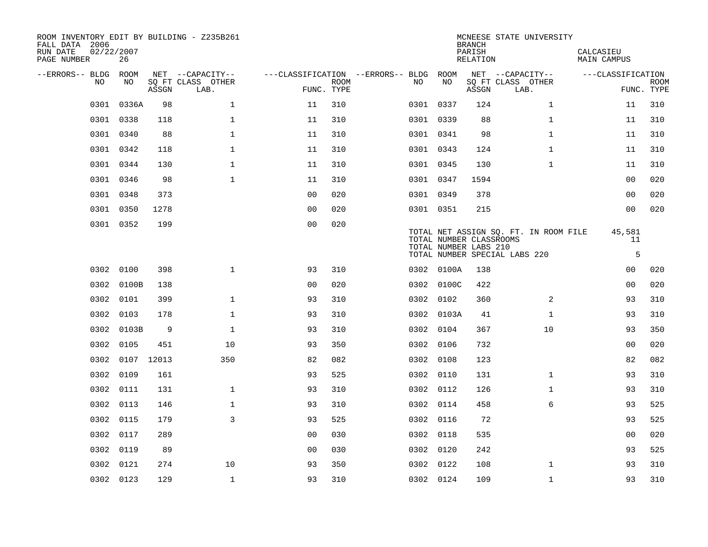| ROOM INVENTORY EDIT BY BUILDING - Z235B261<br>FALL DATA 2006<br>RUN DATE<br>PAGE NUMBER | 02/22/2007<br>26 |       |                           |                |             |                                        |     |            | <b>BRANCH</b><br>PARISH<br>RELATION              | MCNEESE STATE UNIVERSITY                                               | CALCASIEU<br>MAIN CAMPUS |                           |
|-----------------------------------------------------------------------------------------|------------------|-------|---------------------------|----------------|-------------|----------------------------------------|-----|------------|--------------------------------------------------|------------------------------------------------------------------------|--------------------------|---------------------------|
| --ERRORS-- BLDG ROOM                                                                    |                  |       | NET --CAPACITY--          |                |             | ---CLASSIFICATION --ERRORS-- BLDG ROOM |     |            |                                                  | NET --CAPACITY--                                                       | ---CLASSIFICATION        |                           |
| NO                                                                                      | NO               | ASSGN | SQ FT CLASS OTHER<br>LAB. | FUNC. TYPE     | <b>ROOM</b> |                                        | NO. | NO         | ASSGN                                            | SQ FT CLASS OTHER<br>LAB.                                              |                          | <b>ROOM</b><br>FUNC. TYPE |
| 0301                                                                                    | 0336A            | 98    | $\mathbf 1$               | 11             | 310         |                                        |     | 0301 0337  | 124                                              | $\mathbf{1}$                                                           | 11                       | 310                       |
|                                                                                         | 0301 0338        | 118   | $\mathbf{1}$              | 11             | 310         |                                        |     | 0301 0339  | 88                                               | $\mathbf{1}$                                                           | 11                       | 310                       |
|                                                                                         | 0301 0340        | 88    | $\mathbf{1}$              | 11             | 310         |                                        |     | 0301 0341  | 98                                               | $\mathbf{1}$                                                           | 11                       | 310                       |
|                                                                                         | 0301 0342        | 118   | $\mathbf{1}$              | 11             | 310         |                                        |     | 0301 0343  | 124                                              | $\mathbf{1}$                                                           | 11                       | 310                       |
|                                                                                         | 0301 0344        | 130   | $\mathbf 1$               | 11             | 310         |                                        |     | 0301 0345  | 130                                              | $\mathbf{1}$                                                           | 11                       | 310                       |
|                                                                                         | 0301 0346        | 98    | $\mathbf{1}$              | 11             | 310         |                                        |     | 0301 0347  | 1594                                             |                                                                        | 00                       | 020                       |
|                                                                                         | 0301 0348        | 373   |                           | 0 <sub>0</sub> | 020         |                                        |     | 0301 0349  | 378                                              |                                                                        | 0 <sub>0</sub>           | 020                       |
|                                                                                         | 0301 0350        | 1278  |                           | 0 <sub>0</sub> | 020         |                                        |     | 0301 0351  | 215                                              |                                                                        | 0 <sub>0</sub>           | 020                       |
|                                                                                         | 0301 0352        | 199   |                           | 0 <sub>0</sub> | 020         |                                        |     |            | TOTAL NUMBER CLASSROOMS<br>TOTAL NUMBER LABS 210 | TOTAL NET ASSIGN SQ. FT. IN ROOM FILE<br>TOTAL NUMBER SPECIAL LABS 220 | 45,581<br>11<br>5        |                           |
|                                                                                         | 0302 0100        | 398   | $\mathbf{1}$              | 93             | 310         |                                        |     | 0302 0100A | 138                                              |                                                                        | 00                       | 020                       |
| 0302                                                                                    | 0100B            | 138   |                           | 0 <sub>0</sub> | 020         |                                        |     | 0302 0100C | 422                                              |                                                                        | 00                       | 020                       |
| 0302                                                                                    | 0101             | 399   | $\mathbf 1$               | 93             | 310         |                                        |     | 0302 0102  | 360                                              | 2                                                                      | 93                       | 310                       |
| 0302                                                                                    | 0103             | 178   | $\mathbf{1}$              | 93             | 310         |                                        |     | 0302 0103A | 41                                               | $\mathbf{1}$                                                           | 93                       | 310                       |
|                                                                                         | 0302 0103B       | 9     | $\mathbf{1}$              | 93             | 310         |                                        |     | 0302 0104  | 367                                              | 10                                                                     | 93                       | 350                       |
| 0302                                                                                    | 0105             | 451   | 10                        | 93             | 350         |                                        |     | 0302 0106  | 732                                              |                                                                        | 0 <sub>0</sub>           | 020                       |
|                                                                                         | 0302 0107        | 12013 | 350                       | 82             | 082         |                                        |     | 0302 0108  | 123                                              |                                                                        | 82                       | 082                       |
|                                                                                         | 0302 0109        | 161   |                           | 93             | 525         |                                        |     | 0302 0110  | 131                                              | $\mathbf{1}$                                                           | 93                       | 310                       |
|                                                                                         | 0302 0111        | 131   | $\mathbf 1$               | 93             | 310         |                                        |     | 0302 0112  | 126                                              | $\mathbf{1}$                                                           | 93                       | 310                       |
|                                                                                         | 0302 0113        | 146   | $\mathbf 1$               | 93             | 310         |                                        |     | 0302 0114  | 458                                              | 6                                                                      | 93                       | 525                       |
|                                                                                         | 0302 0115        | 179   | 3                         | 93             | 525         |                                        |     | 0302 0116  | 72                                               |                                                                        | 93                       | 525                       |
|                                                                                         | 0302 0117        | 289   |                           | 0 <sub>0</sub> | 030         |                                        |     | 0302 0118  | 535                                              |                                                                        | 00                       | 020                       |
| 0302                                                                                    | 0119             | 89    |                           | 00             | 030         |                                        |     | 0302 0120  | 242                                              |                                                                        | 93                       | 525                       |
| 0302                                                                                    | 0121             | 274   | 10                        | 93             | 350         |                                        |     | 0302 0122  | 108                                              | $\mathbf{1}$                                                           | 93                       | 310                       |
|                                                                                         | 0302 0123        | 129   | $\mathbf{1}$              | 93             | 310         |                                        |     | 0302 0124  | 109                                              | $\mathbf{1}$                                                           | 93                       | 310                       |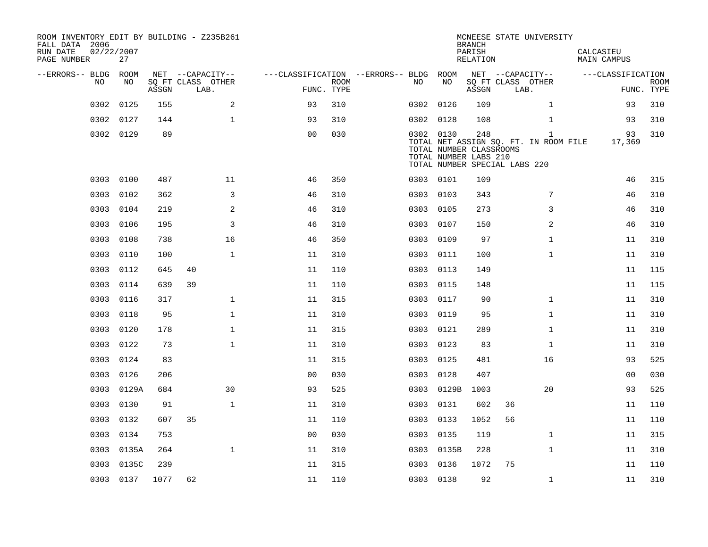| ROOM INVENTORY EDIT BY BUILDING - Z235B261<br>FALL DATA 2006<br>RUN DATE<br>PAGE NUMBER | 02/22/2007<br>27 |       |                           |                                        |             |           |            | <b>BRANCH</b><br>PARISH<br>RELATION                                                      |    | MCNEESE STATE UNIVERSITY                              | CALCASIEU<br>MAIN CAMPUS |                    |
|-----------------------------------------------------------------------------------------|------------------|-------|---------------------------|----------------------------------------|-------------|-----------|------------|------------------------------------------------------------------------------------------|----|-------------------------------------------------------|--------------------------|--------------------|
| --ERRORS-- BLDG ROOM                                                                    |                  |       | NET --CAPACITY--          | ---CLASSIFICATION --ERRORS-- BLDG ROOM |             |           |            |                                                                                          |    | NET --CAPACITY--                                      | ---CLASSIFICATION        |                    |
| NO.                                                                                     | NO.              | ASSGN | SQ FT CLASS OTHER<br>LAB. | FUNC. TYPE                             | <b>ROOM</b> | NO.       | NO         | ASSGN                                                                                    |    | SQ FT CLASS OTHER<br>LAB.                             |                          | ROOM<br>FUNC. TYPE |
| 0302                                                                                    | 0125             | 155   | 2                         | 93                                     | 310         | 0302 0126 |            | 109                                                                                      |    | $\mathbf{1}$                                          | 93                       | 310                |
| 0302                                                                                    | 0127             | 144   | $\mathbf{1}$              | 93                                     | 310         | 0302 0128 |            | 108                                                                                      |    | $\mathbf{1}$                                          | 93                       | 310                |
|                                                                                         | 0302 0129        | 89    |                           | 0 <sub>0</sub>                         | 030         | 0302 0130 |            | 248<br>TOTAL NUMBER CLASSROOMS<br>TOTAL NUMBER LABS 210<br>TOTAL NUMBER SPECIAL LABS 220 |    | $\mathbf{1}$<br>TOTAL NET ASSIGN SQ. FT. IN ROOM FILE | 93<br>17,369             | 310                |
| 0303                                                                                    | 0100             | 487   | 11                        | 46                                     | 350         | 0303 0101 |            | 109                                                                                      |    |                                                       | 46                       | 315                |
| 0303                                                                                    | 0102             | 362   | 3                         | 46                                     | 310         | 0303      | 0103       | 343                                                                                      |    | 7                                                     | 46                       | 310                |
| 0303                                                                                    | 0104             | 219   | 2                         | 46                                     | 310         | 0303      | 0105       | 273                                                                                      |    | 3                                                     | 46                       | 310                |
| 0303                                                                                    | 0106             | 195   | $\mathsf{3}$              | 46                                     | 310         | 0303      | 0107       | 150                                                                                      |    | 2                                                     | 46                       | 310                |
| 0303                                                                                    | 0108             | 738   | 16                        | 46                                     | 350         | 0303 0109 |            | 97                                                                                       |    | $\mathbf{1}$                                          | 11                       | 310                |
| 0303                                                                                    | 0110             | 100   | $\mathbf{1}$              | 11                                     | 310         | 0303 0111 |            | 100                                                                                      |    | $\mathbf{1}$                                          | 11                       | 310                |
|                                                                                         | 0303 0112        | 645   | 40                        | 11                                     | 110         | 0303 0113 |            | 149                                                                                      |    |                                                       | 11                       | 115                |
| 0303                                                                                    | 0114             | 639   | 39                        | 11                                     | 110         | 0303      | 0115       | 148                                                                                      |    |                                                       | 11                       | 115                |
| 0303                                                                                    | 0116             | 317   | $\mathbf{1}$              | 11                                     | 315         | 0303 0117 |            | 90                                                                                       |    | $\mathbf{1}$                                          | 11                       | 310                |
| 0303                                                                                    | 0118             | 95    | $\mathbf 1$               | 11                                     | 310         | 0303      | 0119       | 95                                                                                       |    | $\mathbf{1}$                                          | 11                       | 310                |
| 0303                                                                                    | 0120             | 178   | $\mathbf 1$               | 11                                     | 315         | 0303 0121 |            | 289                                                                                      |    | $\mathbf{1}$                                          | 11                       | 310                |
| 0303                                                                                    | 0122             | 73    | $\mathbf{1}$              | 11                                     | 310         | 0303      | 0123       | 83                                                                                       |    | $\mathbf{1}$                                          | 11                       | 310                |
| 0303                                                                                    | 0124             | 83    |                           | 11                                     | 315         | 0303 0125 |            | 481                                                                                      |    | 16                                                    | 93                       | 525                |
| 0303                                                                                    | 0126             | 206   |                           | 0 <sub>0</sub>                         | 030         | 0303      | 0128       | 407                                                                                      |    |                                                       | 0 <sub>0</sub>           | 030                |
| 0303                                                                                    | 0129A            | 684   | 30                        | 93                                     | 525         |           | 0303 0129B | 1003                                                                                     |    | 20                                                    | 93                       | 525                |
|                                                                                         | 0303 0130        | 91    | $\mathbf 1$               | 11                                     | 310         | 0303 0131 |            | 602                                                                                      | 36 |                                                       | 11                       | 110                |
| 0303                                                                                    | 0132             | 607   | 35                        | 11                                     | 110         | 0303 0133 |            | 1052                                                                                     | 56 |                                                       | 11                       | 110                |
|                                                                                         | 0303 0134        | 753   |                           | 0 <sub>0</sub>                         | 030         | 0303 0135 |            | 119                                                                                      |    | $\mathbf{1}$                                          | 11                       | 315                |
| 0303                                                                                    | 0135A            | 264   | $\mathbf{1}$              | 11                                     | 310         |           | 0303 0135B | 228                                                                                      |    | $\mathbf{1}$                                          | 11                       | 310                |
| 0303                                                                                    | 0135C            | 239   |                           | 11                                     | 315         | 0303 0136 |            | 1072                                                                                     | 75 |                                                       | 11                       | 110                |
|                                                                                         | 0303 0137        | 1077  | 62                        | 11                                     | 110         | 0303 0138 |            | 92                                                                                       |    | $\mathbf{1}$                                          | 11                       | 310                |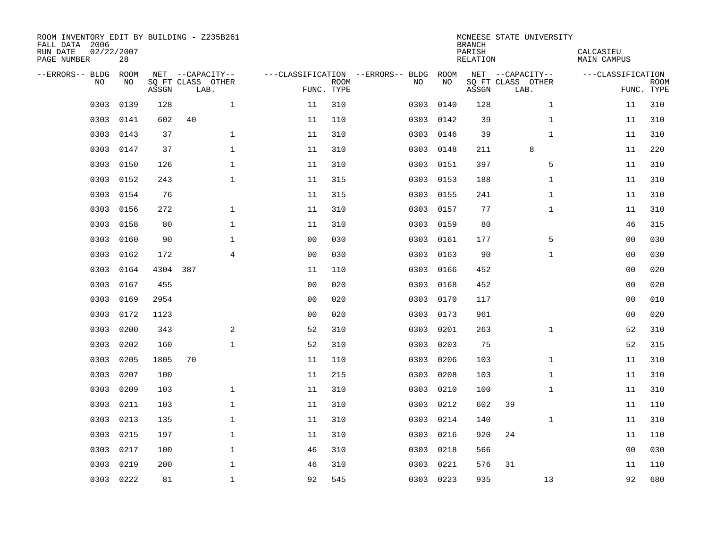| ROOM INVENTORY EDIT BY BUILDING - Z235B261<br>FALL DATA 2006<br>RUN DATE<br>PAGE NUMBER | 02/22/2007<br>28 |          |                           |                |                           |                                   |           | <b>BRANCH</b><br>PARISH<br><b>RELATION</b> | MCNEESE STATE UNIVERSITY  | CALCASIEU<br><b>MAIN CAMPUS</b> |                           |
|-----------------------------------------------------------------------------------------|------------------|----------|---------------------------|----------------|---------------------------|-----------------------------------|-----------|--------------------------------------------|---------------------------|---------------------------------|---------------------------|
| --ERRORS-- BLDG                                                                         | ROOM             |          | NET --CAPACITY--          |                |                           | ---CLASSIFICATION --ERRORS-- BLDG | ROOM      |                                            | NET --CAPACITY--          | ---CLASSIFICATION               |                           |
| NO                                                                                      | NO               | ASSGN    | SQ FT CLASS OTHER<br>LAB. |                | <b>ROOM</b><br>FUNC. TYPE | NO                                | NO        | ASSGN                                      | SQ FT CLASS OTHER<br>LAB. |                                 | <b>ROOM</b><br>FUNC. TYPE |
| 0303                                                                                    | 0139             | 128      | $\mathbf{1}$              | 11             | 310                       | 0303                              | 0140      | 128                                        | $\mathbf{1}$              | 11                              | 310                       |
| 0303                                                                                    | 0141             | 602      | 40                        | 11             | 110                       | 0303                              | 0142      | 39                                         | $\mathbf{1}$              | 11                              | 310                       |
| 0303                                                                                    | 0143             | 37       | $\mathbf 1$               | 11             | 310                       | 0303                              | 0146      | 39                                         | $\mathbf{1}$              | 11                              | 310                       |
| 0303                                                                                    | 0147             | 37       | $\mathbf 1$               | 11             | 310                       | 0303                              | 0148      | 211                                        | 8                         | 11                              | 220                       |
| 0303                                                                                    | 0150             | 126      | $\mathbf{1}$              | 11             | 310                       | 0303                              | 0151      | 397                                        | 5                         | 11                              | 310                       |
| 0303                                                                                    | 0152             | 243      | $\mathbf{1}$              | 11             | 315                       |                                   | 0303 0153 | 188                                        | $\mathbf{1}$              | 11                              | 310                       |
| 0303                                                                                    | 0154             | 76       |                           | 11             | 315                       | 0303                              | 0155      | 241                                        | $\mathbf{1}$              | 11                              | 310                       |
| 0303                                                                                    | 0156             | 272      | $\mathbf 1$               | 11             | 310                       |                                   | 0303 0157 | 77                                         | $\mathbf{1}$              | 11                              | 310                       |
| 0303                                                                                    | 0158             | 80       | $\mathbf{1}$              | 11             | 310                       | 0303                              | 0159      | 80                                         |                           | 46                              | 315                       |
| 0303                                                                                    | 0160             | 90       | $\mathbf{1}$              | 0 <sub>0</sub> | 030                       | 0303                              | 0161      | 177                                        | 5                         | 0 <sub>0</sub>                  | 030                       |
| 0303                                                                                    | 0162             | 172      | $\overline{4}$            | 0 <sub>0</sub> | 030                       | 0303                              | 0163      | 90                                         | $\mathbf{1}$              | 00                              | 030                       |
| 0303                                                                                    | 0164             | 4304 387 |                           | 11             | 110                       | 0303                              | 0166      | 452                                        |                           | 0 <sub>0</sub>                  | 020                       |
| 0303                                                                                    | 0167             | 455      |                           | 0 <sub>0</sub> | 020                       | 0303                              | 0168      | 452                                        |                           | 0 <sub>0</sub>                  | 020                       |
| 0303                                                                                    | 0169             | 2954     |                           | 0 <sub>0</sub> | 020                       | 0303                              | 0170      | 117                                        |                           | 0 <sub>0</sub>                  | 010                       |
| 0303                                                                                    | 0172             | 1123     |                           | 0 <sub>0</sub> | 020                       | 0303                              | 0173      | 961                                        |                           | 00                              | 020                       |
| 0303                                                                                    | 0200             | 343      | 2                         | 52             | 310                       | 0303                              | 0201      | 263                                        | $\mathbf{1}$              | 52                              | 310                       |
| 0303                                                                                    | 0202             | 160      | $\mathbf{1}$              | 52             | 310                       | 0303                              | 0203      | 75                                         |                           | 52                              | 315                       |
| 0303                                                                                    | 0205             | 1805     | 70                        | 11             | 110                       | 0303                              | 0206      | 103                                        | $\mathbf{1}$              | 11                              | 310                       |
| 0303                                                                                    | 0207             | 100      |                           | 11             | 215                       | 0303                              | 0208      | 103                                        | $\mathbf{1}$              | 11                              | 310                       |
| 0303                                                                                    | 0209             | 103      | $\mathbf 1$               | 11             | 310                       | 0303                              | 0210      | 100                                        | $\mathbf{1}$              | 11                              | 310                       |
| 0303                                                                                    | 0211             | 103      | $\mathbf 1$               | 11             | 310                       | 0303                              | 0212      | 602                                        | 39                        | 11                              | 110                       |
| 0303                                                                                    | 0213             | 135      | $\mathbf 1$               | 11             | 310                       | 0303                              | 0214      | 140                                        | $\mathbf{1}$              | 11                              | 310                       |
| 0303                                                                                    | 0215             | 197      | $\mathbf 1$               | 11             | 310                       | 0303                              | 0216      | 920                                        | 24                        | 11                              | 110                       |
| 0303                                                                                    | 0217             | 100      | $\mathbf{1}$              | 46             | 310                       | 0303                              | 0218      | 566                                        |                           | 00                              | 030                       |
| 0303                                                                                    | 0219             | 200      | $\mathbf 1$               | 46             | 310                       | 0303                              | 0221      | 576                                        | 31                        | 11                              | 110                       |
|                                                                                         | 0303 0222        | 81       | $\mathbf{1}$              | 92             | 545                       |                                   | 0303 0223 | 935                                        | 13                        | 92                              | 680                       |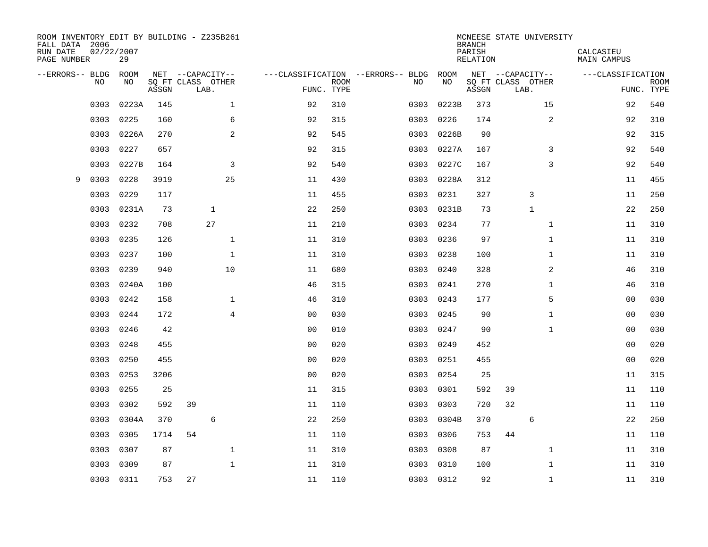| ROOM INVENTORY EDIT BY BUILDING - Z235B261<br>FALL DATA 2006<br>RUN DATE<br>PAGE NUMBER | 02/22/2007<br>29 |       |                           |                |             |                                        |           | <b>BRANCH</b><br>PARISH<br>RELATION | MCNEESE STATE UNIVERSITY  | CALCASIEU<br>MAIN CAMPUS |                           |
|-----------------------------------------------------------------------------------------|------------------|-------|---------------------------|----------------|-------------|----------------------------------------|-----------|-------------------------------------|---------------------------|--------------------------|---------------------------|
| --ERRORS-- BLDG ROOM                                                                    |                  |       | NET --CAPACITY--          |                |             | ---CLASSIFICATION --ERRORS-- BLDG ROOM |           |                                     | NET --CAPACITY--          | ---CLASSIFICATION        |                           |
| NO.                                                                                     | NO.              | ASSGN | SQ FT CLASS OTHER<br>LAB. | FUNC. TYPE     | <b>ROOM</b> | NO.                                    | NO        | ASSGN                               | SQ FT CLASS OTHER<br>LAB. |                          | <b>ROOM</b><br>FUNC. TYPE |
| 0303                                                                                    | 0223A            | 145   | $\mathbf{1}$              | 92             | 310         | 0303                                   | 0223B     | 373                                 | 15                        | 92                       | 540                       |
| 0303                                                                                    | 0225             | 160   | 6                         | 92             | 315         | 0303                                   | 0226      | 174                                 | 2                         | 92                       | 310                       |
| 0303                                                                                    | 0226A            | 270   | 2                         | 92             | 545         | 0303                                   | 0226B     | 90                                  |                           | 92                       | 315                       |
| 0303                                                                                    | 0227             | 657   |                           | 92             | 315         | 0303                                   | 0227A     | 167                                 | 3                         | 92                       | 540                       |
| 0303                                                                                    | 0227B            | 164   | 3                         | 92             | 540         | 0303                                   | 0227C     | 167                                 | 3                         | 92                       | 540                       |
| 0303<br>9                                                                               | 0228             | 3919  | 25                        | 11             | 430         | 0303                                   | 0228A     | 312                                 |                           | 11                       | 455                       |
| 0303                                                                                    | 0229             | 117   |                           | 11             | 455         | 0303                                   | 0231      | 327                                 | 3                         | 11                       | 250                       |
| 0303                                                                                    | 0231A            | 73    | $\mathbf{1}$              | 22             | 250         | 0303                                   | 0231B     | 73                                  | $\mathbf{1}$              | 22                       | 250                       |
| 0303                                                                                    | 0232             | 708   | 27                        | 11             | 210         | 0303                                   | 0234      | 77                                  | $\mathbf{1}$              | 11                       | 310                       |
| 0303                                                                                    | 0235             | 126   | $\mathbf{1}$              | 11             | 310         |                                        | 0303 0236 | 97                                  | $\mathbf{1}$              | 11                       | 310                       |
| 0303                                                                                    | 0237             | 100   | $\mathbf{1}$              | 11             | 310         | 0303                                   | 0238      | 100                                 | $\mathbf{1}$              | 11                       | 310                       |
| 0303                                                                                    | 0239             | 940   | 10                        | 11             | 680         | 0303                                   | 0240      | 328                                 | 2                         | 46                       | 310                       |
| 0303                                                                                    | 0240A            | 100   |                           | 46             | 315         | 0303                                   | 0241      | 270                                 | $\mathbf{1}$              | 46                       | 310                       |
| 0303                                                                                    | 0242             | 158   | $\mathbf{1}$              | 46             | 310         | 0303                                   | 0243      | 177                                 | 5                         | 0 <sub>0</sub>           | 030                       |
| 0303                                                                                    | 0244             | 172   | 4                         | 0 <sub>0</sub> | 030         | 0303                                   | 0245      | 90                                  | $\mathbf{1}$              | 00                       | 030                       |
| 0303                                                                                    | 0246             | 42    |                           | 0 <sub>0</sub> | 010         | 0303                                   | 0247      | 90                                  | $\mathbf{1}$              | 00                       | 030                       |
| 0303                                                                                    | 0248             | 455   |                           | 0 <sub>0</sub> | 020         | 0303                                   | 0249      | 452                                 |                           | 00                       | 020                       |
| 0303                                                                                    | 0250             | 455   |                           | 0 <sub>0</sub> | 020         | 0303                                   | 0251      | 455                                 |                           | 00                       | 020                       |
| 0303                                                                                    | 0253             | 3206  |                           | 0 <sub>0</sub> | 020         | 0303                                   | 0254      | 25                                  |                           | 11                       | 315                       |
| 0303                                                                                    | 0255             | 25    |                           | 11             | 315         | 0303                                   | 0301      | 592                                 | 39                        | 11                       | 110                       |
| 0303                                                                                    | 0302             | 592   | 39                        | 11             | 110         | 0303                                   | 0303      | 720                                 | 32                        | 11                       | 110                       |
| 0303                                                                                    | 0304A            | 370   | 6                         | 22             | 250         | 0303                                   | 0304B     | 370                                 | 6                         | 22                       | 250                       |
| 0303                                                                                    | 0305             | 1714  | 54                        | 11             | 110         | 0303                                   | 0306      | 753                                 | 44                        | 11                       | 110                       |
| 0303                                                                                    | 0307             | 87    | $\mathbf 1$               | 11             | 310         | 0303                                   | 0308      | 87                                  | $\mathbf{1}$              | 11                       | 310                       |
| 0303                                                                                    | 0309             | 87    | $\mathbf{1}$              | 11             | 310         | 0303                                   | 0310      | 100                                 | $\mathbf{1}$              | 11                       | 310                       |
|                                                                                         | 0303 0311        | 753   | 27                        | 11             | 110         |                                        | 0303 0312 | 92                                  | $\mathbf{1}$              | 11                       | 310                       |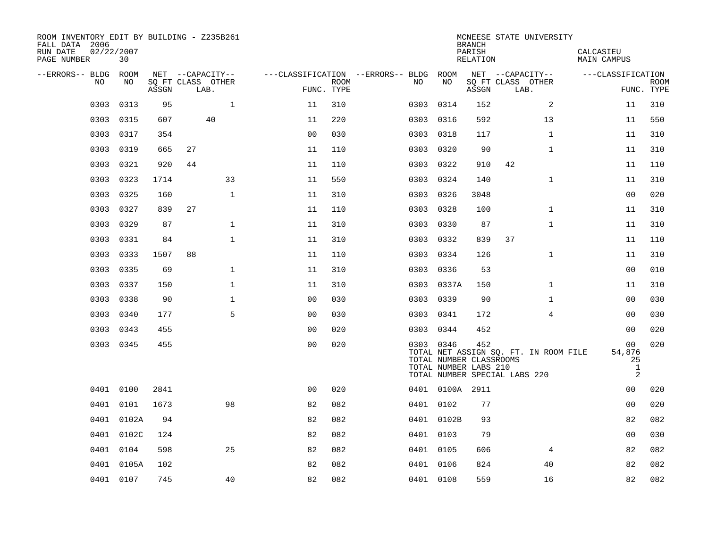| ROOM INVENTORY EDIT BY BUILDING - Z235B261<br>FALL DATA 2006<br>RUN DATE<br>PAGE NUMBER | 02/22/2007<br>30 |       |                           |                |                    |                                        |                                                               | <b>BRANCH</b><br>PARISH<br>RELATION | MCNEESE STATE UNIVERSITY                                               | CALCASIEU<br>MAIN CAMPUS     |                           |
|-----------------------------------------------------------------------------------------|------------------|-------|---------------------------|----------------|--------------------|----------------------------------------|---------------------------------------------------------------|-------------------------------------|------------------------------------------------------------------------|------------------------------|---------------------------|
| --ERRORS-- BLDG ROOM                                                                    |                  |       | NET --CAPACITY--          |                |                    | ---CLASSIFICATION --ERRORS-- BLDG ROOM |                                                               |                                     | NET --CAPACITY--                                                       | ---CLASSIFICATION            |                           |
| NO                                                                                      | NO               | ASSGN | SQ FT CLASS OTHER<br>LAB. |                | ROOM<br>FUNC. TYPE | NO.                                    | NO                                                            | ASSGN                               | SQ FT CLASS OTHER<br>LAB.                                              |                              | <b>ROOM</b><br>FUNC. TYPE |
| 0303                                                                                    | 0313             | 95    | $\mathbf{1}$              | 11             | 310                | 0303                                   | 0314                                                          | 152                                 | 2                                                                      | 11                           | 310                       |
| 0303                                                                                    | 0315             | 607   | 40                        | 11             | 220                | 0303 0316                              |                                                               | 592                                 | 13                                                                     | 11                           | 550                       |
| 0303                                                                                    | 0317             | 354   |                           | 0 <sub>0</sub> | 030                | 0303 0318                              |                                                               | 117                                 | $\mathbf{1}$                                                           | 11                           | 310                       |
| 0303                                                                                    | 0319             | 665   | 27                        | 11             | 110                |                                        | 0303 0320                                                     | 90                                  | $\mathbf{1}$                                                           | 11                           | 310                       |
| 0303                                                                                    | 0321             | 920   | 44                        | 11             | 110                | 0303                                   | 0322                                                          | 910                                 | 42                                                                     | 11                           | 110                       |
| 0303                                                                                    | 0323             | 1714  | 33                        | 11             | 550                | 0303                                   | 0324                                                          | 140                                 | $\mathbf{1}$                                                           | 11                           | 310                       |
| 0303                                                                                    | 0325             | 160   | $\mathbf{1}$              | 11             | 310                | 0303                                   | 0326                                                          | 3048                                |                                                                        | 0 <sub>0</sub>               | 020                       |
| 0303                                                                                    | 0327             | 839   | 27                        | 11             | 110                | 0303 0328                              |                                                               | 100                                 | $\mathbf{1}$                                                           | 11                           | 310                       |
| 0303                                                                                    | 0329             | 87    | $\mathbf 1$               | 11             | 310                | 0303                                   | 0330                                                          | 87                                  | $\mathbf{1}$                                                           | 11                           | 310                       |
| 0303                                                                                    | 0331             | 84    | $\mathbf{1}$              | 11             | 310                |                                        | 0303 0332                                                     | 839                                 | 37                                                                     | 11                           | 110                       |
| 0303                                                                                    | 0333             | 1507  | 88                        | 11             | 110                | 0303                                   | 0334                                                          | 126                                 | $\mathbf{1}$                                                           | 11                           | 310                       |
| 0303                                                                                    | 0335             | 69    | $\mathbf{1}$              | 11             | 310                | 0303 0336                              |                                                               | 53                                  |                                                                        | 0 <sub>0</sub>               | 010                       |
| 0303                                                                                    | 0337             | 150   | $\mathbf 1$               | 11             | 310                |                                        | 0303 0337A                                                    | 150                                 | $\mathbf{1}$                                                           | 11                           | 310                       |
| 0303                                                                                    | 0338             | 90    | $\mathbf{1}$              | 0 <sub>0</sub> | 030                |                                        | 0303 0339                                                     | 90                                  | $\mathbf{1}$                                                           | 00                           | 030                       |
| 0303                                                                                    | 0340             | 177   | 5                         | 0 <sub>0</sub> | 030                | 0303 0341                              |                                                               | 172                                 | 4                                                                      | 0 <sub>0</sub>               | 030                       |
| 0303                                                                                    | 0343             | 455   |                           | 0 <sub>0</sub> | 020                | 0303 0344                              |                                                               | 452                                 |                                                                        | 00                           | 020                       |
|                                                                                         | 0303 0345        | 455   |                           | 0 <sub>0</sub> | 020                |                                        | 0303 0346<br>TOTAL NUMBER CLASSROOMS<br>TOTAL NUMBER LABS 210 | 452                                 | TOTAL NET ASSIGN SQ. FT. IN ROOM FILE<br>TOTAL NUMBER SPECIAL LABS 220 | 00<br>54,876<br>25<br>1<br>2 | 020                       |
|                                                                                         | 0401 0100        | 2841  |                           | 0 <sub>0</sub> | 020                |                                        | 0401 0100A 2911                                               |                                     |                                                                        | 00                           | 020                       |
|                                                                                         | 0401 0101        | 1673  | 98                        | 82             | 082                |                                        | 0401 0102                                                     | 77                                  |                                                                        | 0 <sub>0</sub>               | 020                       |
|                                                                                         | 0401 0102A       | 94    |                           | 82             | 082                |                                        | 0401 0102B                                                    | 93                                  |                                                                        | 82                           | 082                       |
| 0401                                                                                    | 0102C            | 124   |                           | 82             | 082                |                                        | 0401 0103                                                     | 79                                  |                                                                        | 0 <sub>0</sub>               | 030                       |
| 0401                                                                                    | 0104             | 598   | 25                        | 82             | 082                | 0401 0105                              |                                                               | 606                                 | 4                                                                      | 82                           | 082                       |
|                                                                                         | 0401 0105A       | 102   |                           | 82             | 082                | 0401 0106                              |                                                               | 824                                 | 40                                                                     | 82                           | 082                       |
|                                                                                         | 0401 0107        | 745   | 40                        | 82             | 082                | 0401 0108                              |                                                               | 559                                 | 16                                                                     | 82                           | 082                       |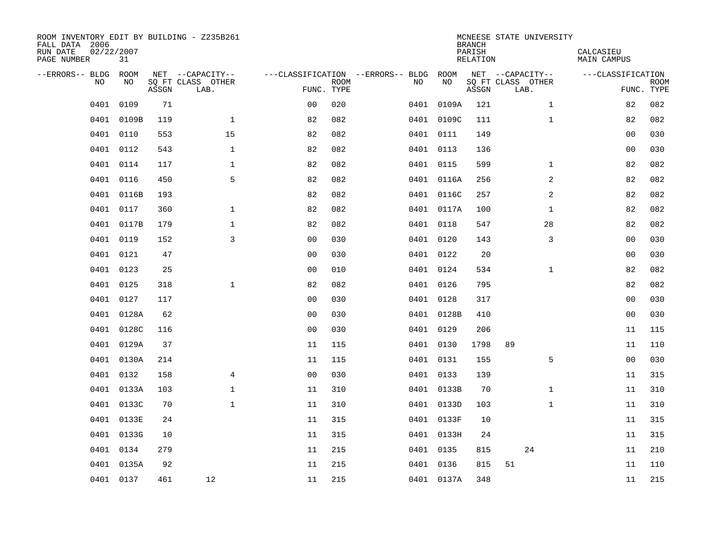| ROOM INVENTORY EDIT BY BUILDING - Z235B261<br>FALL DATA 2006<br>RUN DATE<br>PAGE NUMBER | 02/22/2007<br>31 |       |                           |                |                           |                                   |            | <b>BRANCH</b><br>PARISH<br>RELATION | MCNEESE STATE UNIVERSITY  | CALCASIEU<br><b>MAIN CAMPUS</b> |                           |
|-----------------------------------------------------------------------------------------|------------------|-------|---------------------------|----------------|---------------------------|-----------------------------------|------------|-------------------------------------|---------------------------|---------------------------------|---------------------------|
| --ERRORS-- BLDG                                                                         | ROOM             |       | NET --CAPACITY--          |                |                           | ---CLASSIFICATION --ERRORS-- BLDG | ROOM       |                                     | NET --CAPACITY--          | ---CLASSIFICATION               |                           |
| <b>NO</b>                                                                               | NO.              | ASSGN | SQ FT CLASS OTHER<br>LAB. |                | <b>ROOM</b><br>FUNC. TYPE | NO                                | NO         | ASSGN                               | SQ FT CLASS OTHER<br>LAB. |                                 | <b>ROOM</b><br>FUNC. TYPE |
| 0401                                                                                    | 0109             | 71    |                           | 0 <sub>0</sub> | 020                       | 0401                              | 0109A      | 121                                 | $\mathbf{1}$              | 82                              | 082                       |
| 0401                                                                                    | 0109B            | 119   | $\mathbf{1}$              | 82             | 082                       |                                   | 0401 0109C | 111                                 | $\mathbf{1}$              | 82                              | 082                       |
| 0401                                                                                    | 0110             | 553   | 15                        | 82             | 082                       |                                   | 0401 0111  | 149                                 |                           | 0 <sub>0</sub>                  | 030                       |
| 0401                                                                                    | 0112             | 543   | $\mathbf{1}$              | 82             | 082                       |                                   | 0401 0113  | 136                                 |                           | 0 <sub>0</sub>                  | 030                       |
| 0401                                                                                    | 0114             | 117   | $\mathbf{1}$              | 82             | 082                       |                                   | 0401 0115  | 599                                 | $\mathbf{1}$              | 82                              | 082                       |
| 0401                                                                                    | 0116             | 450   | 5                         | 82             | 082                       |                                   | 0401 0116A | 256                                 | 2                         | 82                              | 082                       |
| 0401                                                                                    | 0116B            | 193   |                           | 82             | 082                       |                                   | 0401 0116C | 257                                 | 2                         | 82                              | 082                       |
| 0401                                                                                    | 0117             | 360   | $\mathbf 1$               | 82             | 082                       |                                   | 0401 0117A | 100                                 | $\mathbf{1}$              | 82                              | 082                       |
| 0401                                                                                    | 0117B            | 179   | $\mathbf 1$               | 82             | 082                       |                                   | 0401 0118  | 547                                 | 28                        | 82                              | 082                       |
|                                                                                         | 0401 0119        | 152   | 3                         | 0 <sub>0</sub> | 030                       |                                   | 0401 0120  | 143                                 | 3                         | 00                              | 030                       |
| 0401                                                                                    | 0121             | 47    |                           | 0 <sub>0</sub> | 030                       |                                   | 0401 0122  | 20                                  |                           | 00                              | 030                       |
|                                                                                         | 0401 0123        | 25    |                           | 0 <sub>0</sub> | 010                       |                                   | 0401 0124  | 534                                 | $\mathbf{1}$              | 82                              | 082                       |
| 0401                                                                                    | 0125             | 318   | $\mathbf{1}$              | 82             | 082                       |                                   | 0401 0126  | 795                                 |                           | 82                              | 082                       |
|                                                                                         | 0401 0127        | 117   |                           | 0 <sub>0</sub> | 030                       |                                   | 0401 0128  | 317                                 |                           | 00                              | 030                       |
| 0401                                                                                    | 0128A            | 62    |                           | 0 <sub>0</sub> | 030                       |                                   | 0401 0128B | 410                                 |                           | 0 <sub>0</sub>                  | 030                       |
|                                                                                         | 0401 0128C       | 116   |                           | 0 <sub>0</sub> | 030                       |                                   | 0401 0129  | 206                                 |                           | 11                              | 115                       |
| 0401                                                                                    | 0129A            | 37    |                           | 11             | 115                       | 0401                              | 0130       | 1798                                | 89                        | 11                              | 110                       |
|                                                                                         | 0401 0130A       | 214   |                           | 11             | 115                       |                                   | 0401 0131  | 155                                 | 5                         | 0 <sub>0</sub>                  | 030                       |
| 0401                                                                                    | 0132             | 158   | $\overline{4}$            | 0 <sub>0</sub> | 030                       |                                   | 0401 0133  | 139                                 |                           | 11                              | 315                       |
| 0401                                                                                    | 0133A            | 103   | $\mathbf{1}$              | 11             | 310                       |                                   | 0401 0133B | 70                                  | $\mathbf{1}$              | 11                              | 310                       |
| 0401                                                                                    | 0133C            | 70    | $\mathbf{1}$              | 11             | 310                       |                                   | 0401 0133D | 103                                 | $\mathbf{1}$              | 11                              | 310                       |
| 0401                                                                                    | 0133E            | 24    |                           | 11             | 315                       |                                   | 0401 0133F | 10                                  |                           | 11                              | 315                       |
| 0401                                                                                    | 0133G            | 10    |                           | 11             | 315                       |                                   | 0401 0133H | 24                                  |                           | 11                              | 315                       |
| 0401                                                                                    | 0134             | 279   |                           | 11             | 215                       |                                   | 0401 0135  | 815                                 | 24                        | 11                              | 210                       |
| 0401                                                                                    | 0135A            | 92    |                           | 11             | 215                       |                                   | 0401 0136  | 815                                 | 51                        | 11                              | 110                       |
|                                                                                         | 0401 0137        | 461   | 12                        | 11             | 215                       |                                   | 0401 0137A | 348                                 |                           | 11                              | 215                       |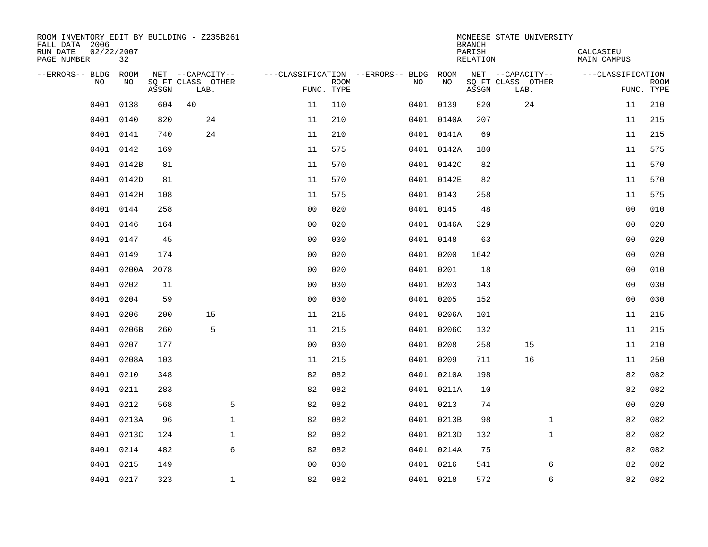| ROOM INVENTORY EDIT BY BUILDING - Z235B261<br>FALL DATA 2006<br>RUN DATE<br>PAGE NUMBER | 02/22/2007<br>32 |       |                           |                |                           |                                        |            | <b>BRANCH</b><br>PARISH<br><b>RELATION</b> | MCNEESE STATE UNIVERSITY  | CALCASIEU<br><b>MAIN CAMPUS</b> |                           |
|-----------------------------------------------------------------------------------------|------------------|-------|---------------------------|----------------|---------------------------|----------------------------------------|------------|--------------------------------------------|---------------------------|---------------------------------|---------------------------|
| --ERRORS-- BLDG ROOM                                                                    |                  |       | NET --CAPACITY--          |                |                           | ---CLASSIFICATION --ERRORS-- BLDG ROOM |            |                                            | NET --CAPACITY--          | ---CLASSIFICATION               |                           |
| NO                                                                                      | NO               | ASSGN | SQ FT CLASS OTHER<br>LAB. |                | <b>ROOM</b><br>FUNC. TYPE | NO                                     | NO         | ASSGN                                      | SQ FT CLASS OTHER<br>LAB. |                                 | <b>ROOM</b><br>FUNC. TYPE |
| 0401                                                                                    | 0138             | 604   | 40                        | 11             | 110                       |                                        | 0401 0139  | 820                                        | 24                        | 11                              | 210                       |
| 0401                                                                                    | 0140             | 820   | 24                        | 11             | 210                       |                                        | 0401 0140A | 207                                        |                           | 11                              | 215                       |
| 0401                                                                                    | 0141             | 740   | 24                        | 11             | 210                       |                                        | 0401 0141A | 69                                         |                           | 11                              | 215                       |
| 0401                                                                                    | 0142             | 169   |                           | 11             | 575                       |                                        | 0401 0142A | 180                                        |                           | 11                              | 575                       |
| 0401                                                                                    | 0142B            | 81    |                           | 11             | 570                       |                                        | 0401 0142C | 82                                         |                           | 11                              | 570                       |
|                                                                                         | 0401 0142D       | 81    |                           | 11             | 570                       |                                        | 0401 0142E | 82                                         |                           | 11                              | 570                       |
| 0401                                                                                    | 0142H            | 108   |                           | 11             | 575                       |                                        | 0401 0143  | 258                                        |                           | 11                              | 575                       |
|                                                                                         | 0401 0144        | 258   |                           | 0 <sub>0</sub> | 020                       |                                        | 0401 0145  | 48                                         |                           | 0 <sub>0</sub>                  | 010                       |
| 0401                                                                                    | 0146             | 164   |                           | 0 <sub>0</sub> | 020                       |                                        | 0401 0146A | 329                                        |                           | 00                              | 020                       |
|                                                                                         | 0401 0147        | 45    |                           | 0 <sub>0</sub> | 030                       |                                        | 0401 0148  | 63                                         |                           | 00                              | 020                       |
| 0401                                                                                    | 0149             | 174   |                           | 0 <sub>0</sub> | 020                       |                                        | 0401 0200  | 1642                                       |                           | 0 <sub>0</sub>                  | 020                       |
| 0401                                                                                    | 0200A            | 2078  |                           | 0 <sub>0</sub> | 020                       |                                        | 0401 0201  | 18                                         |                           | 0 <sub>0</sub>                  | 010                       |
| 0401                                                                                    | 0202             | 11    |                           | 0 <sub>0</sub> | 030                       |                                        | 0401 0203  | 143                                        |                           | 0 <sub>0</sub>                  | 030                       |
| 0401                                                                                    | 0204             | 59    |                           | 0 <sub>0</sub> | 030                       |                                        | 0401 0205  | 152                                        |                           | 00                              | 030                       |
|                                                                                         | 0401 0206        | 200   | 15                        | 11             | 215                       |                                        | 0401 0206A | 101                                        |                           | 11                              | 215                       |
| 0401                                                                                    | 0206B            | 260   | 5                         | 11             | 215                       |                                        | 0401 0206C | 132                                        |                           | 11                              | 215                       |
| 0401                                                                                    | 0207             | 177   |                           | 0 <sub>0</sub> | 030                       |                                        | 0401 0208  | 258                                        | 15                        | 11                              | 210                       |
| 0401                                                                                    | 0208A            | 103   |                           | 11             | 215                       |                                        | 0401 0209  | 711                                        | 16                        | 11                              | 250                       |
|                                                                                         | 0401 0210        | 348   |                           | 82             | 082                       |                                        | 0401 0210A | 198                                        |                           | 82                              | 082                       |
| 0401                                                                                    | 0211             | 283   |                           | 82             | 082                       |                                        | 0401 0211A | 10                                         |                           | 82                              | 082                       |
| 0401                                                                                    | 0212             | 568   | 5                         | 82             | 082                       |                                        | 0401 0213  | 74                                         |                           | 0 <sub>0</sub>                  | 020                       |
| 0401                                                                                    | 0213A            | 96    | $\mathbf 1$               | 82             | 082                       |                                        | 0401 0213B | 98                                         | $\mathbf{1}$              | 82                              | 082                       |
| 0401                                                                                    | 0213C            | 124   | $\mathbf 1$               | 82             | 082                       |                                        | 0401 0213D | 132                                        | $\mathbf{1}$              | 82                              | 082                       |
| 0401                                                                                    | 0214             | 482   | 6                         | 82             | 082                       |                                        | 0401 0214A | 75                                         |                           | 82                              | 082                       |
|                                                                                         | 0401 0215        | 149   |                           | 0 <sub>0</sub> | 030                       |                                        | 0401 0216  | 541                                        | 6                         | 82                              | 082                       |
|                                                                                         | 0401 0217        | 323   | $\mathbf{1}$              | 82             | 082                       |                                        | 0401 0218  | 572                                        | 6                         | 82                              | 082                       |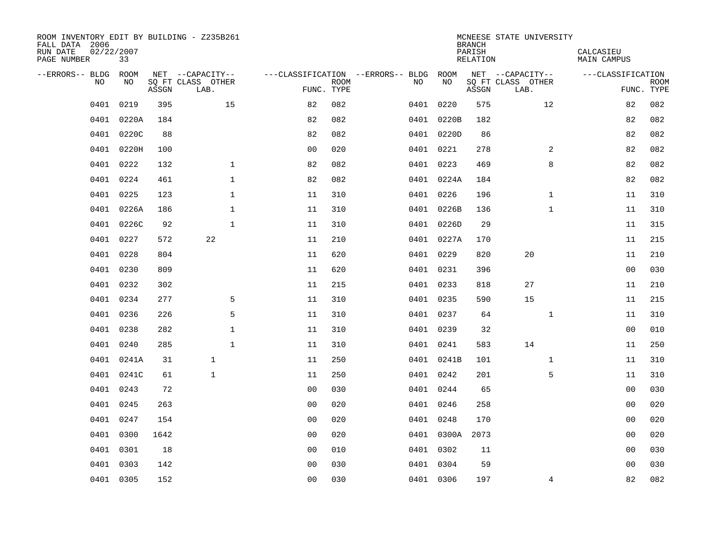| ROOM INVENTORY EDIT BY BUILDING - Z235B261<br>FALL DATA 2006<br>02/22/2007<br>RUN DATE<br>PAGE NUMBER | 33         |       |                           |                |             |                                        |            | <b>BRANCH</b><br>PARISH<br>RELATION | MCNEESE STATE UNIVERSITY  | CALCASIEU<br>MAIN CAMPUS |                           |
|-------------------------------------------------------------------------------------------------------|------------|-------|---------------------------|----------------|-------------|----------------------------------------|------------|-------------------------------------|---------------------------|--------------------------|---------------------------|
| --ERRORS-- BLDG ROOM                                                                                  |            |       | NET --CAPACITY--          |                |             | ---CLASSIFICATION --ERRORS-- BLDG ROOM |            |                                     | NET --CAPACITY--          | ---CLASSIFICATION        |                           |
| NO.                                                                                                   | NO.        | ASSGN | SQ FT CLASS OTHER<br>LAB. | FUNC. TYPE     | <b>ROOM</b> | NO.                                    | NO         | ASSGN                               | SQ FT CLASS OTHER<br>LAB. |                          | <b>ROOM</b><br>FUNC. TYPE |
| 0401                                                                                                  | 0219       | 395   | 15                        | 82             | 082         |                                        | 0401 0220  | 575                                 | 12                        | 82                       | 082                       |
| 0401                                                                                                  | 0220A      | 184   |                           | 82             | 082         |                                        | 0401 0220B | 182                                 |                           | 82                       | 082                       |
| 0401                                                                                                  | 0220C      | 88    |                           | 82             | 082         |                                        | 0401 0220D | 86                                  |                           | 82                       | 082                       |
|                                                                                                       | 0401 0220H | 100   |                           | 0 <sub>0</sub> | 020         |                                        | 0401 0221  | 278                                 | 2                         | 82                       | 082                       |
| 0401                                                                                                  | 0222       | 132   | $\mathbf{1}$              | 82             | 082         |                                        | 0401 0223  | 469                                 | 8                         | 82                       | 082                       |
| 0401                                                                                                  | 0224       | 461   | 1                         | 82             | 082         |                                        | 0401 0224A | 184                                 |                           | 82                       | 082                       |
| 0401                                                                                                  | 0225       | 123   | $\mathbf{1}$              | 11             | 310         |                                        | 0401 0226  | 196                                 | $\mathbf{1}$              | 11                       | 310                       |
| 0401                                                                                                  | 0226A      | 186   | $\mathbf{1}$              | 11             | 310         |                                        | 0401 0226B | 136                                 | $\mathbf{1}$              | 11                       | 310                       |
| 0401                                                                                                  | 0226C      | 92    | $\mathbf{1}$              | 11             | 310         |                                        | 0401 0226D | 29                                  |                           | 11                       | 315                       |
|                                                                                                       | 0401 0227  | 572   | 22                        | 11             | 210         |                                        | 0401 0227A | 170                                 |                           | 11                       | 215                       |
| 0401                                                                                                  | 0228       | 804   |                           | 11             | 620         |                                        | 0401 0229  | 820                                 | 20                        | 11                       | 210                       |
|                                                                                                       | 0401 0230  | 809   |                           | 11             | 620         |                                        | 0401 0231  | 396                                 |                           | 0 <sub>0</sub>           | 030                       |
| 0401                                                                                                  | 0232       | 302   |                           | 11             | 215         |                                        | 0401 0233  | 818                                 | 27                        | 11                       | 210                       |
| 0401                                                                                                  | 0234       | 277   | 5                         | 11             | 310         |                                        | 0401 0235  | 590                                 | 15                        | 11                       | 215                       |
| 0401                                                                                                  | 0236       | 226   | 5                         | 11             | 310         |                                        | 0401 0237  | 64                                  | $\mathbf{1}$              | 11                       | 310                       |
| 0401                                                                                                  | 0238       | 282   | 1                         | 11             | 310         |                                        | 0401 0239  | 32                                  |                           | 0 <sub>0</sub>           | 010                       |
| 0401                                                                                                  | 0240       | 285   | $\mathbf{1}$              | 11             | 310         |                                        | 0401 0241  | 583                                 | 14                        | 11                       | 250                       |
| 0401                                                                                                  | 0241A      | 31    | $\mathbf{1}$              | 11             | 250         |                                        | 0401 0241B | 101                                 | $\mathbf{1}$              | 11                       | 310                       |
|                                                                                                       | 0401 0241C | 61    | $\mathbf{1}$              | 11             | 250         |                                        | 0401 0242  | 201                                 | 5                         | 11                       | 310                       |
| 0401                                                                                                  | 0243       | 72    |                           | 0 <sub>0</sub> | 030         |                                        | 0401 0244  | 65                                  |                           | 00                       | 030                       |
| 0401                                                                                                  | 0245       | 263   |                           | 0 <sub>0</sub> | 020         |                                        | 0401 0246  | 258                                 |                           | 0 <sub>0</sub>           | 020                       |
| 0401                                                                                                  | 0247       | 154   |                           | 0 <sub>0</sub> | 020         |                                        | 0401 0248  | 170                                 |                           | 0 <sub>0</sub>           | 020                       |
| 0401                                                                                                  | 0300       | 1642  |                           | 0 <sub>0</sub> | 020         |                                        | 0401 0300A | 2073                                |                           | 00                       | 020                       |
| 0401                                                                                                  | 0301       | 18    |                           | 00             | 010         |                                        | 0401 0302  | 11                                  |                           | 00                       | 030                       |
| 0401                                                                                                  | 0303       | 142   |                           | 0 <sub>0</sub> | 030         |                                        | 0401 0304  | 59                                  |                           | 00                       | 030                       |
|                                                                                                       | 0401 0305  | 152   |                           | 00             | 030         |                                        | 0401 0306  | 197                                 | $\overline{4}$            | 82                       | 082                       |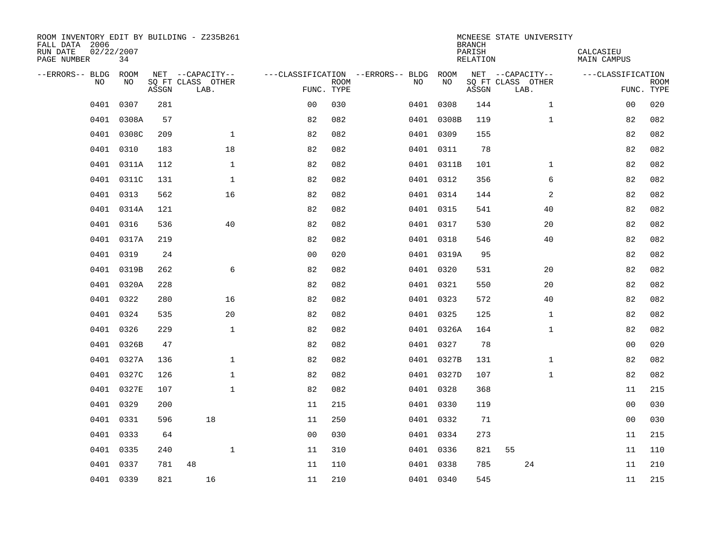| ROOM INVENTORY EDIT BY BUILDING - Z235B261<br>FALL DATA 2006<br>RUN DATE<br>PAGE NUMBER | 02/22/2007<br>34 |       |                           |                |      |                                   |            | <b>BRANCH</b><br>PARISH<br><b>RELATION</b> | MCNEESE STATE UNIVERSITY  | CALCASIEU<br><b>MAIN CAMPUS</b> |                           |
|-----------------------------------------------------------------------------------------|------------------|-------|---------------------------|----------------|------|-----------------------------------|------------|--------------------------------------------|---------------------------|---------------------------------|---------------------------|
| --ERRORS-- BLDG ROOM                                                                    |                  |       | NET --CAPACITY--          |                |      | ---CLASSIFICATION --ERRORS-- BLDG | ROOM       |                                            | NET --CAPACITY--          | ---CLASSIFICATION               |                           |
| <b>NO</b>                                                                               | NO.              | ASSGN | SO FT CLASS OTHER<br>LAB. | FUNC. TYPE     | ROOM | NO.                               | NO         | ASSGN                                      | SQ FT CLASS OTHER<br>LAB. |                                 | <b>ROOM</b><br>FUNC. TYPE |
| 0401                                                                                    | 0307             | 281   |                           | 0 <sub>0</sub> | 030  |                                   | 0401 0308  | 144                                        | $\mathbf{1}$              | 00                              | 020                       |
| 0401                                                                                    | 0308A            | 57    |                           | 82             | 082  |                                   | 0401 0308B | 119                                        | $\mathbf{1}$              | 82                              | 082                       |
| 0401                                                                                    | 0308C            | 209   | $\mathbf 1$               | 82             | 082  |                                   | 0401 0309  | 155                                        |                           | 82                              | 082                       |
| 0401                                                                                    | 0310             | 183   | 18                        | 82             | 082  |                                   | 0401 0311  | 78                                         |                           | 82                              | 082                       |
| 0401                                                                                    | 0311A            | 112   | $\mathbf{1}$              | 82             | 082  |                                   | 0401 0311B | 101                                        | $\mathbf{1}$              | 82                              | 082                       |
| 0401                                                                                    | 0311C            | 131   | $\mathbf{1}$              | 82             | 082  |                                   | 0401 0312  | 356                                        | 6                         | 82                              | 082                       |
| 0401                                                                                    | 0313             | 562   | 16                        | 82             | 082  |                                   | 0401 0314  | 144                                        | $\overline{a}$            | 82                              | 082                       |
| 0401                                                                                    | 0314A            | 121   |                           | 82             | 082  |                                   | 0401 0315  | 541                                        | 40                        | 82                              | 082                       |
| 0401                                                                                    | 0316             | 536   | 40                        | 82             | 082  |                                   | 0401 0317  | 530                                        | 20                        | 82                              | 082                       |
|                                                                                         | 0401 0317A       | 219   |                           | 82             | 082  |                                   | 0401 0318  | 546                                        | 40                        | 82                              | 082                       |
| 0401                                                                                    | 0319             | 24    |                           | 0 <sub>0</sub> | 020  |                                   | 0401 0319A | 95                                         |                           | 82                              | 082                       |
|                                                                                         | 0401 0319B       | 262   | 6                         | 82             | 082  |                                   | 0401 0320  | 531                                        | 20                        | 82                              | 082                       |
| 0401                                                                                    | 0320A            | 228   |                           | 82             | 082  |                                   | 0401 0321  | 550                                        | 20                        | 82                              | 082                       |
|                                                                                         | 0401 0322        | 280   | 16                        | 82             | 082  |                                   | 0401 0323  | 572                                        | 40                        | 82                              | 082                       |
| 0401                                                                                    | 0324             | 535   | 20                        | 82             | 082  |                                   | 0401 0325  | 125                                        | $\mathbf{1}$              | 82                              | 082                       |
|                                                                                         | 0401 0326        | 229   | $\mathbf{1}$              | 82             | 082  |                                   | 0401 0326A | 164                                        | $\mathbf{1}$              | 82                              | 082                       |
| 0401                                                                                    | 0326B            | 47    |                           | 82             | 082  |                                   | 0401 0327  | 78                                         |                           | 00                              | 020                       |
|                                                                                         | 0401 0327A       | 136   | $\mathbf 1$               | 82             | 082  |                                   | 0401 0327B | 131                                        | $\mathbf{1}$              | 82                              | 082                       |
| 0401                                                                                    | 0327C            | 126   | $\mathbf 1$               | 82             | 082  |                                   | 0401 0327D | 107                                        | $\mathbf{1}$              | 82                              | 082                       |
| 0401                                                                                    | 0327E            | 107   | $\mathbf{1}$              | 82             | 082  |                                   | 0401 0328  | 368                                        |                           | 11                              | 215                       |
| 0401                                                                                    | 0329             | 200   |                           | 11             | 215  |                                   | 0401 0330  | 119                                        |                           | 0 <sub>0</sub>                  | 030                       |
| 0401                                                                                    | 0331             | 596   | 18                        | 11             | 250  |                                   | 0401 0332  | 71                                         |                           | 0 <sub>0</sub>                  | 030                       |
| 0401                                                                                    | 0333             | 64    |                           | 0 <sub>0</sub> | 030  |                                   | 0401 0334  | 273                                        |                           | 11                              | 215                       |
| 0401                                                                                    | 0335             | 240   | $\mathbf{1}$              | 11             | 310  |                                   | 0401 0336  | 821                                        | 55                        | 11                              | 110                       |
| 0401                                                                                    | 0337             | 781   | 48                        | 11             | 110  |                                   | 0401 0338  | 785                                        | 24                        | 11                              | 210                       |
|                                                                                         | 0401 0339        | 821   | 16                        | 11             | 210  |                                   | 0401 0340  | 545                                        |                           | 11                              | 215                       |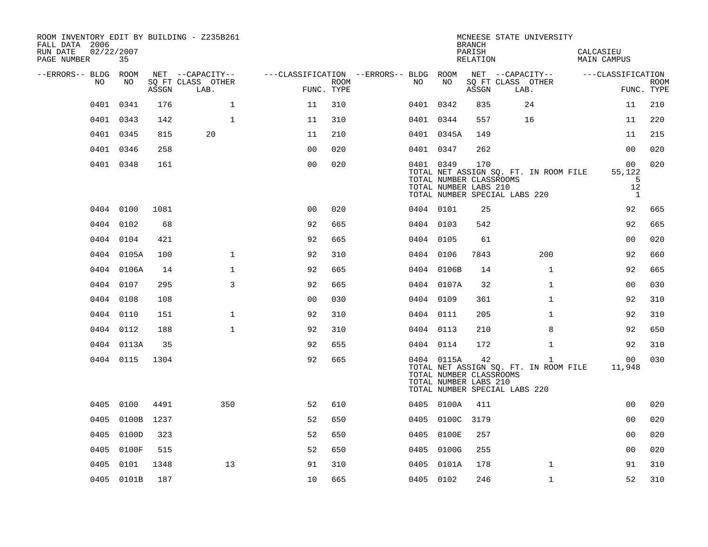| ROOM INVENTORY EDIT BY BUILDING - Z235B261<br>FALL DATA 2006<br>02/22/2007<br>RUN DATE<br>PAGE NUMBER | 35         |       |                           |                                        |      |           |                                                                | <b>BRANCH</b><br>PARISH<br>RELATION |                               | MCNEESE STATE UNIVERSITY                              | CALCASIEU<br>MAIN CAMPUS                |                           |
|-------------------------------------------------------------------------------------------------------|------------|-------|---------------------------|----------------------------------------|------|-----------|----------------------------------------------------------------|-------------------------------------|-------------------------------|-------------------------------------------------------|-----------------------------------------|---------------------------|
| --ERRORS-- BLDG ROOM                                                                                  |            |       | NET --CAPACITY--          | ---CLASSIFICATION --ERRORS-- BLDG ROOM |      |           |                                                                |                                     | NET --CAPACITY--              |                                                       | ---CLASSIFICATION                       |                           |
| NO                                                                                                    | NO         | ASSGN | SO FT CLASS OTHER<br>LAB. | FUNC. TYPE                             | ROOM | NO.       | NO                                                             | ASSGN                               | SQ FT CLASS OTHER<br>LAB.     |                                                       |                                         | <b>ROOM</b><br>FUNC. TYPE |
| 0401                                                                                                  | 0341       | 176   | $\mathbf{1}$              | 11                                     | 310  | 0401 0342 |                                                                | 835                                 | 24                            |                                                       | 11                                      | 210                       |
|                                                                                                       | 0401 0343  | 142   | $\mathbf{1}$              | 11                                     | 310  | 0401 0344 |                                                                | 557                                 | 16                            |                                                       | 11                                      | 220                       |
|                                                                                                       | 0401 0345  | 815   | 20                        | 11                                     | 210  |           | 0401 0345A                                                     | 149                                 |                               |                                                       | 11                                      | 215                       |
|                                                                                                       | 0401 0346  | 258   |                           | 0 <sub>0</sub>                         | 020  | 0401 0347 |                                                                | 262                                 |                               |                                                       | 00                                      | 020                       |
|                                                                                                       | 0401 0348  | 161   |                           | 0 <sub>0</sub>                         | 020  | 0401 0349 | TOTAL NUMBER CLASSROOMS<br>TOTAL NUMBER LABS 210               | 170                                 | TOTAL NUMBER SPECIAL LABS 220 | TOTAL NET ASSIGN SQ. FT. IN ROOM FILE                 | 00<br>55,122<br>5<br>12<br><sup>1</sup> | 020                       |
|                                                                                                       | 0404 0100  | 1081  |                           | 0 <sub>0</sub>                         | 020  | 0404 0101 |                                                                | 25                                  |                               |                                                       | 92                                      | 665                       |
|                                                                                                       | 0404 0102  | 68    |                           | 92                                     | 665  | 0404 0103 |                                                                | 542                                 |                               |                                                       | 92                                      | 665                       |
|                                                                                                       | 0404 0104  | 421   |                           | 92                                     | 665  | 0404 0105 |                                                                | 61                                  |                               |                                                       | 0 <sub>0</sub>                          | 020                       |
|                                                                                                       | 0404 0105A | 100   | $\mathbf{1}$              | 92                                     | 310  | 0404 0106 |                                                                | 7843                                |                               | 200                                                   | 92                                      | 660                       |
|                                                                                                       | 0404 0106A | 14    | $\mathbf 1$               | 92                                     | 665  |           | 0404 0106B                                                     | 14                                  |                               | $\mathbf{1}$                                          | 92                                      | 665                       |
|                                                                                                       | 0404 0107  | 295   | 3                         | 92                                     | 665  |           | 0404 0107A                                                     | 32                                  |                               | $\mathbf{1}$                                          | 0 <sub>0</sub>                          | 030                       |
|                                                                                                       | 0404 0108  | 108   |                           | 0 <sub>0</sub>                         | 030  | 0404 0109 |                                                                | 361                                 |                               | $\mathbf{1}$                                          | 92                                      | 310                       |
|                                                                                                       | 0404 0110  | 151   | $\mathbf{1}$              | 92                                     | 310  | 0404 0111 |                                                                | 205                                 |                               | $\mathbf{1}$                                          | 92                                      | 310                       |
|                                                                                                       | 0404 0112  | 188   | $\mathbf{1}$              | 92                                     | 310  | 0404 0113 |                                                                | 210                                 |                               | 8                                                     | 92                                      | 650                       |
|                                                                                                       | 0404 0113A | 35    |                           | 92                                     | 655  | 0404 0114 |                                                                | 172                                 |                               | $\mathbf{1}$                                          | 92                                      | 310                       |
|                                                                                                       | 0404 0115  | 1304  |                           | 92                                     | 665  |           | 0404 0115A<br>TOTAL NUMBER CLASSROOMS<br>TOTAL NUMBER LABS 210 | 42                                  | TOTAL NUMBER SPECIAL LABS 220 | $\mathbf{1}$<br>TOTAL NET ASSIGN SQ. FT. IN ROOM FILE | 00<br>11,948                            | 030                       |
|                                                                                                       | 0405 0100  | 4491  | 350                       | 52                                     | 610  |           | 0405 0100A                                                     | 411                                 |                               |                                                       | 0 <sub>0</sub>                          | 020                       |
| 0405                                                                                                  | 0100B      | 1237  |                           | 52                                     | 650  |           | 0405 0100C                                                     | 3179                                |                               |                                                       | 00                                      | 020                       |
|                                                                                                       | 0405 0100D | 323   |                           | 52                                     | 650  |           | 0405 0100E                                                     | 257                                 |                               |                                                       | 0 <sub>0</sub>                          | 020                       |
| 0405                                                                                                  | 0100F      | 515   |                           | 52                                     | 650  |           | 0405 0100G                                                     | 255                                 |                               |                                                       | 0 <sub>0</sub>                          | 020                       |
| 0405                                                                                                  | 0101       | 1348  | 13                        | 91                                     | 310  |           | 0405 0101A                                                     | 178                                 |                               | $\mathbf{1}$                                          | 91                                      | 310                       |
|                                                                                                       | 0405 0101B | 187   |                           | 10                                     | 665  | 0405 0102 |                                                                | 246                                 |                               | $\mathbf{1}$                                          | 52                                      | 310                       |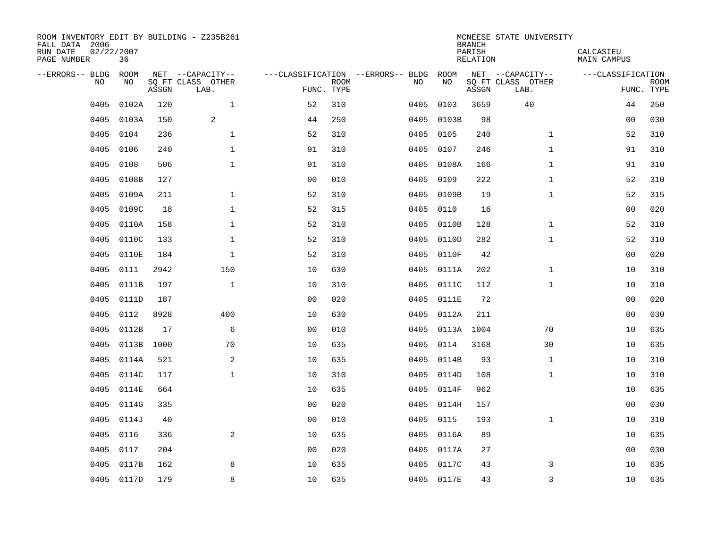| ROOM INVENTORY EDIT BY BUILDING - Z235B261<br>FALL DATA 2006<br>RUN DATE<br>PAGE NUMBER | 02/22/2007<br>36 |       |                           |                |             |                                   |            | <b>BRANCH</b><br>PARISH<br><b>RELATION</b> | MCNEESE STATE UNIVERSITY  | CALCASIEU<br><b>MAIN CAMPUS</b> |                           |
|-----------------------------------------------------------------------------------------|------------------|-------|---------------------------|----------------|-------------|-----------------------------------|------------|--------------------------------------------|---------------------------|---------------------------------|---------------------------|
| --ERRORS-- BLDG ROOM                                                                    |                  |       | NET --CAPACITY--          |                |             | ---CLASSIFICATION --ERRORS-- BLDG | ROOM       |                                            | NET --CAPACITY--          | ---CLASSIFICATION               |                           |
| NO                                                                                      | NO               | ASSGN | SQ FT CLASS OTHER<br>LAB. | FUNC. TYPE     | <b>ROOM</b> | NO                                | NO         | ASSGN                                      | SQ FT CLASS OTHER<br>LAB. |                                 | <b>ROOM</b><br>FUNC. TYPE |
| 0405                                                                                    | 0102A            | 120   | $\mathbf 1$               | 52             | 310         | 0405                              | 0103       | 3659                                       | 40                        | 44                              | 250                       |
| 0405                                                                                    | 0103A            | 150   | 2                         | 44             | 250         | 0405                              | 0103B      | 98                                         |                           | 00                              | 030                       |
| 0405                                                                                    | 0104             | 236   | $\mathbf 1$               | 52             | 310         | 0405                              | 0105       | 240                                        | $\mathbf{1}$              | 52                              | 310                       |
| 0405                                                                                    | 0106             | 240   | $\mathbf 1$               | 91             | 310         | 0405                              | 0107       | 246                                        | $\mathbf{1}$              | 91                              | 310                       |
| 0405                                                                                    | 0108             | 506   | $\mathbf{1}$              | 91             | 310         | 0405                              | 0108A      | 166                                        | $\mathbf{1}$              | 91                              | 310                       |
| 0405                                                                                    | 0108B            | 127   |                           | 0 <sub>0</sub> | 010         | 0405                              | 0109       | 222                                        | $\mathbf{1}$              | 52                              | 310                       |
| 0405                                                                                    | 0109A            | 211   | $\mathbf{1}$              | 52             | 310         | 0405                              | 0109B      | 19                                         | $\mathbf{1}$              | 52                              | 315                       |
| 0405                                                                                    | 0109C            | 18    | $\mathbf 1$               | 52             | 315         | 0405                              | 0110       | 16                                         |                           | 0 <sub>0</sub>                  | 020                       |
| 0405                                                                                    | 0110A            | 158   | $\mathbf{1}$              | 52             | 310         | 0405                              | 0110B      | 128                                        | $\mathbf{1}$              | 52                              | 310                       |
| 0405                                                                                    | 0110C            | 133   | $\mathbf{1}$              | 52             | 310         | 0405                              | 0110D      | 282                                        | $\mathbf{1}$              | 52                              | 310                       |
| 0405                                                                                    | 0110E            | 184   | $\mathbf 1$               | 52             | 310         | 0405                              | 0110F      | 42                                         |                           | 0 <sub>0</sub>                  | 020                       |
| 0405                                                                                    | 0111             | 2942  | 150                       | 10             | 630         | 0405                              | 0111A      | 202                                        | $\mathbf{1}$              | 10                              | 310                       |
| 0405                                                                                    | 0111B            | 197   | $\mathbf 1$               | 10             | 310         | 0405                              | 0111C      | 112                                        | $\mathbf{1}$              | 10                              | 310                       |
| 0405                                                                                    | 0111D            | 187   |                           | 0 <sub>0</sub> | 020         | 0405                              | 0111E      | 72                                         |                           | 00                              | 020                       |
| 0405                                                                                    | 0112             | 8928  | 400                       | 10             | 630         | 0405                              | 0112A      | 211                                        |                           | 00                              | 030                       |
| 0405                                                                                    | 0112B            | 17    | 6                         | 0 <sub>0</sub> | 010         | 0405                              |            | 0113A 1004                                 | 70                        | 10                              | 635                       |
| 0405                                                                                    | 0113B            | 1000  | 70                        | 10             | 635         | 0405                              | 0114       | 3168                                       | 30                        | 10                              | 635                       |
| 0405                                                                                    | 0114A            | 521   | 2                         | 10             | 635         | 0405                              | 0114B      | 93                                         | $\mathbf{1}$              | 10                              | 310                       |
| 0405                                                                                    | 0114C            | 117   | $\mathbf{1}$              | 10             | 310         |                                   | 0405 0114D | 108                                        | $\mathbf{1}$              | 10                              | 310                       |
| 0405                                                                                    | 0114E            | 664   |                           | 10             | 635         | 0405                              | 0114F      | 962                                        |                           | 10                              | 635                       |
| 0405                                                                                    | 0114G            | 335   |                           | 0 <sub>0</sub> | 020         | 0405                              | 0114H      | 157                                        |                           | 00                              | 030                       |
| 0405                                                                                    | 0114J            | 40    |                           | 0 <sub>0</sub> | 010         | 0405                              | 0115       | 193                                        | $\mathbf{1}$              | 10                              | 310                       |
| 0405                                                                                    | 0116             | 336   | 2                         | 10             | 635         |                                   | 0405 0116A | 89                                         |                           | 10                              | 635                       |
| 0405                                                                                    | 0117             | 204   |                           | 0 <sub>0</sub> | 020         | 0405                              | 0117A      | 27                                         |                           | 0 <sub>0</sub>                  | 030                       |
| 0405                                                                                    | 0117B            | 162   | 8                         | 10             | 635         | 0405                              | 0117C      | 43                                         | 3                         | 10                              | 635                       |
|                                                                                         | 0405 0117D       | 179   | 8                         | 10             | 635         |                                   | 0405 0117E | 43                                         | 3                         | 10                              | 635                       |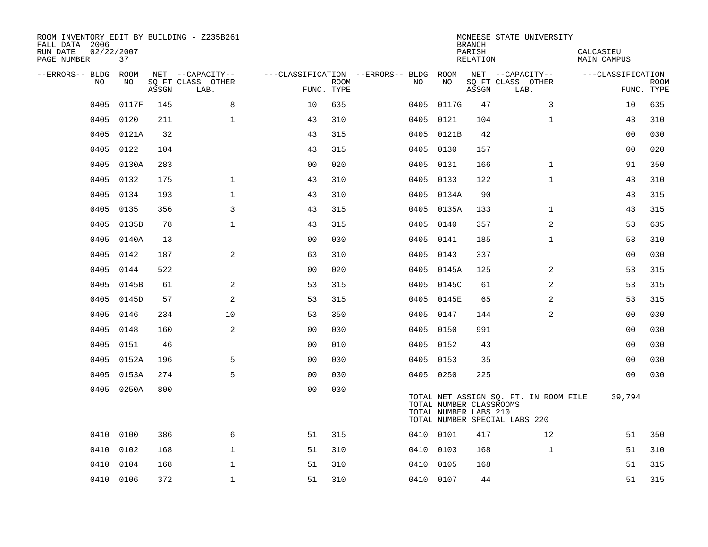| ROOM INVENTORY EDIT BY BUILDING - Z235B261<br>FALL DATA 2006<br>RUN DATE<br>PAGE NUMBER | 02/22/2007<br>37 |       |                           |                |      |                                   |      |            | <b>BRANCH</b><br>PARISH<br>RELATION              | MCNEESE STATE UNIVERSITY                                               | CALCASIEU<br><b>MAIN CAMPUS</b> |                           |
|-----------------------------------------------------------------------------------------|------------------|-------|---------------------------|----------------|------|-----------------------------------|------|------------|--------------------------------------------------|------------------------------------------------------------------------|---------------------------------|---------------------------|
| --ERRORS-- BLDG ROOM                                                                    |                  |       | NET --CAPACITY--          |                |      | ---CLASSIFICATION --ERRORS-- BLDG |      | ROOM       |                                                  | NET --CAPACITY--                                                       | ---CLASSIFICATION               |                           |
| N <sub>O</sub>                                                                          | NO.              | ASSGN | SO FT CLASS OTHER<br>LAB. | FUNC. TYPE     | ROOM |                                   | NO.  | NO         | ASSGN                                            | SQ FT CLASS OTHER<br>LAB.                                              |                                 | <b>ROOM</b><br>FUNC. TYPE |
| 0405                                                                                    | 0117F            | 145   | 8                         | 10             | 635  |                                   | 0405 | 0117G      | 47                                               | 3                                                                      | 10                              | 635                       |
| 0405                                                                                    | 0120             | 211   | $\mathbf{1}$              | 43             | 310  |                                   |      | 0405 0121  | 104                                              | $\mathbf{1}$                                                           | 43                              | 310                       |
| 0405                                                                                    | 0121A            | 32    |                           | 43             | 315  |                                   |      | 0405 0121B | 42                                               |                                                                        | 0 <sub>0</sub>                  | 030                       |
| 0405                                                                                    | 0122             | 104   |                           | 43             | 315  |                                   |      | 0405 0130  | 157                                              |                                                                        | 0 <sub>0</sub>                  | 020                       |
| 0405                                                                                    | 0130A            | 283   |                           | 00             | 020  |                                   | 0405 | 0131       | 166                                              | $\mathbf{1}$                                                           | 91                              | 350                       |
| 0405                                                                                    | 0132             | 175   | $\mathbf 1$               | 43             | 310  |                                   |      | 0405 0133  | 122                                              | $\mathbf{1}$                                                           | 43                              | 310                       |
| 0405                                                                                    | 0134             | 193   | $\mathbf{1}$              | 43             | 310  |                                   |      | 0405 0134A | 90                                               |                                                                        | 43                              | 315                       |
| 0405                                                                                    | 0135             | 356   | 3                         | 43             | 315  |                                   |      | 0405 0135A | 133                                              | $\mathbf{1}$                                                           | 43                              | 315                       |
| 0405                                                                                    | 0135B            | 78    | $\mathbf{1}$              | 43             | 315  |                                   | 0405 | 0140       | 357                                              | 2                                                                      | 53                              | 635                       |
| 0405                                                                                    | 0140A            | 13    |                           | 0 <sub>0</sub> | 030  |                                   |      | 0405 0141  | 185                                              | $\mathbf{1}$                                                           | 53                              | 310                       |
| 0405                                                                                    | 0142             | 187   | 2                         | 63             | 310  |                                   | 0405 | 0143       | 337                                              |                                                                        | 0 <sub>0</sub>                  | 030                       |
| 0405                                                                                    | 0144             | 522   |                           | 0 <sub>0</sub> | 020  |                                   |      | 0405 0145A | 125                                              | 2                                                                      | 53                              | 315                       |
| 0405                                                                                    | 0145B            | 61    | 2                         | 53             | 315  |                                   | 0405 | 0145C      | 61                                               | 2                                                                      | 53                              | 315                       |
| 0405                                                                                    | 0145D            | 57    | 2                         | 53             | 315  |                                   |      | 0405 0145E | 65                                               | 2                                                                      | 53                              | 315                       |
| 0405                                                                                    | 0146             | 234   | 10                        | 53             | 350  |                                   | 0405 | 0147       | 144                                              | 2                                                                      | 00                              | 030                       |
| 0405                                                                                    | 0148             | 160   | 2                         | 0 <sub>0</sub> | 030  |                                   |      | 0405 0150  | 991                                              |                                                                        | 0 <sub>0</sub>                  | 030                       |
| 0405                                                                                    | 0151             | 46    |                           | 0 <sub>0</sub> | 010  |                                   | 0405 | 0152       | 43                                               |                                                                        | 00                              | 030                       |
| 0405                                                                                    | 0152A            | 196   | 5                         | 0 <sub>0</sub> | 030  |                                   |      | 0405 0153  | 35                                               |                                                                        | 0 <sub>0</sub>                  | 030                       |
| 0405                                                                                    | 0153A            | 274   | 5                         | 0 <sub>0</sub> | 030  |                                   |      | 0405 0250  | 225                                              |                                                                        | 0 <sub>0</sub>                  | 030                       |
|                                                                                         | 0405 0250A       | 800   |                           | 0 <sub>0</sub> | 030  |                                   |      |            | TOTAL NUMBER CLASSROOMS<br>TOTAL NUMBER LABS 210 | TOTAL NET ASSIGN SO. FT. IN ROOM FILE<br>TOTAL NUMBER SPECIAL LABS 220 | 39,794                          |                           |
| 0410                                                                                    | 0100             | 386   | 6                         | 51             | 315  |                                   |      | 0410 0101  | 417                                              | 12                                                                     | 51                              | 350                       |
| 0410                                                                                    | 0102             | 168   | $\mathbf{1}$              | 51             | 310  |                                   | 0410 | 0103       | 168                                              | $\mathbf{1}$                                                           | 51                              | 310                       |
| 0410                                                                                    | 0104             | 168   | $\mathbf{1}$              | 51             | 310  |                                   | 0410 | 0105       | 168                                              |                                                                        | 51                              | 315                       |
|                                                                                         | 0410 0106        | 372   | $\mathbf{1}$              | 51             | 310  |                                   |      | 0410 0107  | 44                                               |                                                                        | 51                              | 315                       |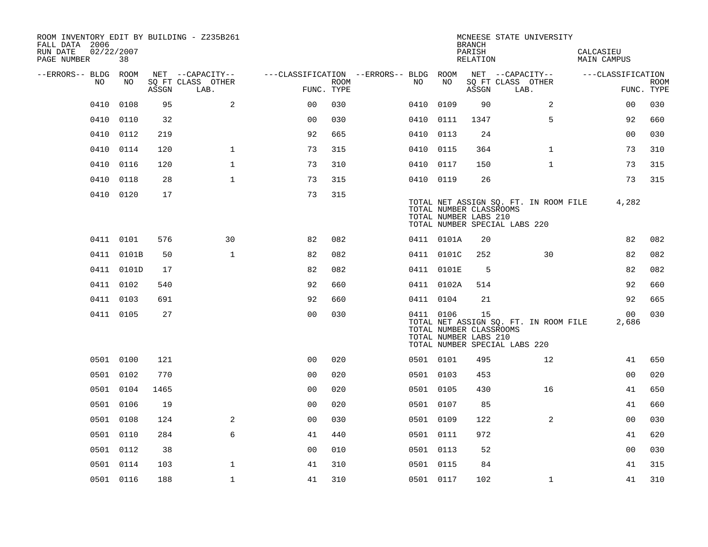| ROOM INVENTORY EDIT BY BUILDING - Z235B261<br>FALL DATA 2006<br>RUN DATE<br>PAGE NUMBER | 02/22/2007<br>38 |       |                           |                                   |      |      |                                                               | <b>BRANCH</b><br>PARISH<br>RELATION | MCNEESE STATE UNIVERSITY                                               | CALCASIEU<br><b>MAIN CAMPUS</b> |                           |
|-----------------------------------------------------------------------------------------|------------------|-------|---------------------------|-----------------------------------|------|------|---------------------------------------------------------------|-------------------------------------|------------------------------------------------------------------------|---------------------------------|---------------------------|
| --ERRORS-- BLDG                                                                         | ROOM             |       | NET --CAPACITY--          | ---CLASSIFICATION --ERRORS-- BLDG |      |      | ROOM                                                          |                                     | NET --CAPACITY--                                                       | ---CLASSIFICATION               |                           |
| NO.                                                                                     | NO               | ASSGN | SO FT CLASS OTHER<br>LAB. | FUNC. TYPE                        | ROOM | NO   | NO                                                            | ASSGN                               | SQ FT CLASS OTHER<br>LAB.                                              |                                 | <b>ROOM</b><br>FUNC. TYPE |
| 0410                                                                                    | 0108             | 95    | 2                         | 0 <sup>0</sup>                    | 030  | 0410 | 0109                                                          | 90                                  | 2                                                                      | 0 <sub>0</sub>                  | 030                       |
| 0410                                                                                    | 0110             | 32    |                           | 0 <sub>0</sub>                    | 030  | 0410 | 0111                                                          | 1347                                | 5                                                                      | 92                              | 660                       |
| 0410                                                                                    | 0112             | 219   |                           | 92                                | 665  | 0410 | 0113                                                          | 24                                  |                                                                        | 0 <sub>0</sub>                  | 030                       |
| 0410                                                                                    | 0114             | 120   | $\mathbf{1}$              | 73                                | 315  |      | 0410 0115                                                     | 364                                 | $\mathbf{1}$                                                           | 73                              | 310                       |
| 0410                                                                                    | 0116             | 120   | $\mathbf 1$               | 73                                | 310  |      | 0410 0117                                                     | 150                                 | $\mathbf{1}$                                                           | 73                              | 315                       |
| 0410                                                                                    | 0118             | 28    | $\mathbf{1}$              | 73                                | 315  |      | 0410 0119                                                     | 26                                  |                                                                        | 73                              | 315                       |
|                                                                                         | 0410 0120        | 17    |                           | 73                                | 315  |      | TOTAL NUMBER CLASSROOMS<br>TOTAL NUMBER LABS 210              |                                     | TOTAL NET ASSIGN SQ. FT. IN ROOM FILE<br>TOTAL NUMBER SPECIAL LABS 220 | 4,282                           |                           |
|                                                                                         | 0411 0101        | 576   | 30                        | 82                                | 082  |      | 0411 0101A                                                    | 20                                  |                                                                        | 82                              | 082                       |
|                                                                                         | 0411 0101B       | 50    | $\mathbf{1}$              | 82                                | 082  |      | 0411 0101C                                                    | 252                                 | 30                                                                     | 82                              | 082                       |
|                                                                                         | 0411 0101D       | 17    |                           | 82                                | 082  |      | 0411 0101E                                                    | -5                                  |                                                                        | 82                              | 082                       |
|                                                                                         | 0411 0102        | 540   |                           | 92                                | 660  |      | 0411 0102A                                                    | 514                                 |                                                                        | 92                              | 660                       |
|                                                                                         | 0411 0103        | 691   |                           | 92                                | 660  |      | 0411 0104                                                     | 21                                  |                                                                        | 92                              | 665                       |
|                                                                                         | 0411 0105        | 27    |                           | 0 <sub>0</sub>                    | 030  |      | 0411 0106<br>TOTAL NUMBER CLASSROOMS<br>TOTAL NUMBER LABS 210 | 15                                  | TOTAL NET ASSIGN SQ. FT. IN ROOM FILE<br>TOTAL NUMBER SPECIAL LABS 220 | 00<br>2,686                     | 030                       |
|                                                                                         | 0501 0100        | 121   |                           | 0 <sub>0</sub>                    | 020  |      | 0501 0101                                                     | 495                                 | 12                                                                     | 41                              | 650                       |
|                                                                                         | 0501 0102        | 770   |                           | 0 <sub>0</sub>                    | 020  |      | 0501 0103                                                     | 453                                 |                                                                        | 0 <sub>0</sub>                  | 020                       |
|                                                                                         | 0501 0104        | 1465  |                           | 0 <sub>0</sub>                    | 020  |      | 0501 0105                                                     | 430                                 | 16                                                                     | 41                              | 650                       |
|                                                                                         | 0501 0106        | 19    |                           | 0 <sub>0</sub>                    | 020  |      | 0501 0107                                                     | 85                                  |                                                                        | 41                              | 660                       |
|                                                                                         | 0501 0108        | 124   | 2                         | 0 <sub>0</sub>                    | 030  |      | 0501 0109                                                     | 122                                 | 2                                                                      | 0 <sub>0</sub>                  | 030                       |
|                                                                                         | 0501 0110        | 284   | 6                         | 41                                | 440  |      | 0501 0111                                                     | 972                                 |                                                                        | 41                              | 620                       |
|                                                                                         | 0501 0112        | 38    |                           | 0 <sub>0</sub>                    | 010  |      | 0501 0113                                                     | 52                                  |                                                                        | 0 <sub>0</sub>                  | 030                       |
|                                                                                         | 0501 0114        | 103   | $\mathbf{1}$              | 41                                | 310  |      | 0501 0115                                                     | 84                                  |                                                                        | 41                              | 315                       |
|                                                                                         | 0501 0116        | 188   | $\mathbf 1$               | 41                                | 310  |      | 0501 0117                                                     | 102                                 | $\mathbf{1}$                                                           | 41                              | 310                       |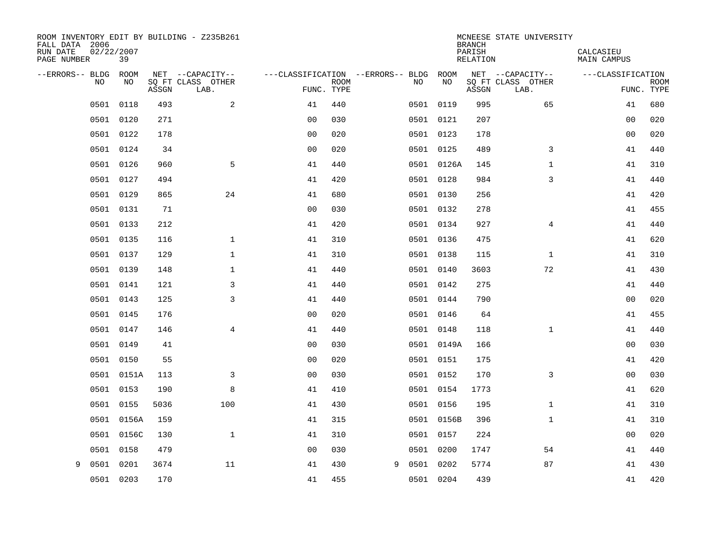| ROOM INVENTORY EDIT BY BUILDING - Z235B261<br>FALL DATA 2006<br>RUN DATE<br>PAGE NUMBER | 02/22/2007<br>39 |       |                           |                                   |             |   |    |            | <b>BRANCH</b><br>PARISH<br><b>RELATION</b> | MCNEESE STATE UNIVERSITY  | CALCASIEU<br><b>MAIN CAMPUS</b> |                           |
|-----------------------------------------------------------------------------------------|------------------|-------|---------------------------|-----------------------------------|-------------|---|----|------------|--------------------------------------------|---------------------------|---------------------------------|---------------------------|
| --ERRORS-- BLDG                                                                         | ROOM             |       | NET --CAPACITY--          | ---CLASSIFICATION --ERRORS-- BLDG |             |   |    | ROOM       |                                            | NET --CAPACITY--          | ---CLASSIFICATION               |                           |
| <b>NO</b>                                                                               | NO.              | ASSGN | SQ FT CLASS OTHER<br>LAB. | FUNC. TYPE                        | <b>ROOM</b> |   | NO | NO         | ASSGN                                      | SQ FT CLASS OTHER<br>LAB. |                                 | <b>ROOM</b><br>FUNC. TYPE |
| 0501                                                                                    | 0118             | 493   | 2                         | 41                                | 440         |   |    | 0501 0119  | 995                                        | 65                        | 41                              | 680                       |
| 0501                                                                                    | 0120             | 271   |                           | 0 <sub>0</sub>                    | 030         |   |    | 0501 0121  | 207                                        |                           | 00                              | 020                       |
| 0501                                                                                    | 0122             | 178   |                           | 0 <sub>0</sub>                    | 020         |   |    | 0501 0123  | 178                                        |                           | 0 <sub>0</sub>                  | 020                       |
| 0501                                                                                    | 0124             | 34    |                           | 0 <sub>0</sub>                    | 020         |   |    | 0501 0125  | 489                                        | 3                         | 41                              | 440                       |
| 0501                                                                                    | 0126             | 960   | 5                         | 41                                | 440         |   |    | 0501 0126A | 145                                        | $\mathbf{1}$              | 41                              | 310                       |
| 0501                                                                                    | 0127             | 494   |                           | 41                                | 420         |   |    | 0501 0128  | 984                                        | 3                         | 41                              | 440                       |
| 0501                                                                                    | 0129             | 865   | 24                        | 41                                | 680         |   |    | 0501 0130  | 256                                        |                           | 41                              | 420                       |
|                                                                                         | 0501 0131        | 71    |                           | 0 <sub>0</sub>                    | 030         |   |    | 0501 0132  | 278                                        |                           | 41                              | 455                       |
| 0501                                                                                    | 0133             | 212   |                           | 41                                | 420         |   |    | 0501 0134  | 927                                        | 4                         | 41                              | 440                       |
|                                                                                         | 0501 0135        | 116   | $\mathbf 1$               | 41                                | 310         |   |    | 0501 0136  | 475                                        |                           | 41                              | 620                       |
| 0501                                                                                    | 0137             | 129   | $\mathbf 1$               | 41                                | 310         |   |    | 0501 0138  | 115                                        | $\mathbf{1}$              | 41                              | 310                       |
|                                                                                         | 0501 0139        | 148   | $\mathbf 1$               | 41                                | 440         |   |    | 0501 0140  | 3603                                       | 72                        | 41                              | 430                       |
| 0501                                                                                    | 0141             | 121   | 3                         | 41                                | 440         |   |    | 0501 0142  | 275                                        |                           | 41                              | 440                       |
|                                                                                         | 0501 0143        | 125   | 3                         | 41                                | 440         |   |    | 0501 0144  | 790                                        |                           | 00                              | 020                       |
| 0501                                                                                    | 0145             | 176   |                           | 0 <sub>0</sub>                    | 020         |   |    | 0501 0146  | 64                                         |                           | 41                              | 455                       |
|                                                                                         | 0501 0147        | 146   | 4                         | 41                                | 440         |   |    | 0501 0148  | 118                                        | $\mathbf{1}$              | 41                              | 440                       |
| 0501                                                                                    | 0149             | 41    |                           | 0 <sub>0</sub>                    | 030         |   |    | 0501 0149A | 166                                        |                           | 00                              | 030                       |
|                                                                                         | 0501 0150        | 55    |                           | 0 <sub>0</sub>                    | 020         |   |    | 0501 0151  | 175                                        |                           | 41                              | 420                       |
| 0501                                                                                    | 0151A            | 113   | 3                         | 0 <sub>0</sub>                    | 030         |   |    | 0501 0152  | 170                                        | 3                         | 0 <sub>0</sub>                  | 030                       |
| 0501                                                                                    | 0153             | 190   | 8                         | 41                                | 410         |   |    | 0501 0154  | 1773                                       |                           | 41                              | 620                       |
| 0501                                                                                    | 0155             | 5036  | 100                       | 41                                | 430         |   |    | 0501 0156  | 195                                        | $\mathbf{1}$              | 41                              | 310                       |
| 0501                                                                                    | 0156A            | 159   |                           | 41                                | 315         |   |    | 0501 0156B | 396                                        | $\mathbf{1}$              | 41                              | 310                       |
| 0501                                                                                    | 0156C            | 130   | $\mathbf 1$               | 41                                | 310         |   |    | 0501 0157  | 224                                        |                           | 00                              | 020                       |
| 0501                                                                                    | 0158             | 479   |                           | 0 <sub>0</sub>                    | 030         |   |    | 0501 0200  | 1747                                       | 54                        | 41                              | 440                       |
| 9<br>0501                                                                               | 0201             | 3674  | 11                        | 41                                | 430         | 9 |    | 0501 0202  | 5774                                       | 87                        | 41                              | 430                       |
|                                                                                         | 0501 0203        | 170   |                           | 41                                | 455         |   |    | 0501 0204  | 439                                        |                           | 41                              | 420                       |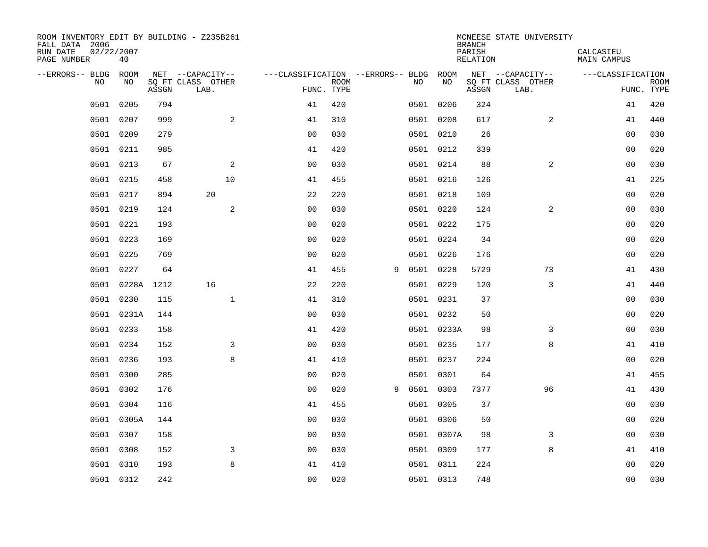| ROOM INVENTORY EDIT BY BUILDING - Z235B261<br>FALL DATA 2006<br>RUN DATE<br>PAGE NUMBER | 02/22/2007<br>40 |       |                           |                                        |             |   |    |            | <b>BRANCH</b><br>PARISH<br><b>RELATION</b> | MCNEESE STATE UNIVERSITY  | CALCASIEU<br><b>MAIN CAMPUS</b> |                           |
|-----------------------------------------------------------------------------------------|------------------|-------|---------------------------|----------------------------------------|-------------|---|----|------------|--------------------------------------------|---------------------------|---------------------------------|---------------------------|
| --ERRORS-- BLDG ROOM                                                                    |                  |       | NET --CAPACITY--          | ---CLASSIFICATION --ERRORS-- BLDG ROOM |             |   |    |            |                                            | NET --CAPACITY--          | ---CLASSIFICATION               |                           |
| NO                                                                                      | NO               | ASSGN | SQ FT CLASS OTHER<br>LAB. | FUNC. TYPE                             | <b>ROOM</b> |   | NO | NO         | ASSGN                                      | SQ FT CLASS OTHER<br>LAB. |                                 | <b>ROOM</b><br>FUNC. TYPE |
| 0501                                                                                    | 0205             | 794   |                           | 41                                     | 420         |   |    | 0501 0206  | 324                                        |                           | 41                              | 420                       |
| 0501                                                                                    | 0207             | 999   | 2                         | 41                                     | 310         |   |    | 0501 0208  | 617                                        | 2                         | 41                              | 440                       |
| 0501                                                                                    | 0209             | 279   |                           | 0 <sub>0</sub>                         | 030         |   |    | 0501 0210  | 26                                         |                           | 00                              | 030                       |
| 0501                                                                                    | 0211             | 985   |                           | 41                                     | 420         |   |    | 0501 0212  | 339                                        |                           | 0 <sub>0</sub>                  | 020                       |
| 0501                                                                                    | 0213             | 67    | 2                         | 0 <sub>0</sub>                         | 030         |   |    | 0501 0214  | 88                                         | $\overline{a}$            | 0 <sub>0</sub>                  | 030                       |
|                                                                                         | 0501 0215        | 458   | 10                        | 41                                     | 455         |   |    | 0501 0216  | 126                                        |                           | 41                              | 225                       |
| 0501                                                                                    | 0217             | 894   | 20                        | 22                                     | 220         |   |    | 0501 0218  | 109                                        |                           | 00                              | 020                       |
|                                                                                         | 0501 0219        | 124   | 2                         | 0 <sub>0</sub>                         | 030         |   |    | 0501 0220  | 124                                        | 2                         | 0 <sub>0</sub>                  | 030                       |
| 0501                                                                                    | 0221             | 193   |                           | 0 <sub>0</sub>                         | 020         |   |    | 0501 0222  | 175                                        |                           | 00                              | 020                       |
|                                                                                         | 0501 0223        | 169   |                           | 0 <sub>0</sub>                         | 020         |   |    | 0501 0224  | 34                                         |                           | 0 <sub>0</sub>                  | 020                       |
| 0501                                                                                    | 0225             | 769   |                           | 0 <sub>0</sub>                         | 020         |   |    | 0501 0226  | 176                                        |                           | 0 <sub>0</sub>                  | 020                       |
|                                                                                         | 0501 0227        | 64    |                           | 41                                     | 455         | 9 |    | 0501 0228  | 5729                                       | 73                        | 41                              | 430                       |
| 0501                                                                                    | 0228A            | 1212  | 16                        | 22                                     | 220         |   |    | 0501 0229  | 120                                        | 3                         | 41                              | 440                       |
| 0501                                                                                    | 0230             | 115   | $\mathbf 1$               | 41                                     | 310         |   |    | 0501 0231  | 37                                         |                           | 00                              | 030                       |
| 0501                                                                                    | 0231A            | 144   |                           | 0 <sub>0</sub>                         | 030         |   |    | 0501 0232  | 50                                         |                           | 00                              | 020                       |
| 0501                                                                                    | 0233             | 158   |                           | 41                                     | 420         |   |    | 0501 0233A | 98                                         | 3                         | 00                              | 030                       |
| 0501                                                                                    | 0234             | 152   | 3                         | 0 <sub>0</sub>                         | 030         |   |    | 0501 0235  | 177                                        | 8                         | 41                              | 410                       |
| 0501                                                                                    | 0236             | 193   | 8                         | 41                                     | 410         |   |    | 0501 0237  | 224                                        |                           | 0 <sub>0</sub>                  | 020                       |
| 0501                                                                                    | 0300             | 285   |                           | 0 <sub>0</sub>                         | 020         |   |    | 0501 0301  | 64                                         |                           | 41                              | 455                       |
| 0501                                                                                    | 0302             | 176   |                           | 0 <sub>0</sub>                         | 020         | 9 |    | 0501 0303  | 7377                                       | 96                        | 41                              | 430                       |
| 0501                                                                                    | 0304             | 116   |                           | 41                                     | 455         |   |    | 0501 0305  | 37                                         |                           | 00                              | 030                       |
| 0501                                                                                    | 0305A            | 144   |                           | 0 <sub>0</sub>                         | 030         |   |    | 0501 0306  | 50                                         |                           | 00                              | 020                       |
| 0501                                                                                    | 0307             | 158   |                           | 0 <sub>0</sub>                         | 030         |   |    | 0501 0307A | 98                                         | 3                         | 0 <sub>0</sub>                  | 030                       |
| 0501                                                                                    | 0308             | 152   | 3                         | 0 <sub>0</sub>                         | 030         |   |    | 0501 0309  | 177                                        | 8                         | 41                              | 410                       |
| 0501                                                                                    | 0310             | 193   | 8                         | 41                                     | 410         |   |    | 0501 0311  | 224                                        |                           | 0 <sub>0</sub>                  | 020                       |
|                                                                                         | 0501 0312        | 242   |                           | 0 <sub>0</sub>                         | 020         |   |    | 0501 0313  | 748                                        |                           | 0 <sub>0</sub>                  | 030                       |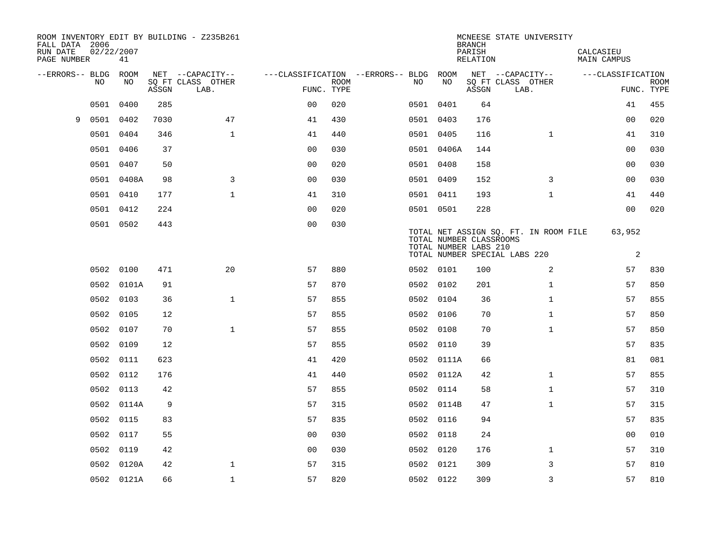| FALL DATA 2006<br>RUN DATE<br>PAGE NUMBER | 02/22/2007 | 41         |       | ROOM INVENTORY EDIT BY BUILDING - Z235B261 |                                        |             |           |            | <b>BRANCH</b><br>PARISH<br>RELATION              | MCNEESE STATE UNIVERSITY                                               | CALCASIEU<br><b>MAIN CAMPUS</b> |                           |
|-------------------------------------------|------------|------------|-------|--------------------------------------------|----------------------------------------|-------------|-----------|------------|--------------------------------------------------|------------------------------------------------------------------------|---------------------------------|---------------------------|
| --ERRORS-- BLDG ROOM                      |            |            |       | NET --CAPACITY--                           | ---CLASSIFICATION --ERRORS-- BLDG ROOM |             |           |            |                                                  | NET --CAPACITY--                                                       | ---CLASSIFICATION               |                           |
|                                           | NO         | NO         | ASSGN | SQ FT CLASS OTHER<br>LAB.                  | FUNC. TYPE                             | <b>ROOM</b> | NO.       | NO         | ASSGN                                            | SQ FT CLASS OTHER<br>LAB.                                              |                                 | <b>ROOM</b><br>FUNC. TYPE |
|                                           | 0501       | 0400       | 285   |                                            | 0 <sub>0</sub>                         | 020         | 0501 0401 |            | 64                                               |                                                                        | 41                              | 455                       |
| 9                                         | 0501 0402  |            | 7030  | 47                                         | 41                                     | 430         | 0501 0403 |            | 176                                              |                                                                        | 0 <sub>0</sub>                  | 020                       |
|                                           | 0501 0404  |            | 346   | $\mathbf{1}$                               | 41                                     | 440         | 0501 0405 |            | 116                                              | $\mathbf{1}$                                                           | 41                              | 310                       |
|                                           | 0501 0406  |            | 37    |                                            | 0 <sub>0</sub>                         | 030         |           | 0501 0406A | 144                                              |                                                                        | 0 <sub>0</sub>                  | 030                       |
|                                           | 0501 0407  |            | 50    |                                            | 00                                     | 020         | 0501 0408 |            | 158                                              |                                                                        | 00                              | 030                       |
|                                           |            | 0501 0408A | 98    | 3                                          | 0 <sub>0</sub>                         | 030         | 0501 0409 |            | 152                                              | 3                                                                      | 00                              | 030                       |
|                                           | 0501 0410  |            | 177   | $\mathbf{1}$                               | 41                                     | 310         | 0501 0411 |            | 193                                              | $\mathbf{1}$                                                           | 41                              | 440                       |
|                                           | 0501 0412  |            | 224   |                                            | 0 <sub>0</sub>                         | 020         | 0501 0501 |            | 228                                              |                                                                        | 0 <sub>0</sub>                  | 020                       |
|                                           | 0501 0502  |            | 443   |                                            | 0 <sub>0</sub>                         | 030         |           |            | TOTAL NUMBER CLASSROOMS<br>TOTAL NUMBER LABS 210 | TOTAL NET ASSIGN SQ. FT. IN ROOM FILE<br>TOTAL NUMBER SPECIAL LABS 220 | 63,952<br>2                     |                           |
|                                           | 0502 0100  |            | 471   | 20                                         | 57                                     | 880         | 0502 0101 |            | 100                                              | 2                                                                      | 57                              | 830                       |
|                                           |            | 0502 0101A | 91    |                                            | 57                                     | 870         | 0502 0102 |            | 201                                              | $\mathbf{1}$                                                           | 57                              | 850                       |
|                                           | 0502 0103  |            | 36    | $\mathbf{1}$                               | 57                                     | 855         | 0502 0104 |            | 36                                               | $\mathbf{1}$                                                           | 57                              | 855                       |
|                                           | 0502       | 0105       | 12    |                                            | 57                                     | 855         | 0502 0106 |            | 70                                               | $\mathbf{1}$                                                           | 57                              | 850                       |
|                                           | 0502 0107  |            | 70    | $\mathbf 1$                                | 57                                     | 855         | 0502 0108 |            | 70                                               | $\mathbf{1}$                                                           | 57                              | 850                       |
|                                           | 0502       | 0109       | 12    |                                            | 57                                     | 855         | 0502 0110 |            | 39                                               |                                                                        | 57                              | 835                       |
|                                           | 0502 0111  |            | 623   |                                            | 41                                     | 420         |           | 0502 0111A | 66                                               |                                                                        | 81                              | 081                       |
|                                           | 0502 0112  |            | 176   |                                            | 41                                     | 440         |           | 0502 0112A | 42                                               | $\mathbf{1}$                                                           | 57                              | 855                       |
|                                           | 0502 0113  |            | 42    |                                            | 57                                     | 855         | 0502 0114 |            | 58                                               | $\mathbf{1}$                                                           | 57                              | 310                       |
|                                           |            | 0502 0114A | 9     |                                            | 57                                     | 315         |           | 0502 0114B | 47                                               | $\mathbf{1}$                                                           | 57                              | 315                       |
|                                           | 0502 0115  |            | 83    |                                            | 57                                     | 835         | 0502 0116 |            | 94                                               |                                                                        | 57                              | 835                       |
|                                           | 0502 0117  |            | 55    |                                            | 0 <sub>0</sub>                         | 030         | 0502 0118 |            | 24                                               |                                                                        | 00                              | 010                       |
|                                           | 0502       | 0119       | 42    |                                            | 0 <sub>0</sub>                         | 030         | 0502 0120 |            | 176                                              | $\mathbf{1}$                                                           | 57                              | 310                       |
|                                           |            | 0502 0120A | 42    | $\mathbf{1}$                               | 57                                     | 315         | 0502 0121 |            | 309                                              | 3                                                                      | 57                              | 810                       |
|                                           |            | 0502 0121A | 66    | $\mathbf{1}$                               | 57                                     | 820         | 0502 0122 |            | 309                                              | 3                                                                      | 57                              | 810                       |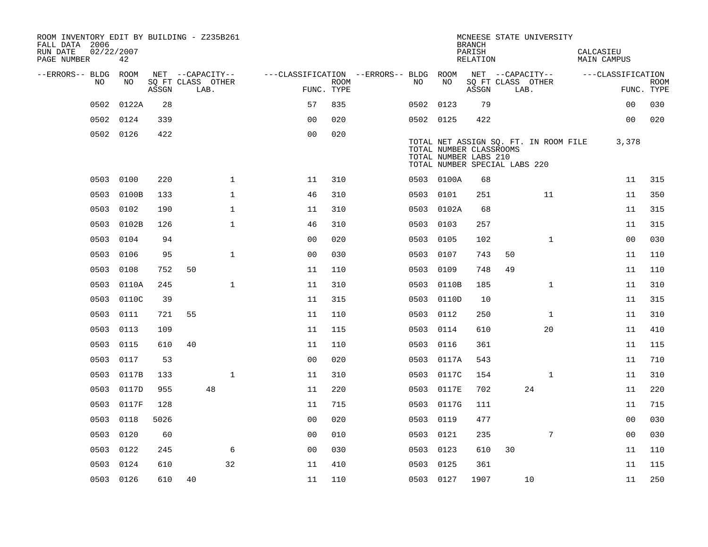| ROOM INVENTORY EDIT BY BUILDING - Z235B261<br>FALL DATA 2006<br>RUN DATE<br>PAGE NUMBER | 02/22/2007<br>42 |       |    |                           |                                        |                           |           |            | <b>BRANCH</b><br>PARISH<br>RELATION                                               |    | MCNEESE STATE UNIVERSITY              | CALCASIEU | MAIN CAMPUS       |                           |
|-----------------------------------------------------------------------------------------|------------------|-------|----|---------------------------|----------------------------------------|---------------------------|-----------|------------|-----------------------------------------------------------------------------------|----|---------------------------------------|-----------|-------------------|---------------------------|
| --ERRORS-- BLDG ROOM                                                                    |                  |       |    | NET --CAPACITY--          | ---CLASSIFICATION --ERRORS-- BLDG ROOM |                           |           |            |                                                                                   |    | NET --CAPACITY--                      |           | ---CLASSIFICATION |                           |
| NO.                                                                                     | NO.              | ASSGN |    | SQ FT CLASS OTHER<br>LAB. |                                        | <b>ROOM</b><br>FUNC. TYPE | NO.       | NO         | ASSGN                                                                             |    | SQ FT CLASS OTHER<br>LAB.             |           |                   | <b>ROOM</b><br>FUNC. TYPE |
| 0502                                                                                    | 0122A            | 28    |    |                           | 57                                     | 835                       | 0502 0123 |            | 79                                                                                |    |                                       |           | 0 <sub>0</sub>    | 030                       |
| 0502                                                                                    | 0124             | 339   |    |                           | 0 <sub>0</sub>                         | 020                       | 0502 0125 |            | 422                                                                               |    |                                       |           | 0 <sub>0</sub>    | 020                       |
|                                                                                         | 0502 0126        | 422   |    |                           | 0 <sub>0</sub>                         | 020                       |           |            | TOTAL NUMBER CLASSROOMS<br>TOTAL NUMBER LABS 210<br>TOTAL NUMBER SPECIAL LABS 220 |    | TOTAL NET ASSIGN SO. FT. IN ROOM FILE |           | 3,378             |                           |
|                                                                                         | 0503 0100        | 220   |    | $\mathbf{1}$              | 11                                     | 310                       |           | 0503 0100A | 68                                                                                |    |                                       |           | 11                | 315                       |
| 0503                                                                                    | 0100B            | 133   |    | $\mathbf 1$               | 46                                     | 310                       | 0503 0101 |            | 251                                                                               |    | 11                                    |           | 11                | 350                       |
| 0503                                                                                    | 0102             | 190   |    | $\mathbf 1$               | 11                                     | 310                       |           | 0503 0102A | 68                                                                                |    |                                       |           | 11                | 315                       |
| 0503                                                                                    | 0102B            | 126   |    | $\mathbf{1}$              | 46                                     | 310                       | 0503      | 0103       | 257                                                                               |    |                                       |           | 11                | 315                       |
| 0503                                                                                    | 0104             | 94    |    |                           | 0 <sub>0</sub>                         | 020                       | 0503 0105 |            | 102                                                                               |    | $\mathbf{1}$                          |           | 00                | 030                       |
| 0503                                                                                    | 0106             | 95    |    | $\mathbf{1}$              | 0 <sub>0</sub>                         | 030                       | 0503      | 0107       | 743                                                                               | 50 |                                       |           | 11                | 110                       |
| 0503                                                                                    | 0108             | 752   | 50 |                           | 11                                     | 110                       | 0503      | 0109       | 748                                                                               | 49 |                                       |           | 11                | 110                       |
| 0503                                                                                    | 0110A            | 245   |    | $\mathbf{1}$              | 11                                     | 310                       | 0503      | 0110B      | 185                                                                               |    | $\mathbf{1}$                          |           | 11                | 310                       |
| 0503                                                                                    | 0110C            | 39    |    |                           | 11                                     | 315                       |           | 0503 0110D | 10                                                                                |    |                                       |           | 11                | 315                       |
| 0503                                                                                    | 0111             | 721   | 55 |                           | 11                                     | 110                       | 0503      | 0112       | 250                                                                               |    | $\mathbf{1}$                          |           | 11                | 310                       |
| 0503                                                                                    | 0113             | 109   |    |                           | 11                                     | 115                       | 0503      | 0114       | 610                                                                               |    | 20                                    |           | 11                | 410                       |
| 0503                                                                                    | 0115             | 610   | 40 |                           | 11                                     | 110                       | 0503      | 0116       | 361                                                                               |    |                                       |           | 11                | 115                       |
| 0503                                                                                    | 0117             | 53    |    |                           | 0 <sub>0</sub>                         | 020                       |           | 0503 0117A | 543                                                                               |    |                                       |           | 11                | 710                       |
| 0503                                                                                    | 0117B            | 133   |    | $\mathbf{1}$              | 11                                     | 310                       | 0503      | 0117C      | 154                                                                               |    | $\mathbf{1}$                          |           | 11                | 310                       |
| 0503                                                                                    | 0117D            | 955   |    | 48                        | 11                                     | 220                       | 0503      | 0117E      | 702                                                                               |    | 24                                    |           | 11                | 220                       |
| 0503                                                                                    | 0117F            | 128   |    |                           | 11                                     | 715                       |           | 0503 0117G | 111                                                                               |    |                                       |           | 11                | 715                       |
| 0503                                                                                    | 0118             | 5026  |    |                           | 0 <sub>0</sub>                         | 020                       | 0503 0119 |            | 477                                                                               |    |                                       |           | 00                | 030                       |
| 0503                                                                                    | 0120             | 60    |    |                           | 0 <sub>0</sub>                         | 010                       | 0503 0121 |            | 235                                                                               |    | 7                                     |           | 0 <sub>0</sub>    | 030                       |
| 0503                                                                                    | 0122             | 245   |    | 6                         | 0 <sub>0</sub>                         | 030                       | 0503 0123 |            | 610                                                                               | 30 |                                       |           | 11                | 110                       |
| 0503                                                                                    | 0124             | 610   |    | 32                        | 11                                     | 410                       | 0503 0125 |            | 361                                                                               |    |                                       |           | 11                | 115                       |
|                                                                                         | 0503 0126        | 610   | 40 |                           | 11                                     | 110                       | 0503 0127 |            | 1907                                                                              |    | 10                                    |           | 11                | 250                       |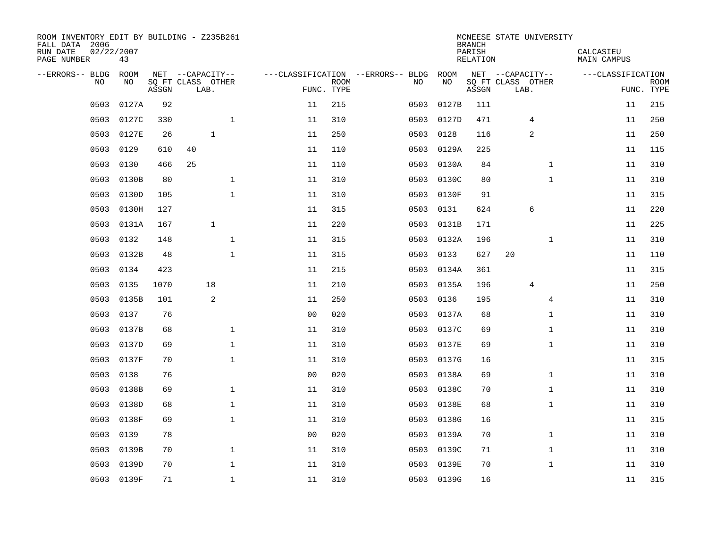| ROOM INVENTORY EDIT BY BUILDING - Z235B261<br>FALL DATA 2006<br>RUN DATE<br>PAGE NUMBER | 02/22/2007<br>43 |       |                           |              |                |                           |                                   |            | <b>BRANCH</b><br>PARISH<br><b>RELATION</b> | MCNEESE STATE UNIVERSITY  | CALCASIEU<br><b>MAIN CAMPUS</b> |                           |
|-----------------------------------------------------------------------------------------|------------------|-------|---------------------------|--------------|----------------|---------------------------|-----------------------------------|------------|--------------------------------------------|---------------------------|---------------------------------|---------------------------|
| --ERRORS-- BLDG                                                                         | ROOM             |       | NET --CAPACITY--          |              |                |                           | ---CLASSIFICATION --ERRORS-- BLDG | ROOM       |                                            | NET --CAPACITY--          | ---CLASSIFICATION               |                           |
| N <sub>O</sub>                                                                          | NO.              | ASSGN | SO FT CLASS OTHER<br>LAB. |              |                | <b>ROOM</b><br>FUNC. TYPE | NO.                               | NO         | ASSGN                                      | SQ FT CLASS OTHER<br>LAB. |                                 | <b>ROOM</b><br>FUNC. TYPE |
| 0503                                                                                    | 0127A            | 92    |                           |              | 11             | 215                       | 0503                              | 0127B      | 111                                        |                           | 11                              | 215                       |
| 0503                                                                                    | 0127C            | 330   |                           | $\mathbf 1$  | 11             | 310                       | 0503                              | 0127D      | 471                                        | 4                         | 11                              | 250                       |
| 0503                                                                                    | 0127E            | 26    | $\mathbf{1}$              |              | 11             | 250                       | 0503                              | 0128       | 116                                        | 2                         | 11                              | 250                       |
| 0503                                                                                    | 0129             | 610   | 40                        |              | 11             | 110                       | 0503                              | 0129A      | 225                                        |                           | 11                              | 115                       |
| 0503                                                                                    | 0130             | 466   | 25                        |              | 11             | 110                       | 0503                              | 0130A      | 84                                         | $\mathbf{1}$              | 11                              | 310                       |
| 0503                                                                                    | 0130B            | 80    |                           | $\mathbf 1$  | 11             | 310                       | 0503                              | 0130C      | 80                                         | $\mathbf{1}$              | 11                              | 310                       |
| 0503                                                                                    | 0130D            | 105   |                           | $\mathbf{1}$ | 11             | 310                       | 0503                              | 0130F      | 91                                         |                           | 11                              | 315                       |
| 0503                                                                                    | 0130H            | 127   |                           |              | 11             | 315                       | 0503                              | 0131       | 624                                        | 6                         | 11                              | 220                       |
| 0503                                                                                    | 0131A            | 167   | $\mathbf{1}$              |              | 11             | 220                       | 0503                              | 0131B      | 171                                        |                           | 11                              | 225                       |
| 0503                                                                                    | 0132             | 148   |                           | $\mathbf 1$  | 11             | 315                       |                                   | 0503 0132A | 196                                        | $\mathbf{1}$              | 11                              | 310                       |
| 0503                                                                                    | 0132B            | 48    |                           | $\mathbf{1}$ | 11             | 315                       | 0503                              | 0133       | 627                                        | 20                        | 11                              | 110                       |
| 0503                                                                                    | 0134             | 423   |                           |              | 11             | 215                       | 0503                              | 0134A      | 361                                        |                           | 11                              | 315                       |
| 0503                                                                                    | 0135             | 1070  | 18                        |              | 11             | 210                       | 0503                              | 0135A      | 196                                        | 4                         | 11                              | 250                       |
| 0503                                                                                    | 0135B            | 101   | 2                         |              | 11             | 250                       | 0503                              | 0136       | 195                                        | 4                         | 11                              | 310                       |
| 0503                                                                                    | 0137             | 76    |                           |              | 0 <sub>0</sub> | 020                       | 0503                              | 0137A      | 68                                         | $\mathbf{1}$              | 11                              | 310                       |
| 0503                                                                                    | 0137B            | 68    |                           | $\mathbf 1$  | 11             | 310                       | 0503                              | 0137C      | 69                                         | $\mathbf{1}$              | 11                              | 310                       |
| 0503                                                                                    | 0137D            | 69    |                           | $\mathbf{1}$ | 11             | 310                       | 0503                              | 0137E      | 69                                         | $\mathbf{1}$              | 11                              | 310                       |
| 0503                                                                                    | 0137F            | 70    |                           | $\mathbf 1$  | 11             | 310                       | 0503                              | 0137G      | 16                                         |                           | 11                              | 315                       |
| 0503                                                                                    | 0138             | 76    |                           |              | 0 <sub>0</sub> | 020                       | 0503                              | 0138A      | 69                                         | $\mathbf{1}$              | 11                              | 310                       |
| 0503                                                                                    | 0138B            | 69    |                           | 1            | 11             | 310                       | 0503                              | 0138C      | 70                                         | $\mathbf{1}$              | 11                              | 310                       |
| 0503                                                                                    | 0138D            | 68    |                           | $\mathbf 1$  | 11             | 310                       | 0503                              | 0138E      | 68                                         | $\mathbf{1}$              | 11                              | 310                       |
| 0503                                                                                    | 0138F            | 69    |                           | $\mathbf{1}$ | 11             | 310                       | 0503                              | 0138G      | 16                                         |                           | 11                              | 315                       |
| 0503                                                                                    | 0139             | 78    |                           |              | 0 <sub>0</sub> | 020                       |                                   | 0503 0139A | 70                                         | $\mathbf{1}$              | 11                              | 310                       |
| 0503                                                                                    | 0139B            | 70    |                           | 1            | 11             | 310                       | 0503                              | 0139C      | 71                                         | $\mathbf{1}$              | 11                              | 310                       |
| 0503                                                                                    | 0139D            | 70    |                           | $\mathbf{1}$ | 11             | 310                       | 0503                              | 0139E      | 70                                         | $\mathbf{1}$              | 11                              | 310                       |
|                                                                                         | 0503 0139F       | 71    |                           | 1            | 11             | 310                       |                                   | 0503 0139G | 16                                         |                           | 11                              | 315                       |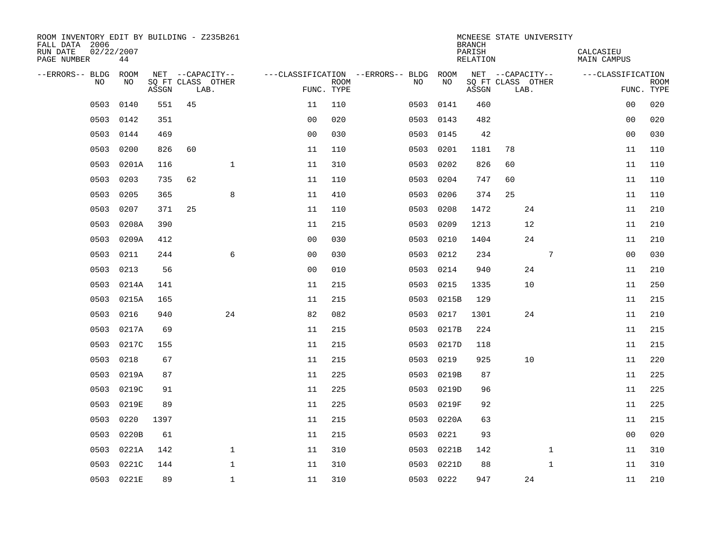| ROOM INVENTORY EDIT BY BUILDING - Z235B261<br>FALL DATA 2006<br>RUN DATE<br>PAGE NUMBER | 02/22/2007<br>44 |       |                           |              |                |             |                                        |            | <b>BRANCH</b><br>PARISH<br>RELATION | MCNEESE STATE UNIVERSITY  |    |              | CALCASIEU<br>MAIN CAMPUS |                           |
|-----------------------------------------------------------------------------------------|------------------|-------|---------------------------|--------------|----------------|-------------|----------------------------------------|------------|-------------------------------------|---------------------------|----|--------------|--------------------------|---------------------------|
| --ERRORS-- BLDG ROOM                                                                    |                  |       | NET --CAPACITY--          |              |                |             | ---CLASSIFICATION --ERRORS-- BLDG ROOM |            |                                     | NET --CAPACITY--          |    |              | ---CLASSIFICATION        |                           |
| NO                                                                                      | NO               | ASSGN | SQ FT CLASS OTHER<br>LAB. |              | FUNC. TYPE     | <b>ROOM</b> | NO                                     | NO         | ASSGN                               | SQ FT CLASS OTHER<br>LAB. |    |              |                          | <b>ROOM</b><br>FUNC. TYPE |
| 0503                                                                                    | 0140             | 551   | 45                        |              | 11             | 110         | 0503                                   | 0141       | 460                                 |                           |    |              | 0 <sub>0</sub>           | 020                       |
| 0503                                                                                    | 0142             | 351   |                           |              | 0 <sub>0</sub> | 020         | 0503                                   | 0143       | 482                                 |                           |    |              | 00                       | 020                       |
| 0503                                                                                    | 0144             | 469   |                           |              | 0 <sub>0</sub> | 030         | 0503                                   | 0145       | 42                                  |                           |    |              | 0 <sub>0</sub>           | 030                       |
| 0503                                                                                    | 0200             | 826   | 60                        |              | 11             | 110         | 0503                                   | 0201       | 1181                                | 78                        |    |              | 11                       | 110                       |
| 0503                                                                                    | 0201A            | 116   |                           | $\mathbf 1$  | 11             | 310         | 0503                                   | 0202       | 826                                 | 60                        |    |              | 11                       | 110                       |
| 0503                                                                                    | 0203             | 735   | 62                        |              | 11             | 110         | 0503                                   | 0204       | 747                                 | 60                        |    |              | 11                       | 110                       |
| 0503                                                                                    | 0205             | 365   |                           | 8            | 11             | 410         | 0503                                   | 0206       | 374                                 | 25                        |    |              | 11                       | 110                       |
| 0503                                                                                    | 0207             | 371   | 25                        |              | 11             | 110         | 0503                                   | 0208       | 1472                                |                           | 24 |              | 11                       | 210                       |
| 0503                                                                                    | 0208A            | 390   |                           |              | 11             | 215         | 0503                                   | 0209       | 1213                                |                           | 12 |              | 11                       | 210                       |
| 0503                                                                                    | 0209A            | 412   |                           |              | 0 <sub>0</sub> | 030         | 0503                                   | 0210       | 1404                                |                           | 24 |              | 11                       | 210                       |
| 0503                                                                                    | 0211             | 244   |                           | 6            | 0 <sub>0</sub> | 030         | 0503                                   | 0212       | 234                                 |                           |    | 7            | 0 <sub>0</sub>           | 030                       |
| 0503                                                                                    | 0213             | 56    |                           |              | 0 <sub>0</sub> | 010         | 0503                                   | 0214       | 940                                 |                           | 24 |              | 11                       | 210                       |
| 0503                                                                                    | 0214A            | 141   |                           |              | 11             | 215         | 0503                                   | 0215       | 1335                                |                           | 10 |              | 11                       | 250                       |
| 0503                                                                                    | 0215A            | 165   |                           |              | 11             | 215         | 0503                                   | 0215B      | 129                                 |                           |    |              | 11                       | 215                       |
| 0503                                                                                    | 0216             | 940   |                           | 24           | 82             | 082         | 0503                                   | 0217       | 1301                                |                           | 24 |              | 11                       | 210                       |
| 0503                                                                                    | 0217A            | 69    |                           |              | 11             | 215         | 0503                                   | 0217B      | 224                                 |                           |    |              | 11                       | 215                       |
| 0503                                                                                    | 0217C            | 155   |                           |              | 11             | 215         | 0503                                   | 0217D      | 118                                 |                           |    |              | 11                       | 215                       |
| 0503                                                                                    | 0218             | 67    |                           |              | 11             | 215         | 0503                                   | 0219       | 925                                 |                           | 10 |              | 11                       | 220                       |
| 0503                                                                                    | 0219A            | 87    |                           |              | 11             | 225         |                                        | 0503 0219B | 87                                  |                           |    |              | 11                       | 225                       |
| 0503                                                                                    | 0219C            | 91    |                           |              | 11             | 225         | 0503                                   | 0219D      | 96                                  |                           |    |              | 11                       | 225                       |
| 0503                                                                                    | 0219E            | 89    |                           |              | 11             | 225         |                                        | 0503 0219F | 92                                  |                           |    |              | 11                       | 225                       |
| 0503                                                                                    | 0220             | 1397  |                           |              | 11             | 215         | 0503                                   | 0220A      | 63                                  |                           |    |              | 11                       | 215                       |
| 0503                                                                                    | 0220B            | 61    |                           |              | 11             | 215         | 0503                                   | 0221       | 93                                  |                           |    |              | 0 <sub>0</sub>           | 020                       |
| 0503                                                                                    | 0221A            | 142   |                           | $\mathbf{1}$ | 11             | 310         | 0503                                   | 0221B      | 142                                 |                           |    | $\mathbf{1}$ | 11                       | 310                       |
| 0503                                                                                    | 0221C            | 144   |                           | $\mathbf{1}$ | 11             | 310         | 0503                                   | 0221D      | 88                                  |                           |    | $\mathbf{1}$ | 11                       | 310                       |
|                                                                                         | 0503 0221E       | 89    |                           | $\mathbf{1}$ | 11             | 310         |                                        | 0503 0222  | 947                                 |                           | 24 |              | 11                       | 210                       |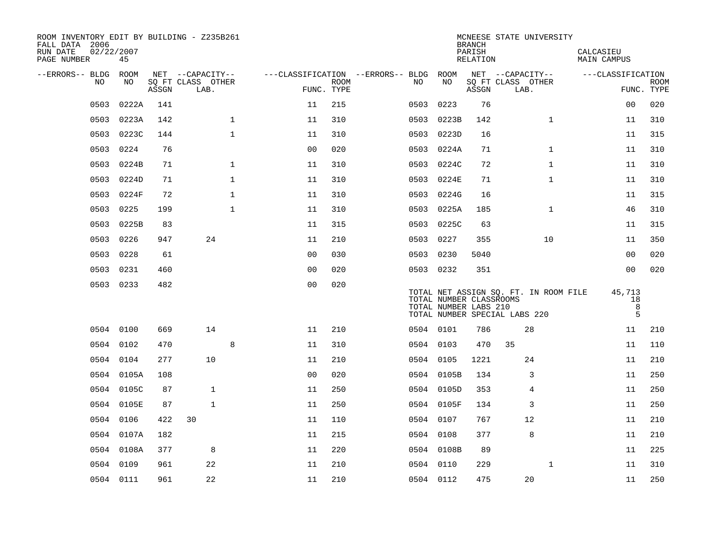| ROOM INVENTORY EDIT BY BUILDING - Z235B261<br>FALL DATA 2006<br>RUN DATE<br>02/22/2007<br>PAGE NUMBER | 45         |       |                           |                |                           |                                        |           |            | <b>BRANCH</b><br>PARISH<br>RELATION              | MCNEESE STATE UNIVERSITY                                               | CALCASIEU<br>MAIN CAMPUS |                           |
|-------------------------------------------------------------------------------------------------------|------------|-------|---------------------------|----------------|---------------------------|----------------------------------------|-----------|------------|--------------------------------------------------|------------------------------------------------------------------------|--------------------------|---------------------------|
| --ERRORS-- BLDG ROOM                                                                                  |            |       | NET --CAPACITY--          |                |                           | ---CLASSIFICATION --ERRORS-- BLDG ROOM |           |            |                                                  | NET --CAPACITY--                                                       | ---CLASSIFICATION        |                           |
| NO                                                                                                    | NO         | ASSGN | SQ FT CLASS OTHER<br>LAB. |                | <b>ROOM</b><br>FUNC. TYPE | NO                                     |           | NO         | ASSGN                                            | SQ FT CLASS OTHER<br>LAB.                                              |                          | <b>ROOM</b><br>FUNC. TYPE |
| 0503                                                                                                  | 0222A      | 141   |                           | 11             | 215                       |                                        | 0503      | 0223       | 76                                               |                                                                        | 0 <sub>0</sub>           | 020                       |
| 0503                                                                                                  | 0223A      | 142   | $\mathbf 1$               | 11             | 310                       |                                        | 0503      | 0223B      | 142                                              | $\mathbf{1}$                                                           | 11                       | 310                       |
| 0503                                                                                                  | 0223C      | 144   | $\mathbf{1}$              | 11             | 310                       |                                        | 0503      | 0223D      | 16                                               |                                                                        | 11                       | 315                       |
| 0503                                                                                                  | 0224       | 76    |                           | 0 <sub>0</sub> | 020                       |                                        |           | 0503 0224A | 71                                               | $\mathbf{1}$                                                           | 11                       | 310                       |
| 0503                                                                                                  | 0224B      | 71    | $\mathbf 1$               | 11             | 310                       |                                        | 0503      | 0224C      | 72                                               | $\mathbf{1}$                                                           | 11                       | 310                       |
| 0503                                                                                                  | 0224D      | 71    | 1                         | 11             | 310                       |                                        |           | 0503 0224E | 71                                               | $\mathbf{1}$                                                           | 11                       | 310                       |
| 0503                                                                                                  | 0224F      | 72    | $\mathbf{1}$              | 11             | 310                       |                                        | 0503      | 0224G      | 16                                               |                                                                        | 11                       | 315                       |
| 0503                                                                                                  | 0225       | 199   | $\mathbf{1}$              | 11             | 310                       |                                        |           | 0503 0225A | 185                                              | $\mathbf{1}$                                                           | 46                       | 310                       |
| 0503                                                                                                  | 0225B      | 83    |                           | 11             | 315                       |                                        | 0503      | 0225C      | 63                                               |                                                                        | 11                       | 315                       |
| 0503                                                                                                  | 0226       | 947   | 24                        | 11             | 210                       |                                        | 0503 0227 |            | 355                                              | 10                                                                     | 11                       | 350                       |
| 0503                                                                                                  | 0228       | 61    |                           | 0 <sub>0</sub> | 030                       |                                        | 0503      | 0230       | 5040                                             |                                                                        | 0 <sub>0</sub>           | 020                       |
| 0503                                                                                                  | 0231       | 460   |                           | 0 <sub>0</sub> | 020                       |                                        | 0503 0232 |            | 351                                              |                                                                        | 0 <sub>0</sub>           | 020                       |
|                                                                                                       | 0503 0233  | 482   |                           | 0 <sub>0</sub> | 020                       |                                        |           |            | TOTAL NUMBER CLASSROOMS<br>TOTAL NUMBER LABS 210 | TOTAL NET ASSIGN SQ. FT. IN ROOM FILE<br>TOTAL NUMBER SPECIAL LABS 220 | 45,713<br>18<br>8<br>5   |                           |
|                                                                                                       | 0504 0100  | 669   | 14                        | 11             | 210                       |                                        | 0504 0101 |            | 786                                              | 28                                                                     | 11                       | 210                       |
|                                                                                                       | 0504 0102  | 470   | 8                         | 11             | 310                       |                                        | 0504 0103 |            | 470                                              | 35                                                                     | 11                       | 110                       |
| 0504                                                                                                  | 0104       | 277   | 10                        | 11             | 210                       |                                        | 0504 0105 |            | 1221                                             | 24                                                                     | 11                       | 210                       |
|                                                                                                       | 0504 0105A | 108   |                           | 0 <sub>0</sub> | 020                       |                                        |           | 0504 0105B | 134                                              | 3                                                                      | 11                       | 250                       |
|                                                                                                       | 0504 0105C | 87    | $\mathbf{1}$              | 11             | 250                       |                                        |           | 0504 0105D | 353                                              | 4                                                                      | 11                       | 250                       |
|                                                                                                       | 0504 0105E | 87    | $\mathbf{1}$              | 11             | 250                       |                                        |           | 0504 0105F | 134                                              | 3                                                                      | 11                       | 250                       |
| 0504                                                                                                  | 0106       | 422   | 30                        | 11             | 110                       |                                        | 0504 0107 |            | 767                                              | 12                                                                     | 11                       | 210                       |
| 0504                                                                                                  | 0107A      | 182   |                           | 11             | 215                       |                                        | 0504 0108 |            | 377                                              | 8                                                                      | 11                       | 210                       |
|                                                                                                       | 0504 0108A | 377   | 8                         | 11             | 220                       |                                        |           | 0504 0108B | 89                                               |                                                                        | 11                       | 225                       |
|                                                                                                       | 0504 0109  | 961   | 22                        | 11             | 210                       |                                        | 0504 0110 |            | 229                                              | $\mathbf{1}$                                                           | 11                       | 310                       |
|                                                                                                       | 0504 0111  | 961   | 22                        | 11             | 210                       |                                        | 0504 0112 |            | 475                                              | 20                                                                     | 11                       | 250                       |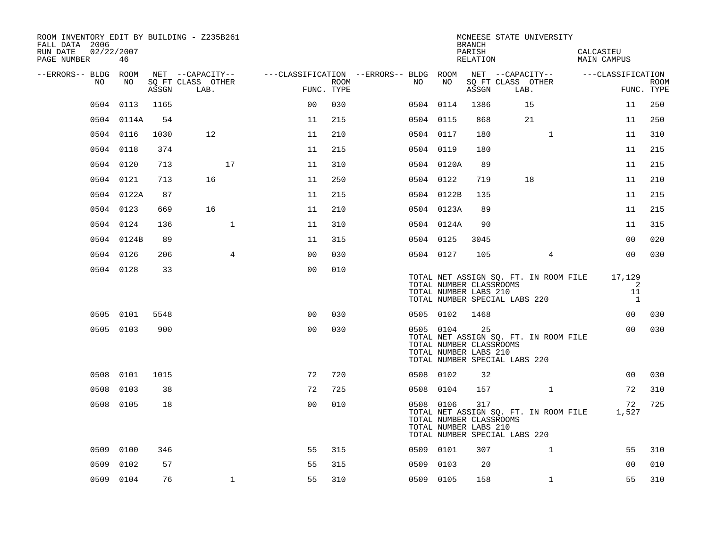| ROOM INVENTORY EDIT BY BUILDING - Z235B261<br>FALL DATA 2006<br>RUN DATE<br>PAGE NUMBER | 02/22/2007<br>46 |       |                           |                                        |      |      |                                                                                                | <b>BRANCH</b><br>PARISH<br>RELATION | MCNEESE STATE UNIVERSITY              | CALCASIEU<br><b>MAIN CAMPUS</b> |                           |                           |
|-----------------------------------------------------------------------------------------|------------------|-------|---------------------------|----------------------------------------|------|------|------------------------------------------------------------------------------------------------|-------------------------------------|---------------------------------------|---------------------------------|---------------------------|---------------------------|
| --ERRORS-- BLDG ROOM                                                                    |                  |       | NET --CAPACITY--          | ---CLASSIFICATION --ERRORS-- BLDG ROOM |      |      |                                                                                                |                                     | NET --CAPACITY--                      | ---CLASSIFICATION               |                           |                           |
| NO                                                                                      | NO               | ASSGN | SQ FT CLASS OTHER<br>LAB. | FUNC. TYPE                             | ROOM | NO   | NO                                                                                             | ASSGN                               | SQ FT CLASS OTHER<br>LAB.             |                                 |                           | <b>ROOM</b><br>FUNC. TYPE |
| 0504                                                                                    | 0113             | 1165  |                           | 0 <sub>0</sub>                         | 030  |      | 0504 0114                                                                                      | 1386                                | 15                                    |                                 | 11                        | 250                       |
|                                                                                         | 0504 0114A       | 54    |                           | 11                                     | 215  |      | 0504 0115                                                                                      | 868                                 | 21                                    |                                 | 11                        | 250                       |
|                                                                                         | 0504 0116        | 1030  | 12                        | 11                                     | 210  |      | 0504 0117                                                                                      | 180                                 | $\mathbf{1}$                          | 11                              |                           | 310                       |
|                                                                                         | 0504 0118        | 374   |                           | 11                                     | 215  |      | 0504 0119                                                                                      | 180                                 |                                       | 11                              |                           | 215                       |
|                                                                                         | 0504 0120        | 713   | 17                        | 11                                     | 310  |      | 0504 0120A                                                                                     | 89                                  |                                       |                                 | 11                        | 215                       |
|                                                                                         | 0504 0121        | 713   | 16                        | 11                                     | 250  |      | 0504 0122                                                                                      | 719                                 | 18                                    | 11                              |                           | 210                       |
|                                                                                         | 0504 0122A       | 87    |                           | 11                                     | 215  |      | 0504 0122B                                                                                     | 135                                 |                                       |                                 | 11                        | 215                       |
|                                                                                         | 0504 0123        | 669   | 16                        | 11                                     | 210  |      | 0504 0123A                                                                                     | 89                                  |                                       | 11                              |                           | 215                       |
|                                                                                         | 0504 0124        | 136   | $\mathbf{1}$              | 11                                     | 310  |      | 0504 0124A                                                                                     | 90                                  |                                       | 11                              |                           | 315                       |
|                                                                                         | 0504 0124B       | 89    |                           | 11                                     | 315  |      | 0504 0125                                                                                      | 3045                                |                                       |                                 | 00                        | 020                       |
|                                                                                         | 0504 0126        | 206   | $\overline{4}$            | 0 <sub>0</sub>                         | 030  |      | 0504 0127                                                                                      | 105                                 | $\overline{4}$                        |                                 | 0 <sub>0</sub>            | 030                       |
|                                                                                         | 0504 0128        | 33    |                           | 0 <sub>0</sub>                         | 010  |      | TOTAL NUMBER CLASSROOMS<br>TOTAL NUMBER LABS 210<br>TOTAL NUMBER SPECIAL LABS 220              |                                     | TOTAL NET ASSIGN SQ. FT. IN ROOM FILE | 17,129                          | 2<br>11<br>$\overline{1}$ |                           |
|                                                                                         | 0505 0101        | 5548  |                           | 0 <sub>0</sub>                         | 030  |      | 0505 0102                                                                                      | 1468                                |                                       |                                 | 00                        | 030                       |
|                                                                                         | 0505 0103        | 900   |                           | 0 <sub>0</sub>                         | 030  |      | 0505 0104<br>TOTAL NUMBER CLASSROOMS<br>TOTAL NUMBER LABS 210<br>TOTAL NUMBER SPECIAL LABS 220 | 25                                  | TOTAL NET ASSIGN SQ. FT. IN ROOM FILE |                                 | 0 <sub>0</sub>            | 030                       |
|                                                                                         | 0508 0101        | 1015  |                           | 72                                     | 720  |      | 0508 0102                                                                                      | 32                                  |                                       |                                 | 00                        | 030                       |
| 0508                                                                                    | 0103             | 38    |                           | 72                                     | 725  |      | 0508 0104                                                                                      | 157                                 | $\mathbf{1}$                          |                                 | 72                        | 310                       |
|                                                                                         | 0508 0105        | 18    |                           | 0 <sub>0</sub>                         | 010  |      | 0508 0106<br>TOTAL NUMBER CLASSROOMS<br>TOTAL NUMBER LABS 210<br>TOTAL NUMBER SPECIAL LABS 220 | 317                                 | TOTAL NET ASSIGN SQ. FT. IN ROOM FILE | 1,527                           | 72                        | 725                       |
| 0509                                                                                    | 0100             | 346   |                           | 55                                     | 315  |      | 0509 0101                                                                                      | 307                                 | $\mathbf{1}$                          |                                 | 55                        | 310                       |
| 0509                                                                                    | 0102             | 57    |                           | 55                                     | 315  | 0509 | 0103                                                                                           | 20                                  |                                       |                                 | 0 <sub>0</sub>            | 010                       |
|                                                                                         | 0509 0104        | 76    | $\mathbf{1}$              | 55                                     | 310  |      | 0509 0105                                                                                      | 158                                 | $\mathbf{1}$                          |                                 | 55                        | 310                       |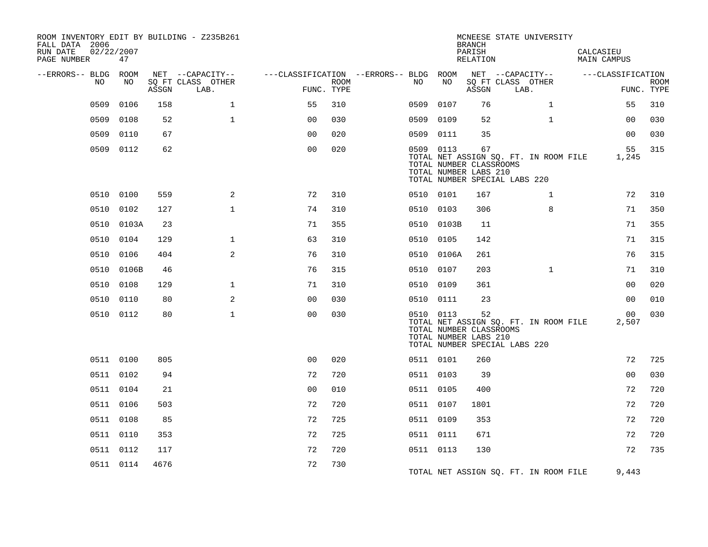| ROOM INVENTORY EDIT BY BUILDING - Z235B261<br>FALL DATA 2006<br>RUN DATE<br>PAGE NUMBER | 02/22/2007<br>47 |       |                                               |                                                      |             |           |            | <b>BRANCH</b><br>PARISH<br>RELATION                                                     |      | MCNEESE STATE UNIVERSITY              | CALCASIEU<br>MAIN CAMPUS |                           |
|-----------------------------------------------------------------------------------------|------------------|-------|-----------------------------------------------|------------------------------------------------------|-------------|-----------|------------|-----------------------------------------------------------------------------------------|------|---------------------------------------|--------------------------|---------------------------|
| --ERRORS-- BLDG ROOM<br>NO.                                                             | NO.              | ASSGN | NET --CAPACITY--<br>SQ FT CLASS OTHER<br>LAB. | ---CLASSIFICATION --ERRORS-- BLDG ROOM<br>FUNC. TYPE | <b>ROOM</b> | NO        | NO         | SQ FT CLASS OTHER<br>ASSGN                                                              | LAB. | NET --CAPACITY--                      | ---CLASSIFICATION        | <b>ROOM</b><br>FUNC. TYPE |
| 0509                                                                                    | 0106             | 158   | $\mathbf{1}$                                  | 55                                                   | 310         | 0509      | 0107       | 76                                                                                      |      | $\mathbf{1}$                          | 55                       | 310                       |
| 0509                                                                                    | 0108             | 52    | $\mathbf{1}$                                  | 0 <sub>0</sub>                                       | 030         | 0509      | 0109       | 52                                                                                      |      | $\mathbf{1}$                          | 00                       | 030                       |
| 0509                                                                                    | 0110             | 67    |                                               | 0 <sub>0</sub>                                       | 020         | 0509 0111 |            | 35                                                                                      |      |                                       | 0 <sub>0</sub>           | 030                       |
|                                                                                         | 0509 0112        | 62    |                                               | 0 <sub>0</sub>                                       | 020         | 0509 0113 |            | 67<br>TOTAL NUMBER CLASSROOMS<br>TOTAL NUMBER LABS 210<br>TOTAL NUMBER SPECIAL LABS 220 |      | TOTAL NET ASSIGN SO. FT. IN ROOM FILE | 55<br>1,245              | 315                       |
|                                                                                         | 0510 0100        | 559   | 2                                             | 72                                                   | 310         | 0510 0101 |            | 167                                                                                     |      | $\mathbf{1}$                          | 72                       | 310                       |
| 0510                                                                                    | 0102             | 127   | $\mathbf{1}$                                  | 74                                                   | 310         | 0510 0103 |            | 306                                                                                     |      | 8                                     | 71                       | 350                       |
|                                                                                         | 0510 0103A       | 23    |                                               | 71                                                   | 355         |           | 0510 0103B | 11                                                                                      |      |                                       | 71                       | 355                       |
|                                                                                         | 0510 0104        | 129   | $\mathbf{1}$                                  | 63                                                   | 310         | 0510 0105 |            | 142                                                                                     |      |                                       | 71                       | 315                       |
| 0510                                                                                    | 0106             | 404   | $\mathbf{2}$                                  | 76                                                   | 310         | 0510      | 0106A      | 261                                                                                     |      |                                       | 76                       | 315                       |
| 0510                                                                                    | 0106B            | 46    |                                               | 76                                                   | 315         | 0510 0107 |            | 203                                                                                     |      | $\mathbf{1}$                          | 71                       | 310                       |
|                                                                                         | 0510 0108        | 129   | $\mathbf 1$                                   | 71                                                   | 310         | 0510 0109 |            | 361                                                                                     |      |                                       | 0 <sub>0</sub>           | 020                       |
|                                                                                         | 0510 0110        | 80    | 2                                             | 0 <sub>0</sub>                                       | 030         | 0510 0111 |            | 23                                                                                      |      |                                       | 0 <sub>0</sub>           | 010                       |
|                                                                                         | 0510 0112        | 80    | $\mathbf{1}$                                  | 0 <sub>0</sub>                                       | 030         | 0510 0113 |            | 52<br>TOTAL NUMBER CLASSROOMS<br>TOTAL NUMBER LABS 210<br>TOTAL NUMBER SPECIAL LABS 220 |      | TOTAL NET ASSIGN SQ. FT. IN ROOM FILE | 00 <sub>o</sub><br>2,507 | 030                       |
|                                                                                         | 0511 0100        | 805   |                                               | 0 <sub>0</sub>                                       | 020         | 0511 0101 |            | 260                                                                                     |      |                                       | 72                       | 725                       |
|                                                                                         | 0511 0102        | 94    |                                               | 72                                                   | 720         | 0511 0103 |            | 39                                                                                      |      |                                       | 0 <sub>0</sub>           | 030                       |
|                                                                                         | 0511 0104        | 21    |                                               | 0 <sub>0</sub>                                       | 010         | 0511 0105 |            | 400                                                                                     |      |                                       | 72                       | 720                       |
|                                                                                         | 0511 0106        | 503   |                                               | 72                                                   | 720         | 0511 0107 |            | 1801                                                                                    |      |                                       | 72                       | 720                       |
|                                                                                         | 0511 0108        | 85    |                                               | 72                                                   | 725         | 0511 0109 |            | 353                                                                                     |      |                                       | 72                       | 720                       |
|                                                                                         | 0511 0110        | 353   |                                               | 72                                                   | 725         | 0511 0111 |            | 671                                                                                     |      |                                       | 72                       | 720                       |
|                                                                                         | 0511 0112        | 117   |                                               | 72                                                   | 720         | 0511 0113 |            | 130                                                                                     |      |                                       | 72                       | 735                       |
|                                                                                         | 0511 0114        | 4676  |                                               | 72                                                   | 730         |           |            |                                                                                         |      | TOTAL NET ASSIGN SO. FT. IN ROOM FILE | 9,443                    |                           |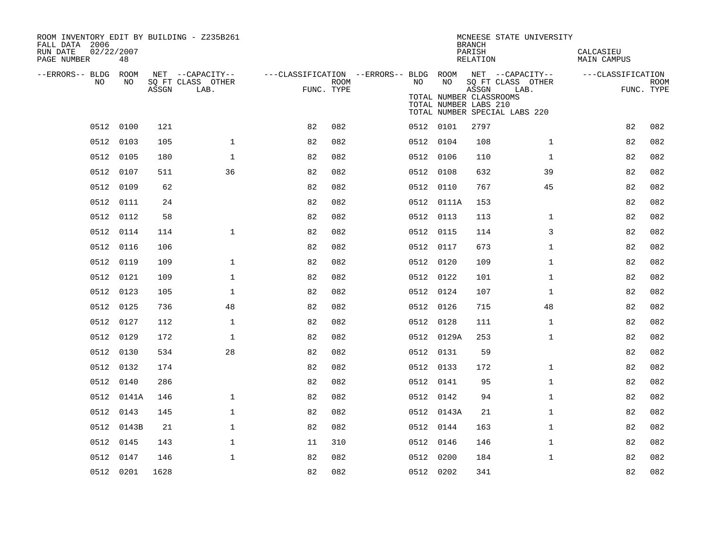| ROOM INVENTORY EDIT BY BUILDING - Z235B261<br>FALL DATA 2006<br>RUN DATE<br>02/22/2007<br>PAGE NUMBER | 48         |       |                                               |            |      |                                                               |                                                        | <b>BRANCH</b><br>PARISH<br>RELATION | MCNEESE STATE UNIVERSITY                                   | CALCASIEU<br><b>MAIN CAMPUS</b> |                           |
|-------------------------------------------------------------------------------------------------------|------------|-------|-----------------------------------------------|------------|------|---------------------------------------------------------------|--------------------------------------------------------|-------------------------------------|------------------------------------------------------------|---------------------------------|---------------------------|
| --ERRORS-- BLDG ROOM<br>NO                                                                            | NO         | ASSGN | NET --CAPACITY--<br>SQ FT CLASS OTHER<br>LAB. | FUNC. TYPE | ROOM | ---CLASSIFICATION --ERRORS-- BLDG ROOM NET --CAPACITY--<br>NO | NO<br>TOTAL NUMBER CLASSROOMS<br>TOTAL NUMBER LABS 210 | ASSGN                               | SQ FT CLASS OTHER<br>LAB.<br>TOTAL NUMBER SPECIAL LABS 220 | ---CLASSIFICATION               | <b>ROOM</b><br>FUNC. TYPE |
|                                                                                                       | 0512 0100  | 121   |                                               | 82         | 082  |                                                               | 0512 0101                                              | 2797                                |                                                            | 82                              | 082                       |
|                                                                                                       | 0512 0103  | 105   | $\mathbf{1}$                                  | 82         | 082  |                                                               | 0512 0104                                              | 108                                 | $\mathbf{1}$                                               | 82                              | 082                       |
|                                                                                                       | 0512 0105  | 180   | $\mathbf{1}$                                  | 82         | 082  |                                                               | 0512 0106                                              | 110                                 | $\mathbf{1}$                                               | 82                              | 082                       |
|                                                                                                       | 0512 0107  | 511   | 36                                            | 82         | 082  |                                                               | 0512 0108                                              | 632                                 | 39                                                         | 82                              | 082                       |
|                                                                                                       | 0512 0109  | 62    |                                               | 82         | 082  |                                                               | 0512 0110                                              | 767                                 | 45                                                         | 82                              | 082                       |
|                                                                                                       | 0512 0111  | 24    |                                               | 82         | 082  |                                                               | 0512 0111A                                             | 153                                 |                                                            | 82                              | 082                       |
|                                                                                                       | 0512 0112  | 58    |                                               | 82         | 082  |                                                               | 0512 0113                                              | 113                                 | $\mathbf{1}$                                               | 82                              | 082                       |
|                                                                                                       | 0512 0114  | 114   | $\mathbf{1}$                                  | 82         | 082  |                                                               | 0512 0115                                              | 114                                 | 3                                                          | 82                              | 082                       |
|                                                                                                       | 0512 0116  | 106   |                                               | 82         | 082  |                                                               | 0512 0117                                              | 673                                 | $\mathbf{1}$                                               | 82                              | 082                       |
| 0512                                                                                                  | 0119       | 109   | 1                                             | 82         | 082  |                                                               | 0512 0120                                              | 109                                 | $\mathbf{1}$                                               | 82                              | 082                       |
|                                                                                                       | 0512 0121  | 109   | $\mathbf 1$                                   | 82         | 082  |                                                               | 0512 0122                                              | 101                                 | $\mathbf{1}$                                               | 82                              | 082                       |
|                                                                                                       | 0512 0123  | 105   | $\mathbf{1}$                                  | 82         | 082  |                                                               | 0512 0124                                              | 107                                 | $\mathbf{1}$                                               | 82                              | 082                       |
|                                                                                                       | 0512 0125  | 736   | 48                                            | 82         | 082  |                                                               | 0512 0126                                              | 715                                 | 48                                                         | 82                              | 082                       |
|                                                                                                       | 0512 0127  | 112   | $\mathbf{1}$                                  | 82         | 082  |                                                               | 0512 0128                                              | 111                                 | $\mathbf{1}$                                               | 82                              | 082                       |
|                                                                                                       | 0512 0129  | 172   | $\mathbf{1}$                                  | 82         | 082  |                                                               | 0512 0129A                                             | 253                                 | $\mathbf{1}$                                               | 82                              | 082                       |
|                                                                                                       | 0512 0130  | 534   | 28                                            | 82         | 082  |                                                               | 0512 0131                                              | 59                                  |                                                            | 82                              | 082                       |
|                                                                                                       | 0512 0132  | 174   |                                               | 82         | 082  |                                                               | 0512 0133                                              | 172                                 | $\mathbf{1}$                                               | 82                              | 082                       |
|                                                                                                       | 0512 0140  | 286   |                                               | 82         | 082  |                                                               | 0512 0141                                              | 95                                  | $\mathbf{1}$                                               | 82                              | 082                       |
|                                                                                                       | 0512 0141A | 146   | $\mathbf{1}$                                  | 82         | 082  |                                                               | 0512 0142                                              | 94                                  | $\mathbf{1}$                                               | 82                              | 082                       |
|                                                                                                       | 0512 0143  | 145   | $\mathbf{1}$                                  | 82         | 082  |                                                               | 0512 0143A                                             | 21                                  | $\mathbf{1}$                                               | 82                              | 082                       |
|                                                                                                       | 0512 0143B | 21    | $\mathbf 1$                                   | 82         | 082  |                                                               | 0512 0144                                              | 163                                 | $\mathbf{1}$                                               | 82                              | 082                       |
|                                                                                                       | 0512 0145  | 143   | $\mathbf 1$                                   | 11         | 310  |                                                               | 0512 0146                                              | 146                                 | $\mathbf{1}$                                               | 82                              | 082                       |
|                                                                                                       | 0512 0147  | 146   | $\mathbf 1$                                   | 82         | 082  |                                                               | 0512 0200                                              | 184                                 | $\mathbf{1}$                                               | 82                              | 082                       |
|                                                                                                       | 0512 0201  | 1628  |                                               | 82         | 082  |                                                               | 0512 0202                                              | 341                                 |                                                            | 82                              | 082                       |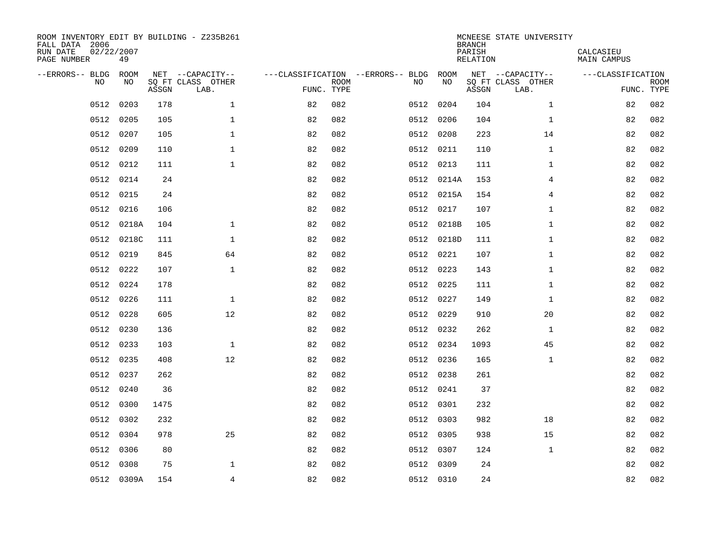| ROOM INVENTORY EDIT BY BUILDING - Z235B261<br>FALL DATA 2006<br>RUN DATE<br>PAGE NUMBER | 02/22/2007<br>49 |       |                           |                                   |             |      |            | <b>BRANCH</b><br>PARISH<br>RELATION | MCNEESE STATE UNIVERSITY  | CALCASIEU<br><b>MAIN CAMPUS</b> |             |
|-----------------------------------------------------------------------------------------|------------------|-------|---------------------------|-----------------------------------|-------------|------|------------|-------------------------------------|---------------------------|---------------------------------|-------------|
| --ERRORS-- BLDG                                                                         | ROOM             |       | NET --CAPACITY--          | ---CLASSIFICATION --ERRORS-- BLDG |             |      | ROOM       |                                     | NET --CAPACITY--          | ---CLASSIFICATION               |             |
| NO.                                                                                     | NO               | ASSGN | SQ FT CLASS OTHER<br>LAB. | FUNC. TYPE                        | <b>ROOM</b> | NO   | NO         | ASSGN                               | SQ FT CLASS OTHER<br>LAB. | FUNC. TYPE                      | <b>ROOM</b> |
| 0512                                                                                    | 0203             | 178   | $\mathbf{1}$              | 82                                | 082         | 0512 | 0204       | 104                                 | $\mathbf{1}$              | 82                              | 082         |
| 0512                                                                                    | 0205             | 105   | 1                         | 82                                | 082         | 0512 | 0206       | 104                                 | $\mathbf{1}$              | 82                              | 082         |
| 0512                                                                                    | 0207             | 105   | $\mathbf 1$               | 82                                | 082         |      | 0512 0208  | 223                                 | 14                        | 82                              | 082         |
| 0512                                                                                    | 0209             | 110   | $\mathbf 1$               | 82                                | 082         |      | 0512 0211  | 110                                 | $\mathbf{1}$              | 82                              | 082         |
| 0512                                                                                    | 0212             | 111   | $\mathbf{1}$              | 82                                | 082         |      | 0512 0213  | 111                                 | $\mathbf{1}$              | 82                              | 082         |
| 0512                                                                                    | 0214             | 24    |                           | 82                                | 082         |      | 0512 0214A | 153                                 | 4                         | 82                              | 082         |
| 0512                                                                                    | 0215             | 24    |                           | 82                                | 082         |      | 0512 0215A | 154                                 | $\overline{4}$            | 82                              | 082         |
| 0512                                                                                    | 0216             | 106   |                           | 82                                | 082         |      | 0512 0217  | 107                                 | $\mathbf{1}$              | 82                              | 082         |
| 0512                                                                                    | 0218A            | 104   | $\mathbf{1}$              | 82                                | 082         | 0512 | 0218B      | 105                                 | $\mathbf{1}$              | 82                              | 082         |
| 0512                                                                                    | 0218C            | 111   | $\mathbf{1}$              | 82                                | 082         |      | 0512 0218D | 111                                 | $\mathbf{1}$              | 82                              | 082         |
| 0512                                                                                    | 0219             | 845   | 64                        | 82                                | 082         |      | 0512 0221  | 107                                 | $\mathbf{1}$              | 82                              | 082         |
| 0512                                                                                    | 0222             | 107   | $\mathbf 1$               | 82                                | 082         |      | 0512 0223  | 143                                 | $\mathbf{1}$              | 82                              | 082         |
| 0512                                                                                    | 0224             | 178   |                           | 82                                | 082         |      | 0512 0225  | 111                                 | $\mathbf{1}$              | 82                              | 082         |
| 0512                                                                                    | 0226             | 111   | $\mathbf 1$               | 82                                | 082         |      | 0512 0227  | 149                                 | $\mathbf{1}$              | 82                              | 082         |
| 0512                                                                                    | 0228             | 605   | 12                        | 82                                | 082         |      | 0512 0229  | 910                                 | 20                        | 82                              | 082         |
| 0512                                                                                    | 0230             | 136   |                           | 82                                | 082         |      | 0512 0232  | 262                                 | $\mathbf{1}$              | 82                              | 082         |
| 0512                                                                                    | 0233             | 103   | $\mathbf{1}$              | 82                                | 082         |      | 0512 0234  | 1093                                | 45                        | 82                              | 082         |
| 0512                                                                                    | 0235             | 408   | 12                        | 82                                | 082         |      | 0512 0236  | 165                                 | $\mathbf{1}$              | 82                              | 082         |
| 0512                                                                                    | 0237             | 262   |                           | 82                                | 082         |      | 0512 0238  | 261                                 |                           | 82                              | 082         |
| 0512                                                                                    | 0240             | 36    |                           | 82                                | 082         |      | 0512 0241  | 37                                  |                           | 82                              | 082         |
| 0512                                                                                    | 0300             | 1475  |                           | 82                                | 082         |      | 0512 0301  | 232                                 |                           | 82                              | 082         |
| 0512                                                                                    | 0302             | 232   |                           | 82                                | 082         |      | 0512 0303  | 982                                 | 18                        | 82                              | 082         |
| 0512                                                                                    | 0304             | 978   | 25                        | 82                                | 082         |      | 0512 0305  | 938                                 | 15                        | 82                              | 082         |
| 0512                                                                                    | 0306             | 80    |                           | 82                                | 082         |      | 0512 0307  | 124                                 | $\mathbf{1}$              | 82                              | 082         |
| 0512                                                                                    | 0308             | 75    | 1                         | 82                                | 082         |      | 0512 0309  | 24                                  |                           | 82                              | 082         |
|                                                                                         | 0512 0309A       | 154   | 4                         | 82                                | 082         |      | 0512 0310  | 24                                  |                           | 82                              | 082         |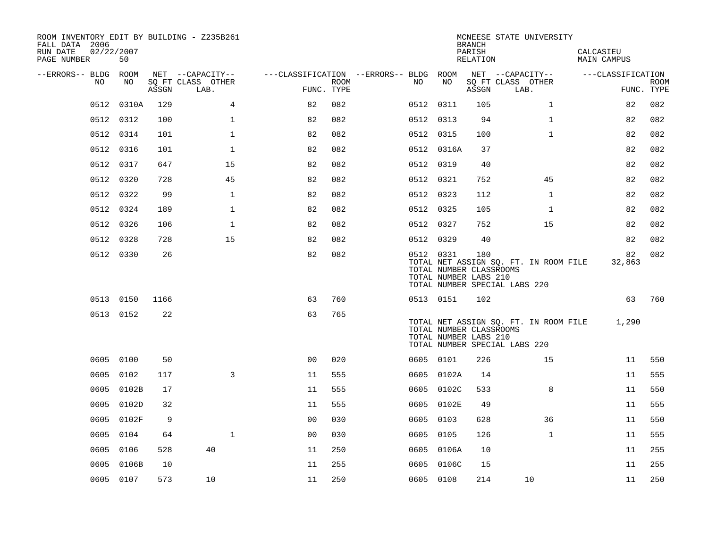| ROOM INVENTORY EDIT BY BUILDING - Z235B261<br>FALL DATA 2006<br>RUN DATE<br>02/22/2007<br>PAGE NUMBER | 50        |       |                           |                                        |                    |           |                                                  | <b>BRANCH</b><br>PARISH<br>RELATION | MCNEESE STATE UNIVERSITY                                               | CALCASIEU<br>MAIN CAMPUS |                           |
|-------------------------------------------------------------------------------------------------------|-----------|-------|---------------------------|----------------------------------------|--------------------|-----------|--------------------------------------------------|-------------------------------------|------------------------------------------------------------------------|--------------------------|---------------------------|
| --ERRORS-- BLDG ROOM                                                                                  |           |       | NET --CAPACITY--          | ---CLASSIFICATION --ERRORS-- BLDG ROOM |                    |           |                                                  |                                     | NET --CAPACITY--                                                       | ---CLASSIFICATION        |                           |
| NO.                                                                                                   | NO        | ASSGN | SQ FT CLASS OTHER<br>LAB. |                                        | ROOM<br>FUNC. TYPE | NO.       | NO                                               | ASSGN                               | SQ FT CLASS OTHER<br>LAB.                                              |                          | <b>ROOM</b><br>FUNC. TYPE |
| 0512                                                                                                  | 0310A     | 129   | 4                         | 82                                     | 082                | 0512 0311 |                                                  | 105                                 | $\mathbf{1}$                                                           | 82                       | 082                       |
|                                                                                                       | 0512 0312 | 100   | $\mathbf{1}$              | 82                                     | 082                | 0512 0313 |                                                  | 94                                  | $\mathbf{1}$                                                           | 82                       | 082                       |
|                                                                                                       | 0512 0314 | 101   | $\mathbf 1$               | 82                                     | 082                | 0512 0315 |                                                  | 100                                 | $\mathbf{1}$                                                           | 82                       | 082                       |
| 0512                                                                                                  | 0316      | 101   | $\mathbf 1$               | 82                                     | 082                |           | 0512 0316A                                       | 37                                  |                                                                        | 82                       | 082                       |
| 0512                                                                                                  | 0317      | 647   | 15                        | 82                                     | 082                | 0512 0319 |                                                  | 40                                  |                                                                        | 82                       | 082                       |
| 0512                                                                                                  | 0320      | 728   | 45                        | 82                                     | 082                | 0512 0321 |                                                  | 752                                 | 45                                                                     | 82                       | 082                       |
|                                                                                                       | 0512 0322 | 99    | $\mathbf{1}$              | 82                                     | 082                | 0512 0323 |                                                  | 112                                 | $\mathbf{1}$                                                           | 82                       | 082                       |
|                                                                                                       | 0512 0324 | 189   | $\mathbf{1}$              | 82                                     | 082                | 0512 0325 |                                                  | 105                                 | $\mathbf{1}$                                                           | 82                       | 082                       |
| 0512                                                                                                  | 0326      | 106   | $\mathbf 1$               | 82                                     | 082                | 0512 0327 |                                                  | 752                                 | 15                                                                     | 82                       | 082                       |
|                                                                                                       | 0512 0328 | 728   | 15                        | 82                                     | 082                | 0512 0329 |                                                  | 40                                  |                                                                        | 82                       | 082                       |
|                                                                                                       | 0512 0330 | 26    |                           | 82                                     | 082                | 0512 0331 | TOTAL NUMBER CLASSROOMS<br>TOTAL NUMBER LABS 210 | 180                                 | TOTAL NET ASSIGN SQ. FT. IN ROOM FILE<br>TOTAL NUMBER SPECIAL LABS 220 | 82<br>32,863             | 082                       |
|                                                                                                       | 0513 0150 | 1166  |                           | 63                                     | 760                | 0513 0151 |                                                  | 102                                 |                                                                        | 63                       | 760                       |
|                                                                                                       | 0513 0152 | 22    |                           | 63                                     | 765                |           | TOTAL NUMBER CLASSROOMS<br>TOTAL NUMBER LABS 210 |                                     | TOTAL NET ASSIGN SQ. FT. IN ROOM FILE<br>TOTAL NUMBER SPECIAL LABS 220 | 1,290                    |                           |
|                                                                                                       | 0605 0100 | 50    |                           | 0 <sub>0</sub>                         | 020                | 0605 0101 |                                                  | 226                                 | 15                                                                     | 11                       | 550                       |
| 0605                                                                                                  | 0102      | 117   | 3                         | 11                                     | 555                |           | 0605 0102A                                       | 14                                  |                                                                        | 11                       | 555                       |
| 0605                                                                                                  | 0102B     | 17    |                           | 11                                     | 555                |           | 0605 0102C                                       | 533                                 | 8                                                                      | 11                       | 550                       |
| 0605                                                                                                  | 0102D     | 32    |                           | 11                                     | 555                |           | 0605 0102E                                       | 49                                  |                                                                        | 11                       | 555                       |
| 0605                                                                                                  | 0102F     | 9     |                           | 0 <sub>0</sub>                         | 030                | 0605      | 0103                                             | 628                                 | 36                                                                     | 11                       | 550                       |
| 0605                                                                                                  | 0104      | 64    | $\mathbf{1}$              | 0 <sub>0</sub>                         | 030                | 0605 0105 |                                                  | 126                                 | $\mathbf{1}$                                                           | 11                       | 555                       |
| 0605                                                                                                  | 0106      | 528   | 40                        | 11                                     | 250                |           | 0605 0106A                                       | 10                                  |                                                                        | 11                       | 255                       |
| 0605                                                                                                  | 0106B     | 10    |                           | 11                                     | 255                |           | 0605 0106C                                       | 15                                  |                                                                        | 11                       | 255                       |
|                                                                                                       | 0605 0107 | 573   | 10                        | 11                                     | 250                | 0605 0108 |                                                  | 214                                 | 10                                                                     | 11                       | 250                       |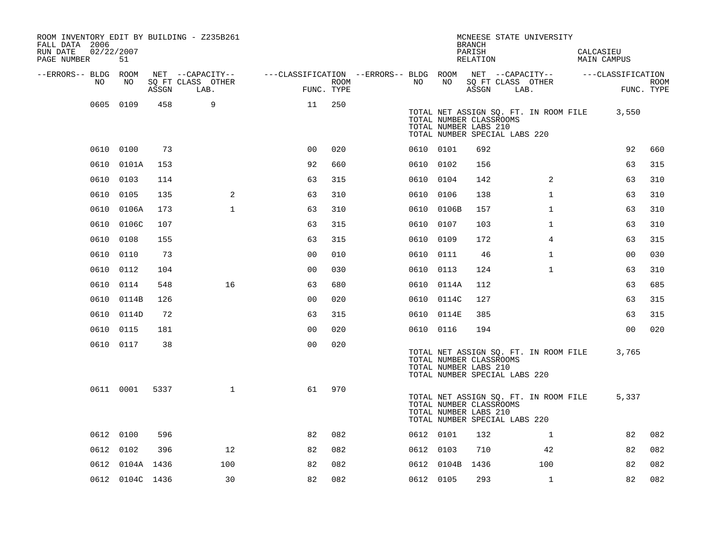| ROOM INVENTORY EDIT BY BUILDING - Z235B261<br>FALL DATA 2006<br>02/22/2007<br>RUN DATE<br>PAGE NUMBER | 51              |       |                           |                                                                              |      |           |            | <b>BRANCH</b><br>PARISH<br>RELATION                                               |      | MCNEESE STATE UNIVERSITY              | CALCASIEU<br>MAIN CAMPUS |                |             |
|-------------------------------------------------------------------------------------------------------|-----------------|-------|---------------------------|------------------------------------------------------------------------------|------|-----------|------------|-----------------------------------------------------------------------------------|------|---------------------------------------|--------------------------|----------------|-------------|
| --ERRORS-- BLDG ROOM                                                                                  |                 |       | NET --CAPACITY--          | ---CLASSIFICATION --ERRORS-- BLDG ROOM NET --CAPACITY--    ---CLASSIFICATION |      |           |            |                                                                                   |      |                                       |                          |                |             |
| NO                                                                                                    | NO              | ASSGN | SQ FT CLASS OTHER<br>LAB. | FUNC. TYPE                                                                   | ROOM | NO.       | NO         | ASSGN                                                                             | LAB. | SQ FT CLASS OTHER                     |                          | FUNC. TYPE     | <b>ROOM</b> |
|                                                                                                       | 0605 0109       | 458   | 9                         | 11                                                                           | 250  |           |            | TOTAL NUMBER CLASSROOMS<br>TOTAL NUMBER LABS 210<br>TOTAL NUMBER SPECIAL LABS 220 |      | TOTAL NET ASSIGN SQ. FT. IN ROOM FILE |                          | 3,550          |             |
|                                                                                                       | 0610 0100       | 73    |                           | 0 <sup>0</sup>                                                               | 020  |           | 0610 0101  | 692                                                                               |      |                                       |                          | 92             | 660         |
|                                                                                                       | 0610 0101A      | 153   |                           | 92                                                                           | 660  | 0610 0102 |            | 156                                                                               |      |                                       |                          | 63             | 315         |
|                                                                                                       | 0610 0103       | 114   |                           | 63                                                                           | 315  | 0610 0104 |            | 142                                                                               |      | 2                                     |                          | 63             | 310         |
|                                                                                                       | 0610 0105       | 135   | 2                         | 63                                                                           | 310  | 0610 0106 |            | 138                                                                               |      | $\mathbf{1}$                          |                          | 63             | 310         |
|                                                                                                       | 0610 0106A      | 173   | $\mathbf{1}$              | 63                                                                           | 310  |           | 0610 0106B | 157                                                                               |      | $\mathbf{1}$                          |                          | 63             | 310         |
|                                                                                                       | 0610 0106C      | 107   |                           | 63                                                                           | 315  | 0610 0107 |            | 103                                                                               |      | $\mathbf{1}$                          |                          | 63             | 310         |
|                                                                                                       | 0610 0108       | 155   |                           | 63                                                                           | 315  | 0610 0109 |            | 172                                                                               |      | 4                                     |                          | 63             | 315         |
|                                                                                                       | 0610 0110       | 73    |                           | 0 <sub>0</sub>                                                               | 010  |           | 0610 0111  | 46                                                                                |      | $\mathbf{1}$                          |                          | 0 <sub>0</sub> | 030         |
|                                                                                                       | 0610 0112       | 104   |                           | 0 <sub>0</sub>                                                               | 030  | 0610 0113 |            | 124                                                                               |      | $\mathbf{1}$                          |                          | 63             | 310         |
|                                                                                                       | 0610 0114       | 548   | 16                        | 63                                                                           | 680  |           | 0610 0114A | 112                                                                               |      |                                       |                          | 63             | 685         |
|                                                                                                       | 0610 0114B      | 126   |                           | 0 <sub>0</sub>                                                               | 020  |           | 0610 0114C | 127                                                                               |      |                                       |                          | 63             | 315         |
|                                                                                                       | 0610 0114D      | 72    |                           | 63                                                                           | 315  |           | 0610 0114E | 385                                                                               |      |                                       |                          | 63             | 315         |
|                                                                                                       | 0610 0115       | 181   |                           | 0 <sub>0</sub>                                                               | 020  |           | 0610 0116  | 194                                                                               |      |                                       |                          | 0 <sub>0</sub> | 020         |
|                                                                                                       | 0610 0117       | 38    |                           | 0 <sub>0</sub>                                                               | 020  |           |            | TOTAL NUMBER CLASSROOMS<br>TOTAL NUMBER LABS 210<br>TOTAL NUMBER SPECIAL LABS 220 |      | TOTAL NET ASSIGN SQ. FT. IN ROOM FILE |                          | 3,765          |             |
|                                                                                                       | 0611 0001       | 5337  | $\mathbf{1}$              | 61                                                                           | 970  |           |            | TOTAL NUMBER CLASSROOMS<br>TOTAL NUMBER LABS 210<br>TOTAL NUMBER SPECIAL LABS 220 |      | TOTAL NET ASSIGN SQ. FT. IN ROOM FILE |                          | 5,337          |             |
|                                                                                                       | 0612 0100       | 596   |                           | 82                                                                           | 082  |           | 0612 0101  | 132                                                                               |      | $\mathbf{1}$                          |                          | 82             | 082         |
|                                                                                                       | 0612 0102       | 396   | 12                        | 82                                                                           | 082  | 0612 0103 |            | 710                                                                               |      | 42                                    |                          | 82             | 082         |
|                                                                                                       | 0612 0104A 1436 |       | 100                       | 82                                                                           | 082  |           | 0612 0104B | 1436                                                                              |      | 100                                   |                          | 82             | 082         |
|                                                                                                       | 0612 0104C 1436 |       | 30                        | 82                                                                           | 082  | 0612 0105 |            | 293                                                                               |      | $\mathbf{1}$                          |                          | 82             | 082         |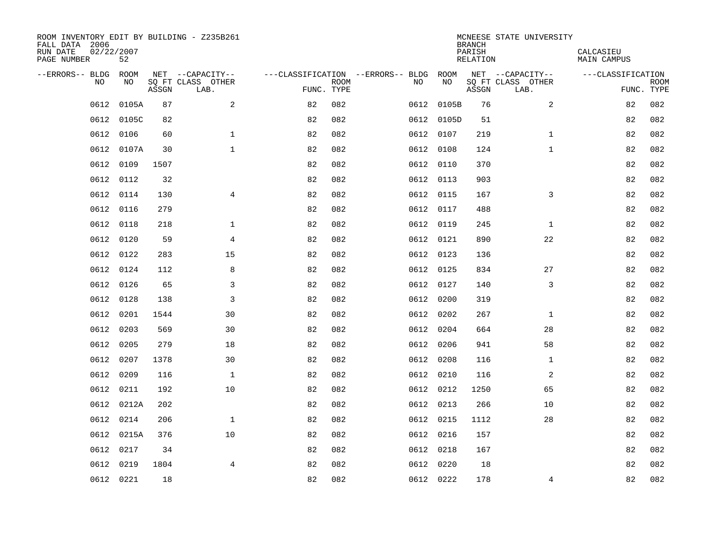| ROOM INVENTORY EDIT BY BUILDING - Z235B261<br>FALL DATA 2006<br>RUN DATE<br>PAGE NUMBER | 02/22/2007<br>52 |       |                           |                                   |             |      |            | <b>BRANCH</b><br>PARISH<br><b>RELATION</b> | MCNEESE STATE UNIVERSITY  | CALCASIEU<br><b>MAIN CAMPUS</b> |             |
|-----------------------------------------------------------------------------------------|------------------|-------|---------------------------|-----------------------------------|-------------|------|------------|--------------------------------------------|---------------------------|---------------------------------|-------------|
| --ERRORS-- BLDG ROOM                                                                    |                  |       | NET --CAPACITY--          | ---CLASSIFICATION --ERRORS-- BLDG |             |      | ROOM       |                                            | NET --CAPACITY--          | ---CLASSIFICATION               |             |
| NO                                                                                      | NO               | ASSGN | SQ FT CLASS OTHER<br>LAB. | FUNC. TYPE                        | <b>ROOM</b> | NO   | NO         | ASSGN                                      | SQ FT CLASS OTHER<br>LAB. | FUNC. TYPE                      | <b>ROOM</b> |
| 0612                                                                                    | 0105A            | 87    | $\mathbf{2}$              | 82                                | 082         |      | 0612 0105B | 76                                         | $\overline{a}$            | 82                              | 082         |
| 0612                                                                                    | 0105C            | 82    |                           | 82                                | 082         |      | 0612 0105D | 51                                         |                           | 82                              | 082         |
| 0612                                                                                    | 0106             | 60    | $\mathbf 1$               | 82                                | 082         |      | 0612 0107  | 219                                        | $\mathbf{1}$              | 82                              | 082         |
| 0612                                                                                    | 0107A            | 30    | $\mathbf 1$               | 82                                | 082         |      | 0612 0108  | 124                                        | $\mathbf{1}$              | 82                              | 082         |
| 0612                                                                                    | 0109             | 1507  |                           | 82                                | 082         |      | 0612 0110  | 370                                        |                           | 82                              | 082         |
| 0612                                                                                    | 0112             | 32    |                           | 82                                | 082         |      | 0612 0113  | 903                                        |                           | 82                              | 082         |
| 0612                                                                                    | 0114             | 130   | $\overline{4}$            | 82                                | 082         |      | 0612 0115  | 167                                        | 3                         | 82                              | 082         |
| 0612                                                                                    | 0116             | 279   |                           | 82                                | 082         |      | 0612 0117  | 488                                        |                           | 82                              | 082         |
| 0612                                                                                    | 0118             | 218   | $\mathbf{1}$              | 82                                | 082         |      | 0612 0119  | 245                                        | $\mathbf{1}$              | 82                              | 082         |
| 0612                                                                                    | 0120             | 59    | 4                         | 82                                | 082         |      | 0612 0121  | 890                                        | 22                        | 82                              | 082         |
| 0612                                                                                    | 0122             | 283   | 15                        | 82                                | 082         |      | 0612 0123  | 136                                        |                           | 82                              | 082         |
| 0612                                                                                    | 0124             | 112   | 8                         | 82                                | 082         |      | 0612 0125  | 834                                        | 27                        | 82                              | 082         |
| 0612                                                                                    | 0126             | 65    | 3                         | 82                                | 082         |      | 0612 0127  | 140                                        | 3                         | 82                              | 082         |
| 0612                                                                                    | 0128             | 138   | 3                         | 82                                | 082         |      | 0612 0200  | 319                                        |                           | 82                              | 082         |
| 0612                                                                                    | 0201             | 1544  | 30                        | 82                                | 082         |      | 0612 0202  | 267                                        | $\mathbf{1}$              | 82                              | 082         |
| 0612                                                                                    | 0203             | 569   | 30                        | 82                                | 082         |      | 0612 0204  | 664                                        | 28                        | 82                              | 082         |
| 0612                                                                                    | 0205             | 279   | 18                        | 82                                | 082         | 0612 | 0206       | 941                                        | 58                        | 82                              | 082         |
| 0612                                                                                    | 0207             | 1378  | 30                        | 82                                | 082         |      | 0612 0208  | 116                                        | $\mathbf{1}$              | 82                              | 082         |
| 0612                                                                                    | 0209             | 116   | $\mathbf 1$               | 82                                | 082         |      | 0612 0210  | 116                                        | 2                         | 82                              | 082         |
| 0612                                                                                    | 0211             | 192   | 10                        | 82                                | 082         |      | 0612 0212  | 1250                                       | 65                        | 82                              | 082         |
|                                                                                         | 0612 0212A       | 202   |                           | 82                                | 082         |      | 0612 0213  | 266                                        | 10                        | 82                              | 082         |
| 0612                                                                                    | 0214             | 206   | $\mathbf{1}$              | 82                                | 082         |      | 0612 0215  | 1112                                       | 28                        | 82                              | 082         |
|                                                                                         | 0612 0215A       | 376   | 10                        | 82                                | 082         |      | 0612 0216  | 157                                        |                           | 82                              | 082         |
| 0612                                                                                    | 0217             | 34    |                           | 82                                | 082         |      | 0612 0218  | 167                                        |                           | 82                              | 082         |
| 0612                                                                                    | 0219             | 1804  | $\overline{4}$            | 82                                | 082         |      | 0612 0220  | 18                                         |                           | 82                              | 082         |
|                                                                                         | 0612 0221        | 18    |                           | 82                                | 082         |      | 0612 0222  | 178                                        | 4                         | 82                              | 082         |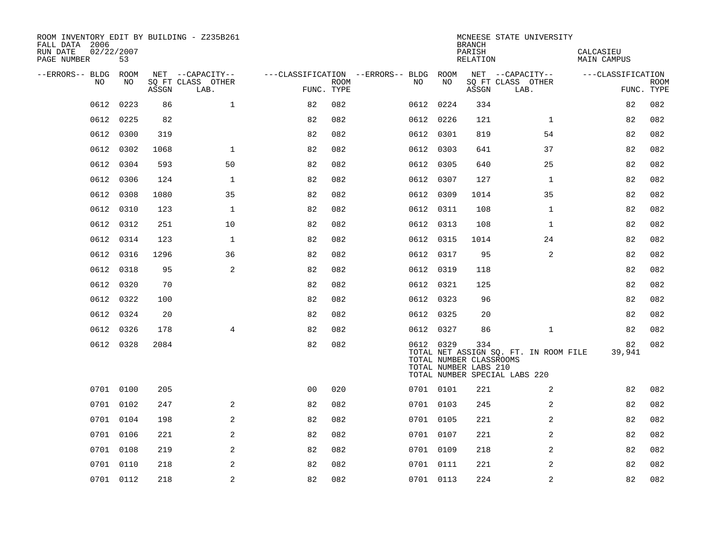| ROOM INVENTORY EDIT BY BUILDING - Z235B261<br>FALL DATA 2006<br>RUN DATE<br>02/22/2007<br>PAGE NUMBER | 53        |       |                           |                |             |                                        |           | <b>BRANCH</b><br>PARISH<br>RELATION                     | MCNEESE STATE UNIVERSITY                                               | CALCASIEU<br>MAIN CAMPUS |                           |
|-------------------------------------------------------------------------------------------------------|-----------|-------|---------------------------|----------------|-------------|----------------------------------------|-----------|---------------------------------------------------------|------------------------------------------------------------------------|--------------------------|---------------------------|
| --ERRORS-- BLDG ROOM                                                                                  |           |       | NET --CAPACITY--          |                |             | ---CLASSIFICATION --ERRORS-- BLDG ROOM |           |                                                         | NET --CAPACITY--                                                       | ---CLASSIFICATION        |                           |
| NO                                                                                                    | NO        | ASSGN | SQ FT CLASS OTHER<br>LAB. | FUNC. TYPE     | <b>ROOM</b> | NO.                                    | NO        | ASSGN                                                   | SQ FT CLASS OTHER<br>LAB.                                              |                          | <b>ROOM</b><br>FUNC. TYPE |
| 0612                                                                                                  | 0223      | 86    | $\mathbf 1$               | 82             | 082         |                                        | 0612 0224 | 334                                                     |                                                                        | 82                       | 082                       |
| 0612                                                                                                  | 0225      | 82    |                           | 82             | 082         |                                        | 0612 0226 | 121                                                     | $\mathbf{1}$                                                           | 82                       | 082                       |
| 0612                                                                                                  | 0300      | 319   |                           | 82             | 082         |                                        | 0612 0301 | 819                                                     | 54                                                                     | 82                       | 082                       |
| 0612                                                                                                  | 0302      | 1068  | $\mathbf{1}$              | 82             | 082         |                                        | 0612 0303 | 641                                                     | 37                                                                     | 82                       | 082                       |
| 0612                                                                                                  | 0304      | 593   | 50                        | 82             | 082         |                                        | 0612 0305 | 640                                                     | 25                                                                     | 82                       | 082                       |
| 0612                                                                                                  | 0306      | 124   | $\mathbf 1$               | 82             | 082         |                                        | 0612 0307 | 127                                                     | $\mathbf{1}$                                                           | 82                       | 082                       |
| 0612                                                                                                  | 0308      | 1080  | 35                        | 82             | 082         |                                        | 0612 0309 | 1014                                                    | 35                                                                     | 82                       | 082                       |
| 0612                                                                                                  | 0310      | 123   | $\mathbf{1}$              | 82             | 082         |                                        | 0612 0311 | 108                                                     | $\mathbf{1}$                                                           | 82                       | 082                       |
| 0612                                                                                                  | 0312      | 251   | 10                        | 82             | 082         |                                        | 0612 0313 | 108                                                     | $\mathbf{1}$                                                           | 82                       | 082                       |
| 0612                                                                                                  | 0314      | 123   | $\mathbf{1}$              | 82             | 082         |                                        | 0612 0315 | 1014                                                    | 24                                                                     | 82                       | 082                       |
| 0612                                                                                                  | 0316      | 1296  | 36                        | 82             | 082         |                                        | 0612 0317 | 95                                                      | $\overline{a}$                                                         | 82                       | 082                       |
| 0612                                                                                                  | 0318      | 95    | 2                         | 82             | 082         |                                        | 0612 0319 | 118                                                     |                                                                        | 82                       | 082                       |
| 0612                                                                                                  | 0320      | 70    |                           | 82             | 082         |                                        | 0612 0321 | 125                                                     |                                                                        | 82                       | 082                       |
| 0612                                                                                                  | 0322      | 100   |                           | 82             | 082         |                                        | 0612 0323 | 96                                                      |                                                                        | 82                       | 082                       |
|                                                                                                       | 0612 0324 | 20    |                           | 82             | 082         |                                        | 0612 0325 | 20                                                      |                                                                        | 82                       | 082                       |
|                                                                                                       | 0612 0326 | 178   | $\overline{4}$            | 82             | 082         |                                        | 0612 0327 | 86                                                      | $\mathbf{1}$                                                           | 82                       | 082                       |
|                                                                                                       | 0612 0328 | 2084  |                           | 82             | 082         |                                        | 0612 0329 | 334<br>TOTAL NUMBER CLASSROOMS<br>TOTAL NUMBER LABS 210 | TOTAL NET ASSIGN SQ. FT. IN ROOM FILE<br>TOTAL NUMBER SPECIAL LABS 220 | 82<br>39,941             | 082                       |
|                                                                                                       | 0701 0100 | 205   |                           | 0 <sub>0</sub> | 020         |                                        | 0701 0101 | 221                                                     | 2                                                                      | 82                       | 082                       |
|                                                                                                       | 0701 0102 | 247   | 2                         | 82             | 082         |                                        | 0701 0103 | 245                                                     | 2                                                                      | 82                       | 082                       |
|                                                                                                       | 0701 0104 | 198   | $\mathbf{2}$              | 82             | 082         |                                        | 0701 0105 | 221                                                     | $\overline{a}$                                                         | 82                       | 082                       |
|                                                                                                       | 0701 0106 | 221   | 2                         | 82             | 082         |                                        | 0701 0107 | 221                                                     | $\overline{a}$                                                         | 82                       | 082                       |
|                                                                                                       | 0701 0108 | 219   | $\overline{2}$            | 82             | 082         |                                        | 0701 0109 | 218                                                     | 2                                                                      | 82                       | 082                       |
|                                                                                                       | 0701 0110 | 218   | 2                         | 82             | 082         |                                        | 0701 0111 | 221                                                     | 2                                                                      | 82                       | 082                       |
|                                                                                                       | 0701 0112 | 218   | 2                         | 82             | 082         |                                        | 0701 0113 | 224                                                     | $\overline{2}$                                                         | 82                       | 082                       |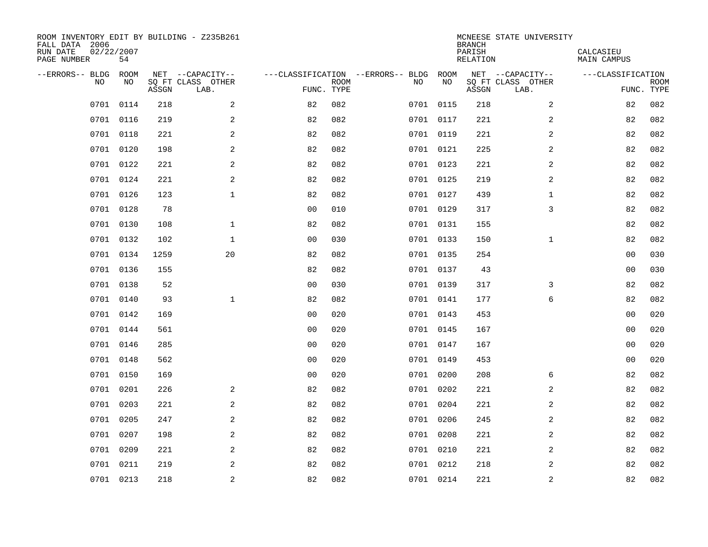| ROOM INVENTORY EDIT BY BUILDING - Z235B261<br>FALL DATA 2006<br>RUN DATE<br>PAGE NUMBER | 02/22/2007<br>54 |       |                           |                |             |                                        |           | <b>BRANCH</b><br>PARISH<br><b>RELATION</b> | MCNEESE STATE UNIVERSITY  | CALCASIEU<br><b>MAIN CAMPUS</b> |             |
|-----------------------------------------------------------------------------------------|------------------|-------|---------------------------|----------------|-------------|----------------------------------------|-----------|--------------------------------------------|---------------------------|---------------------------------|-------------|
| --ERRORS-- BLDG                                                                         | ROOM             |       | NET --CAPACITY--          |                |             | ---CLASSIFICATION --ERRORS-- BLDG ROOM |           |                                            | NET --CAPACITY--          | ---CLASSIFICATION               |             |
| NO                                                                                      | NO               | ASSGN | SQ FT CLASS OTHER<br>LAB. | FUNC. TYPE     | <b>ROOM</b> | NO                                     | NO        | ASSGN                                      | SQ FT CLASS OTHER<br>LAB. | FUNC. TYPE                      | <b>ROOM</b> |
| 0701                                                                                    | 0114             | 218   | 2                         | 82             | 082         |                                        | 0701 0115 | 218                                        | $\overline{a}$            | 82                              | 082         |
|                                                                                         | 0701 0116        | 219   | 2                         | 82             | 082         |                                        | 0701 0117 | 221                                        | 2                         | 82                              | 082         |
|                                                                                         | 0701 0118        | 221   | 2                         | 82             | 082         |                                        | 0701 0119 | 221                                        | 2                         | 82                              | 082         |
| 0701                                                                                    | 0120             | 198   | $\mathbf{2}$              | 82             | 082         |                                        | 0701 0121 | 225                                        | 2                         | 82                              | 082         |
| 0701                                                                                    | 0122             | 221   | 2                         | 82             | 082         |                                        | 0701 0123 | 221                                        | $\overline{a}$            | 82                              | 082         |
|                                                                                         | 0701 0124        | 221   | 2                         | 82             | 082         |                                        | 0701 0125 | 219                                        | 2                         | 82                              | 082         |
| 0701                                                                                    | 0126             | 123   | $\mathbf{1}$              | 82             | 082         |                                        | 0701 0127 | 439                                        | $\mathbf{1}$              | 82                              | 082         |
|                                                                                         | 0701 0128        | 78    |                           | 0 <sub>0</sub> | 010         |                                        | 0701 0129 | 317                                        | 3                         | 82                              | 082         |
|                                                                                         | 0701 0130        | 108   | $\mathbf{1}$              | 82             | 082         |                                        | 0701 0131 | 155                                        |                           | 82                              | 082         |
|                                                                                         | 0701 0132        | 102   | $\mathbf{1}$              | 0 <sub>0</sub> | 030         |                                        | 0701 0133 | 150                                        | $\mathbf{1}$              | 82                              | 082         |
|                                                                                         | 0701 0134        | 1259  | 20                        | 82             | 082         |                                        | 0701 0135 | 254                                        |                           | 0 <sub>0</sub>                  | 030         |
|                                                                                         | 0701 0136        | 155   |                           | 82             | 082         |                                        | 0701 0137 | 43                                         |                           | 0 <sub>0</sub>                  | 030         |
| 0701                                                                                    | 0138             | 52    |                           | 0 <sub>0</sub> | 030         |                                        | 0701 0139 | 317                                        | 3                         | 82                              | 082         |
|                                                                                         | 0701 0140        | 93    | $\mathbf 1$               | 82             | 082         |                                        | 0701 0141 | 177                                        | 6                         | 82                              | 082         |
| 0701                                                                                    | 0142             | 169   |                           | 0 <sub>0</sub> | 020         |                                        | 0701 0143 | 453                                        |                           | 00                              | 020         |
| 0701                                                                                    | 0144             | 561   |                           | 0 <sub>0</sub> | 020         |                                        | 0701 0145 | 167                                        |                           | 0 <sub>0</sub>                  | 020         |
| 0701                                                                                    | 0146             | 285   |                           | 0 <sub>0</sub> | 020         |                                        | 0701 0147 | 167                                        |                           | 0 <sub>0</sub>                  | 020         |
| 0701                                                                                    | 0148             | 562   |                           | 0 <sub>0</sub> | 020         |                                        | 0701 0149 | 453                                        |                           | 0 <sub>0</sub>                  | 020         |
| 0701                                                                                    | 0150             | 169   |                           | 0 <sub>0</sub> | 020         |                                        | 0701 0200 | 208                                        | 6                         | 82                              | 082         |
| 0701                                                                                    | 0201             | 226   | 2                         | 82             | 082         |                                        | 0701 0202 | 221                                        | 2                         | 82                              | 082         |
| 0701                                                                                    | 0203             | 221   | 2                         | 82             | 082         |                                        | 0701 0204 | 221                                        | 2                         | 82                              | 082         |
| 0701                                                                                    | 0205             | 247   | 2                         | 82             | 082         |                                        | 0701 0206 | 245                                        | 2                         | 82                              | 082         |
| 0701                                                                                    | 0207             | 198   | 2                         | 82             | 082         |                                        | 0701 0208 | 221                                        | 2                         | 82                              | 082         |
| 0701                                                                                    | 0209             | 221   | 2                         | 82             | 082         |                                        | 0701 0210 | 221                                        | $\overline{a}$            | 82                              | 082         |
| 0701                                                                                    | 0211             | 219   | 2                         | 82             | 082         |                                        | 0701 0212 | 218                                        | 2                         | 82                              | 082         |
|                                                                                         | 0701 0213        | 218   | $\overline{c}$            | 82             | 082         |                                        | 0701 0214 | 221                                        | $\mathbf 2$               | 82                              | 082         |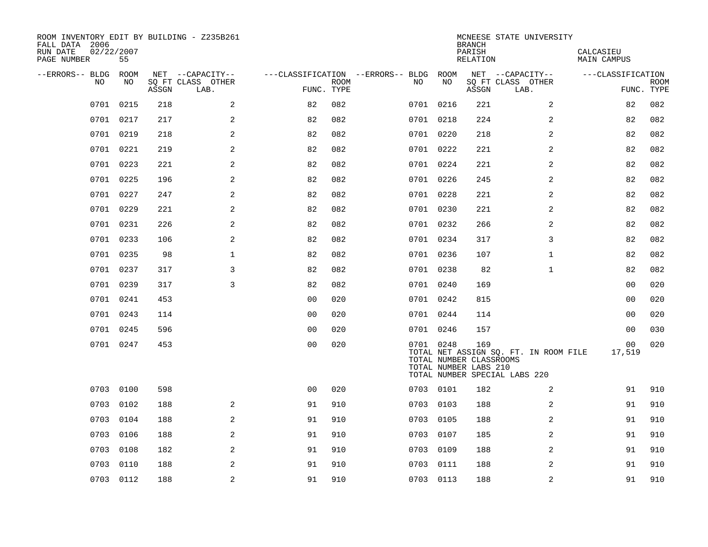| ROOM INVENTORY EDIT BY BUILDING - Z235B261<br>FALL DATA 2006<br>RUN DATE<br>PAGE NUMBER | 02/22/2007<br>55 |       |                           |                |             |                                   |           | <b>BRANCH</b><br>PARISH<br>RELATION                     | MCNEESE STATE UNIVERSITY                                               | CALCASIEU<br>MAIN CAMPUS |                           |
|-----------------------------------------------------------------------------------------|------------------|-------|---------------------------|----------------|-------------|-----------------------------------|-----------|---------------------------------------------------------|------------------------------------------------------------------------|--------------------------|---------------------------|
| --ERRORS-- BLDG                                                                         | ROOM             |       | NET --CAPACITY--          |                |             | ---CLASSIFICATION --ERRORS-- BLDG | ROOM      |                                                         | NET --CAPACITY--                                                       | ---CLASSIFICATION        |                           |
| NO.                                                                                     | NO.              | ASSGN | SO FT CLASS OTHER<br>LAB. | FUNC. TYPE     | <b>ROOM</b> | NO.                               | NO        | ASSGN                                                   | SQ FT CLASS OTHER<br>LAB.                                              |                          | <b>ROOM</b><br>FUNC. TYPE |
| 0701                                                                                    | 0215             | 218   | 2                         | 82             | 082         |                                   | 0701 0216 | 221                                                     | $\overline{2}$                                                         | 82                       | 082                       |
|                                                                                         | 0701 0217        | 217   | 2                         | 82             | 082         |                                   | 0701 0218 | 224                                                     | 2                                                                      | 82                       | 082                       |
|                                                                                         | 0701 0219        | 218   | 2                         | 82             | 082         |                                   | 0701 0220 | 218                                                     | 2                                                                      | 82                       | 082                       |
|                                                                                         | 0701 0221        | 219   | 2                         | 82             | 082         |                                   | 0701 0222 | 221                                                     | 2                                                                      | 82                       | 082                       |
| 0701                                                                                    | 0223             | 221   | 2                         | 82             | 082         |                                   | 0701 0224 | 221                                                     | $\overline{a}$                                                         | 82                       | 082                       |
|                                                                                         | 0701 0225        | 196   | $\overline{a}$            | 82             | 082         |                                   | 0701 0226 | 245                                                     | 2                                                                      | 82                       | 082                       |
|                                                                                         | 0701 0227        | 247   | 2                         | 82             | 082         |                                   | 0701 0228 | 221                                                     | 2                                                                      | 82                       | 082                       |
|                                                                                         | 0701 0229        | 221   | 2                         | 82             | 082         |                                   | 0701 0230 | 221                                                     | 2                                                                      | 82                       | 082                       |
| 0701                                                                                    | 0231             | 226   | 2                         | 82             | 082         |                                   | 0701 0232 | 266                                                     | 2                                                                      | 82                       | 082                       |
|                                                                                         | 0701 0233        | 106   | 2                         | 82             | 082         |                                   | 0701 0234 | 317                                                     | 3                                                                      | 82                       | 082                       |
|                                                                                         | 0701 0235        | 98    | $\mathbf 1$               | 82             | 082         |                                   | 0701 0236 | 107                                                     | $\mathbf{1}$                                                           | 82                       | 082                       |
|                                                                                         | 0701 0237        | 317   | 3                         | 82             | 082         |                                   | 0701 0238 | 82                                                      | $\mathbf{1}$                                                           | 82                       | 082                       |
|                                                                                         | 0701 0239        | 317   | 3                         | 82             | 082         |                                   | 0701 0240 | 169                                                     |                                                                        | 00                       | 020                       |
|                                                                                         | 0701 0241        | 453   |                           | 0 <sub>0</sub> | 020         |                                   | 0701 0242 | 815                                                     |                                                                        | 0 <sub>0</sub>           | 020                       |
|                                                                                         | 0701 0243        | 114   |                           | 0 <sub>0</sub> | 020         |                                   | 0701 0244 | 114                                                     |                                                                        | 00                       | 020                       |
|                                                                                         | 0701 0245        | 596   |                           | 0 <sub>0</sub> | 020         |                                   | 0701 0246 | 157                                                     |                                                                        | 00                       | 030                       |
|                                                                                         | 0701 0247        | 453   |                           | 0 <sub>0</sub> | 020         |                                   | 0701 0248 | 169<br>TOTAL NUMBER CLASSROOMS<br>TOTAL NUMBER LABS 210 | TOTAL NET ASSIGN SQ. FT. IN ROOM FILE<br>TOTAL NUMBER SPECIAL LABS 220 | 00<br>17,519             | 020                       |
| 0703                                                                                    | 0100             | 598   |                           | 0 <sub>0</sub> | 020         |                                   | 0703 0101 | 182                                                     | 2                                                                      | 91                       | 910                       |
| 0703                                                                                    | 0102             | 188   | 2                         | 91             | 910         |                                   | 0703 0103 | 188                                                     | 2                                                                      | 91                       | 910                       |
| 0703                                                                                    | 0104             | 188   | $\overline{a}$            | 91             | 910         | 0703                              | 0105      | 188                                                     | 2                                                                      | 91                       | 910                       |
| 0703                                                                                    | 0106             | 188   | $\mathbf{2}$              | 91             | 910         |                                   | 0703 0107 | 185                                                     | 2                                                                      | 91                       | 910                       |
| 0703                                                                                    | 0108             | 182   | 2                         | 91             | 910         | 0703                              | 0109      | 188                                                     | 2                                                                      | 91                       | 910                       |
| 0703                                                                                    | 0110             | 188   | 2                         | 91             | 910         |                                   | 0703 0111 | 188                                                     | 2                                                                      | 91                       | 910                       |
|                                                                                         | 0703 0112        | 188   | $\overline{a}$            | 91             | 910         |                                   | 0703 0113 | 188                                                     | 2                                                                      | 91                       | 910                       |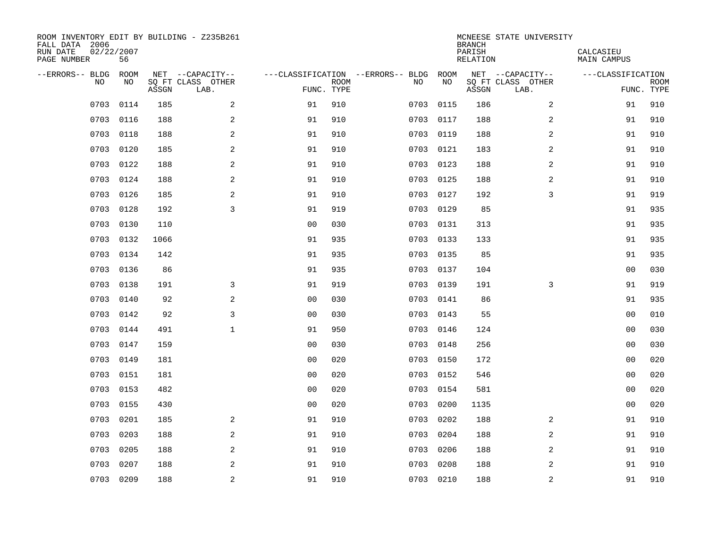| ROOM INVENTORY EDIT BY BUILDING - Z235B261<br>FALL DATA 2006<br>RUN DATE<br>PAGE NUMBER | 02/22/2007<br>56 |       |                           |                |             |                                        |           | <b>BRANCH</b><br>PARISH<br><b>RELATION</b> | MCNEESE STATE UNIVERSITY  | CALCASIEU<br><b>MAIN CAMPUS</b> |             |
|-----------------------------------------------------------------------------------------|------------------|-------|---------------------------|----------------|-------------|----------------------------------------|-----------|--------------------------------------------|---------------------------|---------------------------------|-------------|
| --ERRORS-- BLDG ROOM                                                                    |                  |       | NET --CAPACITY--          |                |             | ---CLASSIFICATION --ERRORS-- BLDG ROOM |           |                                            | NET --CAPACITY--          | ---CLASSIFICATION               |             |
| NO                                                                                      | NO               | ASSGN | SQ FT CLASS OTHER<br>LAB. | FUNC. TYPE     | <b>ROOM</b> | NO                                     | NO        | ASSGN                                      | SQ FT CLASS OTHER<br>LAB. | FUNC. TYPE                      | <b>ROOM</b> |
| 0703                                                                                    | 0114             | 185   | 2                         | 91             | 910         | 0703                                   | 0115      | 186                                        | $\overline{a}$            | 91                              | 910         |
| 0703                                                                                    | 0116             | 188   | 2                         | 91             | 910         |                                        | 0703 0117 | 188                                        | 2                         | 91                              | 910         |
| 0703                                                                                    | 0118             | 188   | 2                         | 91             | 910         | 0703                                   | 0119      | 188                                        | 2                         | 91                              | 910         |
| 0703                                                                                    | 0120             | 185   | $\mathbf{2}$              | 91             | 910         |                                        | 0703 0121 | 183                                        | 2                         | 91                              | 910         |
| 0703                                                                                    | 0122             | 188   | 2                         | 91             | 910         | 0703                                   | 0123      | 188                                        | $\overline{a}$            | 91                              | 910         |
| 0703                                                                                    | 0124             | 188   | 2                         | 91             | 910         |                                        | 0703 0125 | 188                                        | 2                         | 91                              | 910         |
| 0703                                                                                    | 0126             | 185   | $\mathbf{2}$              | 91             | 910         | 0703                                   | 0127      | 192                                        | 3                         | 91                              | 919         |
|                                                                                         | 0703 0128        | 192   | 3                         | 91             | 919         |                                        | 0703 0129 | 85                                         |                           | 91                              | 935         |
| 0703                                                                                    | 0130             | 110   |                           | 0 <sub>0</sub> | 030         | 0703                                   | 0131      | 313                                        |                           | 91                              | 935         |
| 0703                                                                                    | 0132             | 1066  |                           | 91             | 935         |                                        | 0703 0133 | 133                                        |                           | 91                              | 935         |
| 0703                                                                                    | 0134             | 142   |                           | 91             | 935         | 0703                                   | 0135      | 85                                         |                           | 91                              | 935         |
| 0703                                                                                    | 0136             | 86    |                           | 91             | 935         |                                        | 0703 0137 | 104                                        |                           | 0 <sub>0</sub>                  | 030         |
| 0703                                                                                    | 0138             | 191   | 3                         | 91             | 919         | 0703                                   | 0139      | 191                                        | 3                         | 91                              | 919         |
| 0703                                                                                    | 0140             | 92    | $\mathbf{2}$              | 0 <sub>0</sub> | 030         |                                        | 0703 0141 | 86                                         |                           | 91                              | 935         |
| 0703                                                                                    | 0142             | 92    | 3                         | 0 <sub>0</sub> | 030         | 0703                                   | 0143      | 55                                         |                           | 00                              | 010         |
| 0703                                                                                    | 0144             | 491   | $\mathbf{1}$              | 91             | 950         |                                        | 0703 0146 | 124                                        |                           | 0 <sub>0</sub>                  | 030         |
| 0703                                                                                    | 0147             | 159   |                           | 0 <sub>0</sub> | 030         | 0703                                   | 0148      | 256                                        |                           | 00                              | 030         |
| 0703                                                                                    | 0149             | 181   |                           | 0 <sub>0</sub> | 020         |                                        | 0703 0150 | 172                                        |                           | 0 <sub>0</sub>                  | 020         |
|                                                                                         | 0703 0151        | 181   |                           | 0 <sub>0</sub> | 020         |                                        | 0703 0152 | 546                                        |                           | 0 <sub>0</sub>                  | 020         |
| 0703                                                                                    | 0153             | 482   |                           | 0 <sub>0</sub> | 020         |                                        | 0703 0154 | 581                                        |                           | 0 <sub>0</sub>                  | 020         |
| 0703                                                                                    | 0155             | 430   |                           | 0 <sub>0</sub> | 020         | 0703                                   | 0200      | 1135                                       |                           | 00                              | 020         |
| 0703                                                                                    | 0201             | 185   | 2                         | 91             | 910         | 0703                                   | 0202      | 188                                        | 2                         | 91                              | 910         |
| 0703                                                                                    | 0203             | 188   | 2                         | 91             | 910         | 0703                                   | 0204      | 188                                        | 2                         | 91                              | 910         |
| 0703                                                                                    | 0205             | 188   | 2                         | 91             | 910         | 0703                                   | 0206      | 188                                        | $\overline{a}$            | 91                              | 910         |
| 0703                                                                                    | 0207             | 188   | 2                         | 91             | 910         | 0703                                   | 0208      | 188                                        | 2                         | 91                              | 910         |
|                                                                                         | 0703 0209        | 188   | $\overline{c}$            | 91             | 910         |                                        | 0703 0210 | 188                                        | $\mathbf 2$               | 91                              | 910         |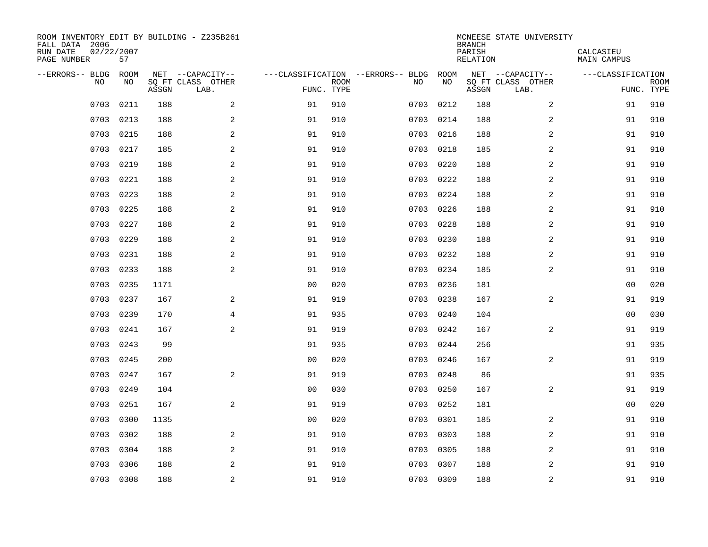| ROOM INVENTORY EDIT BY BUILDING - Z235B261<br>FALL DATA 2006<br>RUN DATE<br>PAGE NUMBER | 02/22/2007<br>57 |       |                           |                |             |                                   |           | <b>BRANCH</b><br>PARISH<br><b>RELATION</b> | MCNEESE STATE UNIVERSITY  | CALCASIEU<br><b>MAIN CAMPUS</b> |             |
|-----------------------------------------------------------------------------------------|------------------|-------|---------------------------|----------------|-------------|-----------------------------------|-----------|--------------------------------------------|---------------------------|---------------------------------|-------------|
| --ERRORS-- BLDG                                                                         | ROOM             |       | NET --CAPACITY--          |                |             | ---CLASSIFICATION --ERRORS-- BLDG | ROOM      |                                            | NET --CAPACITY--          | ---CLASSIFICATION               |             |
| NO                                                                                      | NO               | ASSGN | SQ FT CLASS OTHER<br>LAB. | FUNC. TYPE     | <b>ROOM</b> | NO                                | NO        | ASSGN                                      | SQ FT CLASS OTHER<br>LAB. | FUNC. TYPE                      | <b>ROOM</b> |
| 0703                                                                                    | 0211             | 188   | 2                         | 91             | 910         | 0703                              | 0212      | 188                                        | $\overline{a}$            | 91                              | 910         |
| 0703                                                                                    | 0213             | 188   | 2                         | 91             | 910         | 0703                              | 0214      | 188                                        | 2                         | 91                              | 910         |
| 0703                                                                                    | 0215             | 188   | 2                         | 91             | 910         | 0703                              | 0216      | 188                                        | 2                         | 91                              | 910         |
| 0703                                                                                    | 0217             | 185   | $\mathbf{2}$              | 91             | 910         | 0703                              | 0218      | 185                                        | 2                         | 91                              | 910         |
| 0703                                                                                    | 0219             | 188   | 2                         | 91             | 910         | 0703                              | 0220      | 188                                        | $\overline{a}$            | 91                              | 910         |
| 0703                                                                                    | 0221             | 188   | 2                         | 91             | 910         |                                   | 0703 0222 | 188                                        | $\overline{a}$            | 91                              | 910         |
| 0703                                                                                    | 0223             | 188   | $\overline{a}$            | 91             | 910         | 0703                              | 0224      | 188                                        | $\overline{a}$            | 91                              | 910         |
| 0703                                                                                    | 0225             | 188   | 2                         | 91             | 910         |                                   | 0703 0226 | 188                                        | 2                         | 91                              | 910         |
| 0703                                                                                    | 0227             | 188   | 2                         | 91             | 910         | 0703                              | 0228      | 188                                        | 2                         | 91                              | 910         |
| 0703                                                                                    | 0229             | 188   | 2                         | 91             | 910         |                                   | 0703 0230 | 188                                        | 2                         | 91                              | 910         |
| 0703                                                                                    | 0231             | 188   | 2                         | 91             | 910         | 0703                              | 0232      | 188                                        | 2                         | 91                              | 910         |
| 0703                                                                                    | 0233             | 188   | 2                         | 91             | 910         |                                   | 0703 0234 | 185                                        | 2                         | 91                              | 910         |
| 0703                                                                                    | 0235             | 1171  |                           | 0 <sub>0</sub> | 020         | 0703                              | 0236      | 181                                        |                           | 00                              | 020         |
| 0703                                                                                    | 0237             | 167   | 2                         | 91             | 919         | 0703                              | 0238      | 167                                        | $\overline{a}$            | 91                              | 919         |
| 0703                                                                                    | 0239             | 170   | 4                         | 91             | 935         | 0703                              | 0240      | 104                                        |                           | 00                              | 030         |
| 0703                                                                                    | 0241             | 167   | 2                         | 91             | 919         | 0703                              | 0242      | 167                                        | 2                         | 91                              | 919         |
| 0703                                                                                    | 0243             | 99    |                           | 91             | 935         | 0703                              | 0244      | 256                                        |                           | 91                              | 935         |
| 0703                                                                                    | 0245             | 200   |                           | 0 <sub>0</sub> | 020         | 0703                              | 0246      | 167                                        | 2                         | 91                              | 919         |
| 0703                                                                                    | 0247             | 167   | 2                         | 91             | 919         |                                   | 0703 0248 | 86                                         |                           | 91                              | 935         |
| 0703                                                                                    | 0249             | 104   |                           | 0 <sub>0</sub> | 030         | 0703                              | 0250      | 167                                        | $\overline{2}$            | 91                              | 919         |
| 0703                                                                                    | 0251             | 167   | 2                         | 91             | 919         |                                   | 0703 0252 | 181                                        |                           | 00                              | 020         |
| 0703                                                                                    | 0300             | 1135  |                           | 0 <sub>0</sub> | 020         | 0703                              | 0301      | 185                                        | 2                         | 91                              | 910         |
| 0703                                                                                    | 0302             | 188   | 2                         | 91             | 910         | 0703                              | 0303      | 188                                        | 2                         | 91                              | 910         |
| 0703                                                                                    | 0304             | 188   | 2                         | 91             | 910         | 0703                              | 0305      | 188                                        | $\overline{a}$            | 91                              | 910         |
| 0703                                                                                    | 0306             | 188   | 2                         | 91             | 910         | 0703                              | 0307      | 188                                        | 2                         | 91                              | 910         |
|                                                                                         | 0703 0308        | 188   | $\overline{c}$            | 91             | 910         |                                   | 0703 0309 | 188                                        | $\mathbf 2$               | 91                              | 910         |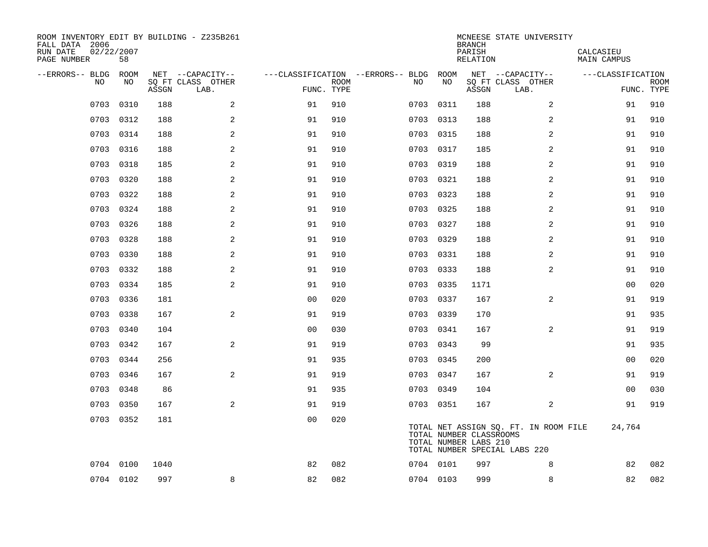| ROOM INVENTORY EDIT BY BUILDING - Z235B261<br>FALL DATA 2006<br>RUN DATE<br>PAGE NUMBER | 02/22/2007<br>58 |       |                           |                |             |                                        |           | <b>BRANCH</b><br>PARISH<br><b>RELATION</b>       | MCNEESE STATE UNIVERSITY                                               | CALCASIEU<br><b>MAIN CAMPUS</b> |             |
|-----------------------------------------------------------------------------------------|------------------|-------|---------------------------|----------------|-------------|----------------------------------------|-----------|--------------------------------------------------|------------------------------------------------------------------------|---------------------------------|-------------|
| --ERRORS-- BLDG ROOM                                                                    |                  |       | NET --CAPACITY--          |                |             | ---CLASSIFICATION --ERRORS-- BLDG ROOM |           |                                                  | NET --CAPACITY--                                                       | ---CLASSIFICATION               |             |
| NO                                                                                      | NO               | ASSGN | SQ FT CLASS OTHER<br>LAB. | FUNC. TYPE     | <b>ROOM</b> | NO                                     | NO        | ASSGN                                            | SQ FT CLASS OTHER<br>LAB.                                              | FUNC. TYPE                      | <b>ROOM</b> |
| 0703                                                                                    | 0310             | 188   | 2                         | 91             | 910         | 0703                                   | 0311      | 188                                              | 2                                                                      | 91                              | 910         |
| 0703                                                                                    | 0312             | 188   | 2                         | 91             | 910         |                                        | 0703 0313 | 188                                              | 2                                                                      | 91                              | 910         |
| 0703                                                                                    | 0314             | 188   | 2                         | 91             | 910         | 0703                                   | 0315      | 188                                              | 2                                                                      | 91                              | 910         |
| 0703                                                                                    | 0316             | 188   | 2                         | 91             | 910         |                                        | 0703 0317 | 185                                              | 2                                                                      | 91                              | 910         |
| 0703                                                                                    | 0318             | 185   | 2                         | 91             | 910         | 0703                                   | 0319      | 188                                              | $\overline{a}$                                                         | 91                              | 910         |
| 0703                                                                                    | 0320             | 188   | $\overline{a}$            | 91             | 910         |                                        | 0703 0321 | 188                                              | 2                                                                      | 91                              | 910         |
| 0703                                                                                    | 0322             | 188   | 2                         | 91             | 910         |                                        | 0703 0323 | 188                                              | $\overline{a}$                                                         | 91                              | 910         |
|                                                                                         | 0703 0324        | 188   | $\overline{a}$            | 91             | 910         |                                        | 0703 0325 | 188                                              | 2                                                                      | 91                              | 910         |
| 0703                                                                                    | 0326             | 188   | 2                         | 91             | 910         | 0703                                   | 0327      | 188                                              | 2                                                                      | 91                              | 910         |
|                                                                                         | 0703 0328        | 188   | 2                         | 91             | 910         |                                        | 0703 0329 | 188                                              | 2                                                                      | 91                              | 910         |
| 0703                                                                                    | 0330             | 188   | 2                         | 91             | 910         |                                        | 0703 0331 | 188                                              | 2                                                                      | 91                              | 910         |
|                                                                                         | 0703 0332        | 188   | 2                         | 91             | 910         |                                        | 0703 0333 | 188                                              | 2                                                                      | 91                              | 910         |
| 0703                                                                                    | 0334             | 185   | 2                         | 91             | 910         | 0703                                   | 0335      | 1171                                             |                                                                        | 0 <sub>0</sub>                  | 020         |
| 0703                                                                                    | 0336             | 181   |                           | 0 <sub>0</sub> | 020         |                                        | 0703 0337 | 167                                              | 2                                                                      | 91                              | 919         |
| 0703                                                                                    | 0338             | 167   | 2                         | 91             | 919         | 0703                                   | 0339      | 170                                              |                                                                        | 91                              | 935         |
|                                                                                         | 0703 0340        | 104   |                           | 00             | 030         |                                        | 0703 0341 | 167                                              | 2                                                                      | 91                              | 919         |
| 0703                                                                                    | 0342             | 167   | $\overline{a}$            | 91             | 919         | 0703                                   | 0343      | 99                                               |                                                                        | 91                              | 935         |
| 0703                                                                                    | 0344             | 256   |                           | 91             | 935         |                                        | 0703 0345 | 200                                              |                                                                        | 00                              | 020         |
|                                                                                         | 0703 0346        | 167   | 2                         | 91             | 919         |                                        | 0703 0347 | 167                                              | 2                                                                      | 91                              | 919         |
|                                                                                         | 0703 0348        | 86    |                           | 91             | 935         |                                        | 0703 0349 | 104                                              |                                                                        | 00                              | 030         |
|                                                                                         | 0703 0350        | 167   | 2                         | 91             | 919         |                                        | 0703 0351 | 167                                              | 2                                                                      | 91                              | 919         |
|                                                                                         | 0703 0352        | 181   |                           | 0 <sub>0</sub> | 020         |                                        |           | TOTAL NUMBER CLASSROOMS<br>TOTAL NUMBER LABS 210 | TOTAL NET ASSIGN SQ. FT. IN ROOM FILE<br>TOTAL NUMBER SPECIAL LABS 220 | 24,764                          |             |
|                                                                                         | 0704 0100        | 1040  |                           | 82             | 082         |                                        | 0704 0101 | 997                                              | 8                                                                      | 82                              | 082         |
|                                                                                         | 0704 0102        | 997   | 8                         | 82             | 082         |                                        | 0704 0103 | 999                                              | 8                                                                      | 82                              | 082         |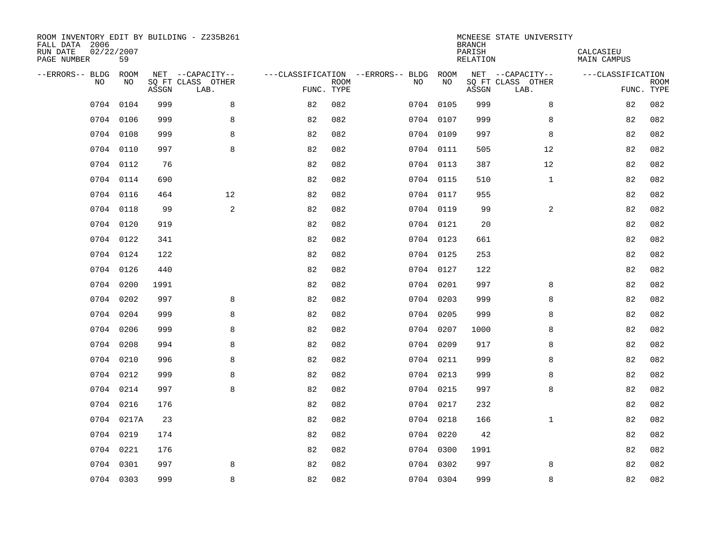| ROOM INVENTORY EDIT BY BUILDING - Z235B261<br>FALL DATA 2006<br>RUN DATE<br>PAGE NUMBER | 02/22/2007<br>59 |       |                           |            |             |                                   |           | <b>BRANCH</b><br>PARISH<br><b>RELATION</b> | MCNEESE STATE UNIVERSITY  | CALCASIEU<br><b>MAIN CAMPUS</b> |             |
|-----------------------------------------------------------------------------------------|------------------|-------|---------------------------|------------|-------------|-----------------------------------|-----------|--------------------------------------------|---------------------------|---------------------------------|-------------|
| --ERRORS-- BLDG                                                                         | ROOM             |       | NET --CAPACITY--          |            |             | ---CLASSIFICATION --ERRORS-- BLDG | ROOM      |                                            | NET --CAPACITY--          | ---CLASSIFICATION               |             |
| NO                                                                                      | NO               | ASSGN | SQ FT CLASS OTHER<br>LAB. | FUNC. TYPE | <b>ROOM</b> | NO                                | NO        | ASSGN                                      | SQ FT CLASS OTHER<br>LAB. | FUNC. TYPE                      | <b>ROOM</b> |
| 0704                                                                                    | 0104             | 999   | 8                         | 82         | 082         |                                   | 0704 0105 | 999                                        | 8                         | 82                              | 082         |
| 0704                                                                                    | 0106             | 999   | 8                         | 82         | 082         |                                   | 0704 0107 | 999                                        | 8                         | 82                              | 082         |
|                                                                                         | 0704 0108        | 999   | 8                         | 82         | 082         |                                   | 0704 0109 | 997                                        | 8                         | 82                              | 082         |
| 0704                                                                                    | 0110             | 997   | 8                         | 82         | 082         |                                   | 0704 0111 | 505                                        | 12                        | 82                              | 082         |
| 0704                                                                                    | 0112             | 76    |                           | 82         | 082         |                                   | 0704 0113 | 387                                        | 12                        | 82                              | 082         |
|                                                                                         | 0704 0114        | 690   |                           | 82         | 082         |                                   | 0704 0115 | 510                                        | $\mathbf{1}$              | 82                              | 082         |
| 0704                                                                                    | 0116             | 464   | 12                        | 82         | 082         |                                   | 0704 0117 | 955                                        |                           | 82                              | 082         |
|                                                                                         | 0704 0118        | 99    | 2                         | 82         | 082         |                                   | 0704 0119 | 99                                         | 2                         | 82                              | 082         |
|                                                                                         | 0704 0120        | 919   |                           | 82         | 082         |                                   | 0704 0121 | 20                                         |                           | 82                              | 082         |
|                                                                                         | 0704 0122        | 341   |                           | 82         | 082         |                                   | 0704 0123 | 661                                        |                           | 82                              | 082         |
|                                                                                         | 0704 0124        | 122   |                           | 82         | 082         |                                   | 0704 0125 | 253                                        |                           | 82                              | 082         |
|                                                                                         | 0704 0126        | 440   |                           | 82         | 082         |                                   | 0704 0127 | 122                                        |                           | 82                              | 082         |
| 0704                                                                                    | 0200             | 1991  |                           | 82         | 082         |                                   | 0704 0201 | 997                                        | 8                         | 82                              | 082         |
| 0704                                                                                    | 0202             | 997   | 8                         | 82         | 082         |                                   | 0704 0203 | 999                                        | 8                         | 82                              | 082         |
| 0704                                                                                    | 0204             | 999   | 8                         | 82         | 082         |                                   | 0704 0205 | 999                                        | 8                         | 82                              | 082         |
| 0704                                                                                    | 0206             | 999   | 8                         | 82         | 082         |                                   | 0704 0207 | 1000                                       | 8                         | 82                              | 082         |
| 0704                                                                                    | 0208             | 994   | 8                         | 82         | 082         |                                   | 0704 0209 | 917                                        | 8                         | 82                              | 082         |
| 0704                                                                                    | 0210             | 996   | 8                         | 82         | 082         |                                   | 0704 0211 | 999                                        | 8                         | 82                              | 082         |
| 0704                                                                                    | 0212             | 999   | 8                         | 82         | 082         |                                   | 0704 0213 | 999                                        | 8                         | 82                              | 082         |
|                                                                                         | 0704 0214        | 997   | 8                         | 82         | 082         |                                   | 0704 0215 | 997                                        | 8                         | 82                              | 082         |
|                                                                                         | 0704 0216        | 176   |                           | 82         | 082         |                                   | 0704 0217 | 232                                        |                           | 82                              | 082         |
|                                                                                         | 0704 0217A       | 23    |                           | 82         | 082         |                                   | 0704 0218 | 166                                        | $\mathbf{1}$              | 82                              | 082         |
|                                                                                         | 0704 0219        | 174   |                           | 82         | 082         |                                   | 0704 0220 | 42                                         |                           | 82                              | 082         |
|                                                                                         | 0704 0221        | 176   |                           | 82         | 082         |                                   | 0704 0300 | 1991                                       |                           | 82                              | 082         |
| 0704                                                                                    | 0301             | 997   | 8                         | 82         | 082         |                                   | 0704 0302 | 997                                        | 8                         | 82                              | 082         |
|                                                                                         | 0704 0303        | 999   | 8                         | 82         | 082         |                                   | 0704 0304 | 999                                        | 8                         | 82                              | 082         |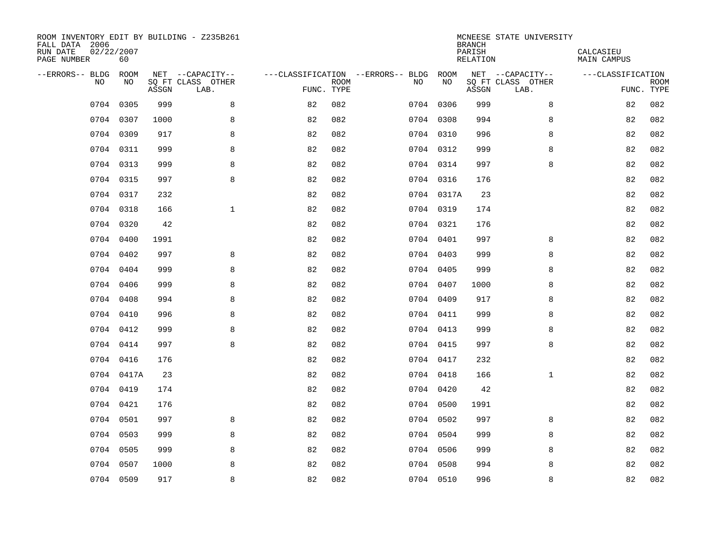| ROOM INVENTORY EDIT BY BUILDING - Z235B261<br>FALL DATA 2006<br>RUN DATE<br>PAGE NUMBER | 02/22/2007<br>60 |       |                                       |                                   |             |           |            | <b>BRANCH</b><br>PARISH<br><b>RELATION</b> | MCNEESE STATE UNIVERSITY              | CALCASIEU<br><b>MAIN CAMPUS</b> |             |
|-----------------------------------------------------------------------------------------|------------------|-------|---------------------------------------|-----------------------------------|-------------|-----------|------------|--------------------------------------------|---------------------------------------|---------------------------------|-------------|
| --ERRORS-- BLDG<br>NO                                                                   | ROOM<br>NO       |       | NET --CAPACITY--<br>SQ FT CLASS OTHER | ---CLASSIFICATION --ERRORS-- BLDG | <b>ROOM</b> | NO        | ROOM<br>NO |                                            | NET --CAPACITY--<br>SQ FT CLASS OTHER | ---CLASSIFICATION               | <b>ROOM</b> |
|                                                                                         |                  | ASSGN | LAB.                                  | FUNC. TYPE                        |             |           |            | ASSGN                                      | LAB.                                  | FUNC. TYPE                      |             |
| 0704                                                                                    | 0305             | 999   | 8                                     | 82                                | 082         | 0704 0306 |            | 999                                        | 8                                     | 82                              | 082         |
| 0704                                                                                    | 0307             | 1000  | 8                                     | 82                                | 082         | 0704 0308 |            | 994                                        | 8                                     | 82                              | 082         |
| 0704                                                                                    | 0309             | 917   | 8                                     | 82                                | 082         | 0704 0310 |            | 996                                        | 8                                     | 82                              | 082         |
| 0704                                                                                    | 0311             | 999   | 8                                     | 82                                | 082         | 0704 0312 |            | 999                                        | 8                                     | 82                              | 082         |
| 0704                                                                                    | 0313             | 999   | 8                                     | 82                                | 082         | 0704 0314 |            | 997                                        | 8                                     | 82                              | 082         |
|                                                                                         | 0704 0315        | 997   | 8                                     | 82                                | 082         | 0704 0316 |            | 176                                        |                                       | 82                              | 082         |
|                                                                                         | 0704 0317        | 232   |                                       | 82                                | 082         |           | 0704 0317A | 23                                         |                                       | 82                              | 082         |
|                                                                                         | 0704 0318        | 166   | $\mathbf{1}$                          | 82                                | 082         | 0704 0319 |            | 174                                        |                                       | 82                              | 082         |
| 0704                                                                                    | 0320             | 42    |                                       | 82                                | 082         | 0704 0321 |            | 176                                        |                                       | 82                              | 082         |
|                                                                                         | 0704 0400        | 1991  |                                       | 82                                | 082         | 0704 0401 |            | 997                                        | 8                                     | 82                              | 082         |
|                                                                                         | 0704 0402        | 997   | 8                                     | 82                                | 082         | 0704 0403 |            | 999                                        | 8                                     | 82                              | 082         |
|                                                                                         | 0704 0404        | 999   | 8                                     | 82                                | 082         | 0704 0405 |            | 999                                        | 8                                     | 82                              | 082         |
| 0704                                                                                    | 0406             | 999   | 8                                     | 82                                | 082         | 0704 0407 |            | 1000                                       | 8                                     | 82                              | 082         |
| 0704                                                                                    | 0408             | 994   | 8                                     | 82                                | 082         | 0704 0409 |            | 917                                        | $\,8\,$                               | 82                              | 082         |
| 0704                                                                                    | 0410             | 996   | 8                                     | 82                                | 082         | 0704 0411 |            | 999                                        | 8                                     | 82                              | 082         |
| 0704                                                                                    | 0412             | 999   | 8                                     | 82                                | 082         | 0704 0413 |            | 999                                        | 8                                     | 82                              | 082         |
| 0704                                                                                    | 0414             | 997   | 8                                     | 82                                | 082         | 0704 0415 |            | 997                                        | 8                                     | 82                              | 082         |
| 0704                                                                                    | 0416             | 176   |                                       | 82                                | 082         | 0704 0417 |            | 232                                        |                                       | 82                              | 082         |
|                                                                                         | 0704 0417A       | 23    |                                       | 82                                | 082         | 0704 0418 |            | 166                                        | $\mathbf{1}$                          | 82                              | 082         |
|                                                                                         | 0704 0419        | 174   |                                       | 82                                | 082         | 0704 0420 |            | 42                                         |                                       | 82                              | 082         |
|                                                                                         | 0704 0421        | 176   |                                       | 82                                | 082         | 0704 0500 |            | 1991                                       |                                       | 82                              | 082         |
| 0704                                                                                    | 0501             | 997   | 8                                     | 82                                | 082         | 0704 0502 |            | 997                                        | 8                                     | 82                              | 082         |
| 0704                                                                                    | 0503             | 999   | 8                                     | 82                                | 082         | 0704 0504 |            | 999                                        | 8                                     | 82                              | 082         |
| 0704                                                                                    | 0505             | 999   | 8                                     | 82                                | 082         | 0704 0506 |            | 999                                        | 8                                     | 82                              | 082         |
| 0704                                                                                    | 0507             | 1000  | 8                                     | 82                                | 082         | 0704 0508 |            | 994                                        | 8                                     | 82                              | 082         |
|                                                                                         | 0704 0509        | 917   | 8                                     | 82                                | 082         | 0704 0510 |            | 996                                        | 8                                     | 82                              | 082         |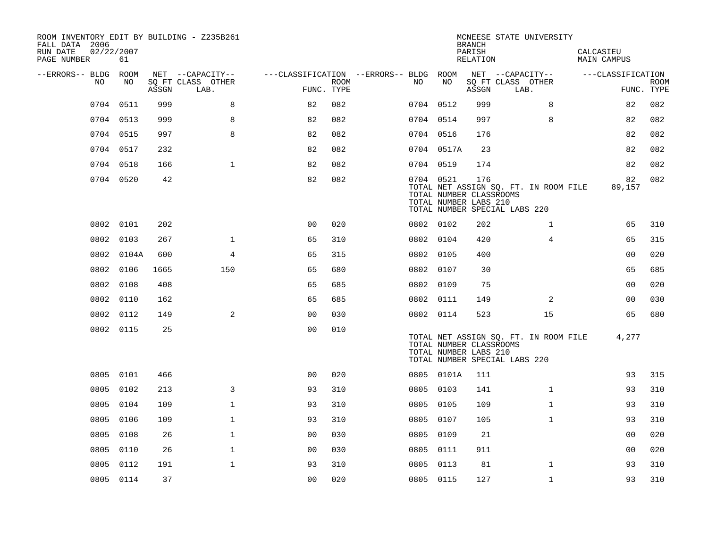| ROOM INVENTORY EDIT BY BUILDING - Z235B261<br>FALL DATA 2006<br>RUN DATE<br>PAGE NUMBER | 02/22/2007<br>61 |       |                           |                                        |             |           |                                                  | <b>BRANCH</b><br>PARISH<br>RELATION | MCNEESE STATE UNIVERSITY                                               | CALCASIEU<br>MAIN CAMPUS |                           |
|-----------------------------------------------------------------------------------------|------------------|-------|---------------------------|----------------------------------------|-------------|-----------|--------------------------------------------------|-------------------------------------|------------------------------------------------------------------------|--------------------------|---------------------------|
| --ERRORS-- BLDG ROOM                                                                    |                  |       | NET --CAPACITY--          | ---CLASSIFICATION --ERRORS-- BLDG ROOM |             |           |                                                  |                                     | NET --CAPACITY--                                                       | ---CLASSIFICATION        |                           |
| NO                                                                                      | NO               | ASSGN | SQ FT CLASS OTHER<br>LAB. | FUNC. TYPE                             | <b>ROOM</b> | NO        | NO                                               | ASSGN                               | SQ FT CLASS OTHER<br>LAB.                                              |                          | <b>ROOM</b><br>FUNC. TYPE |
| 0704                                                                                    | 0511             | 999   | 8                         | 82                                     | 082         | 0704 0512 |                                                  | 999                                 | 8                                                                      | 82                       | 082                       |
|                                                                                         | 0704 0513        | 999   | 8                         | 82                                     | 082         | 0704 0514 |                                                  | 997                                 | 8                                                                      | 82                       | 082                       |
|                                                                                         | 0704 0515        | 997   | 8                         | 82                                     | 082         | 0704 0516 |                                                  | 176                                 |                                                                        | 82                       | 082                       |
|                                                                                         | 0704 0517        | 232   |                           | 82                                     | 082         |           | 0704 0517A                                       | 23                                  |                                                                        | 82                       | 082                       |
|                                                                                         | 0704 0518        | 166   | $\mathbf{1}$              | 82                                     | 082         | 0704 0519 |                                                  | 174                                 |                                                                        | 82                       | 082                       |
|                                                                                         | 0704 0520        | 42    |                           | 82                                     | 082         | 0704 0521 | TOTAL NUMBER CLASSROOMS<br>TOTAL NUMBER LABS 210 | 176                                 | TOTAL NET ASSIGN SQ. FT. IN ROOM FILE<br>TOTAL NUMBER SPECIAL LABS 220 | 82<br>89,157             | 082                       |
|                                                                                         | 0802 0101        | 202   |                           | 0 <sub>0</sub>                         | 020         | 0802 0102 |                                                  | 202                                 | $\mathbf{1}$                                                           | 65                       | 310                       |
| 0802                                                                                    | 0103             | 267   | $\mathbf 1$               | 65                                     | 310         | 0802 0104 |                                                  | 420                                 | 4                                                                      | 65                       | 315                       |
|                                                                                         | 0802 0104A       | 600   | 4                         | 65                                     | 315         | 0802 0105 |                                                  | 400                                 |                                                                        | 0 <sub>0</sub>           | 020                       |
|                                                                                         | 0802 0106        | 1665  | 150                       | 65                                     | 680         | 0802 0107 |                                                  | 30                                  |                                                                        | 65                       | 685                       |
| 0802                                                                                    | 0108             | 408   |                           | 65                                     | 685         | 0802 0109 |                                                  | 75                                  |                                                                        | 00                       | 020                       |
| 0802                                                                                    | 0110             | 162   |                           | 65                                     | 685         | 0802 0111 |                                                  | 149                                 | 2                                                                      | 00                       | 030                       |
|                                                                                         | 0802 0112        | 149   | 2                         | 0 <sub>0</sub>                         | 030         | 0802 0114 |                                                  | 523                                 | 15                                                                     | 65                       | 680                       |
|                                                                                         | 0802 0115        | 25    |                           | 0 <sub>0</sub>                         | 010         |           | TOTAL NUMBER CLASSROOMS<br>TOTAL NUMBER LABS 210 |                                     | TOTAL NET ASSIGN SQ. FT. IN ROOM FILE<br>TOTAL NUMBER SPECIAL LABS 220 | 4,277                    |                           |
| 0805                                                                                    | 0101             | 466   |                           | 0 <sub>0</sub>                         | 020         |           | 0805 0101A                                       | 111                                 |                                                                        | 93                       | 315                       |
| 0805                                                                                    | 0102             | 213   | 3                         | 93                                     | 310         | 0805 0103 |                                                  | 141                                 | $\mathbf{1}$                                                           | 93                       | 310                       |
| 0805                                                                                    | 0104             | 109   | $\mathbf{1}$              | 93                                     | 310         | 0805 0105 |                                                  | 109                                 | $\mathbf{1}$                                                           | 93                       | 310                       |
| 0805                                                                                    | 0106             | 109   | $\mathbf{1}$              | 93                                     | 310         | 0805 0107 |                                                  | 105                                 | $\mathbf{1}$                                                           | 93                       | 310                       |
| 0805                                                                                    | 0108             | 26    | $\mathbf 1$               | 0 <sub>0</sub>                         | 030         | 0805 0109 |                                                  | 21                                  |                                                                        | 0 <sub>0</sub>           | 020                       |
| 0805                                                                                    | 0110             | 26    | $\mathbf{1}$              | 0 <sub>0</sub>                         | 030         | 0805      | 0111                                             | 911                                 |                                                                        | 00                       | 020                       |
| 0805                                                                                    | 0112             | 191   | $\mathbf 1$               | 93                                     | 310         | 0805 0113 |                                                  | 81                                  | $\mathbf{1}$                                                           | 93                       | 310                       |
|                                                                                         | 0805 0114        | 37    |                           | 00                                     | 020         | 0805 0115 |                                                  | 127                                 | $\mathbf{1}$                                                           | 93                       | 310                       |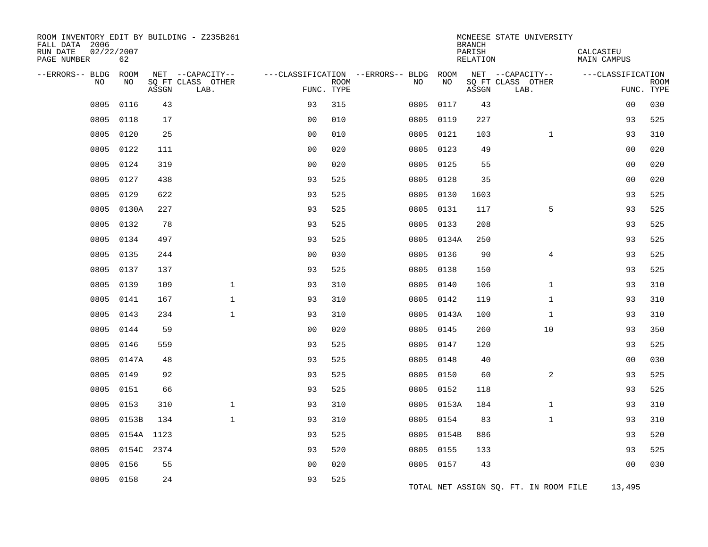| ROOM INVENTORY EDIT BY BUILDING - Z235B261<br>FALL DATA 2006<br>RUN DATE<br>PAGE NUMBER | 02/22/2007<br>62 |            |                                       |                |             |                                              |                   | <b>BRANCH</b><br>PARISH<br>RELATION | MCNEESE STATE UNIVERSITY              | CALCASIEU<br>MAIN CAMPUS |             |
|-----------------------------------------------------------------------------------------|------------------|------------|---------------------------------------|----------------|-------------|----------------------------------------------|-------------------|-------------------------------------|---------------------------------------|--------------------------|-------------|
| --ERRORS-- BLDG<br>NO                                                                   | ROOM<br>NO       |            | NET --CAPACITY--<br>SQ FT CLASS OTHER |                | <b>ROOM</b> | ---CLASSIFICATION --ERRORS-- BLDG ROOM<br>NO | NO                |                                     | NET --CAPACITY--<br>SQ FT CLASS OTHER | ---CLASSIFICATION        | <b>ROOM</b> |
|                                                                                         |                  | ASSGN      | LAB.                                  | FUNC. TYPE     |             |                                              |                   | ASSGN                               | LAB.                                  |                          | FUNC. TYPE  |
| 0805                                                                                    | 0116             | 43         |                                       | 93             | 315         | 0805                                         | 0117              | 43                                  |                                       | 0 <sub>0</sub>           | 030         |
| 0805                                                                                    | 0118             | 17         |                                       | 0 <sub>0</sub> | 010         | 0805                                         | 0119              | 227                                 |                                       | 93                       | 525         |
| 0805                                                                                    | 0120             | 25         |                                       | 0 <sup>0</sup> | 010         | 0805                                         | 0121              | 103                                 | $\mathbf{1}$                          | 93                       | 310         |
| 0805                                                                                    | 0122             | 111        |                                       | 0 <sub>0</sub> | 020         | 0805                                         | 0123              | 49                                  |                                       | 0 <sub>0</sub>           | 020         |
| 0805                                                                                    | 0124             | 319        |                                       | 0 <sub>0</sub> | 020         |                                              | 0805 0125         | 55                                  |                                       | 00                       | 020         |
| 0805                                                                                    | 0127             | 438<br>622 |                                       | 93             | 525         | 0805                                         | 0128              | 35                                  |                                       | 0 <sub>0</sub><br>93     | 020<br>525  |
| 0805                                                                                    | 0129             |            |                                       | 93             | 525         |                                              | 0805 0130         | 1603                                | 5                                     |                          |             |
| 0805<br>0805                                                                            | 0130A<br>0132    | 227<br>78  |                                       | 93<br>93       | 525<br>525  | 0805                                         | 0131<br>0805 0133 | 117<br>208                          |                                       | 93<br>93                 | 525<br>525  |
| 0805                                                                                    | 0134             | 497        |                                       | 93             | 525         | 0805                                         | 0134A             | 250                                 |                                       | 93                       | 525         |
| 0805                                                                                    | 0135             | 244        |                                       | 0 <sub>0</sub> | 030         |                                              | 0805 0136         | 90                                  | $\overline{4}$                        | 93                       | 525         |
| 0805                                                                                    | 0137             | 137        |                                       | 93             | 525         |                                              | 0805 0138         | 150                                 |                                       | 93                       | 525         |
| 0805                                                                                    | 0139             | 109        | $\mathbf{1}$                          | 93             | 310         |                                              | 0805 0140         | 106                                 | $\mathbf{1}$                          | 93                       | 310         |
| 0805                                                                                    | 0141             | 167        | $\mathbf 1$                           | 93             | 310         |                                              | 0805 0142         | 119                                 | $\mathbf{1}$                          | 93                       | 310         |
| 0805                                                                                    | 0143             | 234        | $\mathbf{1}$                          | 93             | 310         | 0805                                         | 0143A             | 100                                 | $\mathbf{1}$                          | 93                       | 310         |
| 0805                                                                                    | 0144             | 59         |                                       | 0 <sub>0</sub> | 020         |                                              | 0805 0145         | 260                                 | 10                                    | 93                       | 350         |
| 0805                                                                                    | 0146             | 559        |                                       | 93             | 525         | 0805                                         | 0147              | 120                                 |                                       | 93                       | 525         |
| 0805                                                                                    | 0147A            | 48         |                                       | 93             | 525         | 0805                                         | 0148              | 40                                  |                                       | 0 <sub>0</sub>           | 030         |
| 0805                                                                                    | 0149             | 92         |                                       | 93             | 525         |                                              | 0805 0150         | 60                                  | $\overline{a}$                        | 93                       | 525         |
| 0805                                                                                    | 0151             | 66         |                                       | 93             | 525         | 0805                                         | 0152              | 118                                 |                                       | 93                       | 525         |
| 0805                                                                                    | 0153             | 310        | $\mathbf{1}$                          | 93             | 310         |                                              | 0805 0153A        | 184                                 | $\mathbf{1}$                          | 93                       | 310         |
| 0805                                                                                    | 0153B            | 134        | $\mathbf{1}$                          | 93             | 310         | 0805                                         | 0154              | 83                                  | $\mathbf{1}$                          | 93                       | 310         |
| 0805                                                                                    | 0154A 1123       |            |                                       | 93             | 525         |                                              | 0805 0154B        | 886                                 |                                       | 93                       | 520         |
| 0805                                                                                    |                  | 0154C 2374 |                                       | 93             | 520         | 0805                                         | 0155              | 133                                 |                                       | 93                       | 525         |
| 0805                                                                                    | 0156             | 55         |                                       | 0 <sub>0</sub> | 020         |                                              | 0805 0157         | 43                                  |                                       | 0 <sub>0</sub>           | 030         |
|                                                                                         | 0805 0158        | 24         |                                       | 93             | 525         |                                              |                   |                                     | TOTAL NET ASSIGN SQ. FT. IN ROOM FILE | 13,495                   |             |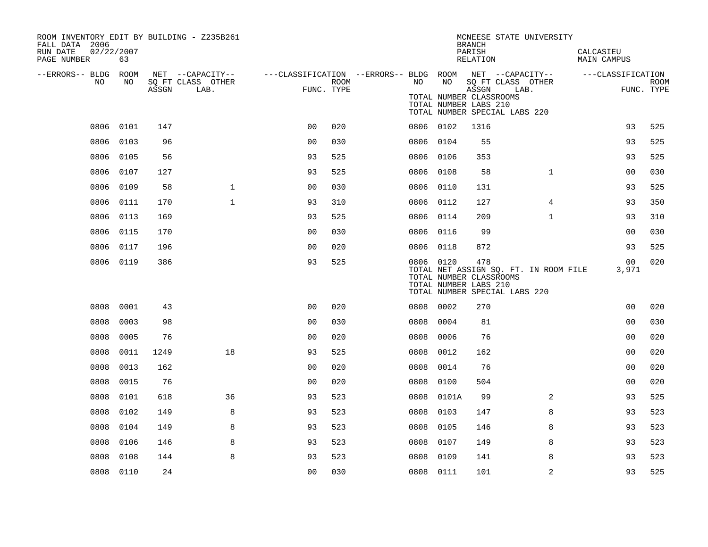| ROOM INVENTORY EDIT BY BUILDING - Z235B261<br>FALL DATA 2006<br>02/22/2007<br>RUN DATE<br>PAGE NUMBER | 63        |       |                           |                                                         |      |      |            | <b>BRANCH</b><br>PARISH<br>RELATION                       | MCNEESE STATE UNIVERSITY                                               | CALCASIEU<br>MAIN CAMPUS |                           |
|-------------------------------------------------------------------------------------------------------|-----------|-------|---------------------------|---------------------------------------------------------|------|------|------------|-----------------------------------------------------------|------------------------------------------------------------------------|--------------------------|---------------------------|
| --ERRORS-- BLDG ROOM                                                                                  |           |       | NET --CAPACITY--          | ---CLASSIFICATION --ERRORS-- BLDG ROOM NET --CAPACITY-- |      |      |            |                                                           |                                                                        | ---CLASSIFICATION        |                           |
| NO                                                                                                    | NO.       | ASSGN | SO FT CLASS OTHER<br>LAB. | FUNC. TYPE                                              | ROOM | NO   | NO         | ASSGN<br>TOTAL NUMBER CLASSROOMS<br>TOTAL NUMBER LABS 210 | SQ FT CLASS OTHER<br>LAB.<br>TOTAL NUMBER SPECIAL LABS 220             |                          | <b>ROOM</b><br>FUNC. TYPE |
|                                                                                                       | 0806 0101 | 147   |                           | 0 <sub>0</sub>                                          | 020  |      | 0806 0102  | 1316                                                      |                                                                        | 93                       | 525                       |
| 0806                                                                                                  | 0103      | 96    |                           | 0 <sub>0</sub>                                          | 030  |      | 0806 0104  | 55                                                        |                                                                        | 93                       | 525                       |
|                                                                                                       | 0806 0105 | 56    |                           | 93                                                      | 525  |      | 0806 0106  | 353                                                       |                                                                        | 93                       | 525                       |
| 0806                                                                                                  | 0107      | 127   |                           | 93                                                      | 525  |      | 0806 0108  | 58                                                        | $\mathbf{1}$                                                           | 00                       | 030                       |
| 0806                                                                                                  | 0109      | 58    | $\mathbf{1}$              | 0 <sub>0</sub>                                          | 030  |      | 0806 0110  | 131                                                       |                                                                        | 93                       | 525                       |
|                                                                                                       | 0806 0111 | 170   | $\mathbf{1}$              | 93                                                      | 310  |      | 0806 0112  | 127                                                       | $\overline{4}$                                                         | 93                       | 350                       |
|                                                                                                       | 0806 0113 | 169   |                           | 93                                                      | 525  |      | 0806 0114  | 209                                                       | $\mathbf{1}$                                                           | 93                       | 310                       |
| 0806                                                                                                  | 0115      | 170   |                           | 0 <sub>0</sub>                                          | 030  |      | 0806 0116  | 99                                                        |                                                                        | 0 <sub>0</sub>           | 030                       |
| 0806                                                                                                  | 0117      | 196   |                           | 0 <sub>0</sub>                                          | 020  |      | 0806 0118  | 872                                                       |                                                                        | 93                       | 525                       |
|                                                                                                       | 0806 0119 | 386   |                           | 93                                                      | 525  |      | 0806 0120  | 478<br>TOTAL NUMBER CLASSROOMS<br>TOTAL NUMBER LABS 210   | TOTAL NET ASSIGN SQ. FT. IN ROOM FILE<br>TOTAL NUMBER SPECIAL LABS 220 | 00<br>3,971              | 020                       |
| 0808                                                                                                  | 0001      | 43    |                           | 0 <sub>0</sub>                                          | 020  | 0808 | 0002       | 270                                                       |                                                                        | 00                       | 020                       |
| 0808                                                                                                  | 0003      | 98    |                           | 00                                                      | 030  | 0808 | 0004       | 81                                                        |                                                                        | 00                       | 030                       |
| 0808                                                                                                  | 0005      | 76    |                           | 0 <sub>0</sub>                                          | 020  | 0808 | 0006       | 76                                                        |                                                                        | 00                       | 020                       |
| 0808                                                                                                  | 0011      | 1249  | 18                        | 93                                                      | 525  | 0808 | 0012       | 162                                                       |                                                                        | 0 <sub>0</sub>           | 020                       |
| 0808                                                                                                  | 0013      | 162   |                           | 0 <sub>0</sub>                                          | 020  | 0808 | 0014       | 76                                                        |                                                                        | 00                       | 020                       |
| 0808                                                                                                  | 0015      | 76    |                           | 0 <sub>0</sub>                                          | 020  | 0808 | 0100       | 504                                                       |                                                                        | 0 <sub>0</sub>           | 020                       |
| 0808                                                                                                  | 0101      | 618   | 36                        | 93                                                      | 523  |      | 0808 0101A | 99                                                        | 2                                                                      | 93                       | 525                       |
| 0808                                                                                                  | 0102      | 149   | 8                         | 93                                                      | 523  | 0808 | 0103       | 147                                                       | 8                                                                      | 93                       | 523                       |
| 0808                                                                                                  | 0104      | 149   | 8                         | 93                                                      | 523  | 0808 | 0105       | 146                                                       | 8                                                                      | 93                       | 523                       |
| 0808                                                                                                  | 0106      | 146   | 8                         | 93                                                      | 523  | 0808 | 0107       | 149                                                       | 8                                                                      | 93                       | 523                       |
| 0808                                                                                                  | 0108      | 144   | 8                         | 93                                                      | 523  | 0808 | 0109       | 141                                                       | 8                                                                      | 93                       | 523                       |
|                                                                                                       | 0808 0110 | 24    |                           | 00                                                      | 030  |      | 0808 0111  | 101                                                       | $\overline{2}$                                                         | 93                       | 525                       |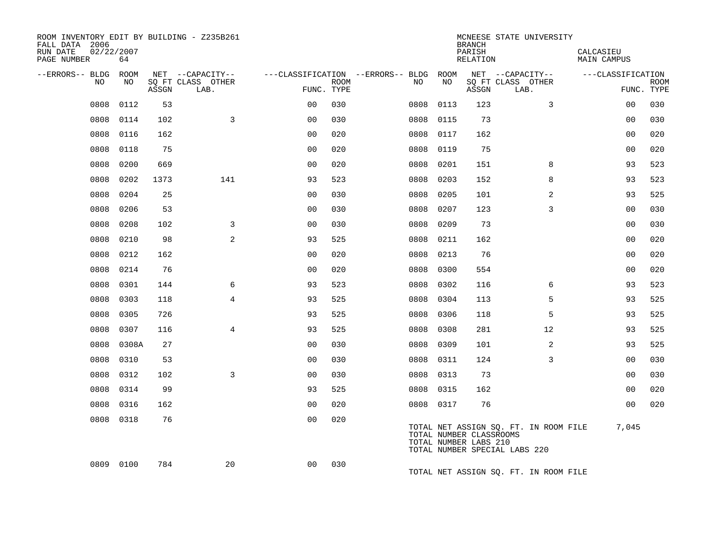| ROOM INVENTORY EDIT BY BUILDING - Z235B261<br>FALL DATA 2006<br>RUN DATE<br>PAGE NUMBER | 02/22/2007<br>64 |       |                           |                |             |                                        |      | <b>BRANCH</b><br>PARISH<br><b>RELATION</b>       | MCNEESE STATE UNIVERSITY                                               | CALCASIEU<br><b>MAIN CAMPUS</b> |                           |
|-----------------------------------------------------------------------------------------|------------------|-------|---------------------------|----------------|-------------|----------------------------------------|------|--------------------------------------------------|------------------------------------------------------------------------|---------------------------------|---------------------------|
| --ERRORS-- BLDG ROOM                                                                    |                  |       | NET --CAPACITY--          |                |             | ---CLASSIFICATION --ERRORS-- BLDG ROOM |      |                                                  | NET --CAPACITY--                                                       | ---CLASSIFICATION               |                           |
| NO.                                                                                     | NO.              | ASSGN | SQ FT CLASS OTHER<br>LAB. | FUNC. TYPE     | <b>ROOM</b> | NO.                                    | NO   | ASSGN                                            | SQ FT CLASS OTHER<br>LAB.                                              |                                 | <b>ROOM</b><br>FUNC. TYPE |
| 0808                                                                                    | 0112             | 53    |                           | 0 <sub>0</sub> | 030         | 0808                                   | 0113 | 123                                              | 3                                                                      | 00                              | 030                       |
| 0808                                                                                    | 0114             | 102   | 3                         | 0 <sup>0</sup> | 030         | 0808                                   | 0115 | 73                                               |                                                                        | 0 <sub>0</sub>                  | 030                       |
| 0808                                                                                    | 0116             | 162   |                           | 0 <sub>0</sub> | 020         | 0808                                   | 0117 | 162                                              |                                                                        | 0 <sub>0</sub>                  | 020                       |
| 0808                                                                                    | 0118             | 75    |                           | 0 <sub>0</sub> | 020         | 0808                                   | 0119 | 75                                               |                                                                        | 0 <sub>0</sub>                  | 020                       |
| 0808                                                                                    | 0200             | 669   |                           | 0 <sub>0</sub> | 020         | 0808                                   | 0201 | 151                                              | 8                                                                      | 93                              | 523                       |
| 0808                                                                                    | 0202             | 1373  | 141                       | 93             | 523         | 0808                                   | 0203 | 152                                              | 8                                                                      | 93                              | 523                       |
| 0808                                                                                    | 0204             | 25    |                           | 0 <sub>0</sub> | 030         | 0808                                   | 0205 | 101                                              | $\overline{a}$                                                         | 93                              | 525                       |
| 0808                                                                                    | 0206             | 53    |                           | 00             | 030         | 0808                                   | 0207 | 123                                              | 3                                                                      | 0 <sub>0</sub>                  | 030                       |
| 0808                                                                                    | 0208             | 102   | 3                         | 0 <sub>0</sub> | 030         | 0808                                   | 0209 | 73                                               |                                                                        | 00                              | 030                       |
| 0808                                                                                    | 0210             | 98    | 2                         | 93             | 525         | 0808                                   | 0211 | 162                                              |                                                                        | 00                              | 020                       |
| 0808                                                                                    | 0212             | 162   |                           | 0 <sub>0</sub> | 020         | 0808                                   | 0213 | 76                                               |                                                                        | 0 <sub>0</sub>                  | 020                       |
| 0808                                                                                    | 0214             | 76    |                           | 0 <sub>0</sub> | 020         | 0808                                   | 0300 | 554                                              |                                                                        | 0 <sub>0</sub>                  | 020                       |
| 0808                                                                                    | 0301             | 144   | 6                         | 93             | 523         | 0808                                   | 0302 | 116                                              | 6                                                                      | 93                              | 523                       |
| 0808                                                                                    | 0303             | 118   | $\overline{4}$            | 93             | 525         | 0808                                   | 0304 | 113                                              | 5                                                                      | 93                              | 525                       |
| 0808                                                                                    | 0305             | 726   |                           | 93             | 525         | 0808                                   | 0306 | 118                                              | 5                                                                      | 93                              | 525                       |
| 0808                                                                                    | 0307             | 116   | 4                         | 93             | 525         | 0808                                   | 0308 | 281                                              | 12                                                                     | 93                              | 525                       |
| 0808                                                                                    | 0308A            | 27    |                           | 0 <sub>0</sub> | 030         | 0808                                   | 0309 | 101                                              | 2                                                                      | 93                              | 525                       |
| 0808                                                                                    | 0310             | 53    |                           | 0 <sub>0</sub> | 030         | 0808                                   | 0311 | 124                                              | 3                                                                      | 0 <sub>0</sub>                  | 030                       |
| 0808                                                                                    | 0312             | 102   | 3                         | 0 <sub>0</sub> | 030         | 0808                                   | 0313 | 73                                               |                                                                        | 0 <sub>0</sub>                  | 030                       |
| 0808                                                                                    | 0314             | 99    |                           | 93             | 525         | 0808 0315                              |      | 162                                              |                                                                        | 0 <sub>0</sub>                  | 020                       |
| 0808                                                                                    | 0316             | 162   |                           | 0 <sub>0</sub> | 020         | 0808 0317                              |      | 76                                               |                                                                        | 0 <sub>0</sub>                  | 020                       |
|                                                                                         | 0808 0318        | 76    |                           | 0 <sub>0</sub> | 020         |                                        |      | TOTAL NUMBER CLASSROOMS<br>TOTAL NUMBER LABS 210 | TOTAL NET ASSIGN SQ. FT. IN ROOM FILE<br>TOTAL NUMBER SPECIAL LABS 220 | 7,045                           |                           |
|                                                                                         | 0809 0100        | 784   | 20                        | 0 <sub>0</sub> | 030         |                                        |      |                                                  | TOTAL NET ASSIGN SO. FT. IN ROOM FILE                                  |                                 |                           |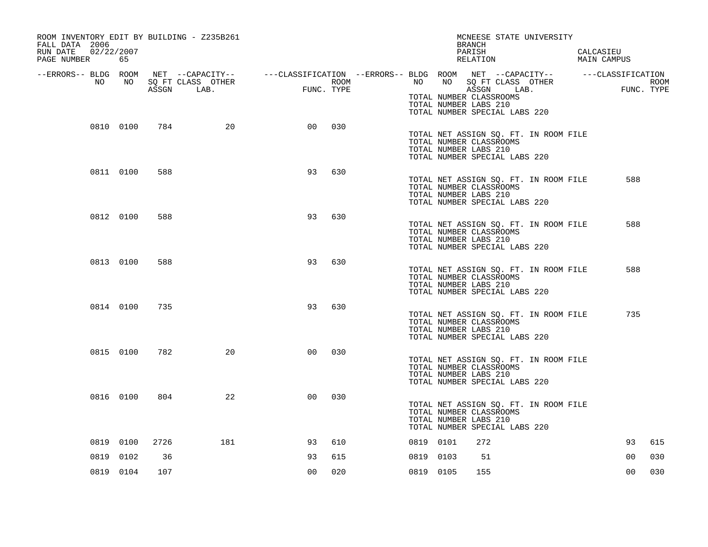| ROOM INVENTORY EDIT BY BUILDING - Z235B261<br>FALL DATA 2006<br>02/22/2007<br>RUN DATE<br>PAGE NUMBER | 65        |      |                                 |                |      | MCNEESE STATE UNIVERSITY<br>BRANCH<br>PARISH<br>RELATION                                                                                                                                                                           | CALCASIEU<br>MAIN CAMPUS  |
|-------------------------------------------------------------------------------------------------------|-----------|------|---------------------------------|----------------|------|------------------------------------------------------------------------------------------------------------------------------------------------------------------------------------------------------------------------------------|---------------------------|
| --ERRORS-- BLDG ROOM<br>NO                                                                            | NO        |      | SQ FT CLASS OTHER<br>ASSGN LAB. | FUNC. TYPE     | ROOM | NET --CAPACITY-- - ---CLASSIFICATION --ERRORS-- BLDG ROOM NET --CAPACITY-- - ---CLASSIFICATION<br>NO<br>SQ FT CLASS OTHER<br>NO<br>ASSGN LAB.<br>TOTAL NUMBER CLASSROOMS<br>TOTAL NUMBER LABS 210<br>TOTAL NUMBER SPECIAL LABS 220 | <b>ROOM</b><br>FUNC. TYPE |
|                                                                                                       | 0810 0100 | 784  | 20                              | 00             | 030  | TOTAL NET ASSIGN SQ. FT. IN ROOM FILE<br>TOTAL NUMBER CLASSROOMS<br>TOTAL NUMBER LABS 210<br>TOTAL NUMBER SPECIAL LABS 220                                                                                                         |                           |
|                                                                                                       | 0811 0100 | 588  |                                 | 93             | 630  | TOTAL NET ASSIGN SQ. FT. IN ROOM FILE<br>TOTAL NUMBER CLASSROOMS<br>TOTAL NUMBER LABS 210<br>TOTAL NUMBER SPECIAL LABS 220                                                                                                         | 588                       |
|                                                                                                       | 0812 0100 | 588  |                                 | 93             | 630  | TOTAL NET ASSIGN SQ. FT. IN ROOM FILE<br>TOTAL NUMBER CLASSROOMS<br>TOTAL NUMBER LABS 210<br>TOTAL NUMBER SPECIAL LABS 220                                                                                                         | 588                       |
|                                                                                                       | 0813 0100 | 588  |                                 | 93             | 630  | TOTAL NET ASSIGN SQ. FT. IN ROOM FILE<br>TOTAL NUMBER CLASSROOMS<br>TOTAL NUMBER LABS 210<br>TOTAL NUMBER SPECIAL LABS 220                                                                                                         | 588                       |
|                                                                                                       | 0814 0100 | 735  |                                 | 93             | 630  | TOTAL NET ASSIGN SQ. FT. IN ROOM FILE<br>TOTAL NUMBER CLASSROOMS<br>TOTAL NUMBER LABS 210<br>TOTAL NUMBER SPECIAL LABS 220                                                                                                         | 735                       |
|                                                                                                       | 0815 0100 | 782  | 20                              | 0 <sub>0</sub> | 030  | TOTAL NET ASSIGN SQ. FT. IN ROOM FILE<br>TOTAL NUMBER CLASSROOMS<br>TOTAL NUMBER LABS 210<br>TOTAL NUMBER SPECIAL LABS 220                                                                                                         |                           |
|                                                                                                       | 0816 0100 | 804  | 22                              | 0 <sup>0</sup> | 030  | TOTAL NET ASSIGN SQ. FT. IN ROOM FILE<br>TOTAL NUMBER CLASSROOMS<br>TOTAL NUMBER LABS 210<br>TOTAL NUMBER SPECIAL LABS 220                                                                                                         |                           |
|                                                                                                       | 0819 0100 | 2726 | 181                             | 93             | 610  | 0819 0101<br>272                                                                                                                                                                                                                   | 93<br>615                 |
|                                                                                                       | 0819 0102 | 36   |                                 | 93             | 615  | 0819 0103<br>51                                                                                                                                                                                                                    | 0 <sub>0</sub><br>030     |
|                                                                                                       | 0819 0104 | 107  |                                 | 0 <sub>0</sub> | 020  | 0819 0105<br>155                                                                                                                                                                                                                   | 0 <sub>0</sub><br>030     |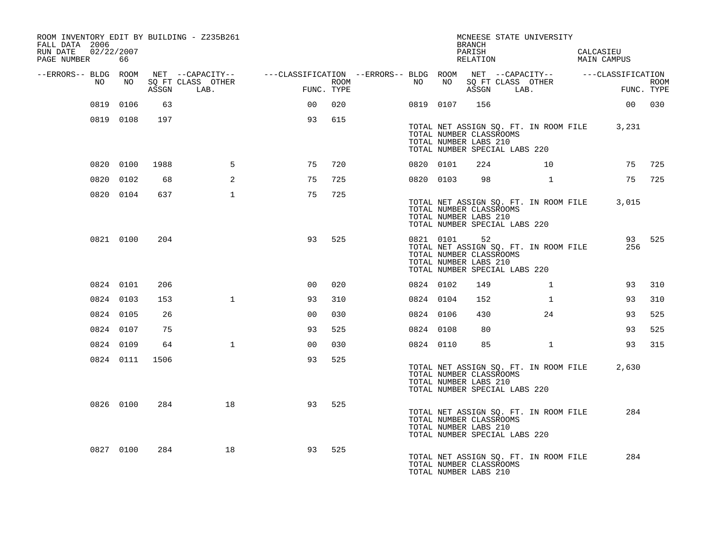| FALL DATA 2006<br>RUN DATE |    | 02/22/2007 |       | ROOM INVENTORY EDIT BY BUILDING - Z235B261                                                                                  |                |      |           |                 | <b>BRANCH</b><br>PARISH                                                                 | MCNEESE STATE UNIVERSITY              | CALCASIEU                                   |             |
|----------------------------|----|------------|-------|-----------------------------------------------------------------------------------------------------------------------------|----------------|------|-----------|-----------------|-----------------------------------------------------------------------------------------|---------------------------------------|---------------------------------------------|-------------|
| PAGE NUMBER                |    | 66         |       |                                                                                                                             |                |      |           |                 | RELATION                                                                                |                                       | MAIN CAMPUS                                 |             |
| --ERRORS-- BLDG ROOM       | NO | NO         | ASSGN | NET --CAPACITY-- - ---CLASSIFICATION --ERRORS-- BLDG ROOM NET --CAPACITY-- - ---CLASSIFICATION<br>SQ FT CLASS OTHER<br>LAB. | FUNC. TYPE     | ROOM | NO        | NO <sub>1</sub> |                                                                                         | SQ FT CLASS OTHER<br>ASSGN LAB.       | <b>EXECUTE:</b><br>FUNC. TYPE               | <b>ROOM</b> |
|                            |    | 0819 0106  | 63    |                                                                                                                             | 00             | 020  |           | 0819 0107       | 156                                                                                     |                                       | 00 030                                      |             |
|                            |    | 0819 0108  | 197   |                                                                                                                             | 93             | 615  |           |                 |                                                                                         |                                       |                                             |             |
|                            |    |            |       |                                                                                                                             |                |      |           |                 | TOTAL NUMBER CLASSROOMS<br>TOTAL NUMBER LABS 210<br>TOTAL NUMBER SPECIAL LABS 220       |                                       | TOTAL NET ASSIGN SQ. FT. IN ROOM FILE 3,231 |             |
|                            |    | 0820 0100  | 1988  | 5                                                                                                                           | 75             | 720  | 0820 0101 |                 | 224                                                                                     | 10 <sup>1</sup>                       | 75                                          | 725         |
|                            |    | 0820 0102  | 68    | 2                                                                                                                           | 75             | 725  | 0820 0103 |                 | 98                                                                                      | $\mathbf{1}$                          | 75                                          | 725         |
|                            |    | 0820 0104  | 637   | $\mathbf{1}$                                                                                                                | 75             | 725  |           |                 | TOTAL NUMBER CLASSROOMS<br>TOTAL NUMBER LABS 210<br>TOTAL NUMBER SPECIAL LABS 220       | TOTAL NET ASSIGN SQ. FT. IN ROOM FILE | 3,015                                       |             |
|                            |    | 0821 0100  | 204   |                                                                                                                             | 93             | 525  |           | 0821 0101       | 52<br>TOTAL NUMBER CLASSROOMS<br>TOTAL NUMBER LABS 210<br>TOTAL NUMBER SPECIAL LABS 220 | TOTAL NET ASSIGN SQ. FT. IN ROOM FILE | 256                                         | 93 525      |
|                            |    | 0824 0101  | 206   |                                                                                                                             | 0 <sup>0</sup> | 020  | 0824 0102 |                 | 149                                                                                     | $\mathbf{1}$                          | 93                                          | 310         |
|                            |    | 0824 0103  | 153   | $\mathbf{1}$                                                                                                                | 93             | 310  | 0824 0104 |                 | 152                                                                                     | $\mathbf{1}$                          | 93                                          | 310         |
|                            |    | 0824 0105  | 26    |                                                                                                                             | 0 <sub>0</sub> | 030  | 0824 0106 |                 | 430                                                                                     | 24                                    | 93                                          | 525         |
|                            |    | 0824 0107  | 75    |                                                                                                                             | 93             | 525  | 0824 0108 |                 | 80                                                                                      |                                       | 93                                          | 525         |
|                            |    | 0824 0109  | 64    | $\mathbf{1}$                                                                                                                | 0 <sub>0</sub> | 030  | 0824 0110 |                 | 85                                                                                      | $\mathbf{1}$                          | 93                                          | 315         |
|                            |    | 0824 0111  | 1506  |                                                                                                                             | 93             | 525  |           |                 |                                                                                         |                                       |                                             |             |
|                            |    |            |       |                                                                                                                             |                |      |           |                 | TOTAL NUMBER CLASSROOMS<br>TOTAL NUMBER LABS 210<br>TOTAL NUMBER SPECIAL LABS 220       | TOTAL NET ASSIGN SQ. FT. IN ROOM FILE | 2,630                                       |             |
|                            |    | 0826 0100  | 284   | 18                                                                                                                          | 93             | 525  |           |                 | TOTAL NUMBER CLASSROOMS<br>TOTAL NUMBER LABS 210<br>TOTAL NUMBER SPECIAL LABS 220       | TOTAL NET ASSIGN SQ. FT. IN ROOM FILE | 284                                         |             |
|                            |    | 0827 0100  | 284   | 18                                                                                                                          | 93             | 525  |           |                 | TOTAL NUMBER CLASSROOMS<br>TOTAL NUMBER LABS 210                                        | TOTAL NET ASSIGN SQ. FT. IN ROOM FILE | 284                                         |             |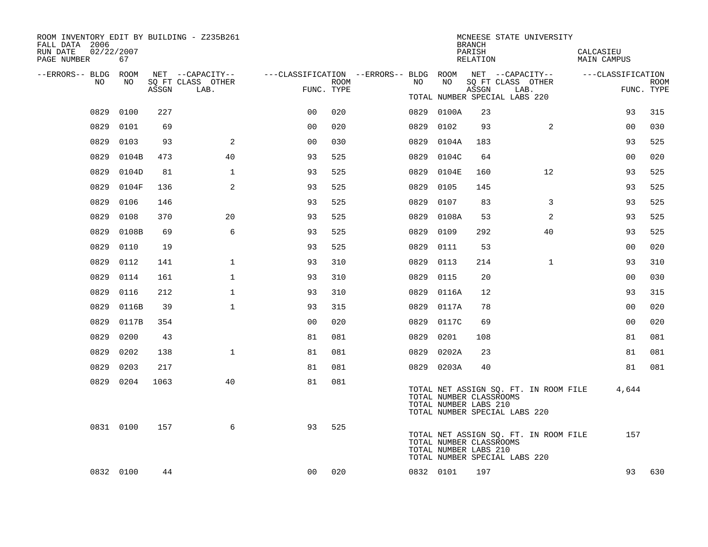| ROOM INVENTORY EDIT BY BUILDING - Z235B261<br>FALL DATA 2006<br>RUN DATE<br>PAGE NUMBER | 02/22/2007<br>67 |       |                           |                |      |                                                         |            | <b>BRANCH</b><br>PARISH<br>RELATION              | MCNEESE STATE UNIVERSITY                                               | CALCASIEU<br><b>MAIN CAMPUS</b> |                           |
|-----------------------------------------------------------------------------------------|------------------|-------|---------------------------|----------------|------|---------------------------------------------------------|------------|--------------------------------------------------|------------------------------------------------------------------------|---------------------------------|---------------------------|
| --ERRORS-- BLDG ROOM                                                                    |                  |       | NET --CAPACITY--          |                |      | ---CLASSIFICATION --ERRORS-- BLDG ROOM NET --CAPACITY-- | NO         |                                                  |                                                                        | ---CLASSIFICATION               |                           |
| NO.                                                                                     | NO               | ASSGN | SQ FT CLASS OTHER<br>LAB. | FUNC. TYPE     | ROOM | NO                                                      |            | ASSGN                                            | SQ FT CLASS OTHER<br>LAB.<br>TOTAL NUMBER SPECIAL LABS 220             |                                 | <b>ROOM</b><br>FUNC. TYPE |
| 0829                                                                                    | 0100             | 227   |                           | 0 <sup>0</sup> | 020  |                                                         | 0829 0100A | 23                                               |                                                                        | 93                              | 315                       |
| 0829                                                                                    | 0101             | 69    |                           | 0 <sub>0</sub> | 020  | 0829                                                    | 0102       | 93                                               | 2                                                                      | 00                              | 030                       |
| 0829                                                                                    | 0103             | 93    | 2                         | 0 <sub>0</sub> | 030  | 0829                                                    | 0104A      | 183                                              |                                                                        | 93                              | 525                       |
| 0829                                                                                    | 0104B            | 473   | 40                        | 93             | 525  | 0829                                                    | 0104C      | 64                                               |                                                                        | 00                              | 020                       |
| 0829                                                                                    | 0104D            | 81    | 1                         | 93             | 525  | 0829                                                    | 0104E      | 160                                              | 12                                                                     | 93                              | 525                       |
| 0829                                                                                    | 0104F            | 136   | $\overline{a}$            | 93             | 525  | 0829                                                    | 0105       | 145                                              |                                                                        | 93                              | 525                       |
| 0829                                                                                    | 0106             | 146   |                           | 93             | 525  | 0829                                                    | 0107       | 83                                               | 3                                                                      | 93                              | 525                       |
| 0829                                                                                    | 0108             | 370   | 20                        | 93             | 525  | 0829                                                    | 0108A      | 53                                               | 2                                                                      | 93                              | 525                       |
| 0829                                                                                    | 0108B            | 69    | 6                         | 93             | 525  | 0829                                                    | 0109       | 292                                              | 40                                                                     | 93                              | 525                       |
| 0829                                                                                    | 0110             | 19    |                           | 93             | 525  | 0829                                                    | 0111       | 53                                               |                                                                        | 0 <sub>0</sub>                  | 020                       |
| 0829                                                                                    | 0112             | 141   | $\mathbf 1$               | 93             | 310  | 0829                                                    | 0113       | 214                                              | $\mathbf{1}$                                                           | 93                              | 310                       |
| 0829                                                                                    | 0114             | 161   | $\mathbf{1}$              | 93             | 310  | 0829                                                    | 0115       | 20                                               |                                                                        | 0 <sub>0</sub>                  | 030                       |
| 0829                                                                                    | 0116             | 212   | $\mathbf{1}$              | 93             | 310  | 0829                                                    | 0116A      | 12                                               |                                                                        | 93                              | 315                       |
| 0829                                                                                    | 0116B            | 39    | $\mathbf{1}$              | 93             | 315  | 0829                                                    | 0117A      | 78                                               |                                                                        | 0 <sub>0</sub>                  | 020                       |
| 0829                                                                                    | 0117B            | 354   |                           | 0 <sub>0</sub> | 020  | 0829                                                    | 0117C      | 69                                               |                                                                        | 0 <sub>0</sub>                  | 020                       |
| 0829                                                                                    | 0200             | 43    |                           | 81             | 081  | 0829                                                    | 0201       | 108                                              |                                                                        | 81                              | 081                       |
| 0829                                                                                    | 0202             | 138   | $\mathbf{1}$              | 81             | 081  | 0829                                                    | 0202A      | 23                                               |                                                                        | 81                              | 081                       |
| 0829                                                                                    | 0203             | 217   |                           | 81             | 081  |                                                         | 0829 0203A | 40                                               |                                                                        | 81                              | 081                       |
|                                                                                         | 0829 0204        | 1063  | 40                        | 81             | 081  |                                                         |            | TOTAL NUMBER CLASSROOMS<br>TOTAL NUMBER LABS 210 | TOTAL NET ASSIGN SQ. FT. IN ROOM FILE<br>TOTAL NUMBER SPECIAL LABS 220 | 4,644                           |                           |
|                                                                                         | 0831 0100        | 157   | 6                         | 93             | 525  |                                                         |            | TOTAL NUMBER CLASSROOMS<br>TOTAL NUMBER LABS 210 | TOTAL NET ASSIGN SQ. FT. IN ROOM FILE<br>TOTAL NUMBER SPECIAL LABS 220 | 157                             |                           |
|                                                                                         | 0832 0100        | 44    |                           | 00             | 020  |                                                         | 0832 0101  | 197                                              |                                                                        | 93                              | 630                       |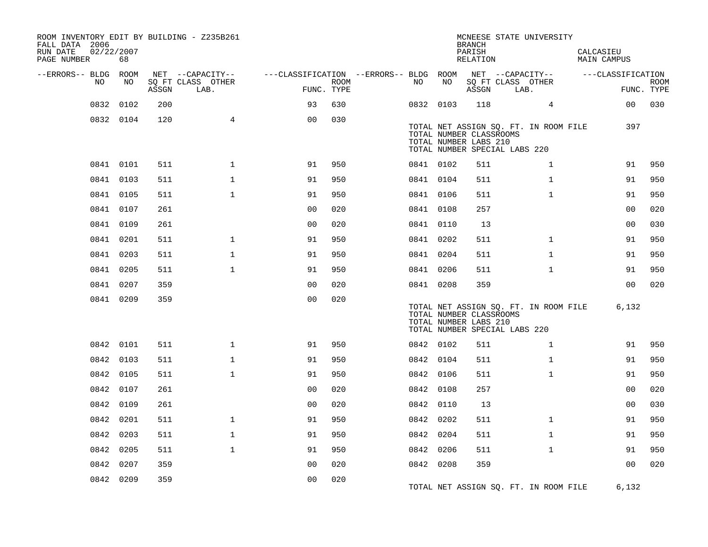| ROOM INVENTORY EDIT BY BUILDING - Z235B261<br>FALL DATA 2006<br>RUN DATE<br>PAGE NUMBER | 02/22/2007<br>68 |       |                           |                                        |                           |           |    | <b>BRANCH</b><br>PARISH<br>RELATION                                               | MCNEESE STATE UNIVERSITY              | CALCASIEU<br>MAIN CAMPUS |                |             |
|-----------------------------------------------------------------------------------------|------------------|-------|---------------------------|----------------------------------------|---------------------------|-----------|----|-----------------------------------------------------------------------------------|---------------------------------------|--------------------------|----------------|-------------|
| --ERRORS-- BLDG ROOM                                                                    |                  |       | NET --CAPACITY--          | ---CLASSIFICATION --ERRORS-- BLDG ROOM |                           |           |    |                                                                                   | NET --CAPACITY--                      | ---CLASSIFICATION        |                |             |
| NO                                                                                      | NO               | ASSGN | SQ FT CLASS OTHER<br>LAB. |                                        | <b>ROOM</b><br>FUNC. TYPE | NO        | NO | ASSGN                                                                             | SQ FT CLASS OTHER<br>LAB.             |                          | FUNC. TYPE     | <b>ROOM</b> |
| 0832                                                                                    | 0102             | 200   |                           | 93                                     | 630                       | 0832 0103 |    | 118                                                                               | $\overline{4}$                        |                          | 0 <sub>0</sub> | 030         |
|                                                                                         | 0832 0104        | 120   | $\overline{4}$            | 0 <sub>0</sub>                         | 030                       |           |    | TOTAL NUMBER CLASSROOMS<br>TOTAL NUMBER LABS 210<br>TOTAL NUMBER SPECIAL LABS 220 | TOTAL NET ASSIGN SQ. FT. IN ROOM FILE |                          | 397            |             |
|                                                                                         | 0841 0101        | 511   | $\mathbf{1}$              | 91                                     | 950                       | 0841 0102 |    | 511                                                                               | $\mathbf{1}$                          |                          | 91             | 950         |
|                                                                                         | 0841 0103        | 511   | $\mathbf{1}$              | 91                                     | 950                       | 0841 0104 |    | 511                                                                               | $\mathbf{1}$                          |                          | 91             | 950         |
|                                                                                         | 0841 0105        | 511   | $\mathbf{1}$              | 91                                     | 950                       | 0841 0106 |    | 511                                                                               | $\mathbf{1}$                          |                          | 91             | 950         |
|                                                                                         | 0841 0107        | 261   |                           | 0 <sub>0</sub>                         | 020                       | 0841 0108 |    | 257                                                                               |                                       |                          | 0 <sub>0</sub> | 020         |
|                                                                                         | 0841 0109        | 261   |                           | 0 <sub>0</sub>                         | 020                       | 0841 0110 |    | 13                                                                                |                                       |                          | 00             | 030         |
|                                                                                         | 0841 0201        | 511   | $\mathbf{1}$              | 91                                     | 950                       | 0841 0202 |    | 511                                                                               | $\mathbf{1}$                          |                          | 91             | 950         |
|                                                                                         | 0841 0203        | 511   | $\mathbf{1}$              | 91                                     | 950                       | 0841 0204 |    | 511                                                                               | $\mathbf{1}$                          |                          | 91             | 950         |
|                                                                                         | 0841 0205        | 511   | $\mathbf{1}$              | 91                                     | 950                       | 0841 0206 |    | 511                                                                               | $\mathbf{1}$                          |                          | 91             | 950         |
|                                                                                         | 0841 0207        | 359   |                           | 0 <sub>0</sub>                         | 020                       | 0841 0208 |    | 359                                                                               |                                       |                          | 0 <sub>0</sub> | 020         |
|                                                                                         | 0841 0209        | 359   |                           | 0 <sub>0</sub>                         | 020                       |           |    | TOTAL NUMBER CLASSROOMS<br>TOTAL NUMBER LABS 210<br>TOTAL NUMBER SPECIAL LABS 220 | TOTAL NET ASSIGN SQ. FT. IN ROOM FILE |                          | 6,132          |             |
|                                                                                         | 0842 0101        | 511   | $\mathbf{1}$              | 91                                     | 950                       | 0842 0102 |    | 511                                                                               | $\mathbf{1}$                          |                          | 91             | 950         |
|                                                                                         | 0842 0103        | 511   | $\mathbf 1$               | 91                                     | 950                       | 0842 0104 |    | 511                                                                               | $\mathbf{1}$                          |                          | 91             | 950         |
|                                                                                         | 0842 0105        | 511   | $\mathbf{1}$              | 91                                     | 950                       | 0842 0106 |    | 511                                                                               | $\mathbf{1}$                          |                          | 91             | 950         |
|                                                                                         | 0842 0107        | 261   |                           | 0 <sub>0</sub>                         | 020                       | 0842 0108 |    | 257                                                                               |                                       |                          | 0 <sub>0</sub> | 020         |
|                                                                                         | 0842 0109        | 261   |                           | 0 <sub>0</sub>                         | 020                       | 0842 0110 |    | 13                                                                                |                                       |                          | 0 <sub>0</sub> | 030         |
|                                                                                         | 0842 0201        | 511   | $\mathbf 1$               | 91                                     | 950                       | 0842 0202 |    | 511                                                                               | $\mathbf{1}$                          |                          | 91             | 950         |
|                                                                                         | 0842 0203        | 511   | $\mathbf{1}$              | 91                                     | 950                       | 0842 0204 |    | 511                                                                               | $\mathbf{1}$                          |                          | 91             | 950         |
|                                                                                         | 0842 0205        | 511   | $\mathbf{1}$              | 91                                     | 950                       | 0842 0206 |    | 511                                                                               | $\mathbf{1}$                          |                          | 91             | 950         |
|                                                                                         | 0842 0207        | 359   |                           | 00                                     | 020                       | 0842 0208 |    | 359                                                                               |                                       |                          | 0 <sub>0</sub> | 020         |
|                                                                                         | 0842 0209        | 359   |                           | 0 <sub>0</sub>                         | 020                       |           |    |                                                                                   | TOTAL NET ASSIGN SQ. FT. IN ROOM FILE |                          | 6,132          |             |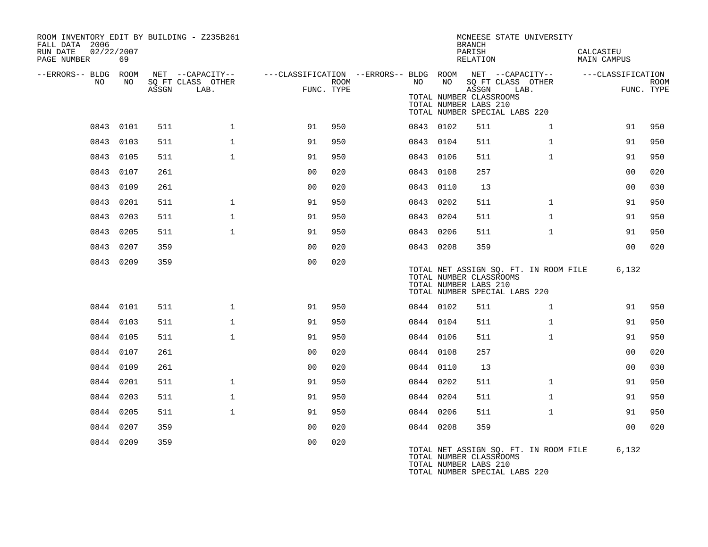| ROOM INVENTORY EDIT BY BUILDING - Z235B261<br>FALL DATA 2006<br>RUN DATE<br>02/22/2007<br>PAGE NUMBER | 69        |       |                           |                                                                             |      |    |           | <b>BRANCH</b><br>PARISH<br>RELATION                       | MCNEESE STATE UNIVERSITY                                               | CALCASIEU<br><b>MAIN CAMPUS</b> |                           |
|-------------------------------------------------------------------------------------------------------|-----------|-------|---------------------------|-----------------------------------------------------------------------------|------|----|-----------|-----------------------------------------------------------|------------------------------------------------------------------------|---------------------------------|---------------------------|
| --ERRORS-- BLDG ROOM                                                                                  |           |       | NET --CAPACITY--          | ---CLASSIFICATION --ERRORS-- BLDG ROOM NET --CAPACITY-- -----CLASSIFICATION |      |    |           |                                                           |                                                                        |                                 |                           |
| NO                                                                                                    | NO        | ASSGN | SO FT CLASS OTHER<br>LAB. | FUNC. TYPE                                                                  | ROOM | NO | NO        | ASSGN<br>TOTAL NUMBER CLASSROOMS<br>TOTAL NUMBER LABS 210 | SO FT CLASS OTHER<br>LAB.<br>TOTAL NUMBER SPECIAL LABS 220             |                                 | <b>ROOM</b><br>FUNC. TYPE |
|                                                                                                       | 0843 0101 | 511   | $\mathbf{1}$              | 91                                                                          | 950  |    | 0843 0102 | 511                                                       | $\mathbf{1}$                                                           | 91                              | 950                       |
|                                                                                                       | 0843 0103 | 511   | $\mathbf{1}$              | 91                                                                          | 950  |    | 0843 0104 | 511                                                       | $\mathbf{1}$                                                           | 91                              | 950                       |
|                                                                                                       | 0843 0105 | 511   | $\mathbf{1}$              | 91                                                                          | 950  |    | 0843 0106 | 511                                                       | $\mathbf{1}$                                                           | 91                              | 950                       |
|                                                                                                       | 0843 0107 | 261   |                           | 0 <sub>0</sub>                                                              | 020  |    | 0843 0108 | 257                                                       |                                                                        | 0 <sub>0</sub>                  | 020                       |
|                                                                                                       | 0843 0109 | 261   |                           | 0 <sub>0</sub>                                                              | 020  |    | 0843 0110 | 13                                                        |                                                                        | 00                              | 030                       |
|                                                                                                       | 0843 0201 | 511   | $\mathbf{1}$              | 91                                                                          | 950  |    | 0843 0202 | 511                                                       | $\mathbf{1}$                                                           | 91                              | 950                       |
|                                                                                                       | 0843 0203 | 511   | $\mathbf{1}$              | 91                                                                          | 950  |    | 0843 0204 | 511                                                       | $\mathbf{1}$                                                           | 91                              | 950                       |
|                                                                                                       | 0843 0205 | 511   | $\mathbf{1}$              | 91                                                                          | 950  |    | 0843 0206 | 511                                                       | $\mathbf{1}$                                                           | 91                              | 950                       |
|                                                                                                       | 0843 0207 | 359   |                           | 0 <sub>0</sub>                                                              | 020  |    | 0843 0208 | 359                                                       |                                                                        | 0 <sub>0</sub>                  | 020                       |
|                                                                                                       | 0843 0209 | 359   |                           | 0 <sub>0</sub>                                                              | 020  |    |           | TOTAL NUMBER CLASSROOMS<br>TOTAL NUMBER LABS 210          | TOTAL NET ASSIGN SQ. FT. IN ROOM FILE<br>TOTAL NUMBER SPECIAL LABS 220 | 6,132                           |                           |
|                                                                                                       | 0844 0101 | 511   | $\mathbf{1}$              | 91                                                                          | 950  |    | 0844 0102 | 511                                                       | $\mathbf{1}$                                                           | 91                              | 950                       |
|                                                                                                       | 0844 0103 | 511   | $\mathbf 1$               | 91                                                                          | 950  |    | 0844 0104 | 511                                                       | $\mathbf{1}$                                                           | 91                              | 950                       |
|                                                                                                       | 0844 0105 | 511   | $\mathbf{1}$              | 91                                                                          | 950  |    | 0844 0106 | 511                                                       | $\mathbf{1}$                                                           | 91                              | 950                       |
|                                                                                                       | 0844 0107 | 261   |                           | 0 <sub>0</sub>                                                              | 020  |    | 0844 0108 | 257                                                       |                                                                        | 0 <sub>0</sub>                  | 020                       |
|                                                                                                       | 0844 0109 | 261   |                           | 0 <sub>0</sub>                                                              | 020  |    | 0844 0110 | 13                                                        |                                                                        | 00                              | 030                       |
|                                                                                                       | 0844 0201 | 511   | $\mathbf{1}$              | 91                                                                          | 950  |    | 0844 0202 | 511                                                       | $\mathbf{1}$                                                           | 91                              | 950                       |
|                                                                                                       | 0844 0203 | 511   | $\mathbf{1}$              | 91                                                                          | 950  |    | 0844 0204 | 511                                                       | $\mathbf{1}$                                                           | 91                              | 950                       |
|                                                                                                       | 0844 0205 | 511   | $\mathbf{1}$              | 91                                                                          | 950  |    | 0844 0206 | 511                                                       | $\mathbf{1}$                                                           | 91                              | 950                       |
|                                                                                                       | 0844 0207 | 359   |                           | 0 <sub>0</sub>                                                              | 020  |    | 0844 0208 | 359                                                       |                                                                        | 0 <sub>0</sub>                  | 020                       |
|                                                                                                       | 0844 0209 | 359   |                           | 0 <sub>0</sub>                                                              | 020  |    |           | TOTAL NUMBER CLASSROOMS<br>TOTAL NUMBER LABS 210          | TOTAL NET ASSIGN SQ. FT. IN ROOM FILE<br>TOTAL NUMBER SPECIAL LABS 220 | 6,132                           |                           |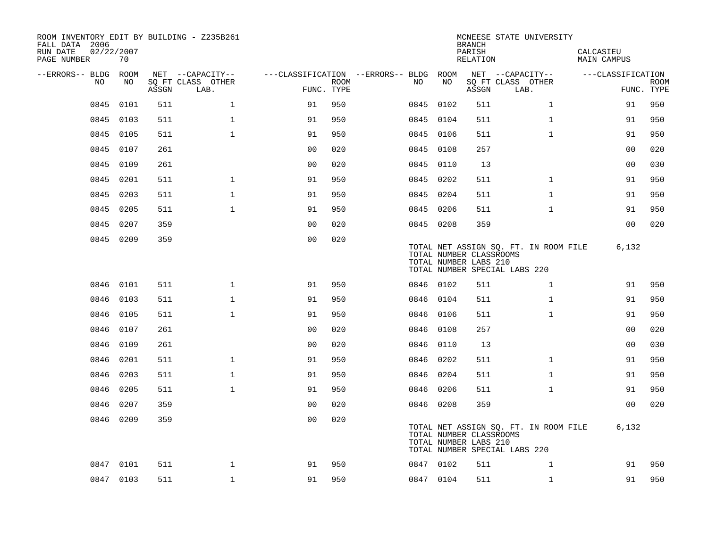| ROOM INVENTORY EDIT BY BUILDING - Z235B261<br>FALL DATA 2006<br>RUN DATE<br>02/22/2007<br>PAGE NUMBER | 70        |       |                           |                |      |                                        |           | <b>BRANCH</b><br>PARISH<br>RELATION              | MCNEESE STATE UNIVERSITY                                               | CALCASIEU<br><b>MAIN CAMPUS</b> |                           |
|-------------------------------------------------------------------------------------------------------|-----------|-------|---------------------------|----------------|------|----------------------------------------|-----------|--------------------------------------------------|------------------------------------------------------------------------|---------------------------------|---------------------------|
| --ERRORS-- BLDG ROOM                                                                                  |           |       | NET --CAPACITY--          |                |      | ---CLASSIFICATION --ERRORS-- BLDG ROOM |           |                                                  | NET --CAPACITY--                                                       | ---CLASSIFICATION               |                           |
| NO.                                                                                                   | NO        | ASSGN | SO FT CLASS OTHER<br>LAB. | FUNC. TYPE     | ROOM | NO.                                    | NO        | ASSGN                                            | SQ FT CLASS OTHER<br>LAB.                                              |                                 | <b>ROOM</b><br>FUNC. TYPE |
| 0845                                                                                                  | 0101      | 511   | $\mathbf 1$               | 91             | 950  |                                        | 0845 0102 | 511                                              | $\mathbf{1}$                                                           | 91                              | 950                       |
| 0845                                                                                                  | 0103      | 511   | $\mathbf{1}$              | 91             | 950  |                                        | 0845 0104 | 511                                              | $\mathbf{1}$                                                           | 91                              | 950                       |
|                                                                                                       | 0845 0105 | 511   | $\mathbf{1}$              | 91             | 950  |                                        | 0845 0106 | 511                                              | $\mathbf{1}$                                                           | 91                              | 950                       |
| 0845                                                                                                  | 0107      | 261   |                           | 0 <sub>0</sub> | 020  |                                        | 0845 0108 | 257                                              |                                                                        | 0 <sub>0</sub>                  | 020                       |
| 0845                                                                                                  | 0109      | 261   |                           | 0 <sub>0</sub> | 020  |                                        | 0845 0110 | 13                                               |                                                                        | 00                              | 030                       |
|                                                                                                       | 0845 0201 | 511   | $\mathbf 1$               | 91             | 950  |                                        | 0845 0202 | 511                                              | $\mathbf{1}$                                                           | 91                              | 950                       |
|                                                                                                       | 0845 0203 | 511   | $\mathbf 1$               | 91             | 950  |                                        | 0845 0204 | 511                                              | $\mathbf{1}$                                                           | 91                              | 950                       |
| 0845                                                                                                  | 0205      | 511   | $\mathbf{1}$              | 91             | 950  |                                        | 0845 0206 | 511                                              | $\mathbf{1}$                                                           | 91                              | 950                       |
| 0845                                                                                                  | 0207      | 359   |                           | 0 <sub>0</sub> | 020  |                                        | 0845 0208 | 359                                              |                                                                        | 0 <sub>0</sub>                  | 020                       |
|                                                                                                       | 0845 0209 | 359   |                           | 0 <sub>0</sub> | 020  |                                        |           | TOTAL NUMBER CLASSROOMS<br>TOTAL NUMBER LABS 210 | TOTAL NET ASSIGN SQ. FT. IN ROOM FILE<br>TOTAL NUMBER SPECIAL LABS 220 | 6,132                           |                           |
| 0846                                                                                                  | 0101      | 511   | $\mathbf{1}$              | 91             | 950  |                                        | 0846 0102 | 511                                              | $\mathbf{1}$                                                           | 91                              | 950                       |
|                                                                                                       | 0846 0103 | 511   | $\mathbf{1}$              | 91             | 950  |                                        | 0846 0104 | 511                                              | $\mathbf{1}$                                                           | 91                              | 950                       |
| 0846                                                                                                  | 0105      | 511   | $\mathbf{1}$              | 91             | 950  |                                        | 0846 0106 | 511                                              | $\mathbf{1}$                                                           | 91                              | 950                       |
| 0846                                                                                                  | 0107      | 261   |                           | 0 <sub>0</sub> | 020  |                                        | 0846 0108 | 257                                              |                                                                        | 0 <sub>0</sub>                  | 020                       |
| 0846                                                                                                  | 0109      | 261   |                           | 0 <sub>0</sub> | 020  | 0846                                   | 0110      | 13                                               |                                                                        | 0 <sub>0</sub>                  | 030                       |
| 0846                                                                                                  | 0201      | 511   | $\mathbf 1$               | 91             | 950  |                                        | 0846 0202 | 511                                              | $\mathbf{1}$                                                           | 91                              | 950                       |
|                                                                                                       | 0846 0203 | 511   | $\mathbf 1$               | 91             | 950  |                                        | 0846 0204 | 511                                              | $\mathbf{1}$                                                           | 91                              | 950                       |
|                                                                                                       | 0846 0205 | 511   | $\mathbf{1}$              | 91             | 950  |                                        | 0846 0206 | 511                                              | $\mathbf{1}$                                                           | 91                              | 950                       |
| 0846                                                                                                  | 0207      | 359   |                           | 0 <sub>0</sub> | 020  |                                        | 0846 0208 | 359                                              |                                                                        | 0 <sub>0</sub>                  | 020                       |
|                                                                                                       | 0846 0209 | 359   |                           | 0 <sub>0</sub> | 020  |                                        |           | TOTAL NUMBER CLASSROOMS<br>TOTAL NUMBER LABS 210 | TOTAL NET ASSIGN SQ. FT. IN ROOM FILE<br>TOTAL NUMBER SPECIAL LABS 220 | 6,132                           |                           |
|                                                                                                       | 0847 0101 | 511   | $\mathbf 1$               | 91             | 950  |                                        | 0847 0102 | 511                                              | 1                                                                      | 91                              | 950                       |
|                                                                                                       | 0847 0103 | 511   | $\mathbf{1}$              | 91             | 950  |                                        | 0847 0104 | 511                                              | $\mathbf{1}$                                                           | 91                              | 950                       |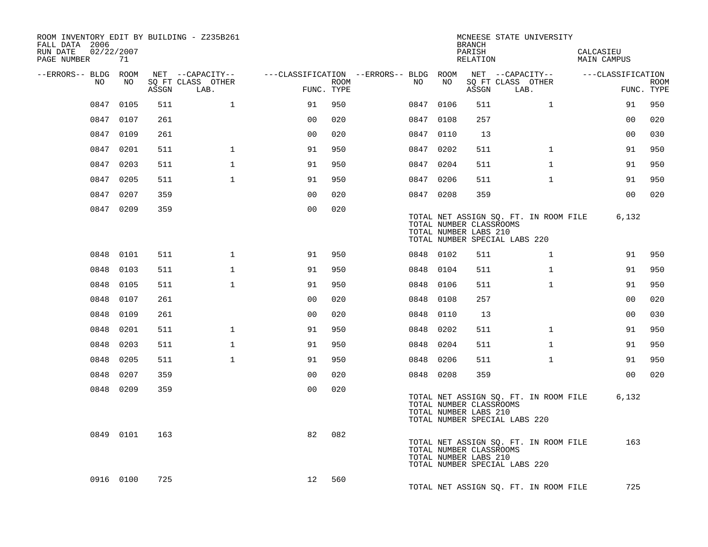| ROOM INVENTORY EDIT BY BUILDING - Z235B261<br>FALL DATA 2006<br>02/22/2007<br>RUN DATE<br>PAGE NUMBER | 71        |       |                           |                                        |      |           |      | BRANCH<br>PARISH<br>RELATION                     | MCNEESE STATE UNIVERSITY                                               | CALCASIEU<br>MAIN CAMPUS |                           |
|-------------------------------------------------------------------------------------------------------|-----------|-------|---------------------------|----------------------------------------|------|-----------|------|--------------------------------------------------|------------------------------------------------------------------------|--------------------------|---------------------------|
| --ERRORS-- BLDG ROOM                                                                                  |           |       | NET --CAPACITY--          | ---CLASSIFICATION --ERRORS-- BLDG ROOM |      |           |      |                                                  | NET --CAPACITY--                                                       | ---CLASSIFICATION        |                           |
| NO                                                                                                    | NO        | ASSGN | SQ FT CLASS OTHER<br>LAB. | FUNC. TYPE                             | ROOM | NO        | NO   | ASSGN                                            | SQ FT CLASS OTHER<br>LAB.                                              |                          | <b>ROOM</b><br>FUNC. TYPE |
| 0847                                                                                                  | 0105      | 511   | $\mathbf{1}$              | 91                                     | 950  | 0847 0106 |      | 511                                              | $\mathbf{1}$                                                           | 91                       | 950                       |
|                                                                                                       | 0847 0107 | 261   |                           | 0 <sup>0</sup>                         | 020  | 0847 0108 |      | 257                                              |                                                                        | 0 <sub>0</sub>           | 020                       |
|                                                                                                       | 0847 0109 | 261   |                           | 0 <sub>0</sub>                         | 020  | 0847 0110 |      | 13                                               |                                                                        | 0 <sub>0</sub>           | 030                       |
|                                                                                                       | 0847 0201 | 511   | $\mathbf{1}$              | 91                                     | 950  | 0847 0202 |      | 511                                              | $\mathbf{1}$                                                           | 91                       | 950                       |
|                                                                                                       | 0847 0203 | 511   | $\mathbf{1}$              | 91                                     | 950  | 0847 0204 |      | 511                                              | $\mathbf{1}$                                                           | 91                       | 950                       |
|                                                                                                       | 0847 0205 | 511   | $\mathbf{1}$              | 91                                     | 950  | 0847 0206 |      | 511                                              | $\mathbf{1}$                                                           | 91                       | 950                       |
|                                                                                                       | 0847 0207 | 359   |                           | 0 <sub>0</sub>                         | 020  | 0847 0208 |      | 359                                              |                                                                        | 0 <sub>0</sub>           | 020                       |
|                                                                                                       | 0847 0209 | 359   |                           | 0 <sub>0</sub>                         | 020  |           |      | TOTAL NUMBER CLASSROOMS<br>TOTAL NUMBER LABS 210 | TOTAL NET ASSIGN SQ. FT. IN ROOM FILE<br>TOTAL NUMBER SPECIAL LABS 220 | 6,132                    |                           |
| 0848                                                                                                  | 0101      | 511   | $\mathbf{1}$              | 91                                     | 950  | 0848 0102 |      | 511                                              | $\mathbf{1}$                                                           | 91                       | 950                       |
|                                                                                                       | 0848 0103 | 511   | $\mathbf{1}$              | 91                                     | 950  | 0848 0104 |      | 511                                              | $\mathbf{1}$                                                           | 91                       | 950                       |
|                                                                                                       | 0848 0105 | 511   | $\mathbf{1}$              | 91                                     | 950  | 0848 0106 |      | 511                                              | $\mathbf{1}$                                                           | 91                       | 950                       |
|                                                                                                       | 0848 0107 | 261   |                           | 0 <sub>0</sub>                         | 020  | 0848      | 0108 | 257                                              |                                                                        | 0 <sub>0</sub>           | 020                       |
| 0848                                                                                                  | 0109      | 261   |                           | 0 <sub>0</sub>                         | 020  | 0848 0110 |      | 13                                               |                                                                        | 0 <sub>0</sub>           | 030                       |
|                                                                                                       | 0848 0201 | 511   | $\mathbf{1}$              | 91                                     | 950  | 0848 0202 |      | 511                                              | $\mathbf{1}$                                                           | 91                       | 950                       |
|                                                                                                       | 0848 0203 | 511   | $\mathbf{1}$              | 91                                     | 950  | 0848 0204 |      | 511                                              | $\mathbf{1}$                                                           | 91                       | 950                       |
|                                                                                                       | 0848 0205 | 511   | $\mathbf{1}$              | 91                                     | 950  | 0848 0206 |      | 511                                              | $\mathbf{1}$                                                           | 91                       | 950                       |
| 0848                                                                                                  | 0207      | 359   |                           | 00                                     | 020  | 0848 0208 |      | 359                                              |                                                                        | 0 <sub>0</sub>           | 020                       |
|                                                                                                       | 0848 0209 | 359   |                           | 0 <sub>0</sub>                         | 020  |           |      | TOTAL NUMBER CLASSROOMS<br>TOTAL NUMBER LABS 210 | TOTAL NET ASSIGN SQ. FT. IN ROOM FILE<br>TOTAL NUMBER SPECIAL LABS 220 | 6,132                    |                           |
|                                                                                                       | 0849 0101 | 163   |                           | 82                                     | 082  |           |      | TOTAL NUMBER CLASSROOMS<br>TOTAL NUMBER LABS 210 | TOTAL NET ASSIGN SQ. FT. IN ROOM FILE<br>TOTAL NUMBER SPECIAL LABS 220 | 163                      |                           |
|                                                                                                       | 0916 0100 | 725   |                           | 12 <sup>°</sup>                        | 560  |           |      |                                                  | TOTAL NET ASSIGN SQ. FT. IN ROOM FILE                                  | 725                      |                           |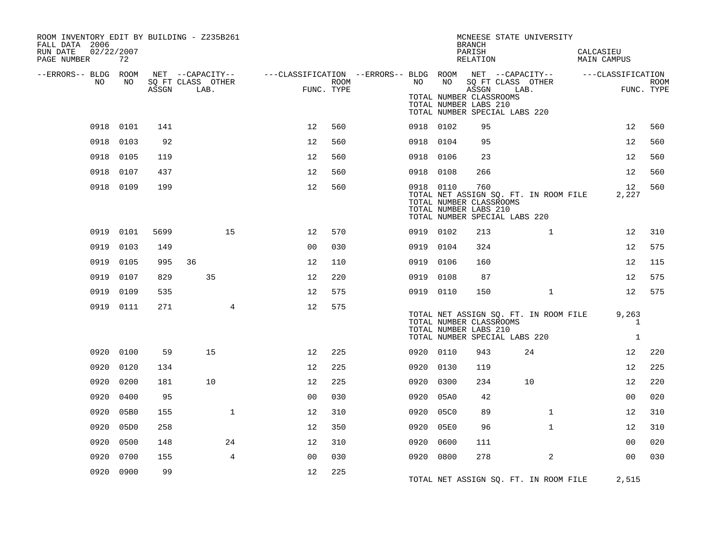| ROOM INVENTORY EDIT BY BUILDING - Z235B261<br>FALL DATA 2006<br>RUN DATE<br>02/22/2007<br>PAGE NUMBER | 72        |       |                           |                                                                                                |                    |      |           | <b>BRANCH</b><br>PARISH<br>RELATION                       | MCNEESE STATE UNIVERSITY                                               | CALCASIEU<br><b>MAIN CAMPUS</b>       |                           |
|-------------------------------------------------------------------------------------------------------|-----------|-------|---------------------------|------------------------------------------------------------------------------------------------|--------------------|------|-----------|-----------------------------------------------------------|------------------------------------------------------------------------|---------------------------------------|---------------------------|
| --ERRORS-- BLDG ROOM<br>NO.                                                                           |           |       |                           | NET --CAPACITY-- - ---CLASSIFICATION --ERRORS-- BLDG ROOM NET --CAPACITY-- - ---CLASSIFICATION |                    |      | NO        |                                                           |                                                                        |                                       |                           |
|                                                                                                       | NO        | ASSGN | SQ FT CLASS OTHER<br>LAB. |                                                                                                | ROOM<br>FUNC. TYPE | NO   |           | ASSGN<br>TOTAL NUMBER CLASSROOMS<br>TOTAL NUMBER LABS 210 | SQ FT CLASS OTHER<br>LAB.<br>TOTAL NUMBER SPECIAL LABS 220             |                                       | <b>ROOM</b><br>FUNC. TYPE |
|                                                                                                       | 0918 0101 | 141   |                           | 12                                                                                             | 560                |      | 0918 0102 | 95                                                        |                                                                        | 12                                    | 560                       |
|                                                                                                       | 0918 0103 | 92    |                           | 12                                                                                             | 560                |      | 0918 0104 | 95                                                        |                                                                        | 12                                    | 560                       |
|                                                                                                       | 0918 0105 | 119   |                           | 12                                                                                             | 560                |      | 0918 0106 | 23                                                        |                                                                        | 12                                    | 560                       |
|                                                                                                       | 0918 0107 | 437   |                           | 12                                                                                             | 560                |      | 0918 0108 | 266                                                       |                                                                        | 12                                    | 560                       |
|                                                                                                       | 0918 0109 | 199   |                           | 12                                                                                             | 560                |      | 0918 0110 | 760<br>TOTAL NUMBER CLASSROOMS<br>TOTAL NUMBER LABS 210   | TOTAL NET ASSIGN SQ. FT. IN ROOM FILE<br>TOTAL NUMBER SPECIAL LABS 220 | 12<br>2,227                           | 560                       |
|                                                                                                       | 0919 0101 | 5699  | 15                        | 12                                                                                             | 570                |      | 0919 0102 | 213                                                       | $\mathbf{1}$                                                           | 12                                    | 310                       |
| 0919                                                                                                  | 0103      | 149   |                           | 0 <sup>0</sup>                                                                                 | 030                |      | 0919 0104 | 324                                                       |                                                                        | 12                                    | 575                       |
| 0919                                                                                                  | 0105      | 995   | 36                        | 12                                                                                             | 110                |      | 0919 0106 | 160                                                       |                                                                        | 12                                    | 115                       |
| 0919                                                                                                  | 0107      | 829   | 35                        | 12                                                                                             | 220                |      | 0919 0108 | 87                                                        |                                                                        | 12                                    | 575                       |
| 0919                                                                                                  | 0109      | 535   |                           | 12                                                                                             | 575                |      | 0919 0110 | 150                                                       | $\mathbf{1}$                                                           | 12                                    | 575                       |
|                                                                                                       | 0919 0111 | 271   | 4                         | 12                                                                                             | 575                |      |           | TOTAL NUMBER CLASSROOMS<br>TOTAL NUMBER LABS 210          | TOTAL NET ASSIGN SQ. FT. IN ROOM FILE<br>TOTAL NUMBER SPECIAL LABS 220 | 9,263<br>$\mathbf{1}$<br>$\mathbf{1}$ |                           |
|                                                                                                       | 0920 0100 | 59    | 15                        | 12                                                                                             | 225                |      | 0920 0110 | 943                                                       | 24                                                                     | 12 <sup>°</sup>                       | 220                       |
|                                                                                                       | 0920 0120 | 134   |                           | 12                                                                                             | 225                |      | 0920 0130 | 119                                                       |                                                                        | 12                                    | 225                       |
| 0920                                                                                                  | 0200      | 181   | 10                        | 12                                                                                             | 225                |      | 0920 0300 | 234                                                       | 10                                                                     | 12                                    | 220                       |
| 0920                                                                                                  | 0400      | 95    |                           | 0 <sub>0</sub>                                                                                 | 030                |      | 0920 05A0 | 42                                                        |                                                                        | 0 <sub>0</sub>                        | 020                       |
| 0920                                                                                                  | 05B0      | 155   | $\mathbf{1}$              | 12                                                                                             | 310                | 0920 | 05C0      | 89                                                        | $\mathbf{1}$                                                           | 12                                    | 310                       |
| 0920                                                                                                  | 05D0      | 258   |                           | 12                                                                                             | 350                | 0920 | 05E0      | 96                                                        | $\mathbf{1}$                                                           | 12                                    | 310                       |
| 0920                                                                                                  | 0500      | 148   | 24                        | 12                                                                                             | 310                | 0920 | 0600      | 111                                                       |                                                                        | 0 <sub>0</sub>                        | 020                       |
| 0920                                                                                                  | 0700      | 155   | $\overline{4}$            | 0 <sub>0</sub>                                                                                 | 030                |      | 0920 0800 | 278                                                       | 2                                                                      | 0 <sub>0</sub>                        | 030                       |
|                                                                                                       | 0920 0900 | 99    |                           | 12                                                                                             | 225                |      |           |                                                           | TOTAL NET ASSIGN SQ. FT. IN ROOM FILE                                  | 2,515                                 |                           |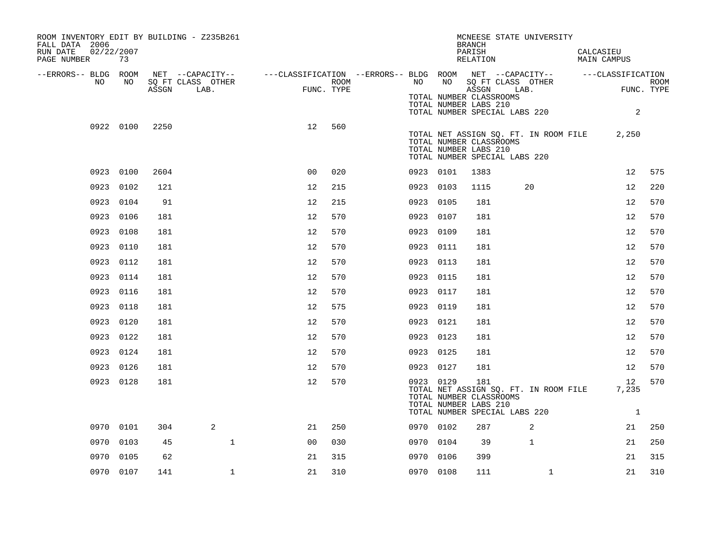| ROOM INVENTORY EDIT BY BUILDING - Z235B261<br>FALL DATA 2006<br>RUN DATE<br>02/22/2007<br>PAGE NUMBER | 73        |       |                                                                                                |                                                                                                                                                                                                                                                                                                                                                                                                                          |                    |           |    | MCNEESE STATE UNIVERSITY<br><b>BRANCH</b><br>PARISH<br>RELATION                                                                   |                | CALCASIEU<br><b>MAIN CAMPUS</b> |                     |
|-------------------------------------------------------------------------------------------------------|-----------|-------|------------------------------------------------------------------------------------------------|--------------------------------------------------------------------------------------------------------------------------------------------------------------------------------------------------------------------------------------------------------------------------------------------------------------------------------------------------------------------------------------------------------------------------|--------------------|-----------|----|-----------------------------------------------------------------------------------------------------------------------------------|----------------|---------------------------------|---------------------|
| --ERRORS-- BLDG ROOM                                                                                  |           |       | NET --CAPACITY-- ----CLASSIFICATION --ERRORS-- BLDG ROOM NET --CAPACITY-- ------CLASSIFICATION |                                                                                                                                                                                                                                                                                                                                                                                                                          |                    |           |    |                                                                                                                                   |                |                                 |                     |
| NO                                                                                                    | NO        | ASSGN | SQ FT CLASS OTHER<br>LAB.                                                                      | $\begin{picture}(20,20) \put(0,0){\dashbox{0.5}(10,0){ }} \thicklines \put(0,0){\dashbox{0.5}(10,0){ }} \thicklines \put(0,0){\dashbox{0.5}(10,0){ }} \thicklines \put(0,0){\dashbox{0.5}(10,0){ }} \thicklines \put(0,0){\dashbox{0.5}(10,0){ }} \thicklines \put(0,0){\dashbox{0.5}(10,0){ }} \thicklines \put(0,0){\dashbox{0.5}(10,0){ }} \thicklines \put(0,0){\dashbox{0.5}(10,0){ }} \thicklines \put(0,0){\dash$ | ROOM<br>FUNC. TYPE | NO .      | NO | SQ FT CLASS OTHER<br>ASSGN                                                                                                        | LAB.           |                                 | ROOM<br>FUNC. TYPE  |
|                                                                                                       |           |       |                                                                                                |                                                                                                                                                                                                                                                                                                                                                                                                                          |                    |           |    | TOTAL NUMBER CLASSROOMS<br>TOTAL NUMBER LABS 210<br>TOTAL NUMBER SPECIAL LABS 220                                                 |                |                                 | 2                   |
|                                                                                                       | 0922 0100 | 2250  |                                                                                                | 12                                                                                                                                                                                                                                                                                                                                                                                                                       | 560                |           |    | TOTAL NET ASSIGN SQ. FT. IN ROOM FILE<br>TOTAL NUMBER CLASSROOMS<br>TOTAL NUMBER LABS 210<br>TOTAL NUMBER SPECIAL LABS 220        |                | 2,250                           |                     |
|                                                                                                       | 0923 0100 | 2604  |                                                                                                | 0 <sup>0</sup>                                                                                                                                                                                                                                                                                                                                                                                                           | 020                | 0923 0101 |    | 1383                                                                                                                              |                | 12                              | 575                 |
| 0923                                                                                                  | 0102      | 121   |                                                                                                | 12                                                                                                                                                                                                                                                                                                                                                                                                                       | 215                | 0923 0103 |    | 1115                                                                                                                              | 20             | 12                              | 220                 |
|                                                                                                       | 0923 0104 | 91    |                                                                                                | 12                                                                                                                                                                                                                                                                                                                                                                                                                       | 215                | 0923 0105 |    | 181                                                                                                                               |                | 12                              | 570                 |
|                                                                                                       | 0923 0106 | 181   |                                                                                                | 12                                                                                                                                                                                                                                                                                                                                                                                                                       | 570                | 0923 0107 |    | 181                                                                                                                               |                | 12                              | 570                 |
| 0923                                                                                                  | 0108      | 181   |                                                                                                | 12                                                                                                                                                                                                                                                                                                                                                                                                                       | 570                | 0923 0109 |    | 181                                                                                                                               |                | 12                              | 570                 |
| 0923                                                                                                  | 0110      | 181   |                                                                                                | 12                                                                                                                                                                                                                                                                                                                                                                                                                       | 570                | 0923 0111 |    | 181                                                                                                                               |                | 12                              | 570                 |
| 0923                                                                                                  | 0112      | 181   |                                                                                                | 12                                                                                                                                                                                                                                                                                                                                                                                                                       | 570                | 0923 0113 |    | 181                                                                                                                               |                | 12                              | 570                 |
|                                                                                                       | 0923 0114 | 181   |                                                                                                | 12                                                                                                                                                                                                                                                                                                                                                                                                                       | 570                | 0923 0115 |    | 181                                                                                                                               |                | 12                              | 570                 |
| 0923                                                                                                  | 0116      | 181   |                                                                                                | 12                                                                                                                                                                                                                                                                                                                                                                                                                       | 570                | 0923 0117 |    | 181                                                                                                                               |                | 12                              | 570                 |
| 0923                                                                                                  | 0118      | 181   |                                                                                                | 12                                                                                                                                                                                                                                                                                                                                                                                                                       | 575                | 0923 0119 |    | 181                                                                                                                               |                | 12                              | 570                 |
| 0923                                                                                                  | 0120      | 181   |                                                                                                | 12                                                                                                                                                                                                                                                                                                                                                                                                                       | 570                | 0923 0121 |    | 181                                                                                                                               |                | 12                              | 570                 |
|                                                                                                       | 0923 0122 | 181   |                                                                                                | 12                                                                                                                                                                                                                                                                                                                                                                                                                       | 570                | 0923 0123 |    | 181                                                                                                                               |                | 12                              | 570                 |
|                                                                                                       | 0923 0124 | 181   |                                                                                                | 12                                                                                                                                                                                                                                                                                                                                                                                                                       | 570                | 0923 0125 |    | 181                                                                                                                               |                | 12                              | 570                 |
|                                                                                                       | 0923 0126 | 181   |                                                                                                | 12                                                                                                                                                                                                                                                                                                                                                                                                                       | 570                | 0923 0127 |    | 181                                                                                                                               |                | 12                              | 570                 |
|                                                                                                       | 0923 0128 | 181   |                                                                                                | 12                                                                                                                                                                                                                                                                                                                                                                                                                       | 570                | 0923 0129 |    | 181<br>TOTAL NET ASSIGN SQ. FT. IN ROOM FILE<br>TOTAL NUMBER CLASSROOMS<br>TOTAL NUMBER LABS 210<br>TOTAL NUMBER SPECIAL LABS 220 |                | 12<br>7,235                     | 570<br><sup>1</sup> |
|                                                                                                       | 0970 0101 | 304   | 2                                                                                              | 21                                                                                                                                                                                                                                                                                                                                                                                                                       | 250                | 0970 0102 |    | 287                                                                                                                               | $\overline{2}$ | 21                              | 250                 |
|                                                                                                       | 0970 0103 | 45    | $\mathbf{1}$                                                                                   | 0 <sub>0</sub>                                                                                                                                                                                                                                                                                                                                                                                                           | 030                | 0970 0104 |    | 39                                                                                                                                | $\mathbf{1}$   | 21                              | 250                 |
| 0970                                                                                                  | 0105      | 62    |                                                                                                | 21                                                                                                                                                                                                                                                                                                                                                                                                                       | 315                | 0970 0106 |    | 399                                                                                                                               |                | 21                              | 315                 |
|                                                                                                       | 0970 0107 | 141   | $\mathbf 1$                                                                                    | 21                                                                                                                                                                                                                                                                                                                                                                                                                       | 310                | 0970 0108 |    | 111                                                                                                                               | $\mathbf{1}$   | 21                              | 310                 |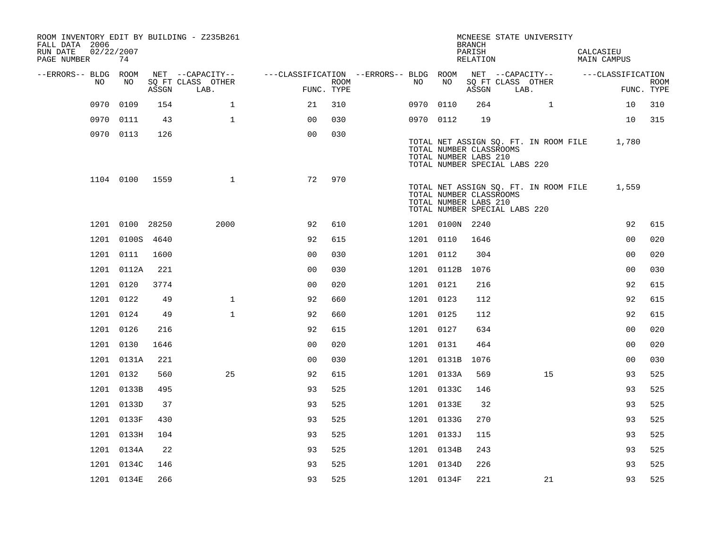| ROOM INVENTORY EDIT BY BUILDING - Z235B261<br>FALL DATA 2006<br>RUN DATE<br>PAGE NUMBER | 02/22/2007<br>74 |       |                           |                                        |      |           |                                                                                   | <b>BRANCH</b><br>PARISH<br>RELATION |      | MCNEESE STATE UNIVERSITY              | CALCASIEU<br><b>MAIN CAMPUS</b> |                           |
|-----------------------------------------------------------------------------------------|------------------|-------|---------------------------|----------------------------------------|------|-----------|-----------------------------------------------------------------------------------|-------------------------------------|------|---------------------------------------|---------------------------------|---------------------------|
| --ERRORS-- BLDG ROOM                                                                    |                  |       | NET --CAPACITY--          | ---CLASSIFICATION --ERRORS-- BLDG ROOM |      |           |                                                                                   |                                     |      | NET --CAPACITY--                      | ---CLASSIFICATION               |                           |
| NO                                                                                      | NO               | ASSGN | SQ FT CLASS OTHER<br>LAB. | FUNC. TYPE                             | ROOM | NO        | NO                                                                                | ASSGN                               | LAB. | SQ FT CLASS OTHER                     |                                 | <b>ROOM</b><br>FUNC. TYPE |
| 0970                                                                                    | 0109             | 154   | $\mathbf 1$               | 21                                     | 310  | 0970      | 0110                                                                              | 264                                 |      | $\mathbf{1}$                          | 10                              | 310                       |
| 0970                                                                                    | 0111             | 43    | $\mathbf{1}$              | 0 <sup>0</sup>                         | 030  | 0970 0112 |                                                                                   | 19                                  |      |                                       | 10                              | 315                       |
|                                                                                         | 0970 0113        | 126   |                           | 0 <sub>0</sub>                         | 030  |           | TOTAL NUMBER CLASSROOMS<br>TOTAL NUMBER LABS 210<br>TOTAL NUMBER SPECIAL LABS 220 |                                     |      | TOTAL NET ASSIGN SQ. FT. IN ROOM FILE | 1,780                           |                           |
|                                                                                         | 1104 0100        | 1559  | $\mathbf{1}$              | 72                                     | 970  |           | TOTAL NUMBER CLASSROOMS<br>TOTAL NUMBER LABS 210<br>TOTAL NUMBER SPECIAL LABS 220 |                                     |      | TOTAL NET ASSIGN SQ. FT. IN ROOM FILE | 1,559                           |                           |
|                                                                                         | 1201 0100 28250  |       | 2000                      | 92                                     | 610  |           | 1201 0100N 2240                                                                   |                                     |      |                                       | 92                              | 615                       |
| 1201                                                                                    | 0100S            | 4640  |                           | 92                                     | 615  | 1201 0110 |                                                                                   | 1646                                |      |                                       | 00                              | 020                       |
|                                                                                         | 1201 0111        | 1600  |                           | 0 <sub>0</sub>                         | 030  | 1201 0112 |                                                                                   | 304                                 |      |                                       | 0 <sub>0</sub>                  | 020                       |
|                                                                                         | 1201 0112A       | 221   |                           | 0 <sub>0</sub>                         | 030  |           | 1201 0112B                                                                        | 1076                                |      |                                       | 0 <sub>0</sub>                  | 030                       |
|                                                                                         | 1201 0120        | 3774  |                           | 0 <sub>0</sub>                         | 020  | 1201 0121 |                                                                                   | 216                                 |      |                                       | 92                              | 615                       |
|                                                                                         | 1201 0122        | 49    | $\mathbf 1$               | 92                                     | 660  | 1201 0123 |                                                                                   | 112                                 |      |                                       | 92                              | 615                       |
|                                                                                         | 1201 0124        | 49    | $\mathbf{1}$              | 92                                     | 660  | 1201 0125 |                                                                                   | 112                                 |      |                                       | 92                              | 615                       |
|                                                                                         | 1201 0126        | 216   |                           | 92                                     | 615  | 1201 0127 |                                                                                   | 634                                 |      |                                       | 0 <sub>0</sub>                  | 020                       |
|                                                                                         | 1201 0130        | 1646  |                           | 0 <sub>0</sub>                         | 020  | 1201 0131 |                                                                                   | 464                                 |      |                                       | 0 <sub>0</sub>                  | 020                       |
|                                                                                         | 1201 0131A       | 221   |                           | 0 <sub>0</sub>                         | 030  |           | 1201 0131B                                                                        | 1076                                |      |                                       | 00                              | 030                       |
|                                                                                         | 1201 0132        | 560   | 25                        | 92                                     | 615  |           | 1201 0133A                                                                        | 569                                 |      | 15                                    | 93                              | 525                       |
|                                                                                         | 1201 0133B       | 495   |                           | 93                                     | 525  |           | 1201 0133C                                                                        | 146                                 |      |                                       | 93                              | 525                       |
|                                                                                         | 1201 0133D       | 37    |                           | 93                                     | 525  |           | 1201 0133E                                                                        | 32                                  |      |                                       | 93                              | 525                       |
|                                                                                         | 1201 0133F       | 430   |                           | 93                                     | 525  |           | 1201 0133G                                                                        | 270                                 |      |                                       | 93                              | 525                       |
|                                                                                         | 1201 0133H       | 104   |                           | 93                                     | 525  |           | 1201 0133J                                                                        | 115                                 |      |                                       | 93                              | 525                       |
|                                                                                         | 1201 0134A       | 22    |                           | 93                                     | 525  |           | 1201 0134B                                                                        | 243                                 |      |                                       | 93                              | 525                       |
|                                                                                         | 1201 0134C       | 146   |                           | 93                                     | 525  |           | 1201 0134D                                                                        | 226                                 |      |                                       | 93                              | 525                       |
|                                                                                         | 1201 0134E       | 266   |                           | 93                                     | 525  |           | 1201 0134F                                                                        | 221                                 |      | 21                                    | 93                              | 525                       |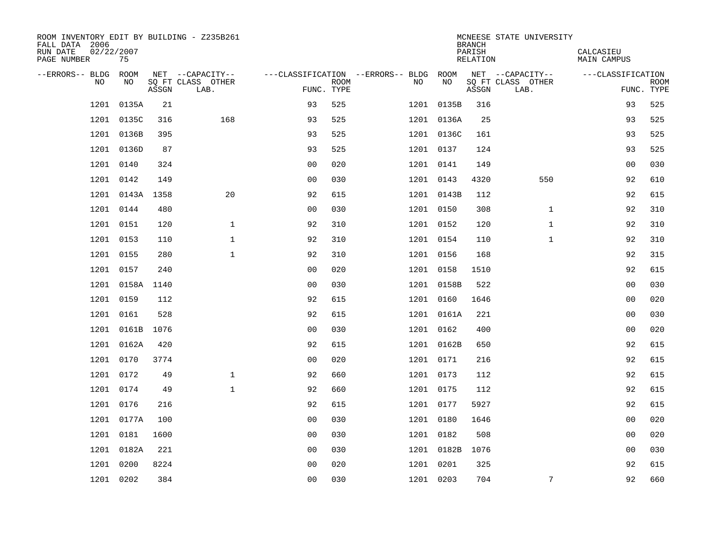| ROOM INVENTORY EDIT BY BUILDING - Z235B261<br>FALL DATA 2006<br>RUN DATE<br>02/22/2007<br>PAGE NUMBER | 75        |       |                           |                |             |                                        |            | <b>BRANCH</b><br>PARISH<br>RELATION | MCNEESE STATE UNIVERSITY  | CALCASIEU<br><b>MAIN CAMPUS</b> |                           |
|-------------------------------------------------------------------------------------------------------|-----------|-------|---------------------------|----------------|-------------|----------------------------------------|------------|-------------------------------------|---------------------------|---------------------------------|---------------------------|
| --ERRORS-- BLDG                                                                                       | ROOM      |       | NET --CAPACITY--          |                |             | ---CLASSIFICATION --ERRORS-- BLDG ROOM |            |                                     | NET --CAPACITY--          | ---CLASSIFICATION               |                           |
| N <sub>O</sub>                                                                                        | NO.       | ASSGN | SO FT CLASS OTHER<br>LAB. | FUNC. TYPE     | <b>ROOM</b> | NO.                                    | <b>NO</b>  | ASSGN                               | SQ FT CLASS OTHER<br>LAB. |                                 | <b>ROOM</b><br>FUNC. TYPE |
| 1201                                                                                                  | 0135A     | 21    |                           | 93             | 525         |                                        | 1201 0135B | 316                                 |                           | 93                              | 525                       |
| 1201                                                                                                  | 0135C     | 316   | 168                       | 93             | 525         |                                        | 1201 0136A | 25                                  |                           | 93                              | 525                       |
| 1201                                                                                                  | 0136B     | 395   |                           | 93             | 525         |                                        | 1201 0136C | 161                                 |                           | 93                              | 525                       |
| 1201                                                                                                  | 0136D     | 87    |                           | 93             | 525         |                                        | 1201 0137  | 124                                 |                           | 93                              | 525                       |
| 1201                                                                                                  | 0140      | 324   |                           | 00             | 020         |                                        | 1201 0141  | 149                                 |                           | 0 <sub>0</sub>                  | 030                       |
| 1201                                                                                                  | 0142      | 149   |                           | 0 <sub>0</sub> | 030         |                                        | 1201 0143  | 4320                                | 550                       | 92                              | 610                       |
| 1201                                                                                                  | 0143A     | 1358  | 20                        | 92             | 615         |                                        | 1201 0143B | 112                                 |                           | 92                              | 615                       |
| 1201                                                                                                  | 0144      | 480   |                           | 0 <sub>0</sub> | 030         |                                        | 1201 0150  | 308                                 | $\mathbf{1}$              | 92                              | 310                       |
| 1201                                                                                                  | 0151      | 120   | $\mathbf{1}$              | 92             | 310         |                                        | 1201 0152  | 120                                 | $\mathbf{1}$              | 92                              | 310                       |
|                                                                                                       | 1201 0153 | 110   | $\mathbf 1$               | 92             | 310         |                                        | 1201 0154  | 110                                 | $\mathbf{1}$              | 92                              | 310                       |
|                                                                                                       | 1201 0155 | 280   | $\mathbf{1}$              | 92             | 310         |                                        | 1201 0156  | 168                                 |                           | 92                              | 315                       |
|                                                                                                       | 1201 0157 | 240   |                           | 0 <sub>0</sub> | 020         |                                        | 1201 0158  | 1510                                |                           | 92                              | 615                       |
| 1201                                                                                                  | 0158A     | 1140  |                           | 0 <sub>0</sub> | 030         |                                        | 1201 0158B | 522                                 |                           | 0 <sub>0</sub>                  | 030                       |
|                                                                                                       | 1201 0159 | 112   |                           | 92             | 615         |                                        | 1201 0160  | 1646                                |                           | 0 <sub>0</sub>                  | 020                       |
| 1201                                                                                                  | 0161      | 528   |                           | 92             | 615         |                                        | 1201 0161A | 221                                 |                           | 00                              | 030                       |
| 1201                                                                                                  | 0161B     | 1076  |                           | 0 <sub>0</sub> | 030         |                                        | 1201 0162  | 400                                 |                           | 00                              | 020                       |
| 1201                                                                                                  | 0162A     | 420   |                           | 92             | 615         |                                        | 1201 0162B | 650                                 |                           | 92                              | 615                       |
| 1201                                                                                                  | 0170      | 3774  |                           | 0 <sub>0</sub> | 020         |                                        | 1201 0171  | 216                                 |                           | 92                              | 615                       |
| 1201                                                                                                  | 0172      | 49    | $\mathbf{1}$              | 92             | 660         |                                        | 1201 0173  | 112                                 |                           | 92                              | 615                       |
| 1201                                                                                                  | 0174      | 49    | $\mathbf{1}$              | 92             | 660         |                                        | 1201 0175  | 112                                 |                           | 92                              | 615                       |
| 1201                                                                                                  | 0176      | 216   |                           | 92             | 615         |                                        | 1201 0177  | 5927                                |                           | 92                              | 615                       |
| 1201                                                                                                  | 0177A     | 100   |                           | 0 <sub>0</sub> | 030         |                                        | 1201 0180  | 1646                                |                           | 00                              | 020                       |
| 1201                                                                                                  | 0181      | 1600  |                           | 0 <sub>0</sub> | 030         |                                        | 1201 0182  | 508                                 |                           | 0 <sub>0</sub>                  | 020                       |
| 1201                                                                                                  | 0182A     | 221   |                           | 0 <sub>0</sub> | 030         |                                        | 1201 0182B | 1076                                |                           | 0 <sub>0</sub>                  | 030                       |
| 1201                                                                                                  | 0200      | 8224  |                           | 0 <sub>0</sub> | 020         |                                        | 1201 0201  | 325                                 |                           | 92                              | 615                       |
|                                                                                                       | 1201 0202 | 384   |                           | 0 <sub>0</sub> | 030         |                                        | 1201 0203  | 704                                 | $7\phantom{.0}$           | 92                              | 660                       |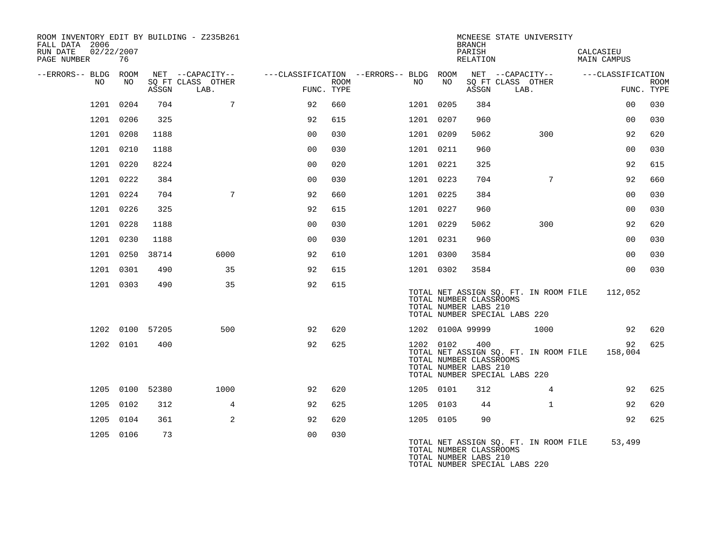| FALL DATA 2006<br>RUN DATE | 02/22/2007 |           |                 | ROOM INVENTORY EDIT BY BUILDING - Z235B261 |                                                                                                              |      |           |                                                  | <b>BRANCH</b><br>PARISH |                               | MCNEESE STATE UNIVERSITY              | CALCASIEU   |                 |             |
|----------------------------|------------|-----------|-----------------|--------------------------------------------|--------------------------------------------------------------------------------------------------------------|------|-----------|--------------------------------------------------|-------------------------|-------------------------------|---------------------------------------|-------------|-----------------|-------------|
| PAGE NUMBER                |            | 76        |                 |                                            |                                                                                                              |      |           |                                                  | RELATION                |                               |                                       | MAIN CAMPUS |                 |             |
| --ERRORS-- BLDG ROOM       | NO         | NO        | ASSGN           | SO FT CLASS OTHER<br>LAB.                  | NET --CAPACITY-- - ---CLASSIFICATION --ERRORS-- BLDG ROOM NET --CAPACITY-- - ---CLASSIFICATION<br>FUNC. TYPE | ROOM | NO        | NO                                               | ASSGN                   | LAB.                          | SO FT CLASS OTHER                     |             | FUNC. TYPE      | <b>ROOM</b> |
|                            | 1201 0204  |           | 704             | $7\overline{ }$                            | 92                                                                                                           | 660  | 1201 0205 |                                                  | 384                     |                               |                                       |             | 00              | 030         |
|                            | 1201 0206  |           | 325             |                                            | 92                                                                                                           | 615  | 1201 0207 |                                                  | 960                     |                               |                                       |             | 0 <sub>0</sub>  | 030         |
|                            | 1201 0208  |           | 1188            |                                            | 0 <sub>0</sub>                                                                                               | 030  | 1201 0209 |                                                  | 5062                    |                               | 300                                   |             | 92              | 620         |
|                            | 1201 0210  |           | 1188            |                                            | 0 <sub>0</sub>                                                                                               | 030  | 1201 0211 |                                                  | 960                     |                               |                                       |             | 0 <sub>0</sub>  | 030         |
|                            | 1201 0220  |           | 8224            |                                            | 0 <sub>0</sub>                                                                                               | 020  | 1201 0221 |                                                  | 325                     |                               |                                       |             | 92              | 615         |
|                            | 1201 0222  |           | 384             |                                            | 0 <sub>0</sub>                                                                                               | 030  | 1201 0223 |                                                  | 704                     |                               | $7\phantom{.0}$                       |             | 92              | 660         |
|                            | 1201 0224  |           | 704             | $7\phantom{.0}$                            | 92                                                                                                           | 660  | 1201 0225 |                                                  | 384                     |                               |                                       |             | 00              | 030         |
|                            | 1201 0226  |           | 325             |                                            | 92                                                                                                           | 615  | 1201 0227 |                                                  | 960                     |                               |                                       |             | 0 <sub>0</sub>  | 030         |
|                            | 1201 0228  |           | 1188            |                                            | 0 <sub>0</sub>                                                                                               | 030  | 1201 0229 |                                                  | 5062                    |                               | 300                                   |             | 92              | 620         |
|                            | 1201 0230  |           | 1188            |                                            | 0 <sub>0</sub>                                                                                               | 030  | 1201 0231 |                                                  | 960                     |                               |                                       |             | 00              | 030         |
|                            |            | 1201 0250 | 38714           | 6000                                       | 92                                                                                                           | 610  | 1201 0300 |                                                  | 3584                    |                               |                                       |             | 0 <sub>0</sub>  | 030         |
|                            |            | 1201 0301 | 490             | 35                                         | 92                                                                                                           | 615  | 1201 0302 |                                                  | 3584                    |                               |                                       |             | 00 <sup>o</sup> | 030         |
|                            |            | 1201 0303 | 490             | 35                                         | 92                                                                                                           | 615  |           | TOTAL NUMBER CLASSROOMS<br>TOTAL NUMBER LABS 210 |                         | TOTAL NUMBER SPECIAL LABS 220 | TOTAL NET ASSIGN SQ. FT. IN ROOM FILE |             | 112,052         |             |
|                            |            |           | 1202 0100 57205 | 500                                        | 92                                                                                                           | 620  |           | 1202 0100A 99999                                 |                         |                               | 1000                                  |             | 92              | 620         |
|                            |            | 1202 0101 | 400             |                                            | 92                                                                                                           | 625  | 1202 0102 | TOTAL NUMBER CLASSROOMS<br>TOTAL NUMBER LABS 210 | 400                     | TOTAL NUMBER SPECIAL LABS 220 | TOTAL NET ASSIGN SQ. FT. IN ROOM FILE |             | 92<br>158,004   | 625         |
|                            |            |           | 1205 0100 52380 | 1000                                       | 92                                                                                                           | 620  | 1205 0101 |                                                  | 312                     |                               | $\overline{4}$                        |             | 92              | 625         |
|                            | 1205 0102  |           | 312             | $\overline{4}$                             | 92                                                                                                           | 625  | 1205 0103 |                                                  | 44                      |                               | $\mathbf{1}$                          |             | 92              | 620         |
|                            | 1205 0104  |           | 361             | $\overline{2}$                             | 92                                                                                                           | 620  | 1205 0105 |                                                  | 90                      |                               |                                       |             | 92              | 625         |
|                            |            | 1205 0106 | 73              |                                            | 0 <sub>0</sub>                                                                                               | 030  |           | TOTAL NUMBER CLASSROOMS<br>TOTAL NUMBER LABS 210 |                         | TOTAL NUMBER SPECIAL LABS 220 | TOTAL NET ASSIGN SO. FT. IN ROOM FILE |             | 53,499          |             |